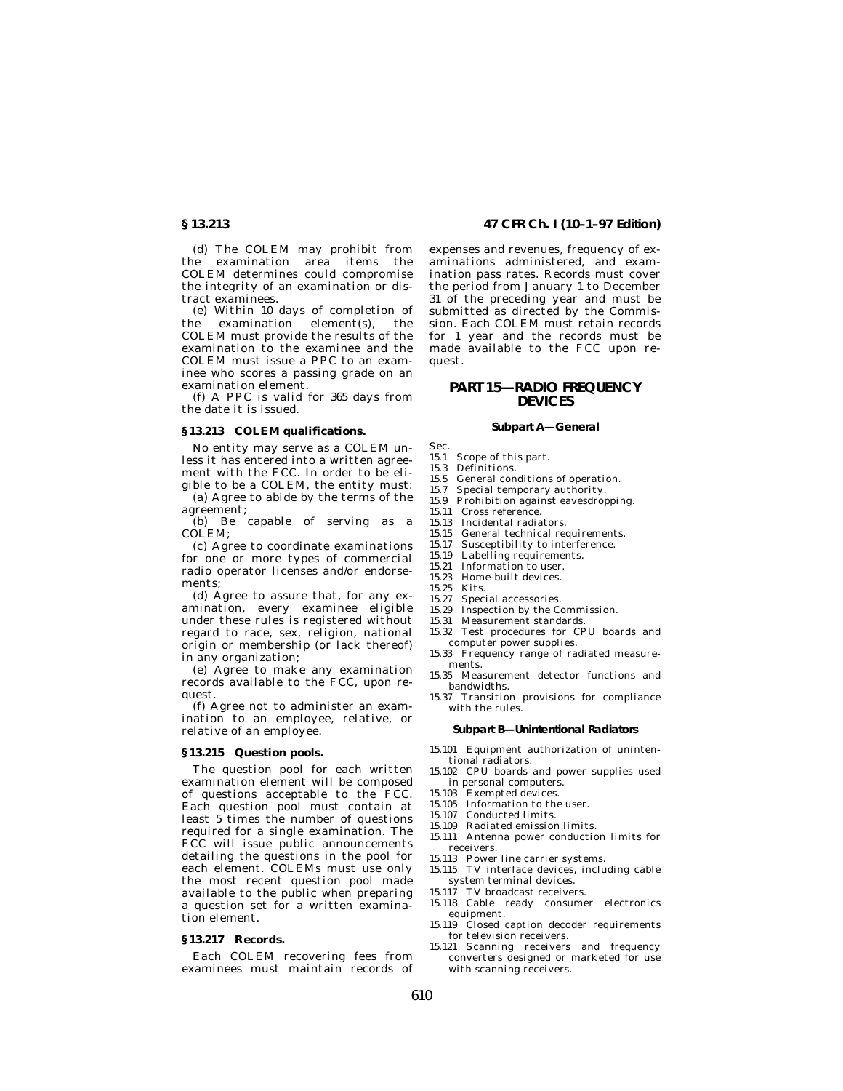**§ 13.213 47 CFR Ch. I (10–1–97 Edition)**

(d) The COLEM may prohibit from the examination area items the COLEM determines could compromise the integrity of an examination or distract examinees.

(e) Within 10 days of completion of the examination element(s), the COLEM must provide the results of the examination to the examinee and the COLEM must issue a PPC to an examinee who scores a passing grade on an examination element.

(f) A PPC is valid for 365 days from the date it is issued.

## **§ 13.213 COLEM qualifications.**

No entity may serve as a COLEM unless it has entered into a written agreement with the FCC. In order to be eligible to be a COLEM, the entity must:

(a) Agree to abide by the terms of the agreement;

(b) Be capable of serving as a COLEM;

(c) Agree to coordinate examinations for one or more types of commercial radio operator licenses and/or endorsements;

(d) Agree to assure that, for any examination, every examinee eligible under these rules is registered without regard to race, sex, religion, national origin or membership (or lack thereof) in any organization;

(e) Agree to make any examination records available to the FCC, upon request.

(f) Agree not to administer an examination to an employee, relative, or relative of an employee.

## **§ 13.215 Question pools.**

The question pool for each written examination element will be composed of questions acceptable to the FCC. Each question pool must contain at least 5 times the number of questions required for a single examination. The FCC will issue public announcements detailing the questions in the pool for each element. COLEMs must use only the most recent question pool made available to the public when preparing a question set for a written examination element.

## **§ 13.217 Records.**

Each COLEM recovering fees from examinees must maintain records of expenses and revenues, frequency of examinations administered, and examination pass rates. Records must cover the period from January 1 to December 31 of the preceding year and must be submitted as directed by the Commission. Each COLEM must retain records for 1 year and the records must be made available to the FCC upon request.

## **PART 15—RADIO FREQUENCY DEVICES**

#### **Subpart A—General**

- Sec.<br>15.1 Scope of this part.
- 15.3 Definitions.
- 15.5 General conditions of operation.
- 15.7 Special temporary authority.<br>15.9 Prohibition against eavesdroi
- Prohibition against eavesdropping.
- 15.11 Cross reference.
- 15.13 Incidental radiators.
- 15.15 General technical requirements.<br>15.17 Susceptibility to interference.
	- Susceptibility to interference.
- 15.19 Labelling requirements.
- 15.21 Information to user.
- 15.23 Home-built devices.
- 15.25 Kits.<br>15.27 Spec
- Special accessories. 15.29 Inspection by the Commission.
- 15.31 Measurement standards.
- 15.32 Test procedures for CPU boards and
- computer power supplies. 15.33 Frequency range of radiated measure-
- ments. 15.35 Measurement detector functions and
- bandwidths. 15.37 Transition provisions for compliance with the rules.

#### **Subpart B—Unintentional Radiators**

- 15.101 Equipment authorization of unintentional radiators.
- 15.102 CPU boards and power supplies used in personal computers.
- 15.103 Exempted devices.
- 15.105 Information to the user.<br>15.107 Conducted limits.
- Conducted limits.
- 15.109 Radiated emission limits.
- 15.111 Antenna power conduction limits for receivers.
- 15.113 Power line carrier systems. 15.115 TV interface devices, including cable system terminal devices.
- 15.117 TV broadcast receivers.
- 15.118 Cable ready consumer electronics equipment.
- 15.119 Closed caption decoder requirements for television receivers.
- 15.121 Scanning receivers and frequency converters designed or marketed for use with scanning receivers.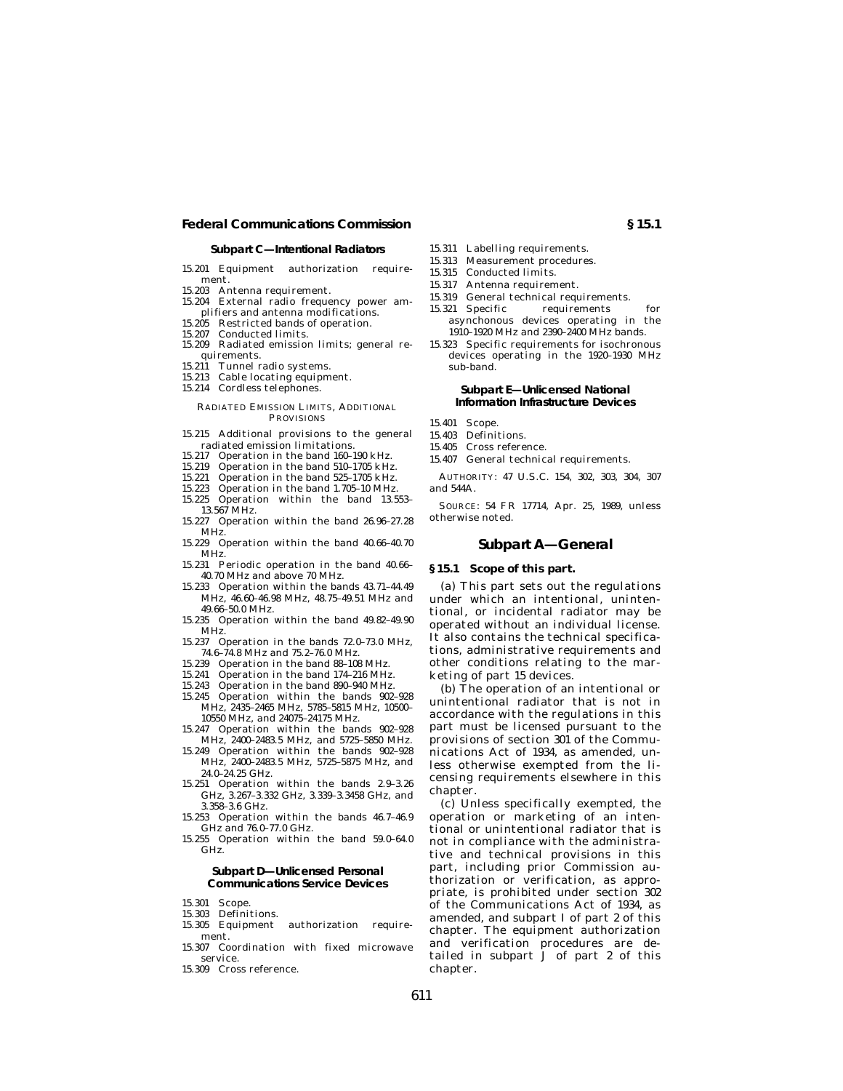#### **Subpart C—Intentional Radiators**

- 15.201 Equipment authorization requirement.
- 15.203 Antenna requirement. 15.204 External radio frequency power am-
- plifiers and antenna modifications.
- 15.205 Restricted bands of operation.
- 15.207 Conducted limits.
- 15.209 Radiated emission limits; general requirements.
- 15.211 Tunnel radio systems.
- 15.213 Cable locating equipment.
- 15.214 Cordless telephones.

## RADIATED EMISSION LIMITS, ADDITIONAL PROVISIONS

- 15.215 Additional provisions to the general radiated emission limitations.
- 15.217 Operation in the band 160–190 kHz.
- 15.219 Operation in the band 510–1705 kHz.
- 15.221 Operation in the band 525–1705 kHz.
- 15.223 Operation in the band 1.705–10 MHz.
- 15.225 Operation within the band 13.553– 13.567 MHz.
- 15.227 Operation within the band 26.96–27.28 MHz.
- 15.229 Operation within the band 40.66–40.70 MHz.
- 15.231 Periodic operation in the band 40.66– 40.70 MHz and above 70 MHz.
- 15.233 Operation within the bands 43.71–44.49 MHz, 46.60–46.98 MHz, 48.75–49.51 MHz and 49.66–50.0 MHz.
- 15.235 Operation within the band 49.82–49.90 MHz.
- 15.237 Operation in the bands 72.0–73.0 MHz, 74.6–74.8 MHz and 75.2–76.0 MHz.
- 15.239 Operation in the band 88–108 MHz.
- 15.241 Operation in the band 174–216 MHz.
- 15.243 Operation in the band 890–940 MHz.
- 15.245 Operation within the bands 902–928 MHz, 2435–2465 MHz, 5785–5815 MHz, 10500– 10550 MHz, and 24075–24175 MHz.
- 15.247 Operation within the bands 902–928 MHz, 2400–2483.5 MHz, and 5725–5850 MHz.
- 15.249 Operation within the bands 902–928 MHz, 2400–2483.5 MHz, 5725–5875 MHz, and 24.0–24.25 GHz.
- 15.251 Operation within the bands 2.9–3.26 GHz, 3.267–3.332 GHz, 3.339–3.3458 GHz, and 3.358–3.6 GHz.
- 15.253 Operation within the bands 46.7–46.9 GHz and 76.0–77.0 GHz.
- 15.255 Operation within the band 59.0–64.0 GHz.

## **Subpart D—Unlicensed Personal Communications Service Devices**

- 15.301 Scope.
- 15.303 Definitions.
- 15.305 Equipment authorization requirement.
- 15.307 Coordination with fixed microwave service.
- 15.309 Cross reference.
- 15.311 Labelling requirements.
- 15.313 Measurement procedures.
- 15.315 Conducted limits. 15.317 Antenna requirement.
- 
- 15.319 General technical requirements.
- 15.321 Specific requirements for asynchonous devices operating in the 1910–1920 MHz and 2390–2400 MHz bands.
- 15.323 Specific requirements for isochronous devices operating in the 1920–1930 MHz sub-band.

#### **Subpart E—Unlicensed National Information Infrastructure Devices**

- 15.401 Scope.
- 15.403 Definitions.
- 15.405 Cross reference.
- 15.407 General technical requirements.

AUTHORITY: 47 U.S.C. 154, 302, 303, 304, 307 and 544A.

SOURCE: 54 FR 17714, Apr. 25, 1989, unless otherwise noted.

## **Subpart A—General**

## **§ 15.1 Scope of this part.**

(a) This part sets out the regulations under which an intentional, unintentional, or incidental radiator may be operated without an individual license. It also contains the technical specifications, administrative requirements and other conditions relating to the marketing of part 15 devices.

(b) The operation of an intentional or unintentional radiator that is not in accordance with the regulations in this part must be licensed pursuant to the provisions of section 301 of the Communications Act of 1934, as amended, unless otherwise exempted from the licensing requirements elsewhere in this chapter.

(c) Unless specifically exempted, the operation or marketing of an intentional or unintentional radiator that is not in compliance with the administrative and technical provisions in this part, including prior Commission authorization or verification, as appropriate, is prohibited under section 302 of the Communications Act of 1934, as amended, and subpart I of part 2 of this chapter. The equipment authorization and verification procedures are detailed in subpart J of part 2 of this chapter.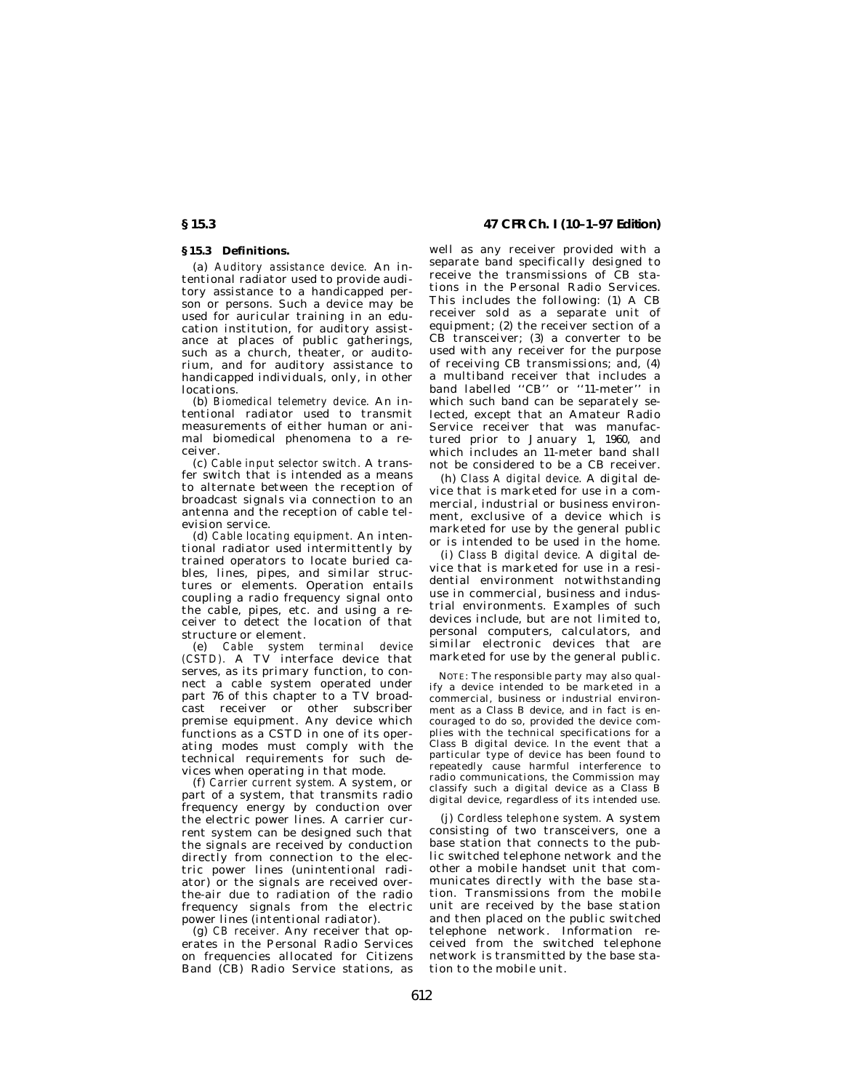## **§ 15.3 47 CFR Ch. I (10–1–97 Edition)**

## **§ 15.3 Definitions.**

(a) *Auditory assistance device.* An intentional radiator used to provide auditory assistance to a handicapped person or persons. Such a device may be used for auricular training in an education institution, for auditory assistance at places of public gatherings, such as a church, theater, or auditorium, and for auditory assistance to handicapped individuals, only, in other locations.

(b) *Biomedical telemetry device.* An intentional radiator used to transmit measurements of either human or animal biomedical phenomena to a receiver.

(c) *Cable input selector switch.* A transfer switch that is intended as a means to alternate between the reception of broadcast signals via connection to an antenna and the reception of cable television service.

(d) *Cable locating equipment.* An intentional radiator used intermittently by trained operators to locate buried cables, lines, pipes, and similar structures or elements. Operation entails coupling a radio frequency signal onto the cable, pipes, etc. and using a receiver to detect the location of that structure or element.

(e) *Cable system terminal device (CSTD).* A TV interface device that serves, as its primary function, to connect a cable system operated under part 76 of this chapter to a TV broadcast receiver or other subscriber premise equipment. Any device which functions as a CSTD in one of its operating modes must comply with the technical requirements for such devices when operating in that mode.

(f) *Carrier current system.* A system, or part of a system, that transmits radio frequency energy by conduction over the electric power lines. A carrier current system can be designed such that the signals are received by conduction directly from connection to the electric power lines (unintentional radiator) or the signals are received overthe-air due to radiation of the radio frequency signals from the electric power lines (intentional radiator).

(g) *CB receiver.* Any receiver that operates in the Personal Radio Services on frequencies allocated for Citizens Band (CB) Radio Service stations, as

well as any receiver provided with a separate band specifically designed to receive the transmissions of CB stations in the Personal Radio Services. This includes the following: (1) A CB receiver sold as a separate unit of equipment; (2) the receiver section of a  $CB$  transceiver; (3) a converter to be used with any receiver for the purpose of receiving CB transmissions; and, (4) a multiband receiver that includes a band labelled ''CB'' or ''11-meter'' in which such band can be separately selected, except that an Amateur Radio Service receiver that was manufactured prior to January 1, 1960, and which includes an 11-meter band shall not be considered to be a CB receiver.

(h) *Class A digital device.* A digital device that is marketed for use in a commercial, industrial or business environment, exclusive of a device which is marketed for use by the general public or is intended to be used in the home.

(i) *Class B digital device.* A digital device that is marketed for use in a residential environment notwithstanding use in commercial, business and industrial environments. Examples of such devices include, but are not limited to, personal computers, calculators, and similar electronic devices that are marketed for use by the general public.

NOTE: The responsible party may also qualify a device intended to be marketed in a commercial, business or industrial environment as a Class B device, and in fact is encouraged to do so, provided the device complies with the technical specifications for a Class B digital device. In the event that a particular type of device has been found to repeatedly cause harmful interference to radio communications, the Commission may classify such a digital device as a Class B digital device, regardless of its intended use.

(j) *Cordless telephone system.* A system consisting of two transceivers, one a base station that connects to the public switched telephone network and the other a mobile handset unit that communicates directly with the base station. Transmissions from the mobile unit are received by the base station and then placed on the public switched telephone network. Information received from the switched telephone network is transmitted by the base station to the mobile unit.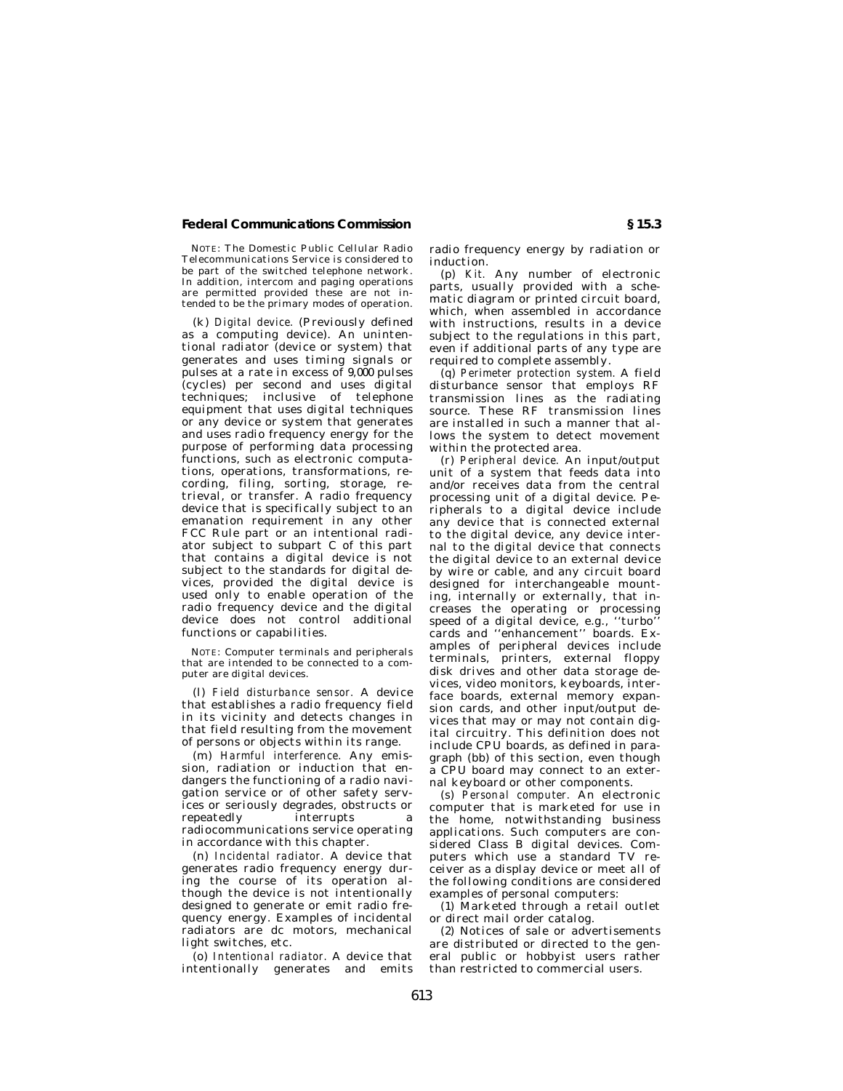NOTE: The Domestic Public Cellular Radio Telecommunications Service is considered to be part of the switched telephone network. In addition, intercom and paging operations are permitted provided these are not intended to be the primary modes of operation.

(k) *Digital device.* (Previously defined as a computing device). An unintentional radiator (device or system) that generates and uses timing signals or pulses at a rate in excess of  $9,000$  pulses (cycles) per second and uses digital techniques; inclusive of telephone equipment that uses digital techniques or any device or system that generates and uses radio frequency energy for the purpose of performing data processing functions, such as electronic computations, operations, transformations, recording, filing, sorting, storage, retrieval, or transfer. A radio frequency device that is specifically subject to an emanation requirement in any other FCC Rule part or an intentional radiator subject to subpart C of this part that contains a digital device is not subject to the standards for digital devices, provided the digital device is used only to enable operation of the radio frequency device and the digital device does not control additional functions or capabilities.

NOTE: Computer terminals and peripherals that are intended to be connected to a computer are digital devices.

(l) *Field disturbance sensor.* A device that establishes a radio frequency field in its vicinity and detects changes in that field resulting from the movement of persons or objects within its range.

(m) *Harmful interference.* Any emission, radiation or induction that endangers the functioning of a radio navigation service or of other safety services or seriously degrades, obstructs or<br>repeatedly interrupts a interrupts a radiocommunications service operating in accordance with this chapter.

(n) *Incidental radiator.* A device that generates radio frequency energy during the course of its operation although the device is not intentionally designed to generate or emit radio frequency energy. Examples of incidental radiators are dc motors, mechanical light switches, etc.

(o) *Intentional radiator.* A device that intentionally generates and emits radio frequency energy by radiation or induction.

(p) *Kit.* Any number of electronic parts, usually provided with a schematic diagram or printed circuit board, which, when assembled in accordance with instructions, results in a device subject to the regulations in this part, even if additional parts of any type are required to complete assembly.

(q) *Perimeter protection system.* A field disturbance sensor that employs RF transmission lines as the radiating source. These RF transmission lines are installed in such a manner that allows the system to detect movement within the protected area.

(r) *Peripheral device.* An input/output unit of a system that feeds data into and/or receives data from the central processing unit of a digital device. Peripherals to a digital device include any device that is connected external to the digital device, any device internal to the digital device that connects the digital device to an external device by wire or cable, and any circuit board designed for interchangeable mounting, internally or externally, that increases the operating or processing speed of a digital device, e.g., ''turbo'' cards and ''enhancement'' boards. Examples of peripheral devices include terminals, printers, external floppy disk drives and other data storage devices, video monitors, keyboards, interface boards, external memory expansion cards, and other input/output devices that may or may not contain digital circuitry. This definition does not include CPU boards, as defined in paragraph (bb) of this section, even though a CPU board may connect to an external keyboard or other components.

(s) *Personal computer.* An electronic computer that is marketed for use in the home, notwithstanding business applications. Such computers are considered Class B digital devices. Computers which use a standard TV receiver as a display device or meet all of the following conditions are considered examples of personal computers:

(1) Marketed through a retail outlet or direct mail order catalog.

(2) Notices of sale or advertisements are distributed or directed to the general public or hobbyist users rather than restricted to commercial users.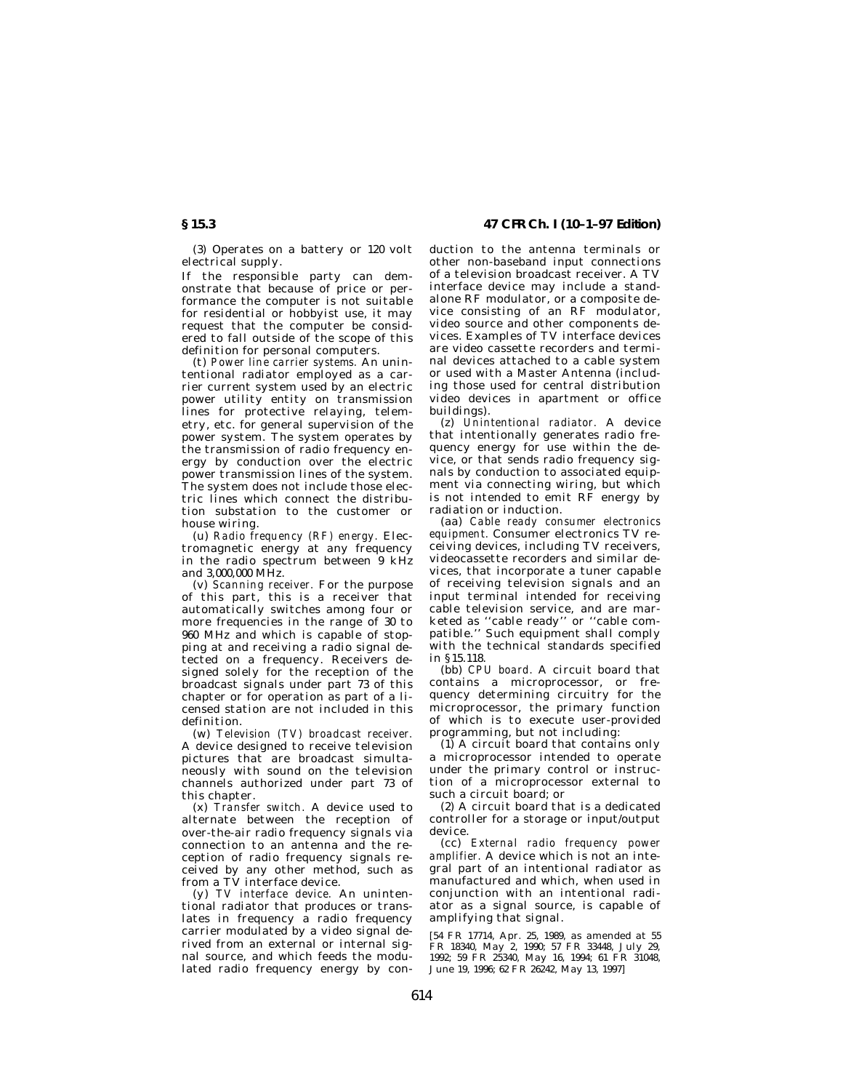(3) Operates on a battery or 120 volt electrical supply.

If the responsible party can demonstrate that because of price or performance the computer is not suitable for residential or hobbyist use, it may request that the computer be considered to fall outside of the scope of this definition for personal computers.

(t) *Power line carrier systems.* An unintentional radiator employed as a carrier current system used by an electric power utility entity on transmission lines for protective relaying, telemetry, etc. for general supervision of the power system. The system operates by the transmission of radio frequency energy by conduction over the electric power transmission lines of the system. The system does not include those electric lines which connect the distribution substation to the customer or house wiring.

(u) *Radio frequency (RF) energy.* Electromagnetic energy at any frequency in the radio spectrum between 9 kHz and 3,000,000 MHz.

(v) *Scanning receiver.* For the purpose of this part, this is a receiver that automatically switches among four or more frequencies in the range of 30 to 960 MHz and which is capable of stopping at and receiving a radio signal detected on a frequency. Receivers designed solely for the reception of the broadcast signals under part 73 of this chapter or for operation as part of a licensed station are not included in this definition.

(w) *Television (TV) broadcast receiver.* A device designed to receive television pictures that are broadcast simultaneously with sound on the television channels authorized under part 73 of this chapter.

(x) *Transfer switch.* A device used to alternate between the reception of over-the-air radio frequency signals via connection to an antenna and the reception of radio frequency signals received by any other method, such as from a TV interface device.

(y) *TV interface device.* An unintentional radiator that produces or translates in frequency a radio frequency carrier modulated by a video signal derived from an external or internal signal source, and which feeds the modulated radio frequency energy by conduction to the antenna terminals or other non-baseband input connections of a television broadcast receiver. A TV interface device may include a standalone RF modulator, or a composite device consisting of an RF modulator, video source and other components devices. Examples of TV interface devices are video cassette recorders and terminal devices attached to a cable system or used with a Master Antenna (including those used for central distribution video devices in apartment or office buildings).

(z) *Unintentional radiator.* A device that intentionally generates radio frequency energy for use within the device, or that sends radio frequency signals by conduction to associated equipment via connecting wiring, but which is not intended to emit RF energy by radiation or induction.

(aa) *Cable ready consumer electronics equipment.* Consumer electronics TV receiving devices, including TV receivers, videocassette recorders and similar devices, that incorporate a tuner capable of receiving television signals and an input terminal intended for receiving cable television service, and are marketed as ''cable ready'' or ''cable compatible.'' Such equipment shall comply with the technical standards specified in §15.118.

(bb) *CPU board.* A circuit board that contains a microprocessor, or frequency determining circuitry for the microprocessor, the primary function of which is to execute user-provided programming, but not including:

(1) A circuit board that contains only a microprocessor intended to operate under the primary control or instruction of a microprocessor external to such a circuit board; or

(2) A circuit board that is a dedicated controller for a storage or input/output device.

(cc) *External radio frequency power amplifier.* A device which is not an integral part of an intentional radiator as manufactured and which, when used in conjunction with an intentional radiator as a signal source, is capable of amplifying that signal.

[54 FR 17714, Apr. 25, 1989, as amended at 55 FR 18340, May 2, 1990; 57 FR 33448, July 29, 1992; 59 FR 25340, May 16, 1994; 61 FR 31048, June 19, 1996; 62 FR 26242, May 13, 1997]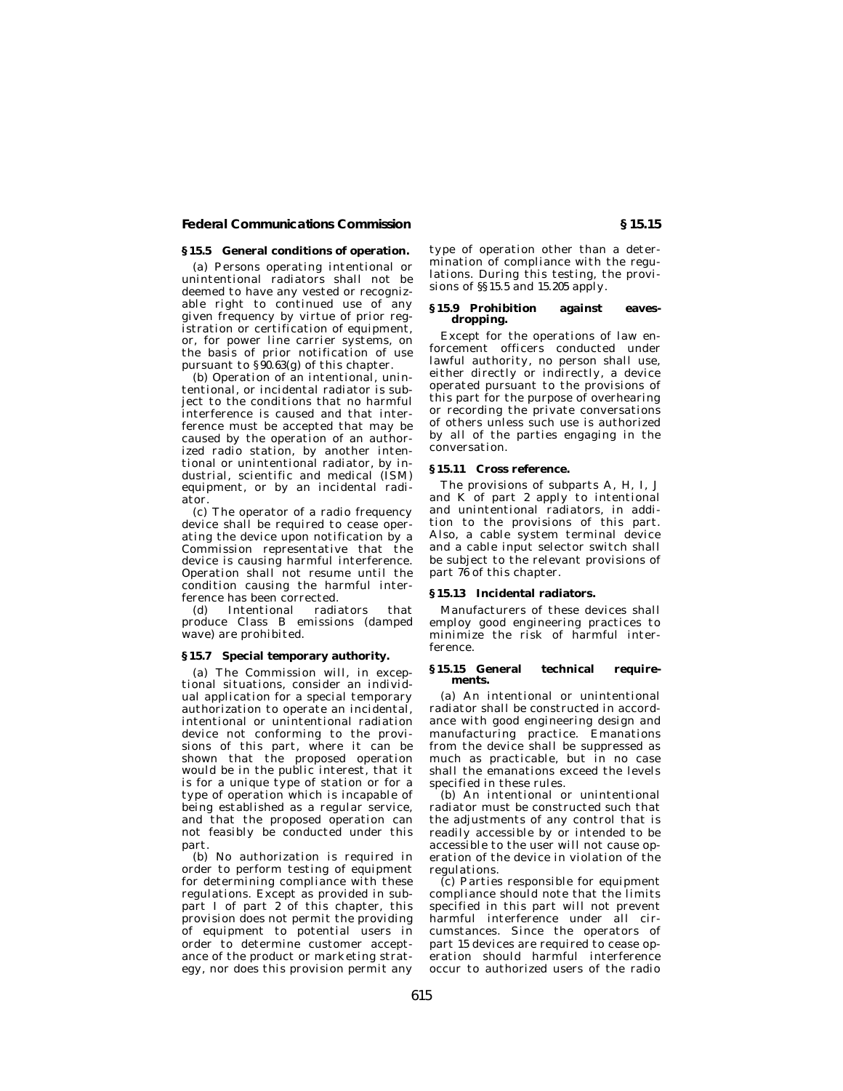## **§ 15.5 General conditions of operation.**

(a) Persons operating intentional or unintentional radiators shall not be deemed to have any vested or recognizable right to continued use of any given frequency by virtue of prior registration or certification of equipment, or, for power line carrier systems, on the basis of prior notification of use pursuant to  $\S 90.63(g)$  of this chapter.

(b) Operation of an intentional, unintentional, or incidental radiator is subject to the conditions that no harmful interference is caused and that interference must be accepted that may be caused by the operation of an authorized radio station, by another intentional or unintentional radiator, by industrial, scientific and medical (ISM) equipment, or by an incidental radiator.

(c) The operator of a radio frequency device shall be required to cease operating the device upon notification by a Commission representative that the device is causing harmful interference. Operation shall not resume until the condition causing the harmful interference has been corrected.

(d) Intentional radiators that produce Class B emissions (damped wave) are prohibited.

## **§ 15.7 Special temporary authority.**

(a) The Commission will, in exceptional situations, consider an individual application for a special temporary authorization to operate an incidental, intentional or unintentional radiation device not conforming to the provisions of this part, where it can be shown that the proposed operation would be in the public interest, that it is for a unique type of station or for a type of operation which is incapable of being established as a regular service, and that the proposed operation can not feasibly be conducted under this part.

(b) No authorization is required in order to perform testing of equipment for determining compliance with these regulations. Except as provided in subpart I of part 2 of this chapter, this provision does not permit the providing of equipment to potential users in order to determine customer acceptance of the product or marketing strategy, nor does this provision permit any

type of operation other than a determination of compliance with the regulations. During this testing, the provisions of  $\S$  15.5 and 15.205 apply.

## **§ 15.9 Prohibition against eavesdropping.**

Except for the operations of law enforcement officers conducted under lawful authority, no person shall use, either directly or indirectly, a device operated pursuant to the provisions of this part for the purpose of overhearing or recording the private conversations of others unless such use is authorized by all of the parties engaging in the conversation.

## **§ 15.11 Cross reference.**

The provisions of subparts A, H, I, J and K of part 2 apply to intentional and unintentional radiators, in addition to the provisions of this part. Also, a cable system terminal device and a cable input selector switch shall be subject to the relevant provisions of part 76 of this chapter.

#### **§ 15.13 Incidental radiators.**

Manufacturers of these devices shall employ good engineering practices to minimize the risk of harmful interference.

#### **§ 15.15 General technical requirements.**

(a) An intentional or unintentional radiator shall be constructed in accordance with good engineering design and manufacturing practice. Emanations from the device shall be suppressed as much as practicable, but in no case shall the emanations exceed the levels specified in these rules.

(b) An intentional or unintentional radiator must be constructed such that the adjustments of any control that is readily accessible by or intended to be accessible to the user will not cause operation of the device in violation of the regulations.

(c) Parties responsible for equipment compliance should note that the limits specified in this part will not prevent harmful interference under all circumstances. Since the operators of part 15 devices are required to cease operation should harmful interference occur to authorized users of the radio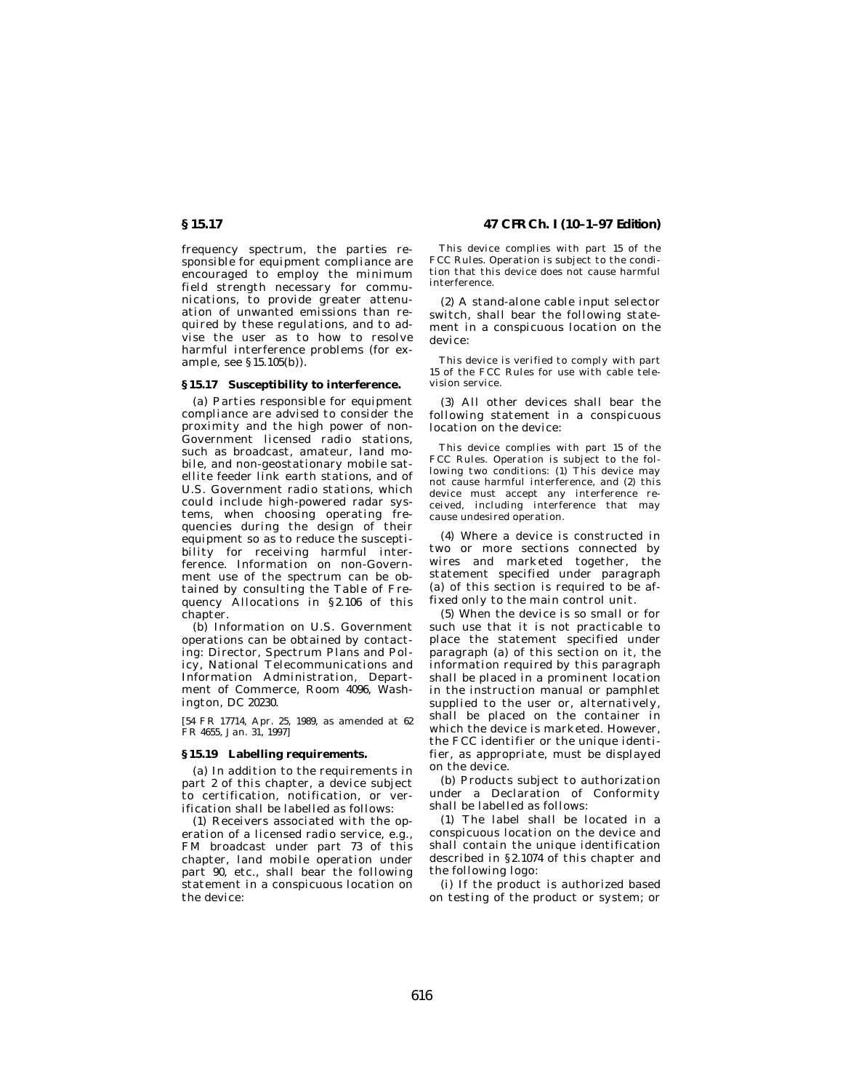## **§ 15.17 47 CFR Ch. I (10–1–97 Edition)**

frequency spectrum, the parties responsible for equipment compliance are encouraged to employ the minimum field strength necessary for communications, to provide greater attenuation of unwanted emissions than required by these regulations, and to advise the user as to how to resolve harmful interference problems (for example, see §15.105(b)).

## **§ 15.17 Susceptibility to interference.**

(a) Parties responsible for equipment compliance are advised to consider the proximity and the high power of non-Government licensed radio stations, such as broadcast, amateur, land mobile, and non-geostationary mobile satellite feeder link earth stations, and of U.S. Government radio stations, which could include high-powered radar systems, when choosing operating frequencies during the design of their equipment so as to reduce the susceptibility for receiving harmful interference. Information on non-Government use of the spectrum can be obtained by consulting the Table of Frequency Allocations in § 2.106 of this chapter.

(b) Information on U.S. Government operations can be obtained by contacting: Director, Spectrum Plans and Policy, National Telecommunications and Information Administration, Department of Commerce, Room 4096, Washington, DC 20230.

[54 FR 17714, Apr. 25, 1989, as amended at 62 FR 4655, Jan. 31, 1997]

#### **§ 15.19 Labelling requirements.**

(a) In addition to the requirements in part 2 of this chapter, a device subject to certification, notification, or verification shall be labelled as follows:

(1) Receivers associated with the operation of a licensed radio service, e.g., FM broadcast under part 73 of this chapter, land mobile operation under part 90, etc., shall bear the following statement in a conspicuous location on the device:

This device complies with part 15 of the FCC Rules. Operation is subject to the condition that this device does not cause harmful interference.

(2) A stand-alone cable input selector switch, shall bear the following statement in a conspicuous location on the device:

This device is verified to comply with part 15 of the FCC Rules for use with cable television service.

(3) All other devices shall bear the following statement in a conspicuous location on the device:

This device complies with part 15 of the FCC Rules. Operation is subject to the following two conditions: (1) This device may not cause harmful interference, and (2) this device must accept any interference received, including interference that may cause undesired operation.

(4) Where a device is constructed in two or more sections connected by wires and marketed together, the statement specified under paragraph (a) of this section is required to be affixed only to the main control unit.

(5) When the device is so small or for such use that it is not practicable to place the statement specified under paragraph (a) of this section on it, the information required by this paragraph shall be placed in a prominent location in the instruction manual or pamphlet supplied to the user or, alternatively, shall be placed on the container in which the device is marketed. However, the FCC identifier or the unique identifier, as appropriate, must be displayed on the device.

(b) Products subject to authorization under a Declaration of Conformity shall be labelled as follows:

(1) The label shall be located in a conspicuous location on the device and shall contain the unique identification described in § 2.1074 of this chapter and the following logo:

(i) If the product is authorized based on testing of the product or system; or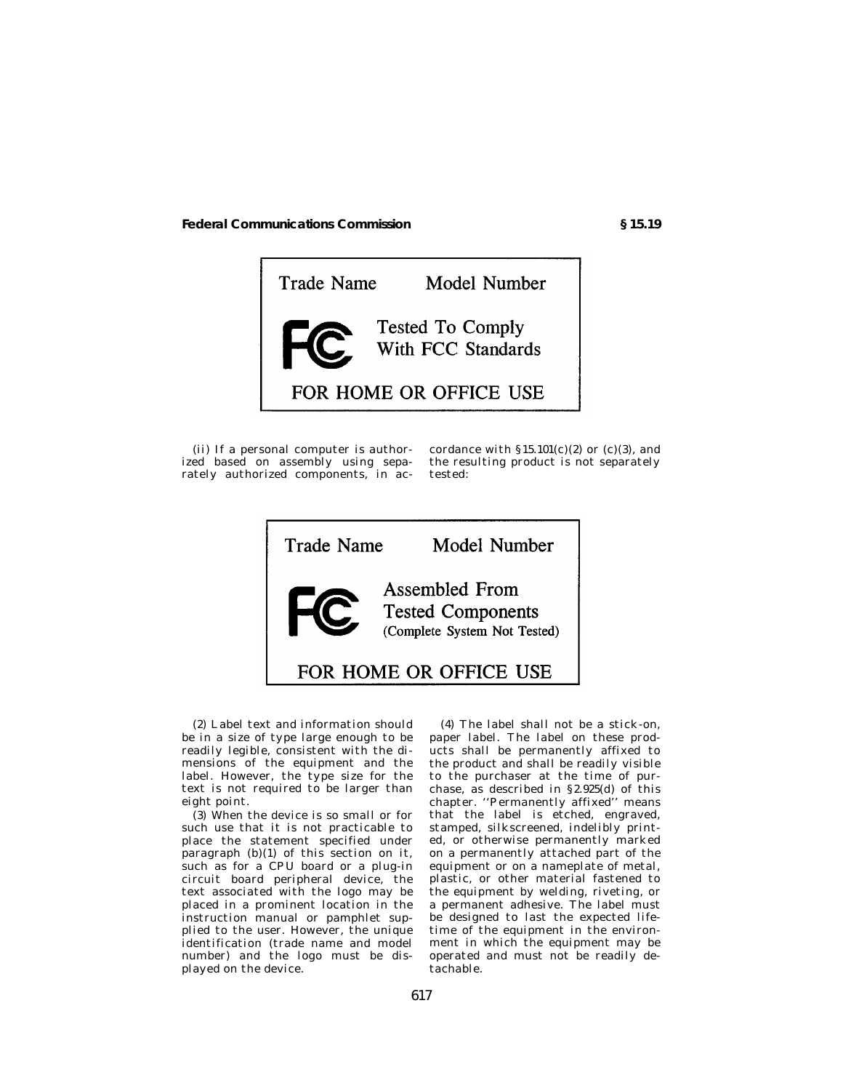

(ii) If a personal computer is authorized based on assembly using separately authorized components, in accordance with  $\S 15.101(c)(2)$  or (c)(3), and the resulting product is not separately tested:



(2) Label text and information should be in a size of type large enough to be readily legible, consistent with the dimensions of the equipment and the label. However, the type size for the text is not required to be larger than eight point.

(3) When the device is so small or for such use that it is not practicable to place the statement specified under paragraph (b)(1) of this section on it, such as for a CPU board or a plug-in circuit board peripheral device, the text associated with the logo may be placed in a prominent location in the instruction manual or pamphlet supplied to the user. However, the unique identification (trade name and model number) and the logo must be displayed on the device.

(4) The label shall not be a stick-on, paper label. The label on these products shall be permanently affixed to the product and shall be readily visible to the purchaser at the time of purchase, as described in § 2.925(d) of this chapter. ''Permanently affixed'' means that the label is etched, engraved, stamped, silkscreened, indelibly printed, or otherwise permanently marked on a permanently attached part of the equipment or on a nameplate of metal, plastic, or other material fastened to the equipment by welding, riveting, or a permanent adhesive. The label must be designed to last the expected lifetime of the equipment in the environment in which the equipment may be operated and must not be readily detachable.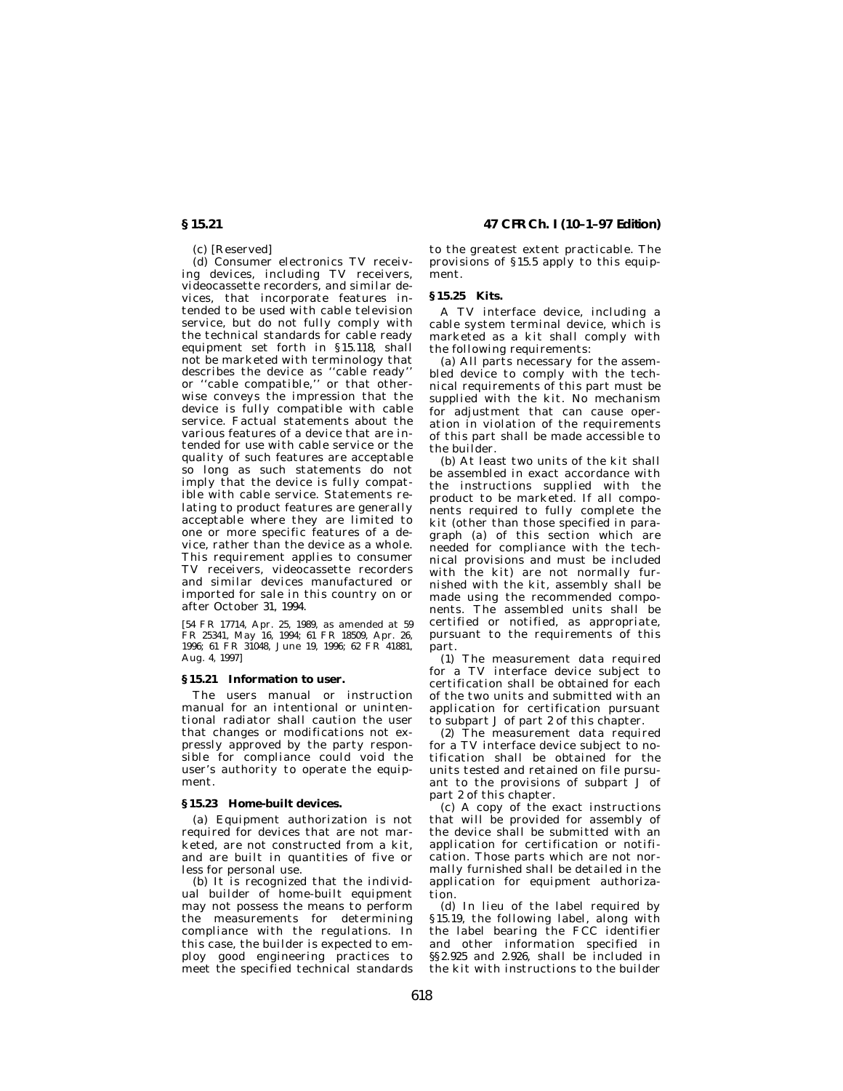(c) [Reserved]

(d) Consumer electronics TV receiving devices, including TV receivers, videocassette recorders, and similar devices, that incorporate features intended to be used with cable television service, but do not fully comply with the technical standards for cable ready equipment set forth in § 15.118, shall not be marketed with terminology that describes the device as ''cable ready'' or ''cable compatible,'' or that otherwise conveys the impression that the device is fully compatible with cable service. Factual statements about the various features of a device that are intended for use with cable service or the quality of such features are acceptable so long as such statements do not imply that the device is fully compatible with cable service. Statements relating to product features are generally acceptable where they are limited to one or more specific features of a device, rather than the device as a whole. This requirement applies to consumer TV receivers, videocassette recorders and similar devices manufactured or imported for sale in this country on or after October 31, 1994.

[54 FR 17714, Apr. 25, 1989, as amended at 59 FR 25341, May 16, 1994; 61 FR 18509, Apr. 26, 1996; 61 FR 31048, June 19, 1996; 62 FR 41881, Aug. 4, 1997]

## **§ 15.21 Information to user.**

The users manual or instruction manual for an intentional or unintentional radiator shall caution the user that changes or modifications not expressly approved by the party responsible for compliance could void the user's authority to operate the equipment.

## **§ 15.23 Home-built devices.**

(a) Equipment authorization is not required for devices that are not marketed, are not constructed from a kit, and are built in quantities of five or less for personal use.

(b) It is recognized that the individual builder of home-built equipment may not possess the means to perform the measurements for determining compliance with the regulations. In this case, the builder is expected to employ good engineering practices to meet the specified technical standards

**§ 15.21 47 CFR Ch. I (10–1–97 Edition)**

to the greatest extent practicable. The provisions of § 15.5 apply to this equipment.

## **§ 15.25 Kits.**

A TV interface device, including a cable system terminal device, which is marketed as a kit shall comply with the following requirements:

(a) All parts necessary for the assembled device to comply with the technical requirements of this part must be supplied with the kit. No mechanism for adjustment that can cause operation in violation of the requirements of this part shall be made accessible to the builder.

(b) At least two units of the kit shall be assembled in exact accordance with the instructions supplied with the product to be marketed. If all components required to fully complete the kit (other than those specified in paragraph (a) of this section which are needed for compliance with the technical provisions and must be included with the kit) are not normally furnished with the kit, assembly shall be made using the recommended components. The assembled units shall be certified or notified, as appropriate, pursuant to the requirements of this part.

(1) The measurement data required for a TV interface device subject to certification shall be obtained for each of the two units and submitted with an application for certification pursuant to subpart J of part 2 of this chapter.

(2) The measurement data required for a TV interface device subject to notification shall be obtained for the units tested and retained on file pursuant to the provisions of subpart J of part 2 of this chapter.

(c) A copy of the exact instructions that will be provided for assembly of the device shall be submitted with an application for certification or notification. Those parts which are not normally furnished shall be detailed in the application for equipment authorization.

(d) In lieu of the label required by § 15.19, the following label, along with the label bearing the FCC identifier and other information specified in §§ 2.925 and 2.926, shall be included in the kit with instructions to the builder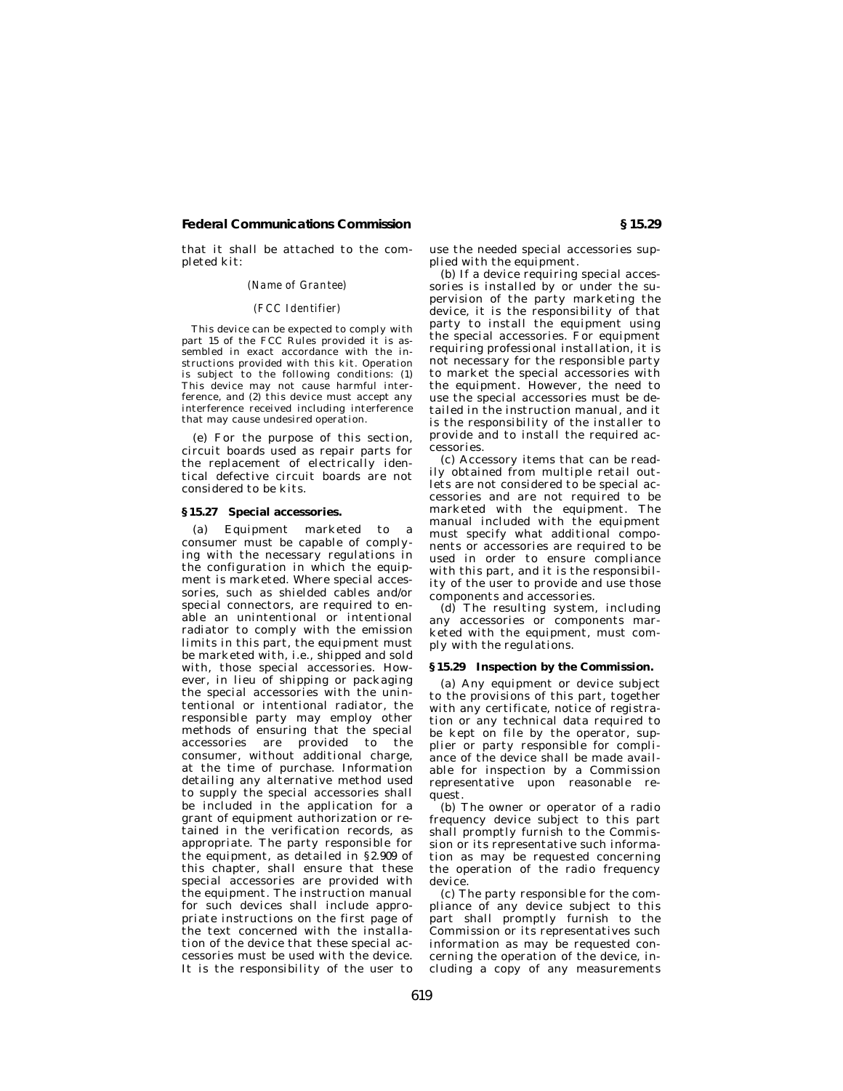that it shall be attached to the completed kit:

## *(Name of Grantee)*

## *(FCC Identifier)*

This device can be expected to comply with part 15 of the FCC Rules provided it is assembled in exact accordance with the instructions provided with this kit. Operation is subject to the following conditions: (1) This device may not cause harmful interference, and (2) this device must accept any interference received including interference that may cause undesired operation.

(e) For the purpose of this section, circuit boards used as repair parts for the replacement of electrically identical defective circuit boards are not considered to be kits.

#### **§ 15.27 Special accessories.**

(a) Equipment marketed to consumer must be capable of complying with the necessary regulations in the configuration in which the equipment is marketed. Where special accessories, such as shielded cables and/or special connectors, are required to enable an unintentional or intentional radiator to comply with the emission limits in this part, the equipment must be marketed with, i.e., shipped and sold with, those special accessories. However, in lieu of shipping or packaging the special accessories with the unintentional or intentional radiator, the responsible party may employ other methods of ensuring that the special accessories are provided to the consumer, without additional charge, at the time of purchase. Information detailing any alternative method used to supply the special accessories shall be included in the application for a grant of equipment authorization or retained in the verification records, as appropriate. The party responsible for the equipment, as detailed in § 2.909 of this chapter, shall ensure that these special accessories are provided with the equipment. The instruction manual for such devices shall include appropriate instructions on the first page of the text concerned with the installation of the device that these special accessories must be used with the device. It is the responsibility of the user to

use the needed special accessories supplied with the equipment.

(b) If a device requiring special accessories is installed by or under the supervision of the party marketing the device, it is the responsibility of that party to install the equipment using the special accessories. For equipment requiring professional installation, it is not necessary for the responsible party to market the special accessories with the equipment. However, the need to use the special accessories must be detailed in the instruction manual, and it is the responsibility of the installer to provide and to install the required accessories.

(c) Accessory items that can be readily obtained from multiple retail outlets are not considered to be special accessories and are not required to be marketed with the equipment. The manual included with the equipment must specify what additional components or accessories are required to be used in order to ensure compliance with this part, and it is the responsibility of the user to provide and use those components and accessories.

(d) The resulting system, including any accessories or components marketed with the equipment, must comply with the regulations.

#### **§ 15.29 Inspection by the Commission.**

(a) Any equipment or device subject to the provisions of this part, together with any certificate, notice of registration or any technical data required to be kept on file by the operator, supplier or party responsible for compliance of the device shall be made available for inspection by a Commission representative upon reasonable request.

(b) The owner or operator of a radio frequency device subject to this part shall promptly furnish to the Commission or its representative such information as may be requested concerning the operation of the radio frequency device.

(c) The party responsible for the compliance of any device subject to this part shall promptly furnish to the Commission or its representatives such information as may be requested concerning the operation of the device, including a copy of any measurements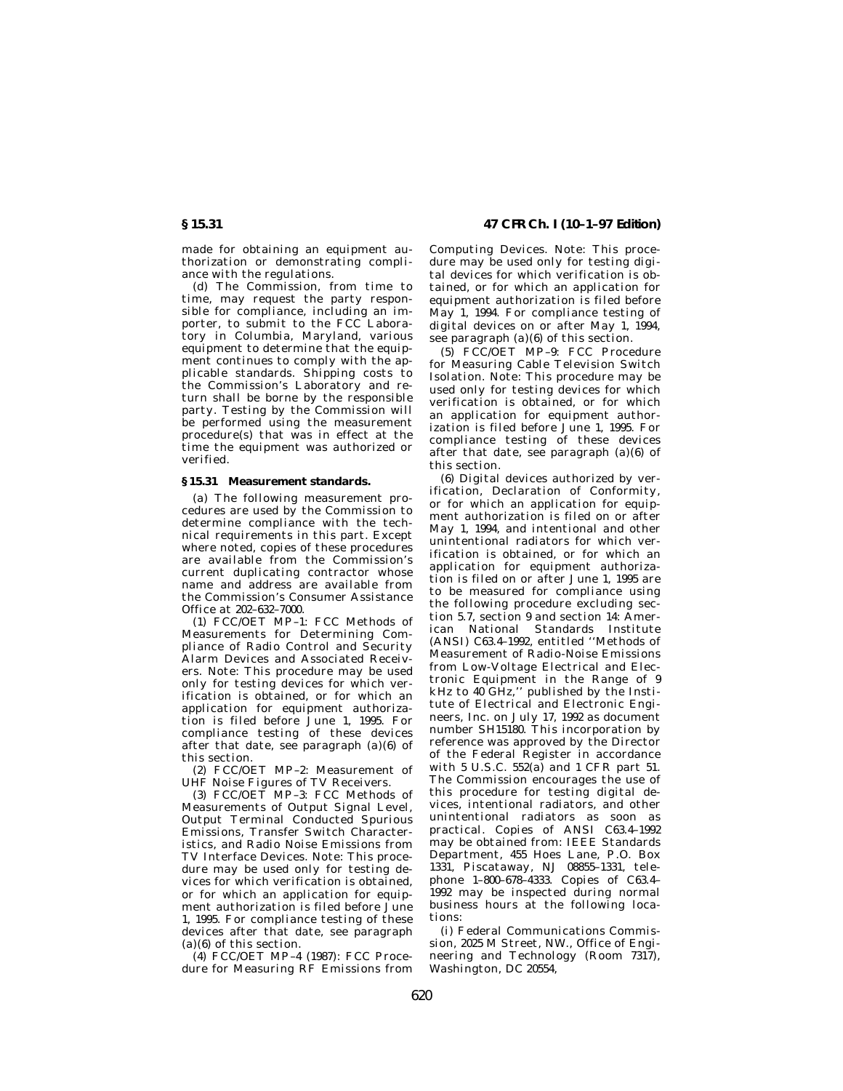made for obtaining an equipment authorization or demonstrating compliance with the regulations.

(d) The Commission, from time to time, may request the party responsible for compliance, including an importer, to submit to the FCC Laboratory in Columbia, Maryland, various equipment to determine that the equipment continues to comply with the applicable standards. Shipping costs to the Commission's Laboratory and return shall be borne by the responsible party. Testing by the Commission will be performed using the measurement procedure(s) that was in effect at the time the equipment was authorized or verified.

#### **§ 15.31 Measurement standards.**

(a) The following measurement procedures are used by the Commission to determine compliance with the technical requirements in this part. Except where noted, copies of these procedures are available from the Commission's current duplicating contractor whose name and address are available from the Commission's Consumer Assistance Office at 202–632–7000.

(1) FCC/OET MP–1: FCC Methods of Measurements for Determining Compliance of Radio Control and Security Alarm Devices and Associated Receivers. Note: This procedure may be used only for testing devices for which verification is obtained, or for which an application for equipment authorization is filed before June 1, 1995. For compliance testing of these devices after that date, see paragraph (a)(6) of this section.

(2) FCC/OET MP–2: Measurement of UHF Noise Figures of TV Receivers.

(3) FCC/OET MP–3: FCC Methods of Measurements of Output Signal Level, Output Terminal Conducted Spurious Emissions, Transfer Switch Characteristics, and Radio Noise Emissions from TV Interface Devices. Note: This procedure may be used only for testing devices for which verification is obtained, or for which an application for equipment authorization is filed before June 1, 1995. For compliance testing of these devices after that date, see paragraph  $(a)(6)$  of this section.

(4) FCC/OET MP–4 (1987): FCC Procedure for Measuring RF Emissions from

**§ 15.31 47 CFR Ch. I (10–1–97 Edition)**

Computing Devices. Note: This procedure may be used only for testing digital devices for which verification is obtained, or for which an application for equipment authorization is filed before May 1, 1994. For compliance testing of digital devices on or after May 1, 1994, see paragraph (a)(6) of this section.

(5) FCC/OET MP–9: FCC Procedure for Measuring Cable Television Switch Isolation. Note: This procedure may be used only for testing devices for which verification is obtained, or for which an application for equipment authorization is filed before June 1, 1995. For compliance testing of these devices after that date, see paragraph (a)(6) of this section.

(6) Digital devices authorized by verification, Declaration of Conformity, or for which an application for equipment authorization is filed on or after May 1, 1994, and intentional and other unintentional radiators for which verification is obtained, or for which an application for equipment authorization is filed on or after June 1, 1995 are to be measured for compliance using the following procedure excluding section 5.7, section 9 and section 14: American National Standards Institute (ANSI) C63.4–1992, entitled ''Methods of Measurement of Radio-Noise Emissions from Low-Voltage Electrical and Electronic Equipment in the Range of 9 kHz to 40 GHz," published by the Institute of Electrical and Electronic Engineers, Inc. on July 17, 1992 as document number SH15180. This incorporation by reference was approved by the Director of the Federal Register in accordance with 5 U.S.C. 552(a) and 1 CFR part 51. The Commission encourages the use of this procedure for testing digital devices, intentional radiators, and other unintentional radiators as soon as practical. Copies of ANSI C63.4–1992 may be obtained from: IEEE Standards Department, 455 Hoes Lane, P.O. Box 1331, Piscataway, NJ 08855–1331, telephone 1–800–678–4333. Copies of C63.4– 1992 may be inspected during normal business hours at the following locations:

(i) Federal Communications Commission, 2025 M Street, NW., Office of Engineering and Technology (Room 7317), Washington, DC 20554,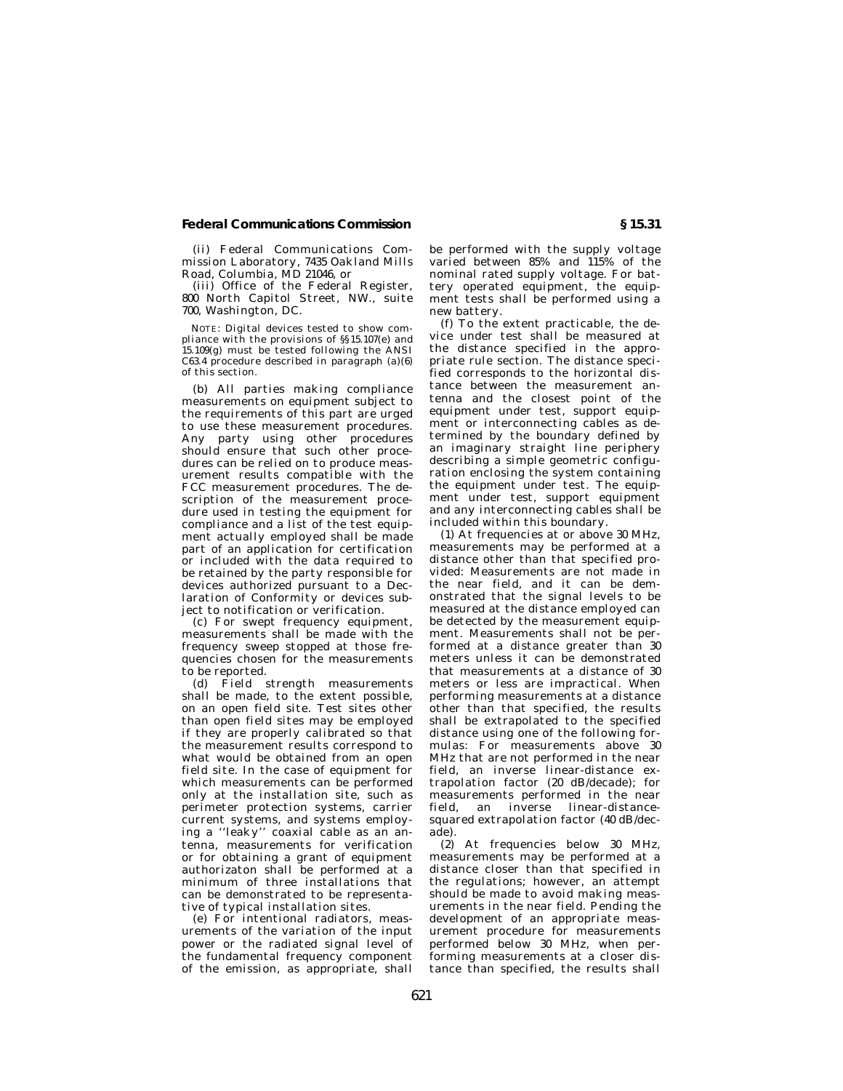(ii) Federal Communications Commission Laboratory, 7435 Oakland Mills Road, Columbia, MD 21046, or

(iii) Office of the Federal Register, 800 North Capitol Street, NW., suite 700, Washington, DC.

NOTE: Digital devices tested to show compliance with the provisions of §§ 15.107(e) and 15.109(g) must be tested following the ANSI C63.4 procedure described in paragraph (a)(6) of this section.

(b) All parties making compliance measurements on equipment subject to the requirements of this part are urged to use these measurement procedures. Any party using other procedures should ensure that such other procedures can be relied on to produce measurement results compatible with the FCC measurement procedures. The description of the measurement procedure used in testing the equipment for compliance and a list of the test equipment actually employed shall be made part of an application for certification or included with the data required to be retained by the party responsible for devices authorized pursuant to a Declaration of Conformity or devices subject to notification or verification.

(c) For swept frequency equipment, measurements shall be made with the frequency sweep stopped at those frequencies chosen for the measurements to be reported.

(d) Field strength measurements shall be made, to the extent possible, on an open field site. Test sites other than open field sites may be employed if they are properly calibrated so that the measurement results correspond to what would be obtained from an open field site. In the case of equipment for which measurements can be performed only at the installation site, such as perimeter protection systems, carrier current systems, and systems employing a ''leaky'' coaxial cable as an antenna, measurements for verification or for obtaining a grant of equipment authorizaton shall be performed at a minimum of three installations that can be demonstrated to be representative of typical installation sites.

(e) For intentional radiators, measurements of the variation of the input power or the radiated signal level of the fundamental frequency component of the emission, as appropriate, shall

be performed with the supply voltage varied between 85% and 115% of the nominal rated supply voltage. For battery operated equipment, the equipment tests shall be performed using a new battery.

(f) To the extent practicable, the device under test shall be measured at the distance specified in the appropriate rule section. The distance specified corresponds to the horizontal distance between the measurement antenna and the closest point of the equipment under test, support equipment or interconnecting cables as determined by the boundary defined by an imaginary straight line periphery describing a simple geometric configuration enclosing the system containing the equipment under test. The equipment under test, support equipment and any interconnecting cables shall be included within this boundary.

(1) At frequencies at or above 30 MHz, measurements may be performed at a distance other than that specified provided: Measurements are not made in the near field, and it can be demonstrated that the signal levels to be measured at the distance employed can be detected by the measurement equipment. Measurements shall not be performed at a distance greater than 30 meters unless it can be demonstrated that measurements at a distance of 30 meters or less are impractical. When performing measurements at a distance other than that specified, the results shall be extrapolated to the specified distance using one of the following formulas: For measurements above 30 MHz that are not performed in the near field, an inverse linear-distance extrapolation factor (20 dB/decade); for measurements performed in the near field, an inverse linear-distancesquared extrapolation factor (40 dB/decade).

(2) At frequencies below 30 MHz, measurements may be performed at a distance closer than that specified in the regulations; however, an attempt should be made to avoid making measurements in the near field. Pending the development of an appropriate measurement procedure for measurements performed below 30 MHz, when performing measurements at a closer distance than specified, the results shall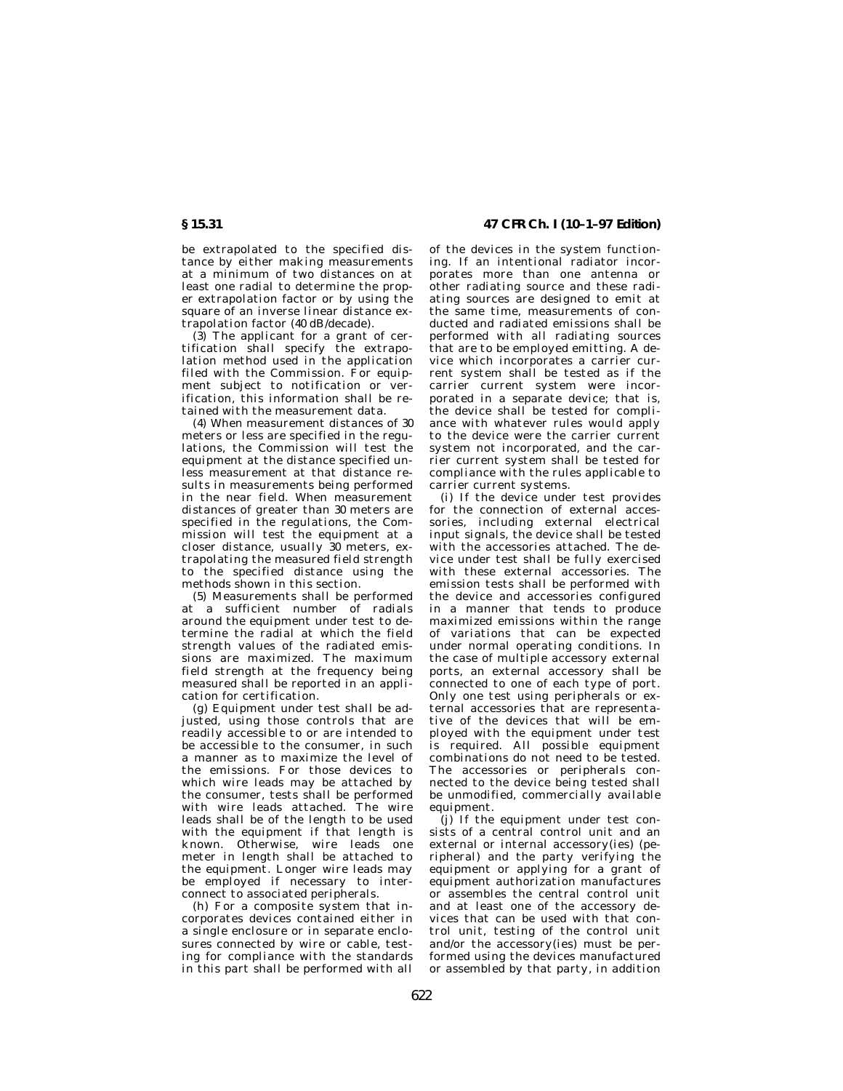be extrapolated to the specified distance by either making measurements at a minimum of two distances on at least one radial to determine the proper extrapolation factor or by using the square of an inverse linear distance extrapolation factor (40 dB/decade).

(3) The applicant for a grant of certification shall specify the extrapolation method used in the application filed with the Commission. For equipment subject to notification or verification, this information shall be retained with the measurement data.

(4) When measurement distances of 30 meters or less are specified in the regulations, the Commission will test the equipment at the distance specified unless measurement at that distance results in measurements being performed in the near field. When measurement distances of greater than 30 meters are specified in the regulations, the Commission will test the equipment at a closer distance, usually 30 meters, extrapolating the measured field strength to the specified distance using the methods shown in this section.

(5) Measurements shall be performed at a sufficient number of radials around the equipment under test to determine the radial at which the field strength values of the radiated emissions are maximized. The maximum field strength at the frequency being measured shall be reported in an application for certification.

(g) Equipment under test shall be adjusted, using those controls that are readily accessible to or are intended to be accessible to the consumer, in such a manner as to maximize the level of the emissions. For those devices to which wire leads may be attached by the consumer, tests shall be performed with wire leads attached. The wire leads shall be of the length to be used with the equipment if that length is known. Otherwise, wire leads one meter in length shall be attached to the equipment. Longer wire leads may be employed if necessary to interconnect to associated peripherals.

(h) For a composite system that incorporates devices contained either in a single enclosure or in separate enclosures connected by wire or cable, testing for compliance with the standards in this part shall be performed with all

**§ 15.31 47 CFR Ch. I (10–1–97 Edition)**

of the devices in the system functioning. If an intentional radiator incorporates more than one antenna or other radiating source and these radiating sources are designed to emit at the same time, measurements of conducted and radiated emissions shall be performed with all radiating sources that are to be employed emitting. A device which incorporates a carrier current system shall be tested as if the carrier current system were incorporated in a separate device; that is, the device shall be tested for compliance with whatever rules would apply to the device were the carrier current system not incorporated, and the carrier current system shall be tested for compliance with the rules applicable to carrier current systems.

(i) If the device under test provides for the connection of external accessories, including external electrical input signals, the device shall be tested with the accessories attached. The device under test shall be fully exercised with these external accessories. The emission tests shall be performed with the device and accessories configured in a manner that tends to produce maximized emissions within the range of variations that can be expected under normal operating conditions. In the case of multiple accessory external ports, an external accessory shall be connected to one of each type of port. Only one test using peripherals or external accessories that are representative of the devices that will be employed with the equipment under test is required. All possible equipment combinations do not need to be tested. The accessories or peripherals connected to the device being tested shall be unmodified, commercially available equipment.

 $(j)$  If the equipment under test consists of a central control unit and an external or internal accessory(ies) (peripheral) and the party verifying the equipment or applying for a grant of equipment authorization manufactures or assembles the central control unit and at least one of the accessory devices that can be used with that control unit, testing of the control unit and/or the accessory(ies) must be performed using the devices manufactured or assembled by that party, in addition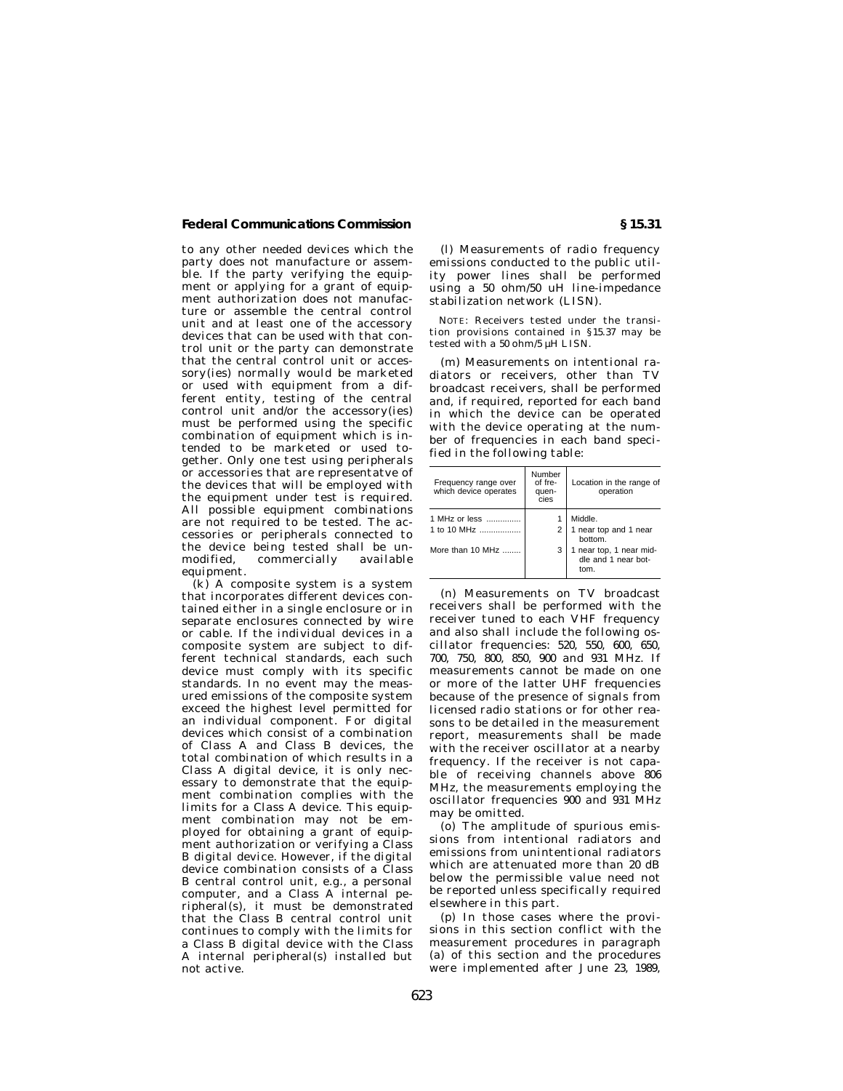to any other needed devices which the party does not manufacture or assemble. If the party verifying the equipment or applying for a grant of equipment authorization does not manufacture or assemble the central control unit and at least one of the accessory devices that can be used with that control unit or the party can demonstrate that the central control unit or accessory(ies) normally would be marketed or used with equipment from a different entity, testing of the central control unit and/or the accessory(ies) must be performed using the specific combination of equipment which is intended to be marketed or used together. Only one test using peripherals or accessories that are representatve of the devices that will be employed with the equipment under test is required. All possible equipment combinations are not required to be tested. The accessories or peripherals connected to the device being tested shall be un-<br>modified, commercially available commercially equipment.

(k) A composite system is a system that incorporates different devices contained either in a single enclosure or in separate enclosures connected by wire or cable. If the individual devices in a composite system are subject to different technical standards, each such device must comply with its specific standards. In no event may the measured emissions of the composite system exceed the highest level permitted for an individual component. For digital devices which consist of a combination of Class A and Class B devices, the total combination of which results in a Class A digital device, it is only necessary to demonstrate that the equipment combination complies with the limits for a Class A device. This equipment combination may not be employed for obtaining a grant of equipment authorization or verifying a Class B digital device. However, if the digital device combination consists of a Class B central control unit, e.g., a personal computer, and a Class A internal peripheral(s), it must be demonstrated that the Class B central control unit continues to comply with the limits for a Class B digital device with the Class A internal peripheral(s) installed but not active.

(l) Measurements of radio frequency emissions conducted to the public utility power lines shall be performed using a 50 ohm/50 uH line-impedance stabilization network (LISN).

NOTE: Receivers tested under the transition provisions contained in § 15.37 may be tested with a 50 ohm/5 µH LISN.

(m) Measurements on intentional radiators or receivers, other than TV broadcast receivers, shall be performed and, if required, reported for each band in which the device can be operated with the device operating at the number of frequencies in each band specified in the following table:

| Frequency range over<br>which device operates | Number<br>of fre-<br>quen-<br>cies | Location in the range of<br>operation                  |
|-----------------------------------------------|------------------------------------|--------------------------------------------------------|
| 1 MHz or less                                 |                                    | Middle.                                                |
| 1 to 10 MHz                                   | 2                                  | 1 near top and 1 near<br>bottom.                       |
| More than 10 MHz                              | 3                                  | 1 near top, 1 near mid-<br>dle and 1 near bot-<br>tom. |

(n) Measurements on TV broadcast receivers shall be performed with the receiver tuned to each VHF frequency and also shall include the following oscillator frequencies: 520, 550, 600, 650, 700, 750, 800, 850, 900 and 931 MHz. If measurements cannot be made on one or more of the latter UHF frequencies because of the presence of signals from licensed radio stations or for other reasons to be detailed in the measurement report, measurements shall be made with the receiver oscillator at a nearby frequency. If the receiver is not capable of receiving channels above 806 MHz, the measurements employing the oscillator frequencies 900 and 931 MHz may be omitted.

(o) The amplitude of spurious emissions from intentional radiators and emissions from unintentional radiators which are attenuated more than 20 dB below the permissible value need not be reported unless specifically required elsewhere in this part.

(p) In those cases where the provisions in this section conflict with the measurement procedures in paragraph (a) of this section and the procedures were implemented after June 23, 1989,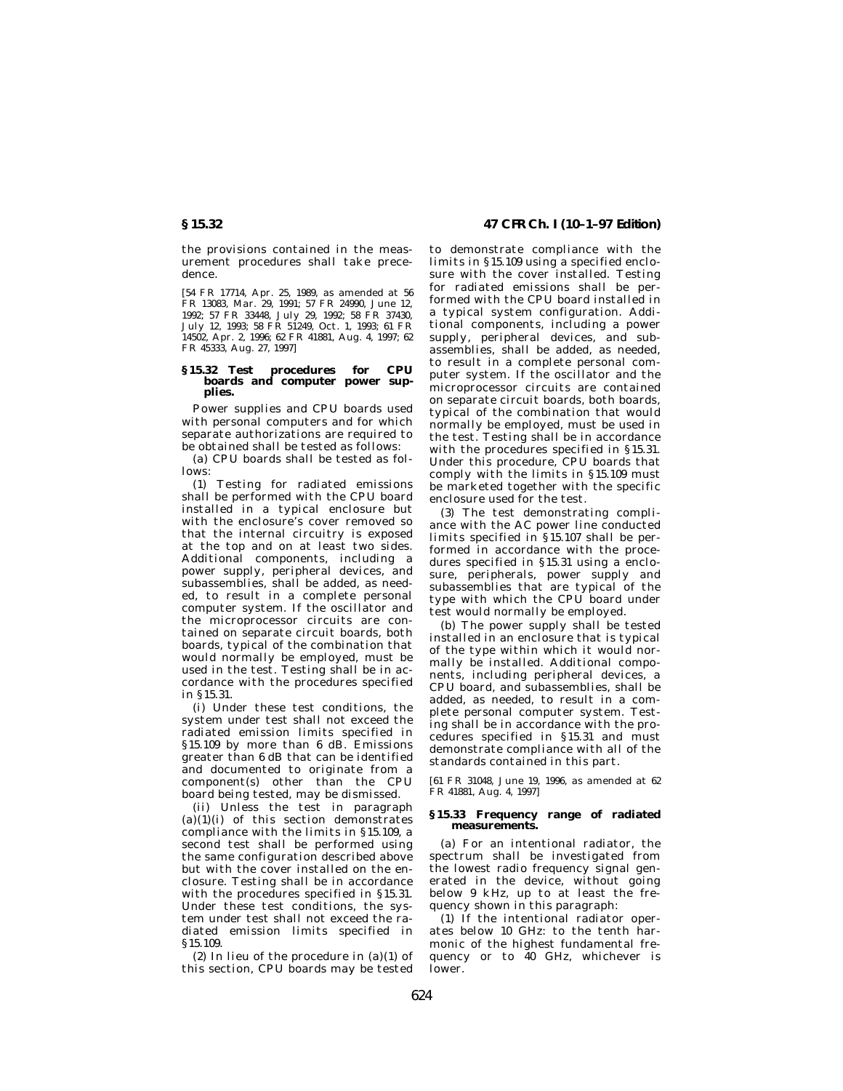the provisions contained in the measurement procedures shall take precedence.

[54 FR 17714, Apr. 25, 1989, as amended at 56 FR 13083, Mar. 29, 1991; 57 FR 24990, June 12, 1992; 57 FR 33448, July 29, 1992; 58 FR 37430, July 12, 1993; 58 FR 51249, Oct. 1, 1993; 61 FR 14502, Apr. 2, 1996; 62 FR 41881, Aug. 4, 1997; 62 FR 45333, Aug. 27, 1997]

## **§ 15.32 Test procedures for CPU boards and computer power supplies.**

Power supplies and CPU boards used with personal computers and for which separate authorizations are required to be obtained shall be tested as follows:

(a) CPU boards shall be tested as follows:

(1) Testing for radiated emissions shall be performed with the CPU board installed in a typical enclosure but with the enclosure's cover removed so that the internal circuitry is exposed at the top and on at least two sides. Additional components, including a power supply, peripheral devices, and subassemblies, shall be added, as needed, to result in a complete personal computer system. If the oscillator and the microprocessor circuits are contained on separate circuit boards, both boards, typical of the combination that would normally be employed, must be used in the test. Testing shall be in accordance with the procedures specified in §15.31.

(i) Under these test conditions, the system under test shall not exceed the radiated emission limits specified in § 15.109 by more than 6 dB. Emissions greater than 6 dB that can be identified and documented to originate from a component(s) other than the CPU board being tested, may be dismissed.

(ii) Unless the test in paragraph  $(a)(1)(i)$  of this section demonstrates compliance with the limits in § 15.109, a second test shall be performed using the same configuration described above but with the cover installed on the enclosure. Testing shall be in accordance with the procedures specified in § 15.31. Under these test conditions, the system under test shall not exceed the radiated emission limits specified in §15.109.

(2) In lieu of the procedure in  $(a)(1)$  of this section, CPU boards may be tested

**§ 15.32 47 CFR Ch. I (10–1–97 Edition)**

to demonstrate compliance with the limits in § 15.109 using a specified enclosure with the cover installed. Testing for radiated emissions shall be performed with the CPU board installed in a typical system configuration. Additional components, including a power supply, peripheral devices, and subassemblies, shall be added, as needed, to result in a complete personal computer system. If the oscillator and the microprocessor circuits are contained on separate circuit boards, both boards, typical of the combination that would normally be employed, must be used in the test. Testing shall be in accordance with the procedures specified in § 15.31. Under this procedure, CPU boards that comply with the limits in § 15.109 must be marketed together with the specific enclosure used for the test.

(3) The test demonstrating compliance with the AC power line conducted limits specified in § 15.107 shall be performed in accordance with the procedures specified in § 15.31 using a enclosure, peripherals, power supply and subassemblies that are typical of the type with which the CPU board under test would normally be employed.

(b) The power supply shall be tested installed in an enclosure that is typical of the type within which it would normally be installed. Additional components, including peripheral devices, a CPU board, and subassemblies, shall be added, as needed, to result in a complete personal computer system. Testing shall be in accordance with the procedures specified in § 15.31 and must demonstrate compliance with all of the standards contained in this part.

[61 FR 31048, June 19, 1996, as amended at 62 FR 41881, Aug. 4, 1997]

#### **§ 15.33 Frequency range of radiated measurements.**

(a) For an intentional radiator, the spectrum shall be investigated from the lowest radio frequency signal generated in the device, without going below 9 kHz, up to at least the frequency shown in this paragraph:

(1) If the intentional radiator operates below 10 GHz: to the tenth harmonic of the highest fundamental frequency or to 40 GHz, whichever is lower<sup>"</sup>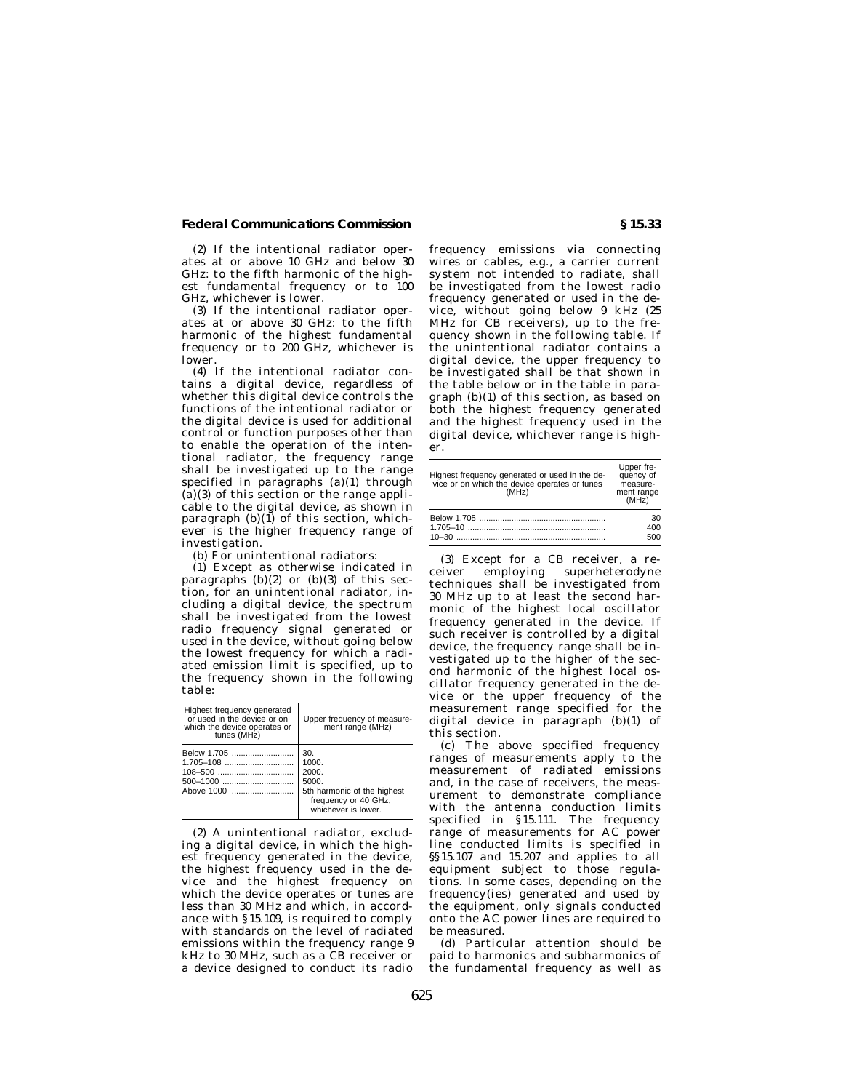(2) If the intentional radiator operates at or above 10 GHz and below 30 GHz: to the fifth harmonic of the highest fundamental frequency or to 100 GHz, whichever is lower.

(3) If the intentional radiator operates at or above 30 GHz: to the fifth harmonic of the highest fundamental frequency or to 200 GHz, whichever is lower.

(4) If the intentional radiator contains a digital device, regardless of whether this digital device controls the functions of the intentional radiator or the digital device is used for additional control or function purposes other than to enable the operation of the intentional radiator, the frequency range shall be investigated up to the range specified in paragraphs (a)(1) through  $(a)(3)$  of this section or the range applicable to the digital device, as shown in paragraph  $(b)(1)$  of this section, whichever is the higher frequency range of investigation.

(b) For unintentional radiators:

(1) Except as otherwise indicated in paragraphs  $(b)(2)$  or  $(b)(3)$  of this section, for an unintentional radiator, including a digital device, the spectrum shall be investigated from the lowest radio frequency signal generated or used in the device, without going below the lowest frequency for which a radiated emission limit is specified, up to the frequency shown in the following table:

| Highest frequency generated<br>or used in the device or on<br>which the device operates or<br>tunes (MHz) | Upper frequency of measure-<br>ment range (MHz)                                                              |
|-----------------------------------------------------------------------------------------------------------|--------------------------------------------------------------------------------------------------------------|
| Below 1.705<br>Above 1000                                                                                 | 30.<br>1000.<br>2000.<br>5000.<br>5th harmonic of the highest<br>frequency or 40 GHz,<br>whichever is lower. |

(2) A unintentional radiator, excluding a digital device, in which the highest frequency generated in the device, the highest frequency used in the device and the highest frequency on which the device operates or tunes are less than 30 MHz and which, in accordance with § 15.109, is required to comply with standards on the level of radiated emissions within the frequency range 9 kHz to 30 MHz, such as a CB receiver or a device designed to conduct its radio

frequency emissions via connecting wires or cables, e.g., a carrier current system not intended to radiate, shall be investigated from the lowest radio frequency generated or used in the device, without going below 9 kHz (25 MHz for CB receivers), up to the frequency shown in the following table. If the unintentional radiator contains a digital device, the upper frequency to be investigated shall be that shown in the table below or in the table in paragraph (b)(1) of this section, as based on both the highest frequency generated and the highest frequency used in the digital device, whichever range is higher.

| Highest frequency generated or used in the device or on which the device operates or tunes<br>(MHz) | Upper fre-<br>quency of<br>measure-<br>ment range<br>(MHz) |
|-----------------------------------------------------------------------------------------------------|------------------------------------------------------------|
|                                                                                                     | 30                                                         |
|                                                                                                     | 400                                                        |
|                                                                                                     | 500                                                        |

(3) Except for a CB receiver, a receiver employing superheterodyne techniques shall be investigated from 30 MHz up to at least the second harmonic of the highest local oscillator frequency generated in the device. If such receiver is controlled by a digital device, the frequency range shall be investigated up to the higher of the second harmonic of the highest local oscillator frequency generated in the device or the upper frequency of the measurement range specified for the digital device in paragraph (b)(1) of this section.

(c) The above specified frequency ranges of measurements apply to the measurement of radiated emissions and, in the case of receivers, the measurement to demonstrate compliance with the antenna conduction limits specified in § 15.111. The frequency range of measurements for AC power line conducted limits is specified in §§ 15.107 and 15.207 and applies to all equipment subject to those regulations. In some cases, depending on the frequency(ies) generated and used by the equipment, only signals conducted onto the AC power lines are required to be measured.

(d) Particular attention should be paid to harmonics and subharmonics of the fundamental frequency as well as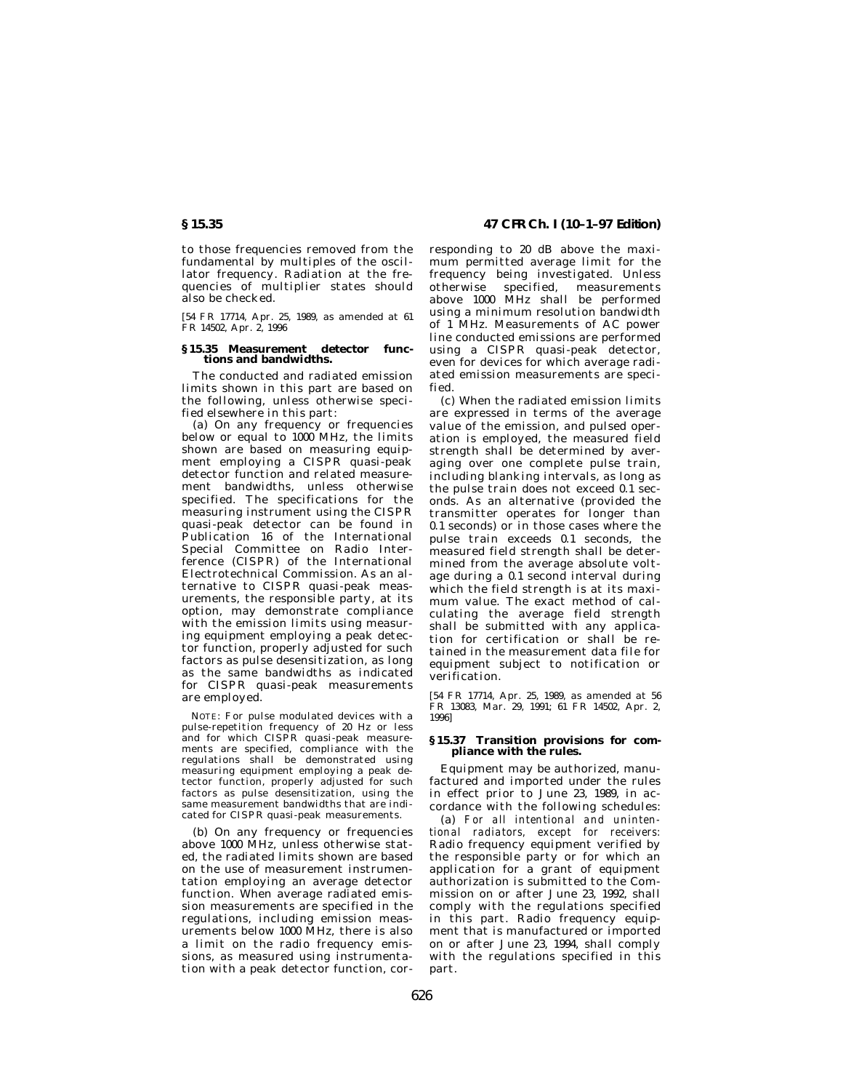to those frequencies removed from the fundamental by multiples of the oscillator frequency. Radiation at the frequencies of multiplier states should also be checked.

[54 FR 17714, Apr. 25, 1989, as amended at 61 FR 14502, Apr. 2, 1996

## **§ 15.35 Measurement detector functions and bandwidths.**

The conducted and radiated emission limits shown in this part are based on the following, unless otherwise specified elsewhere in this part:

(a) On any frequency or frequencies below or equal to 1000 MHz, the limits shown are based on measuring equipment employing a CISPR quasi-peak detector function and related measurement bandwidths, unless otherwise specified. The specifications for the measuring instrument using the CISPR quasi-peak detector can be found in Publication 16 of the International Special Committee on Radio Interference (CISPR) of the International Electrotechnical Commission. As an alternative to CISPR quasi-peak measurements, the responsible party, at its option, may demonstrate compliance with the emission limits using measuring equipment employing a peak detector function, properly adjusted for such factors as pulse desensitization, as long as the same bandwidths as indicated for CISPR quasi-peak measurements are employed.

NOTE: For pulse modulated devices with a pulse-repetition frequency of 20 Hz or less and for which CISPR quasi-peak measurements are specified, compliance with the regulations shall be demonstrated using measuring equipment employing a peak detector function, properly adjusted for such factors as pulse desensitization, using the same measurement bandwidths that are indicated for CISPR quasi-peak measurements.

(b) On any frequency or frequencies above 1000 MHz, unless otherwise stated, the radiated limits shown are based on the use of measurement instrumentation employing an average detector function. When average radiated emission measurements are specified in the regulations, including emission measurements below 1000 MHz, there is also a limit on the radio frequency emissions, as measured using instrumentation with a peak detector function, corresponding to 20 dB above the maximum permitted average limit for the frequency being investigated. Unless otherwise specified, measurements above 1000 MHz shall be performed using a minimum resolution bandwidth of 1 MHz. Measurements of AC power line conducted emissions are performed using a CISPR quasi-peak detector, even for devices for which average radiated emission measurements are specified.

(c) When the radiated emission limits are expressed in terms of the average value of the emission, and pulsed operation is employed, the measured field strength shall be determined by averaging over one complete pulse train, including blanking intervals, as long as the pulse train does not exceed 0.1 seconds. As an alternative (provided the transmitter operates for longer than 0.1 seconds) or in those cases where the pulse train exceeds 0.1 seconds, the measured field strength shall be determined from the average absolute voltage during a 0.1 second interval during which the field strength is at its maximum value. The exact method of calculating the average field strength shall be submitted with any application for certification or shall be retained in the measurement data file for equipment subject to notification or verification.

[54 FR 17714, Apr. 25, 1989, as amended at 56 FR 13083, Mar. 29, 1991; 61 FR 14502, Apr. 2, 1996]

## **§ 15.37 Transition provisions for compliance with the rules.**

Equipment may be authorized, manufactured and imported under the rules in effect prior to June 23, 1989, in accordance with the following schedules:

(a) *For all intentional and unintentional radiators, except for receivers:* Radio frequency equipment verified by the responsible party or for which an application for a grant of equipment authorization is submitted to the Commission on or after June 23, 1992, shall comply with the regulations specified in this part. Radio frequency equipment that is manufactured or imported on or after June 23, 1994, shall comply with the regulations specified in this part.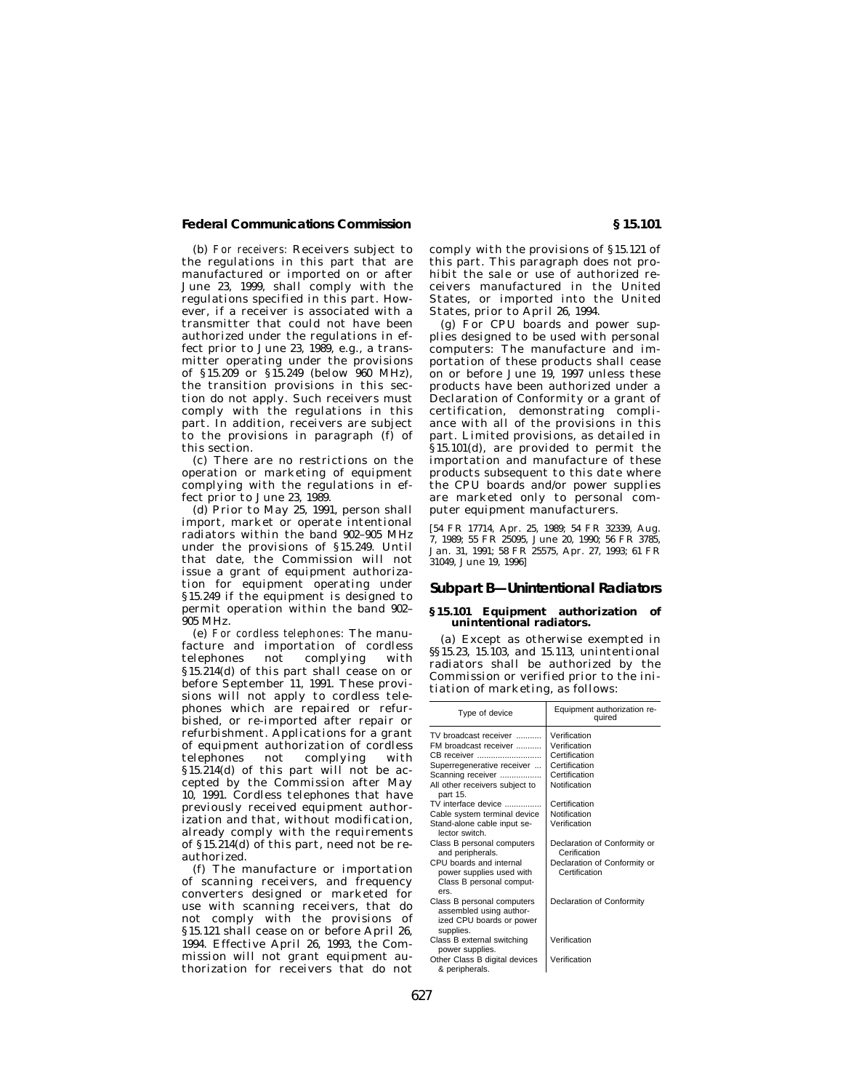(b) *For receivers:* Receivers subject to the regulations in this part that are manufactured or imported on or after June 23, 1999, shall comply with the regulations specified in this part. However, if a receiver is associated with a transmitter that could not have been authorized under the regulations in effect prior to June 23, 1989, e.g., a transmitter operating under the provisions of § 15.209 or § 15.249 (below 960 MHz), the transition provisions in this section do not apply. Such receivers must comply with the regulations in this part. In addition, receivers are subject to the provisions in paragraph (f) of this section.

(c) There are no restrictions on the operation or marketing of equipment complying with the regulations in effect prior to June 23, 1989.

(d) Prior to May 25, 1991, person shall import, market or operate intentional radiators within the band 902–905 MHz under the provisions of § 15.249. Until that date, the Commission will not issue a grant of equipment authorization for equipment operating under § 15.249 if the equipment is designed to permit operation within the band 902– 905 MHz.

(e) *For cordless telephones:* The manufacture and importation of cordless telephones not complying with §15.214(d) of this part shall cease on or before September 11, 1991. These provisions will not apply to cordless telephones which are repaired or refurbished, or re-imported after repair or refurbishment. Applications for a grant of equipment authorization of cordless<br>telephones not complying with telephones not complying § 15.214(d) of this part will not be accepted by the Commission after May 10, 1991. Cordless telephones that have previously received equipment authorization and that, without modification, already comply with the requirements of § 15.214(d) of this part, need not be reauthorized.

(f) The manufacture or importation of scanning receivers, and frequency converters designed or marketed for use with scanning receivers, that do not comply with the provisions of § 15.121 shall cease on or before April 26, 1994. Effective April 26, 1993, the Commission will not grant equipment authorization for receivers that do not comply with the provisions of § 15.121 of this part. This paragraph does not prohibit the sale or use of authorized receivers manufactured in the United States, or imported into the United States, prior to April 26, 1994.

(g) For CPU boards and power supplies designed to be used with personal computers: The manufacture and importation of these products shall cease on or before June 19, 1997 unless these products have been authorized under a Declaration of Conformity or a grant of certification, demonstrating compliance with all of the provisions in this part. Limited provisions, as detailed in § 15.101(d), are provided to permit the importation and manufacture of these products subsequent to this date where the CPU boards and/or power supplies are marketed only to personal computer equipment manufacturers.

[54 FR 17714, Apr. 25, 1989; 54 FR 32339, Aug. 7, 1989; 55 FR 25095, June 20, 1990; 56 FR 3785, Jan. 31, 1991; 58 FR 25575, Apr. 27, 1993; 61 FR 31049, June 19, 1996]

## **Subpart B—Unintentional Radiators**

#### **§ 15.101 Equipment authorization of unintentional radiators.**

(a) Except as otherwise exempted in §§ 15.23, 15.103, and 15.113, unintentional radiators shall be authorized by the Commission or verified prior to the initiation of marketing, as follows:

| Type of device                                                                                 | Equipment authorization re-<br>auired         |
|------------------------------------------------------------------------------------------------|-----------------------------------------------|
| TV broadcast receiver<br>FM broadcast receiver                                                 | Verification<br>Verification                  |
| CB receiver<br>Superregenerative receiver                                                      | Certification<br>Certification                |
| Scanning receiver                                                                              | Certification                                 |
| All other receivers subject to<br>part 15.                                                     | Notification                                  |
| TV interface device                                                                            | Certification                                 |
| Cable system terminal device                                                                   | Notification                                  |
| Stand-alone cable input se-<br>lector switch                                                   | Verification                                  |
| Class B personal computers<br>and peripherals.                                                 | Declaration of Conformity or<br>Cerification  |
| CPU boards and internal<br>power supplies used with<br>Class B personal comput-<br>ers.        | Declaration of Conformity or<br>Certification |
| Class B personal computers<br>assembled using author-<br>ized CPU boards or power<br>supplies. | Declaration of Conformity                     |
| Class B external switching<br>power supplies.                                                  | Verification                                  |
| Other Class B digital devices<br>& peripherals.                                                | Verification                                  |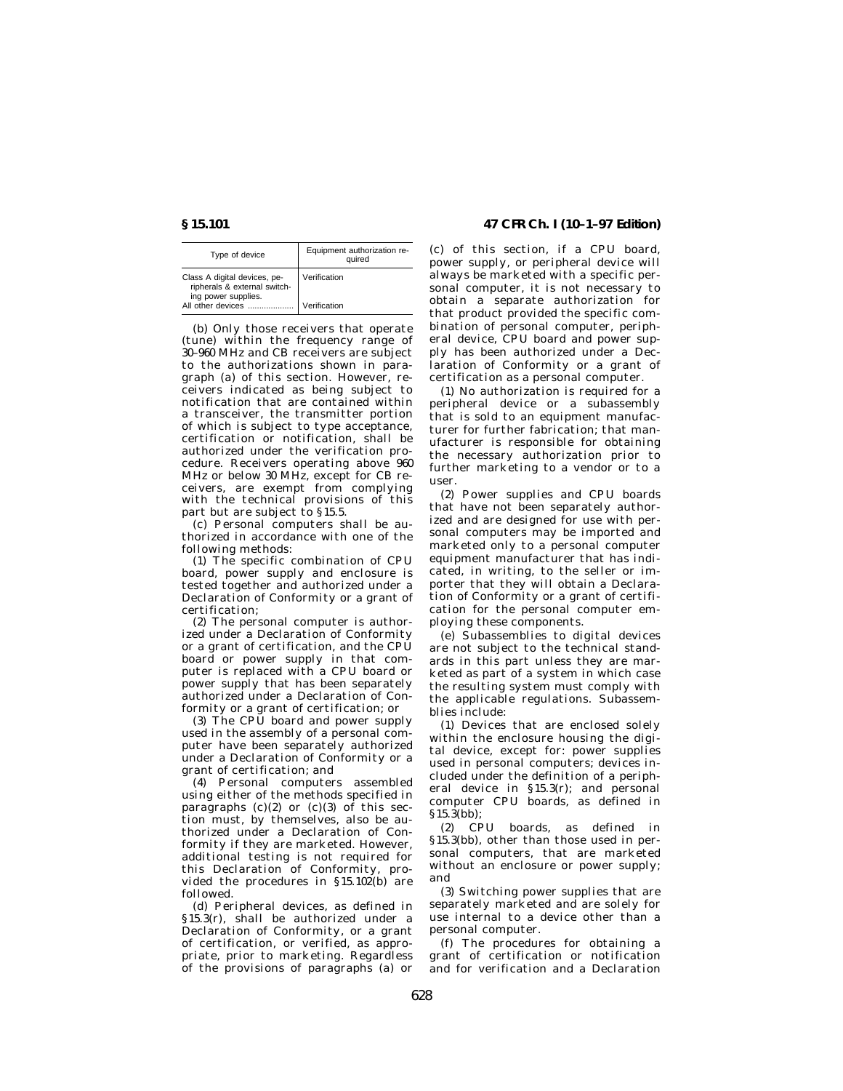| Type of device                                               | Equipment authorization re-<br>auired |
|--------------------------------------------------------------|---------------------------------------|
| Class A digital devices, pe-<br>ripherals & external switch- | Verification                          |
| ing power supplies.<br>All other devices                     | Verification                          |

(b) Only those receivers that operate (tune) within the frequency range of 30–960 MHz and CB receivers are subject to the authorizations shown in paragraph (a) of this section. However, receivers indicated as being subject to notification that are contained within a transceiver, the transmitter portion of which is subject to type acceptance, certification or notification, shall be authorized under the verification procedure. Receivers operating above 960 MHz or below 30 MHz, except for CB receivers, are exempt from complying with the technical provisions of this part but are subject to §15.5.

(c) Personal computers shall be authorized in accordance with one of the following methods:

(1) The specific combination of CPU board, power supply and enclosure is tested together and authorized under a Declaration of Conformity or a grant of certification;

(2) The personal computer is authorized under a Declaration of Conformity or a grant of certification, and the CPU board or power supply in that computer is replaced with a CPU board or power supply that has been separately authorized under a Declaration of Conformity or a grant of certification; or

(3) The CPU board and power supply used in the assembly of a personal computer have been separately authorized under a Declaration of Conformity or a grant of certification; and

(4) Personal computers assembled using either of the methods specified in paragraphs  $(c)(2)$  or  $(c)(3)$  of this section must, by themselves, also be authorized under a Declaration of Conformity if they are marketed. However, additional testing is not required for this Declaration of Conformity, provided the procedures in § 15.102(b) are followed.

(d) Peripheral devices, as defined in § 15.3(r), shall be authorized under a Declaration of Conformity, or a grant of certification, or verified, as appropriate, prior to marketing. Regardless of the provisions of paragraphs (a) or

## **§ 15.101 47 CFR Ch. I (10–1–97 Edition)**

(c) of this section, if a CPU board, power supply, or peripheral device will always be marketed with a specific personal computer, it is not necessary to obtain a separate authorization for that product provided the specific combination of personal computer, peripheral device, CPU board and power supply has been authorized under a Declaration of Conformity or a grant of certification as a personal computer.

(1) No authorization is required for a peripheral device or a subassembly that is sold to an equipment manufacturer for further fabrication; that manufacturer is responsible for obtaining the necessary authorization prior to further marketing to a vendor or to a user.

(2) Power supplies and CPU boards that have not been separately authorized and are designed for use with personal computers may be imported and marketed only to a personal computer equipment manufacturer that has indicated, in writing, to the seller or importer that they will obtain a Declaration of Conformity or a grant of certification for the personal computer employing these components.

(e) Subassemblies to digital devices are not subject to the technical standards in this part unless they are marketed as part of a system in which case the resulting system must comply with the applicable regulations. Subassemblies include:

(1) Devices that are enclosed solely within the enclosure housing the digital device, except for: power supplies used in personal computers; devices included under the definition of a peripheral device in § 15.3(r); and personal computer CPU boards, as defined in  $§15.3(bb);$ 

(2) CPU boards, as defined in § 15.3(bb), other than those used in personal computers, that are marketed without an enclosure or power supply; and

(3) Switching power supplies that are separately marketed and are solely for use internal to a device other than a personal computer.

(f) The procedures for obtaining a grant of certification or notification and for verification and a Declaration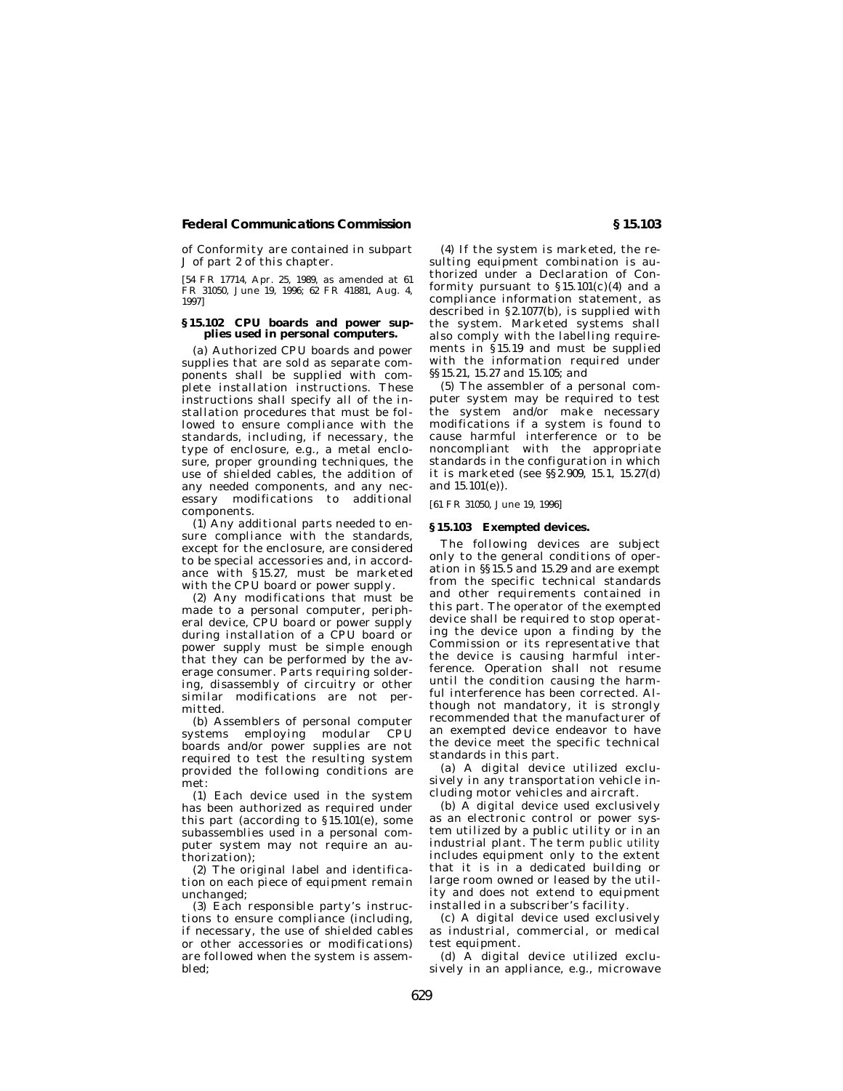of Conformity are contained in subpart J of part 2 of this chapter.

[54 FR 17714, Apr. 25, 1989, as amended at 61 FR 31050, June 19, 1996; 62 FR 41881, Aug. 4, 1997]

## **§ 15.102 CPU boards and power supplies used in personal computers.**

(a) Authorized CPU boards and power supplies that are sold as separate components shall be supplied with complete installation instructions. These instructions shall specify all of the installation procedures that must be followed to ensure compliance with the standards, including, if necessary, the type of enclosure, e.g., a metal enclosure, proper grounding techniques, the use of shielded cables, the addition of any needed components, and any necessary modifications to additional components.

(1) Any additional parts needed to ensure compliance with the standards, except for the enclosure, are considered to be special accessories and, in accordance with § 15.27, must be marketed with the CPU board or power supply.

(2) Any modifications that must be made to a personal computer, peripheral device, CPU board or power supply during installation of a CPU board or power supply must be simple enough that they can be performed by the average consumer. Parts requiring soldering, disassembly of circuitry or other similar modifications are not permitted.

(b) Assemblers of personal computer systems employing modular CPU boards and/or power supplies are not required to test the resulting system provided the following conditions are met:

(1) Each device used in the system has been authorized as required under this part (according to § 15.101(e), some subassemblies used in a personal computer system may not require an authorization);

(2) The original label and identification on each piece of equipment remain unchanged;

(3) Each responsible party's instructions to ensure compliance (including, if necessary, the use of shielded cables or other accessories or modifications) are followed when the system is assembled;

(4) If the system is marketed, the resulting equipment combination is authorized under a Declaration of Conformity pursuant to  $$15.101(c)(4)$  and a compliance information statement, as described in § 2.1077(b), is supplied with the system. Marketed systems shall also comply with the labelling requirements in § 15.19 and must be supplied with the information required under §§ 15.21, 15.27 and 15.105; and

(5) The assembler of a personal computer system may be required to test the system and/or make necessary modifications if a system is found to cause harmful interference or to be noncompliant with the appropriate standards in the configuration in which it is marketed (see §§ 2.909, 15.1, 15.27(d) and 15.101(e)).

[61 FR 31050, June 19, 1996]

#### **§ 15.103 Exempted devices.**

The following devices are subject only to the general conditions of operation in §§ 15.5 and 15.29 and are exempt from the specific technical standards and other requirements contained in this part. The operator of the exempted device shall be required to stop operating the device upon a finding by the Commission or its representative that the device is causing harmful interference. Operation shall not resume until the condition causing the harmful interference has been corrected. Although not mandatory, it is strongly recommended that the manufacturer of an exempted device endeavor to have the device meet the specific technical standards in this part.

(a) A digital device utilized exclusively in any transportation vehicle including motor vehicles and aircraft.

(b) A digital device used exclusively as an electronic control or power system utilized by a public utility or in an industrial plant. The term *public utility* includes equipment only to the extent that it is in a dedicated building or large room owned or leased by the utility and does not extend to equipment installed in a subscriber's facility.

(c) A digital device used exclusively as industrial, commercial, or medical test equipment.

(d) A digital device utilized exclusively in an appliance, e.g., microwave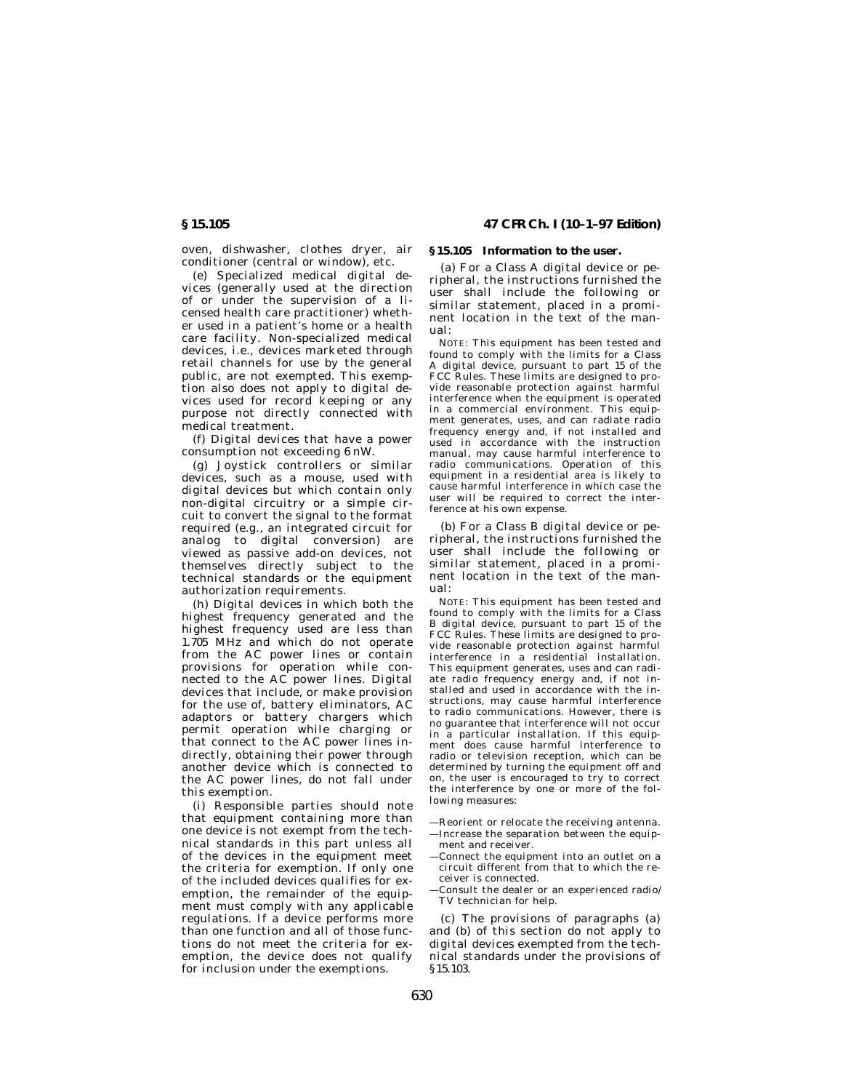oven, dishwasher, clothes dryer, air conditioner (central or window), etc.

(e) Specialized medical digital devices (generally used at the direction of or under the supervision of a licensed health care practitioner) whether used in a patient's home or a health care facility. Non-specialized medical devices, i.e., devices marketed through retail channels for use by the general public, are not exempted. This exemption also does not apply to digital devices used for record keeping or any purpose not directly connected with medical treatment.

(f) Digital devices that have a power consumption not exceeding 6 nW.

(g) Joystick controllers or similar devices, such as a mouse, used with digital devices but which contain only non-digital circuitry or a simple circuit to convert the signal to the format required (e.g., an integrated circuit for analog to digital conversion) are viewed as passive add-on devices, not themselves directly subject to the technical standards or the equipment authorization requirements.

(h) Digital devices in which both the highest frequency generated and the highest frequency used are less than 1.705 MHz and which do not operate from the AC power lines or contain provisions for operation while connected to the AC power lines. Digital devices that include, or make provision for the use of, battery eliminators, AC adaptors or battery chargers which permit operation while charging or that connect to the AC power lines indirectly, obtaining their power through another device which is connected to the AC power lines, do not fall under this exemption.

(i) Responsible parties should note that equipment containing more than one device is not exempt from the technical standards in this part unless all of the devices in the equipment meet the criteria for exemption. If only one of the included devices qualifies for exemption, the remainder of the equipment must comply with any applicable regulations. If a device performs more than one function and all of those functions do not meet the criteria for exemption, the device does not qualify for inclusion under the exemptions.

## **§ 15.105 47 CFR Ch. I (10–1–97 Edition)**

## **§ 15.105 Information to the user.**

(a) For a Class A digital device or peripheral, the instructions furnished the user shall include the following or similar statement, placed in a prominent location in the text of the manual:

NOTE: This equipment has been tested and found to comply with the limits for a Class A digital device, pursuant to part 15 of the FCC Rules. These limits are designed to provide reasonable protection against harmful interference when the equipment is operated in a commercial environment. This equipment generates, uses, and can radiate radio frequency energy and, if not installed and used in accordance with the instruction manual, may cause harmful interference to radio communications. Operation of this equipment in a residential area is likely to cause harmful interference in which case the user will be required to correct the interference at his own expense.

(b) For a Class B digital device or peripheral, the instructions furnished the user shall include the following or similar statement, placed in a prominent location in the text of the manual:

NOTE: This equipment has been tested and found to comply with the limits for a Class B digital device, pursuant to part 15 of the FCC Rules. These limits are designed to provide reasonable protection against harmful interference in a residential installation. This equipment generates, uses and can radiate radio frequency energy and, if not installed and used in accordance with the instructions, may cause harmful interference to radio communications. However, there is no guarantee that interference will not occur in a particular installation. If this equipment does cause harmful interference to radio or television reception, which can be determined by turning the equipment off and on, the user is encouraged to try to correct the interference by one or more of the following measures:

- —Reorient or relocate the receiving antenna. —Increase the separation between the equipment and receiver.
- —Connect the equipment into an outlet on a circuit different from that to which the receiver is connected.
- —Consult the dealer or an experienced radio/ TV technician for help.

(c) The provisions of paragraphs (a) and (b) of this section do not apply to digital devices exempted from the technical standards under the provisions of §15.103.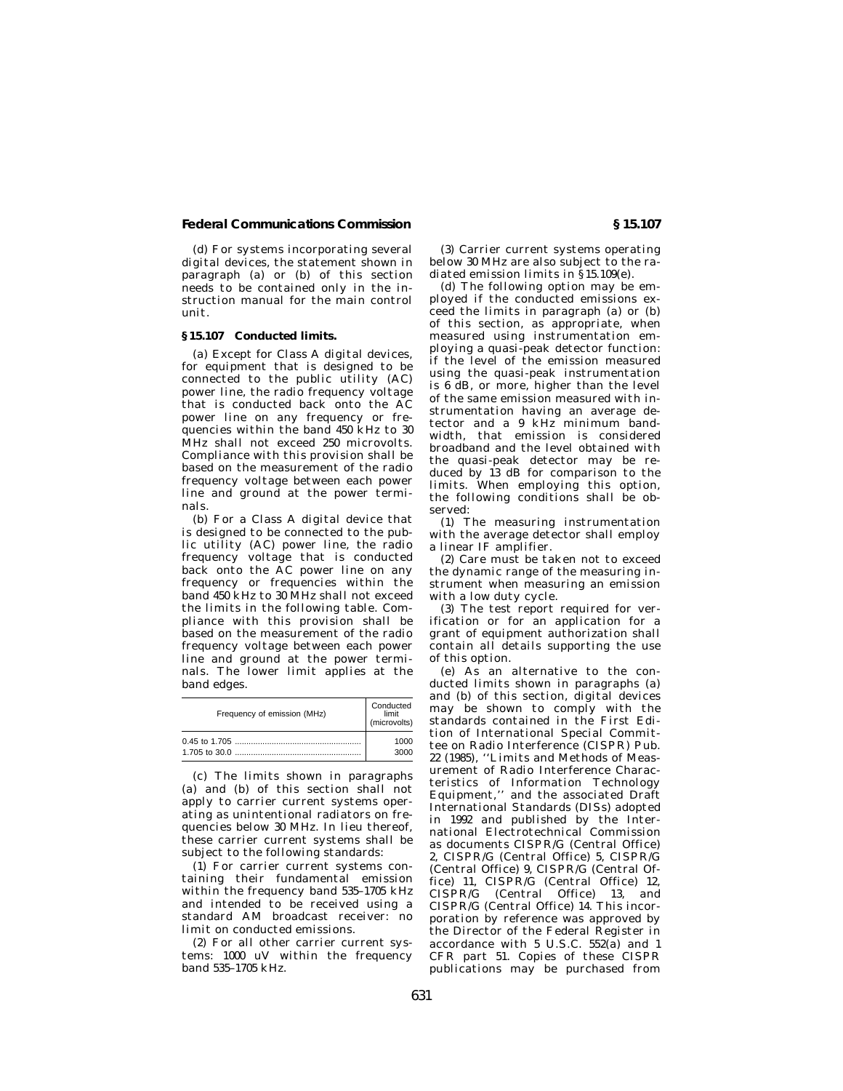(d) For systems incorporating several digital devices, the statement shown in paragraph (a) or (b) of this section needs to be contained only in the instruction manual for the main control unit.

## **§ 15.107 Conducted limits.**

(a) Except for Class A digital devices, for equipment that is designed to be connected to the public utility (AC) power line, the radio frequency voltage that is conducted back onto the AC power line on any frequency or frequencies within the band 450 kHz to 30 MHz shall not exceed 250 microvolts. Compliance with this provision shall be based on the measurement of the radio frequency voltage between each power line and ground at the power terminals.

(b) For a Class A digital device that is designed to be connected to the public utility (AC) power line, the radio frequency voltage that is conducted back onto the AC power line on any frequency or frequencies within the band 450 kHz to 30 MHz shall not exceed the limits in the following table. Compliance with this provision shall be based on the measurement of the radio frequency voltage between each power line and ground at the power terminals. The lower limit applies at the band edges.

| Frequency of emission (MHz) | Conducted<br>limit<br>(microvolts) |
|-----------------------------|------------------------------------|
|                             | 1000                               |
|                             | 3000                               |

(c) The limits shown in paragraphs (a) and (b) of this section shall not apply to carrier current systems operating as unintentional radiators on frequencies below 30 MHz. In lieu thereof, these carrier current systems shall be subject to the following standards:

(1) For carrier current systems containing their fundamental emission within the frequency band 535–1705 kHz and intended to be received using a standard AM broadcast receiver: no limit on conducted emissions.

(2) For all other carrier current systems: 1000 uV within the frequency band 535–1705 kHz.

(3) Carrier current systems operating below 30 MHz are also subject to the radiated emission limits in § 15.109(e).

(d) The following option may be employed if the conducted emissions exceed the limits in paragraph (a) or (b) of this section, as appropriate, when measured using instrumentation employing a quasi-peak detector function: if the level of the emission measured using the quasi-peak instrumentation is 6 dB, or more, higher than the level of the same emission measured with instrumentation having an average detector and a 9 kHz minimum bandwidth, that emission is considered broadband and the level obtained with the quasi-peak detector may be reduced by 13 dB for comparison to the limits. When employing this option, the following conditions shall be observed:

(1) The measuring instrumentation with the average detector shall employ a linear IF amplifier.

(2) Care must be taken not to exceed the dynamic range of the measuring instrument when measuring an emission with a low duty cycle.

(3) The test report required for verification or for an application for a grant of equipment authorization shall contain all details supporting the use of this option.

(e) As an alternative to the conducted limits shown in paragraphs (a) and (b) of this section, digital devices may be shown to comply with the standards contained in the First Edition of International Special Committee on Radio Interference (CISPR) Pub. 22 (1985), "Limits and Methods of Measurement of Radio Interference Characteristics of Information Technology Equipment,'' and the associated Draft International Standards (DISs) adopted in 1992 and published by the International Electrotechnical Commission as documents CISPR/G (Central Office) 2, CISPR/G (Central Office) 5, CISPR/G (Central Office) 9, CISPR/G (Central Office) 11, CISPR/G (Central Office) 12, CISPR/G (Central Office) 13, and CISPR/G (Central Office) 14. This incorporation by reference was approved by the Director of the Federal Register in accordance with 5 U.S.C. 552(a) and 1 CFR part 51. Copies of these CISPR publications may be purchased from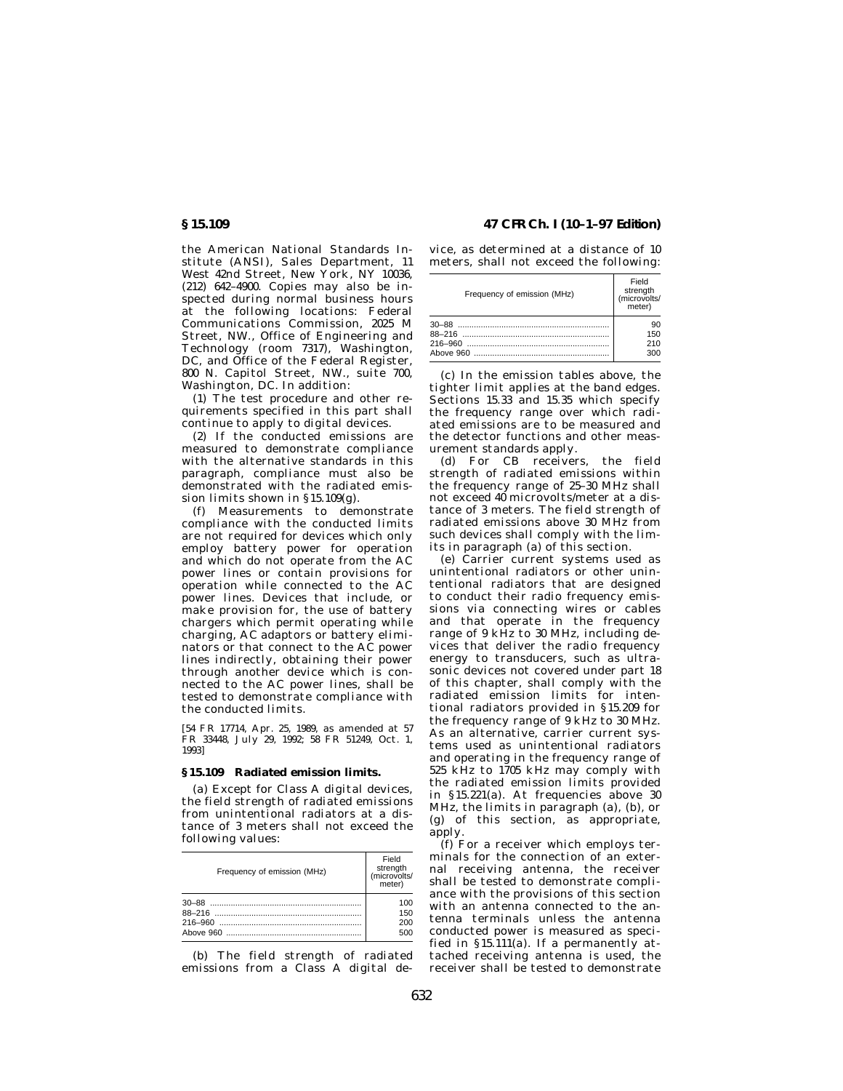the American National Standards Institute (ANSI), Sales Department, 11 West 42nd Street, New York, NY 10036, (212) 642–4900. Copies may also be inspected during normal business hours at the following locations: Federal Communications Commission, 2025 M Street, NW., Office of Engineering and Technology (room 7317), Washington, DC. and Office of the Federal Register, 800 N. Capitol Street, NW., suite 700, Washington, DC. In addition:

(1) The test procedure and other requirements specified in this part shall continue to apply to digital devices.

(2) If the conducted emissions are measured to demonstrate compliance with the alternative standards in this paragraph, compliance must also be demonstrated with the radiated emission limits shown in §15.109(g).

(f) Measurements to demonstrate compliance with the conducted limits are not required for devices which only employ battery power for operation and which do not operate from the AC power lines or contain provisions for operation while connected to the AC power lines. Devices that include, or make provision for, the use of battery chargers which permit operating while charging, AC adaptors or battery eliminators or that connect to the AC power lines indirectly, obtaining their power through another device which is connected to the AC power lines, shall be tested to demonstrate compliance with the conducted limits.

[54 FR 17714, Apr. 25, 1989, as amended at 57 FR 33448, July 29, 1992; 58 FR 51249, Oct. 1, 1993]

## **§ 15.109 Radiated emission limits.**

(a) Except for Class A digital devices, the field strength of radiated emissions from unintentional radiators at a distance of 3 meters shall not exceed the following values:

| Frequency of emission (MHz) | Field<br>strength<br>(microvolts/<br>meter) |
|-----------------------------|---------------------------------------------|
|                             | 100                                         |
|                             | 150                                         |
| 216-960                     | 200                                         |
|                             | 500                                         |

(b) The field strength of radiated emissions from a Class A digital de-

## **§ 15.109 47 CFR Ch. I (10–1–97 Edition)**

vice, as determined at a distance of 10 meters, shall not exceed the following:

| Frequency of emission (MHz) | Field<br>strength<br>(microvolts/<br>meter) |
|-----------------------------|---------------------------------------------|
|                             | 90                                          |
|                             | 150                                         |
|                             | 210                                         |
|                             | 300                                         |
|                             |                                             |

(c) In the emission tables above, the tighter limit applies at the band edges. Sections 15.33 and 15.35 which specify the frequency range over which radiated emissions are to be measured and the detector functions and other measurement standards apply.

(d) For CB receivers, the field strength of radiated emissions within the frequency range of 25–30 MHz shall not exceed 40 microvolts/meter at a distance of 3 meters. The field strength of radiated emissions above 30 MHz from such devices shall comply with the limits in paragraph (a) of this section.

(e) Carrier current systems used as unintentional radiators or other unintentional radiators that are designed to conduct their radio frequency emissions via connecting wires or cables and that operate in the frequency range of 9 kHz to 30 MHz, including devices that deliver the radio frequency energy to transducers, such as ultrasonic devices not covered under part 18 of this chapter, shall comply with the radiated emission limits for intentional radiators provided in § 15.209 for the frequency range of 9 kHz to 30 MHz. As an alternative, carrier current systems used as unintentional radiators and operating in the frequency range of 525 kHz to 1705 kHz may comply with the radiated emission limits provided in § 15.221(a). At frequencies above 30 MHz, the limits in paragraph (a), (b), or (g) of this section, as appropriate, apply.

(f) For a receiver which employs terminals for the connection of an external receiving antenna, the receiver shall be tested to demonstrate compliance with the provisions of this section with an antenna connected to the antenna terminals unless the antenna conducted power is measured as specified in § 15.111(a). If a permanently attached receiving antenna is used, the receiver shall be tested to demonstrate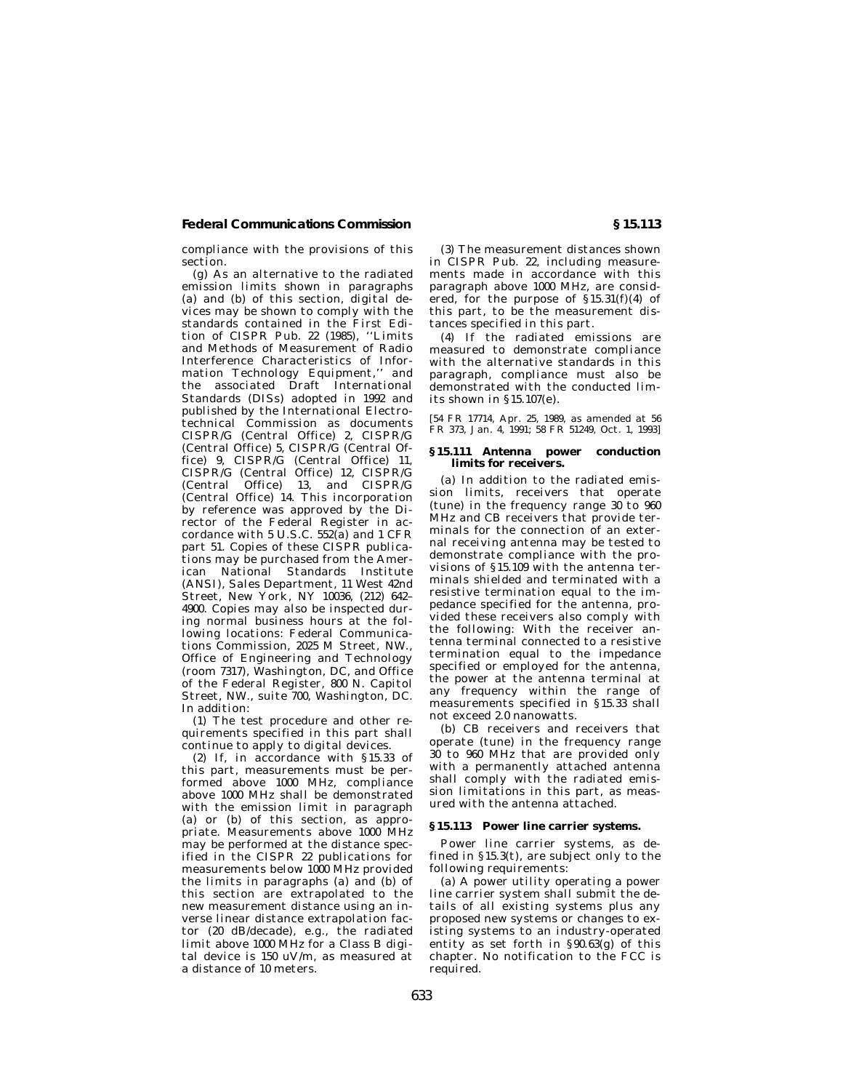compliance with the provisions of this section.

(g) As an alternative to the radiated emission limits shown in paragraphs (a) and (b) of this section, digital devices may be shown to comply with the standards contained in the First Edition of CISPR Pub. 22 (1985), ''Limits and Methods of Measurement of Radio Interference Characteristics of Information Technology Equipment,'' and the associated Draft International Standards (DISs) adopted in 1992 and published by the International Electrotechnical Commission as documents CISPR/G (Central Office) 2, CISPR/G (Central Office) 5, CISPR/G (Central Office) 9, CISPR/G (Central Office) 11, CISPR/G (Central Office) 12, CISPR/G (Central Office) 13, and CISPR/G (Central Office) 14. This incorporation by reference was approved by the Director of the Federal Register in accordance with 5 U.S.C.  $552(a)$  and 1 CFR part 51. Copies of these CISPR publications may be purchased from the American National Standards Institute (ANSI), Sales Department, 11 West 42nd Street, New York, NY 10036, (212) 642– 4900. Copies may also be inspected during normal business hours at the following locations: Federal Communications Commission, 2025 M Street, NW., Office of Engineering and Technology (room 7317), Washington, DC, and Office of the Federal Register, 800 N. Capitol Street, NW., suite 700, Washington, DC. In addition:

(1) The test procedure and other requirements specified in this part shall continue to apply to digital devices.

(2) If, in accordance with § 15.33 of this part, measurements must be performed above 1000 MHz, compliance above 1000 MHz shall be demonstrated with the emission limit in paragraph (a) or (b) of this section, as appropriate. Measurements above 1000 MHz may be performed at the distance specified in the CISPR 22 publications for measurements below 1000 MHz provided the limits in paragraphs (a) and (b) of this section are extrapolated to the new measurement distance using an inverse linear distance extrapolation factor (20 dB/decade), e.g., the radiated limit above 1000 MHz for a Class B digital device is 150 uV/m, as measured at a distance of 10 meters.

(3) The measurement distances shown in CISPR Pub. 22, including measurements made in accordance with this paragraph above 1000 MHz, are considered, for the purpose of  $\S 15.31(f)(4)$  of this part, to be the measurement distances specified in this part.

(4) If the radiated emissions are measured to demonstrate compliance with the alternative standards in this paragraph, compliance must also be demonstrated with the conducted limits shown in §15.107(e).

[54 FR 17714, Apr. 25, 1989, as amended at 56 FR 373, Jan. 4, 1991; 58 FR 51249, Oct. 1, 1993]

#### **§ 15.111 Antenna power conduction limits for receivers.**

(a) In addition to the radiated emission limits, receivers that operate (tune) in the frequency range  $30$  to  $960$ MHz and CB receivers that provide terminals for the connection of an external receiving antenna may be tested to demonstrate compliance with the provisions of § 15.109 with the antenna terminals shielded and terminated with a resistive termination equal to the impedance specified for the antenna, provided these receivers also comply with the following: With the receiver antenna terminal connected to a resistive termination equal to the impedance specified or employed for the antenna, the power at the antenna terminal at any frequency within the range of measurements specified in § 15.33 shall not exceed 2.0 nanowatts.

(b) CB receivers and receivers that operate (tune) in the frequency range 30 to 960 MHz that are provided only with a permanently attached antenna shall comply with the radiated emission limitations in this part, as measured with the antenna attached.

#### **§ 15.113 Power line carrier systems.**

Power line carrier systems, as defined in § 15.3(t), are subject only to the following requirements:

(a) A power utility operating a power line carrier system shall submit the details of all existing systems plus any proposed new systems or changes to existing systems to an industry-operated entity as set forth in § 90.63(g) of this chapter. No notification to the FCC is required.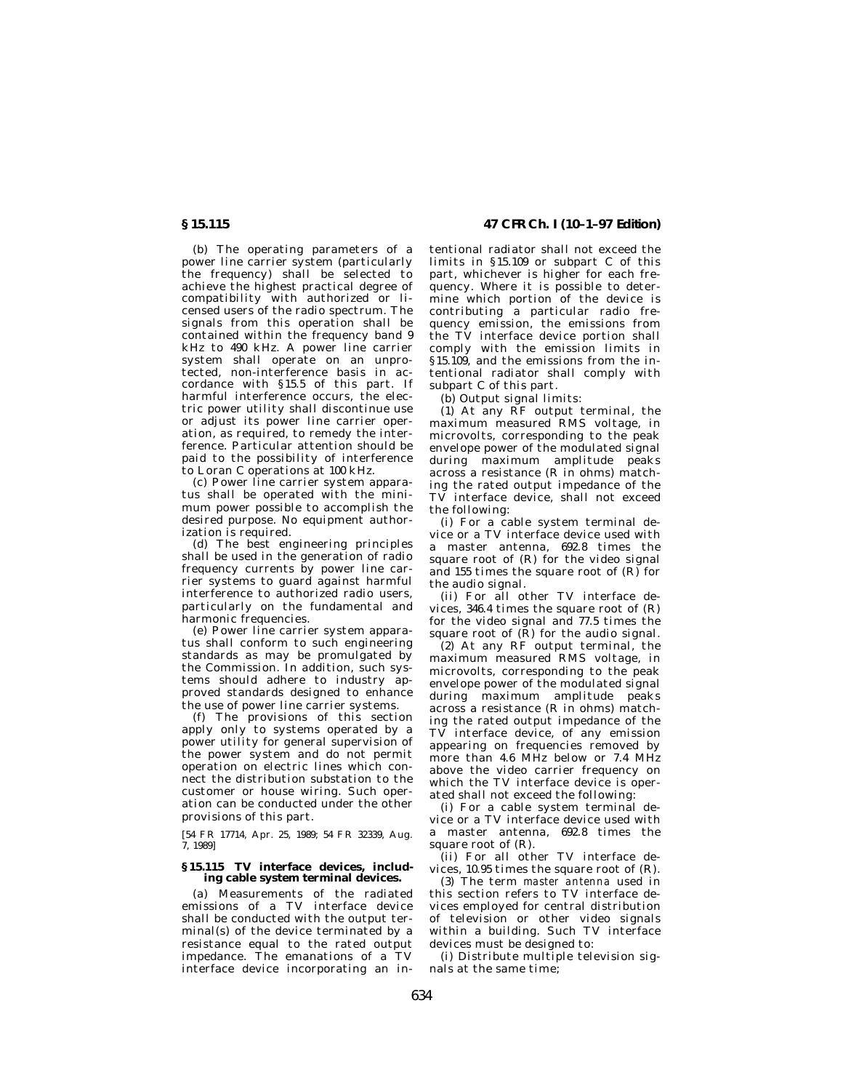(b) The operating parameters of a power line carrier system (particularly the frequency) shall be selected to achieve the highest practical degree of compatibility with authorized or licensed users of the radio spectrum. The signals from this operation shall be contained within the frequency band 9 kHz to 490 kHz. A power line carrier system shall operate on an unprotected, non-interference basis in accordance with § 15.5 of this part. If harmful interference occurs, the electric power utility shall discontinue use or adjust its power line carrier operation, as required, to remedy the interference. Particular attention should be paid to the possibility of interference to Loran C operations at 100 kHz.

(c) Power line carrier system apparatus shall be operated with the minimum power possible to accomplish the desired purpose. No equipment authorization is required.

(d) The best engineering principles shall be used in the generation of radio frequency currents by power line carrier systems to guard against harmful interference to authorized radio users, particularly on the fundamental and harmonic frequencies.

(e) Power line carrier system apparatus shall conform to such engineering standards as may be promulgated by the Commission. In addition, such systems should adhere to industry approved standards designed to enhance the use of power line carrier systems.

(f) The provisions of this section apply only to systems operated by a power utility for general supervision of the power system and do not permit operation on electric lines which connect the distribution substation to the customer or house wiring. Such operation can be conducted under the other provisions of this part.

[54 FR 17714, Apr. 25, 1989; 54 FR 32339, Aug. 7, 1989]

## **§ 15.115 TV interface devices, including cable system terminal devices.**

(a) Measurements of the radiated emissions of a TV interface device shall be conducted with the output terminal(s) of the device terminated by a resistance equal to the rated output impedance. The emanations of a TV interface device incorporating an in-

**§ 15.115 47 CFR Ch. I (10–1–97 Edition)**

tentional radiator shall not exceed the limits in § 15.109 or subpart C of this part, whichever is higher for each frequency. Where it is possible to determine which portion of the device is contributing a particular radio frequency emission, the emissions from the TV interface device portion shall comply with the emission limits in § 15.109, and the emissions from the intentional radiator shall comply with subpart C of this part.

(b) Output signal limits:

(1) At any RF output terminal, the maximum measured RMS voltage, in microvolts, corresponding to the peak envelope power of the modulated signal during maximum amplitude peaks across a resistance (R in ohms) matching the rated output impedance of the TV interface device, shall not exceed the following:

(i) For a cable system terminal device or a TV interface device used with a master antenna, 692.8 times the square root of (R) for the video signal and 155 times the square root of  $(R)$  for the audio signal.

(ii) For all other TV interface devices, 346.4 times the square root of (R) for the video signal and 77.5 times the square root of  $(R)$  for the audio signal.

(2) At any RF output terminal, the maximum measured RMS voltage, in microvolts, corresponding to the peak envelope power of the modulated signal during maximum amplitude peaks across a resistance (R in ohms) matching the rated output impedance of the TV interface device, of any emission appearing on frequencies removed by more than 4.6 MHz below or 7.4 MHz above the video carrier frequency on which the TV interface device is operated shall not exceed the following:

(i) For a cable system terminal device or a TV interface device used with a master antenna, 692.8 times the square root of (R).

(ii) For all other TV interface devices, 10.95 times the square root of (R).

(3) The term *master antenna* used in this section refers to TV interface devices employed for central distribution of television or other video signals within a building. Such TV interface devices must be designed to:

(i) Distribute multiple television signals at the same time;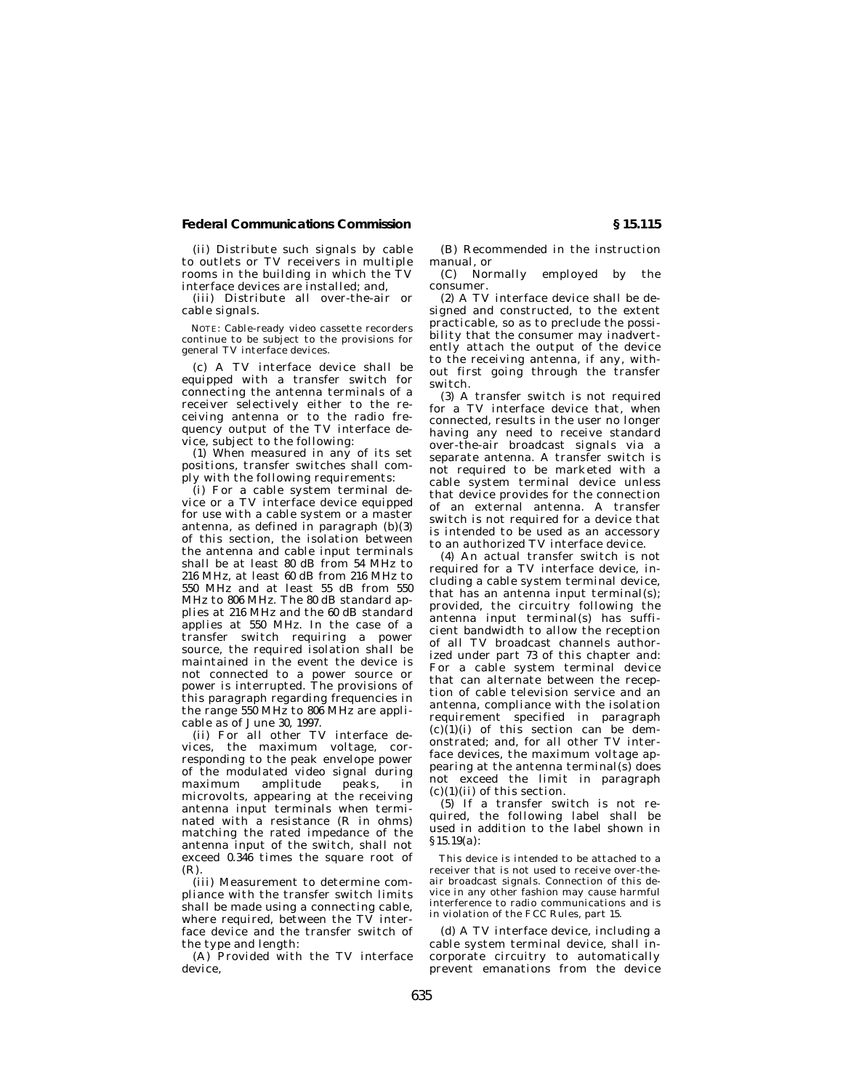(ii) Distribute such signals by cable to outlets or TV receivers in multiple rooms in the building in which the TV interface devices are installed; and,

(iii) Distribute all over-the-air or cable signals.

NOTE: Cable-ready video cassette recorders continue to be subject to the provisions for general TV interface devices.

(c) A TV interface device shall be equipped with a transfer switch for connecting the antenna terminals of a receiver selectively either to the receiving antenna or to the radio frequency output of the TV interface device, subject to the following:

(1) When measured in any of its set positions, transfer switches shall comply with the following requirements:

(i) For a cable system terminal device or a TV interface device equipped for use with a cable system or a master antenna, as defined in paragraph (b)(3) of this section, the isolation between the antenna and cable input terminals shall be at least 80 dB from 54 MHz to 216 MHz, at least 60 dB from 216 MHz to 550 MHz and at least 55 dB from 550 MHz to 806 MHz. The 80 dB standard applies at 216 MHz and the 60 dB standard applies at 550 MHz. In the case of a transfer switch requiring a power source, the required isolation shall be maintained in the event the device is not connected to a power source or power is interrupted. The provisions of this paragraph regarding frequencies in the range 550 MHz to 806 MHz are applicable as of June 30, 1997.

(ii) For all other TV interface devices, the maximum voltage, corresponding to the peak envelope power of the modulated video signal during maximum amplitude peaks, in microvolts, appearing at the receiving antenna input terminals when terminated with a resistance (R in ohms) matching the rated impedance of the antenna input of the switch, shall not exceed 0.346 times the square root of (R).

(iii) Measurement to determine compliance with the transfer switch limits shall be made using a connecting cable, where required, between the TV interface device and the transfer switch of the type and length:

(A) Provided with the TV interface device,

(B) Recommended in the instruction manual, or

(C) Normally employed by the consumer.

(2) A TV interface device shall be designed and constructed, to the extent practicable, so as to preclude the possibility that the consumer may inadvertently attach the output of the device to the receiving antenna, if any, without first going through the transfer switch.

(3) A transfer switch is not required for a TV interface device that, when connected, results in the user no longer having any need to receive standard over-the-air broadcast signals via a separate antenna. A transfer switch is not required to be marketed with a cable system terminal device unless that device provides for the connection of an external antenna. A transfer switch is not required for a device that is intended to be used as an accessory to an authorized TV interface device.

(4) An actual transfer switch is not required for a TV interface device, including a cable system terminal device, that has an antenna input terminal(s); provided, the circuitry following the antenna input terminal(s) has sufficient bandwidth to allow the reception of all TV broadcast channels authorized under part 73 of this chapter and: For a cable system terminal device that can alternate between the reception of cable television service and an antenna, compliance with the isolation requirement specified in paragraph  $(c)(1)(i)$  of this section can be demonstrated; and, for all other TV interface devices, the maximum voltage appearing at the antenna terminal(s) does not exceed the limit in paragraph  $(c)(1)(ii)$  of this section.

(5) If a transfer switch is not required, the following label shall be used in addition to the label shown in  $$15.19(a):$ 

This device is intended to be attached to a receiver that is not used to receive over-theair broadcast signals. Connection of this device in any other fashion may cause harmful interference to radio communications and is in violation of the FCC Rules, part 15.

(d) A TV interface device, including a cable system terminal device, shall incorporate circuitry to automatically prevent emanations from the device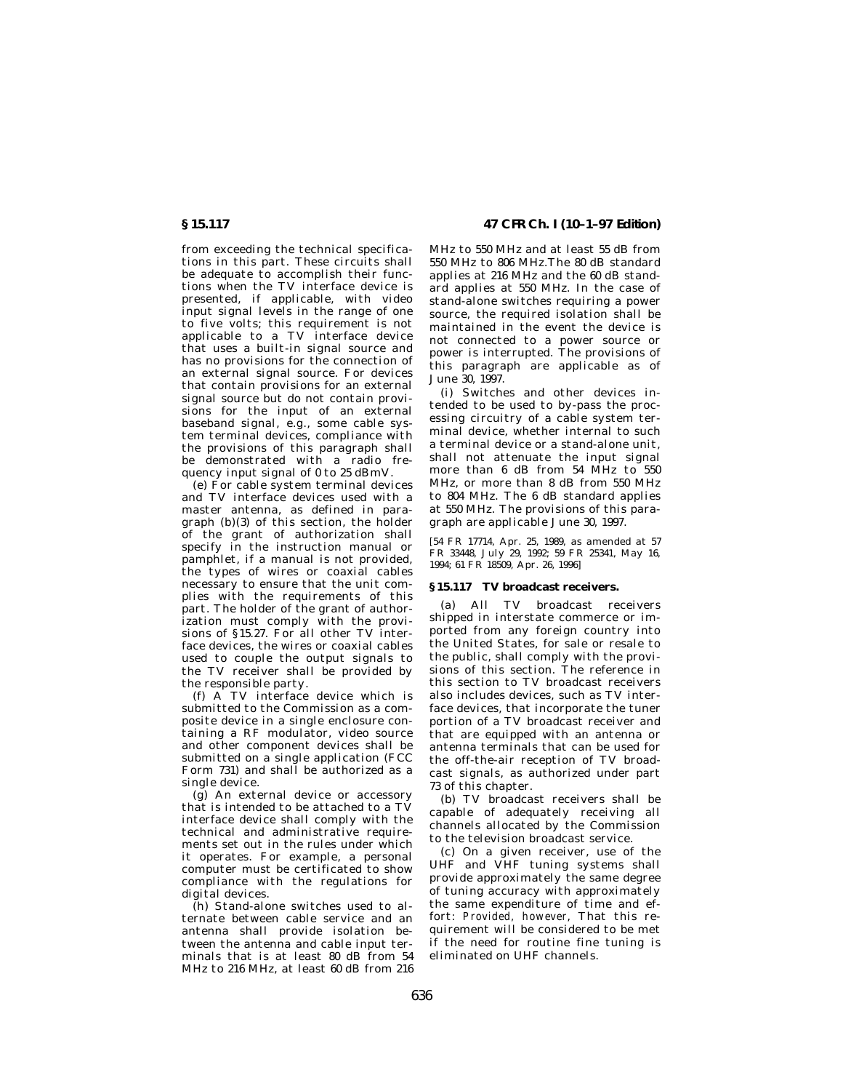from exceeding the technical specifications in this part. These circuits shall be adequate to accomplish their functions when the TV interface device is presented, if applicable, with video input signal levels in the range of one to five volts; this requirement is not applicable to a TV interface device that uses a built-in signal source and has no provisions for the connection of an external signal source. For devices that contain provisions for an external signal source but do not contain provisions for the input of an external baseband signal, e.g., some cable system terminal devices, compliance with the provisions of this paragraph shall be demonstrated with a radio frequency input signal of 0 to 25 dBmV.

(e) For cable system terminal devices and TV interface devices used with a master antenna, as defined in paragraph (b)(3) of this section, the holder of the grant of authorization shall specify in the instruction manual or pamphlet, if a manual is not provided, the types of wires or coaxial cables necessary to ensure that the unit complies with the requirements of this part. The holder of the grant of authorization must comply with the provisions of § 15.27. For all other TV interface devices, the wires or coaxial cables used to couple the output signals to the TV receiver shall be provided by the responsible party.

(f) A TV interface device which is submitted to the Commission as a composite device in a single enclosure containing a RF modulator, video source and other component devices shall be submitted on a single application (FCC Form 731) and shall be authorized as a single device.

(g) An external device or accessory that is intended to be attached to a TV interface device shall comply with the technical and administrative requirements set out in the rules under which it operates. For example, a personal computer must be certificated to show compliance with the regulations for digital devices.

(h) Stand-alone switches used to alternate between cable service and an antenna shall provide isolation between the antenna and cable input terminals that is at least 80 dB from 54 MHz to 216 MHz, at least 60 dB from 216

**§ 15.117 47 CFR Ch. I (10–1–97 Edition)**

MHz to 550 MHz and at least 55 dB from 550 MHz to 806 MHz.The 80 dB standard applies at 216 MHz and the 60 dB standard applies at 550 MHz. In the case of stand-alone switches requiring a power source, the required isolation shall be maintained in the event the device is not connected to a power source or power is interrupted. The provisions of this paragraph are applicable as of June 30, 1997.

(i) Switches and other devices intended to be used to by-pass the processing circuitry of a cable system terminal device, whether internal to such a terminal device or a stand-alone unit, shall not attenuate the input signal more than 6 dB from 54 MHz to 550 MHz, or more than 8 dB from 550 MHz to 804 MHz. The 6 dB standard applies at 550 MHz. The provisions of this paragraph are applicable June 30, 1997.

[54 FR 17714, Apr. 25, 1989, as amended at 57 FR 33448, July 29, 1992; 59 FR 25341, May 16, 1994; 61 FR 18509, Apr. 26, 1996]

## **§ 15.117 TV broadcast receivers.**

(a) All TV broadcast receivers shipped in interstate commerce or imported from any foreign country into the United States, for sale or resale to the public, shall comply with the provisions of this section. The reference in this section to TV broadcast receivers also includes devices, such as TV interface devices, that incorporate the tuner portion of a TV broadcast receiver and that are equipped with an antenna or antenna terminals that can be used for the off-the-air reception of TV broadcast signals, as authorized under part 73 of this chapter.

(b) TV broadcast receivers shall be capable of adequately receiving all channels allocated by the Commission to the television broadcast service.

(c) On a given receiver, use of the UHF and VHF tuning systems shall provide approximately the same degree of tuning accuracy with approximately the same expenditure of time and effort: *Provided, however*, That this requirement will be considered to be met if the need for routine fine tuning is eliminated on UHF channels.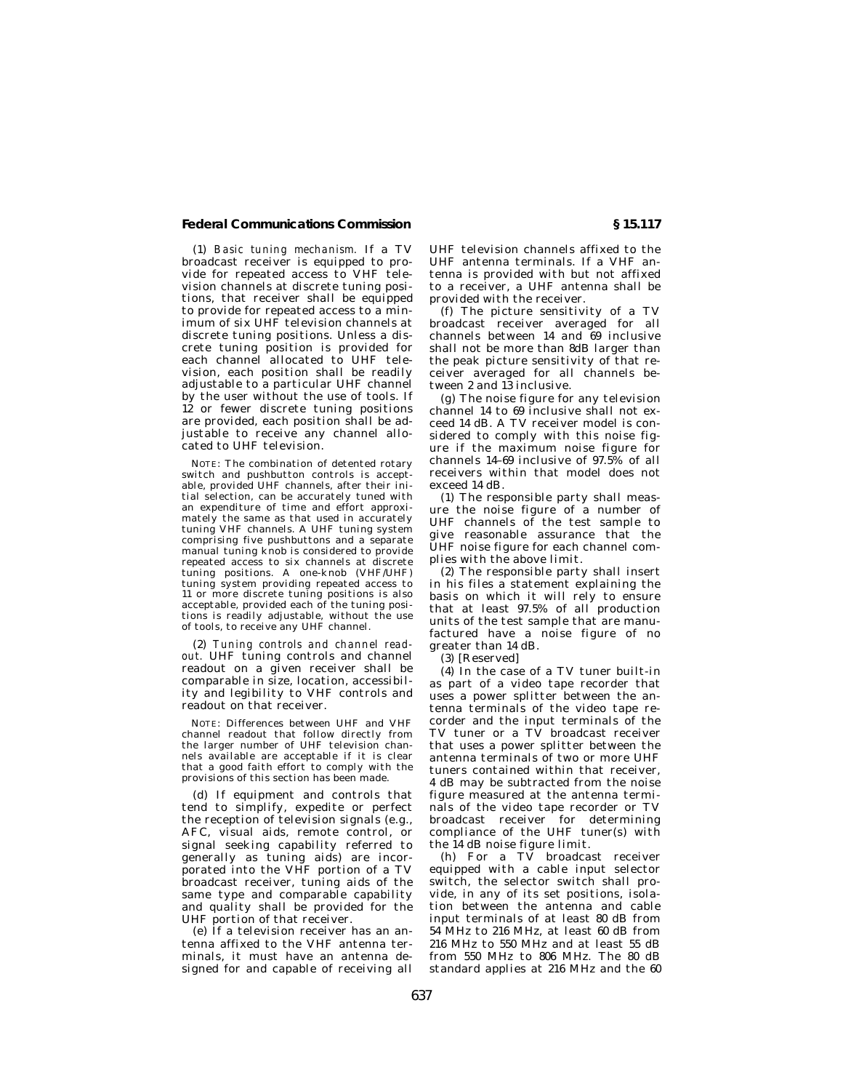(1) *Basic tuning mechanism.* If a TV broadcast receiver is equipped to provide for repeated access to VHF television channels at discrete tuning positions, that receiver shall be equipped to provide for repeated access to a minimum of six UHF television channels at discrete tuning positions. Unless a discrete tuning position is provided for each channel allocated to UHF television, each position shall be readily adjustable to a particular UHF channel by the user without the use of tools. If 12 or fewer discrete tuning positions are provided, each position shall be adjustable to receive any channel allocated to UHF television.

NOTE: The combination of detented rotary switch and pushbutton controls is acceptable, provided UHF channels, after their initial selection, can be accurately tuned with an expenditure of time and effort approximately the same as that used in accurately tuning VHF channels. A UHF tuning system comprising five pushbuttons and a separate manual tuning knob is considered to provide repeated access to six channels at discrete tuning positions. A one-knob (VHF/UHF) tuning system providing repeated access to 11 or more discrete tuning positions is also acceptable, provided each of the tuning positions is readily adjustable, without the use of tools, to receive any UHF channel.

(2) *Tuning controls and channel readout.* UHF tuning controls and channel readout on a given receiver shall be comparable in size, location, accessibility and legibility to VHF controls and readout on that receiver.

NOTE: Differences between UHF and VHF channel readout that follow directly from the larger number of UHF television channels available are acceptable if it is clear that a good faith effort to comply with the provisions of this section has been made.

(d) If equipment and controls that tend to simplify, expedite or perfect the reception of television signals (e.g., AFC, visual aids, remote control, or signal seeking capability referred to generally as tuning aids) are incorporated into the VHF portion of a TV broadcast receiver, tuning aids of the same type and comparable capability and quality shall be provided for the UHF portion of that receiver.

(e) If a television receiver has an antenna affixed to the VHF antenna terminals, it must have an antenna designed for and capable of receiving all UHF television channels affixed to the UHF antenna terminals. If a VHF antenna is provided with but not affixed to a receiver, a UHF antenna shall be provided with the receiver.

(f) The picture sensitivity of a TV broadcast receiver averaged for all channels between 14 and 69 inclusive shall not be more than 8dB larger than the peak picture sensitivity of that receiver averaged for all channels between 2 and 13 inclusive.

(g) The noise figure for any television channel 14 to 69 inclusive shall not exceed 14 dB. A TV receiver model is considered to comply with this noise figure if the maximum noise figure for channels 14–69 inclusive of 97.5% of all receivers within that model does not exceed 14 dB.

(1) The responsible party shall measure the noise figure of a number of UHF channels  $\vec{of}$  the test sample to give reasonable assurance that the UHF noise figure for each channel complies with the above limit.

(2) The responsible party shall insert in his files a statement explaining the basis on which it will rely to ensure that at least  $97.5\%$  of all production units of the test sample that are manufactured have a noise figure of no greater than 14 dB.

(3) [Reserved]

(4) In the case of a TV tuner built-in as part of a video tape recorder that uses a power splitter between the antenna terminals of the video tape recorder and the input terminals of the TV tuner or a TV broadcast receiver that uses a power splitter between the antenna terminals of two or more UHF tuners contained within that receiver, 4 dB may be subtracted from the noise figure measured at the antenna terminals of the video tape recorder or TV broadcast receiver for determining compliance of the UHF tuner(s) with the 14 dB noise figure limit.

(h) For a TV broadcast receiver equipped with a cable input selector switch, the selector switch shall provide, in any of its set positions, isolation between the antenna and cable input terminals of at least 80 dB from 54 MHz to 216 MHz, at least 60 dB from 216 MHz to 550 MHz and at least 55 dB from 550 MHz to 806 MHz. The 80 dB standard applies at 216 MHz and the 60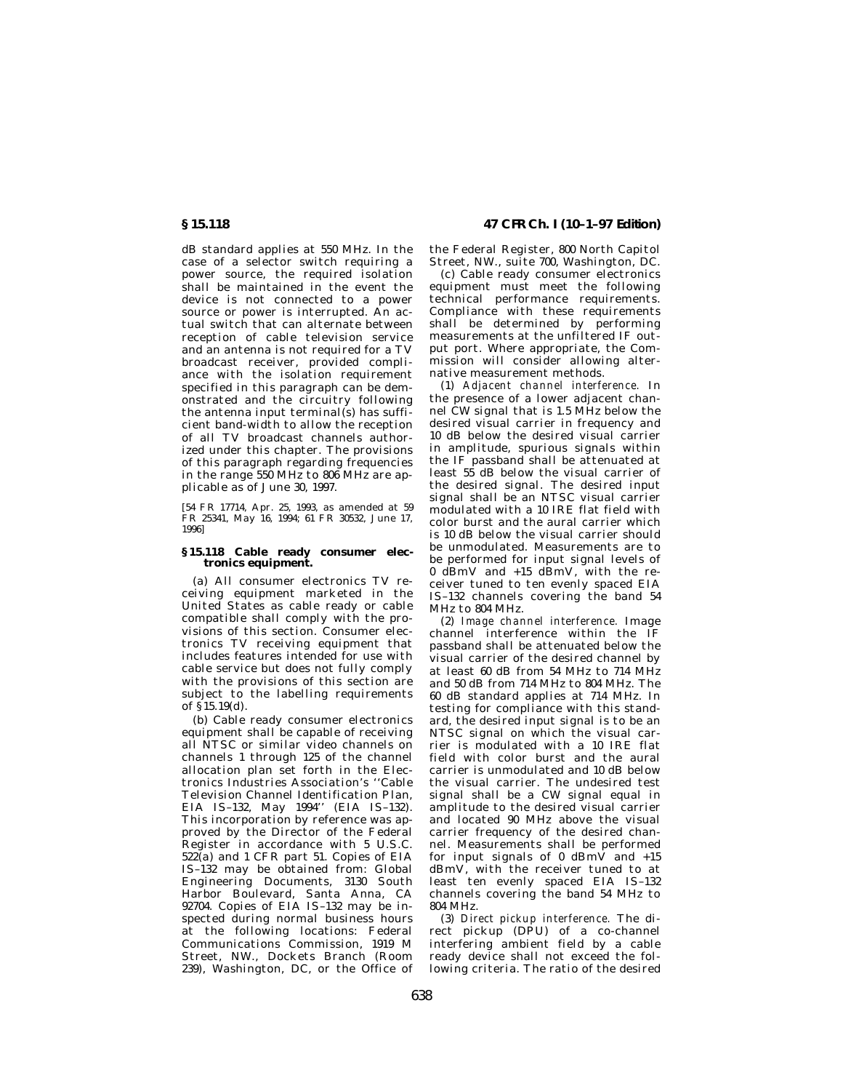dB standard applies at 550 MHz. In the case of a selector switch requiring a power source, the required isolation shall be maintained in the event the device is not connected to a power source or power is interrupted. An actual switch that can alternate between reception of cable television service and an antenna is not required for a TV broadcast receiver, provided compliance with the isolation requirement specified in this paragraph can be demonstrated and the circuitry following the antenna input terminal(s) has sufficient band-width to allow the reception of all TV broadcast channels authorized under this chapter. The provisions of this paragraph regarding frequencies in the range 550 MHz to 806 MHz are applicable as of June 30, 1997.

[54 FR 17714, Apr. 25, 1993, as amended at 59 FR 25341, May 16, 1994; 61 FR 30532, June 17, 1996]

### **§ 15.118 Cable ready consumer electronics equipment.**

(a) All consumer electronics TV receiving equipment marketed in the United States as cable ready or cable compatible shall comply with the provisions of this section. Consumer electronics TV receiving equipment that includes features intended for use with cable service but does not fully comply with the provisions of this section are subject to the labelling requirements of  $\tilde{S}$ 15.19(d).

(b) Cable ready consumer electronics equipment shall be capable of receiving all NTSC or similar video channels on channels 1 through 125 of the channel allocation plan set forth in the Electronics Industries Association's ''Cable Television Channel Identification Plan, EIA IS–132, May 1994'' (EIA IS–132). This incorporation by reference was approved by the Director of the Federal .<br>Register in accordance with 5 U.S.C. 522(a) and 1 CFR part 51. Copies of EIA IS–132 may be obtained from: Global Engineering Documents, 3130 South Harbor Boulevard, Santa Anna, CA 92704. Copies of EIA IS–132 may be inspected during normal business hours at the following locations: Federal Communications Commission, 1919 M Street, NW., Dockets Branch (Room 239), Washington, DC, or the Office of

## **§ 15.118 47 CFR Ch. I (10–1–97 Edition)**

the Federal Register, 800 North Capitol Street, NW., suite 700, Washington, DC.

(c) Cable ready consumer electronics equipment must meet the following technical performance requirements. Compliance with these requirements shall be determined by performing measurements at the unfiltered IF output port. Where appropriate, the Commission will consider allowing alternative measurement methods.

(1) *Adjacent channel interference.* In the presence of a lower adjacent channel CW signal that is 1.5 MHz below the desired visual carrier in frequency and 10 dB below the desired visual carrier in amplitude, spurious signals within the IF passband shall be attenuated at least 55 dB below the visual carrier of the desired signal. The desired input signal shall be an NTSC visual carrier modulated with a 10 IRE flat field with color burst and the aural carrier which is 10 dB below the visual carrier should be unmodulated. Measurements are to be performed for input signal levels of 0 dBmV and  $+15$  dBmV. with the receiver tuned to ten evenly spaced EIA IS–132 channels covering the band 54 MHz to 804 MHz.

(2) *Image channel interference.* Image channel interference within the IF passband shall be attenuated below the visual carrier of the desired channel by at least 60 dB from 54 MHz to 714 MHz and 50 dB from 714 MHz to 804 MHz. The 60 dB standard applies at 714 MHz. In testing for compliance with this standard, the desired input signal is to be an NTSC signal on which the visual carrier is modulated with a 10 IRE flat field with color burst and the aural carrier is unmodulated and 10 dB below the visual carrier. The undesired test signal shall be a CW signal equal in amplitude to the desired visual carrier and located 90 MHz above the visual carrier frequency of the desired channel. Measurements shall be performed for input signals of 0 dBmV and  $+15$ dBmV, with the receiver tuned to at least ten evenly spaced EIA IS–132 channels covering the band 54 MHz to 804 MHz.

(3) *Direct pickup interference.* The direct pickup (DPU) of a co-channel interfering ambient field by a cable ready device shall not exceed the following criteria. The ratio of the desired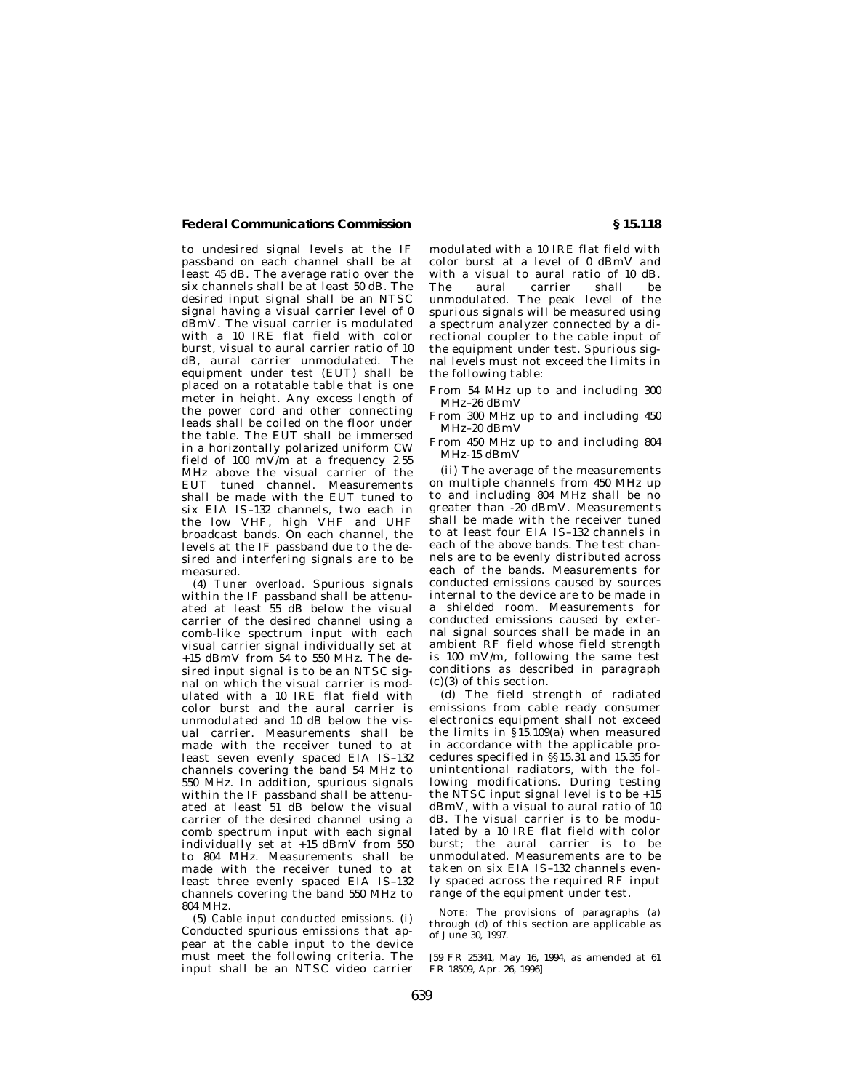to undesired signal levels at the IF passband on each channel shall be at least 45 dB. The average ratio over the six channels shall be at least 50 dB. The desired input signal shall be an NTSC signal having a visual carrier level of 0 dBmV. The visual carrier is modulated with a 10 IRE flat field with color burst, visual to aural carrier ratio of 10 dB, aural carrier unmodulated. The equipment under test (EUT) shall be placed on a rotatable table that is one meter in height. Any excess length of the power cord and other connecting leads shall be coiled on the floor under the table. The EUT shall be immersed in a horizontally polarized uniform CW field of 100 mV/m at a frequency 2.55 MHz above the visual carrier of the EUT tuned channel. Measurements shall be made with the EUT tuned to six EIA IS–132 channels, two each in the low VHF, high VHF and UHF broadcast bands. On each channel, the levels at the IF passband due to the desired and interfering signals are to be measured.

(4) *Tuner overload.* Spurious signals within the IF passband shall be attenuated at least 55 dB below the visual carrier of the desired channel using a comb-like spectrum input with each visual carrier signal individually set at +15 dBmV from 54 to 550 MHz. The desired input signal is to be an NTSC signal on which the visual carrier is modulated with a 10 IRE flat field with color burst and the aural carrier is unmodulated and 10 dB below the visual carrier. Measurements shall be made with the receiver tuned to at least seven evenly spaced EIA IS–132 channels covering the band 54 MHz to 550 MHz. In addition, spurious signals within the IF passband shall be attenuated at least 51 dB below the visual carrier of the desired channel using a comb spectrum input with each signal individually set at +15 dBmV from 550 to 804 MHz. Measurements shall be made with the receiver tuned to at least three evenly spaced EIA IS–132 channels covering the band 550 MHz to 804 MHz.

(5) *Cable input conducted emissions.* (i) Conducted spurious emissions that appear at the cable input to the device must meet the following criteria. The input shall be an NTSC video carrier modulated with a 10 IRE flat field with color burst at a level of 0 dBmV and with a visual to aural ratio of 10 dB. The aural carrier shall be unmodulated. The peak level of the spurious signals will be measured using a spectrum analyzer connected by a directional coupler to the cable input of the equipment under test. Spurious signal levels must not exceed the limits in the following table:

From 54 MHz up to and including 300 MHz–26 dBmV

From 300 MHz up to and including 450 MHz–20 dBmV

From 450 MHz up to and including 804 MHz-15 dBmV

(ii) The average of the measurements on multiple channels from 450 MHz up to and including 804 MHz shall be no greater than -20 dBmV. Measurements shall be made with the receiver tuned to at least four EIA IS–132 channels in each of the above bands. The test channels are to be evenly distributed across each of the bands. Measurements for conducted emissions caused by sources internal to the device are to be made in a shielded room. Measurements for conducted emissions caused by external signal sources shall be made in an ambient RF field whose field strength is 100 mV/m, following the same test conditions as described in paragraph (c)(3) of this section.

(d) The field strength of radiated emissions from cable ready consumer electronics equipment shall not exceed the limits in § 15.109(a) when measured in accordance with the applicable procedures specified in §§ 15.31 and 15.35 for unintentional radiators, with the following modifications. During testing the NTSC input signal level is to be +15 dBmV, with a visual to aural ratio of 10 dB. The visual carrier is to be modulated by a 10 IRE flat field with color burst; the aural carrier is to be unmodulated. Measurements are to be taken on six EIA IS–132 channels evenly spaced across the required RF input range of the equipment under test.

NOTE: The provisions of paragraphs (a) through (d) of this section are applicable as of June 30, 1997.

[59 FR 25341, May 16, 1994, as amended at 61 FR 18509, Apr. 26, 1996]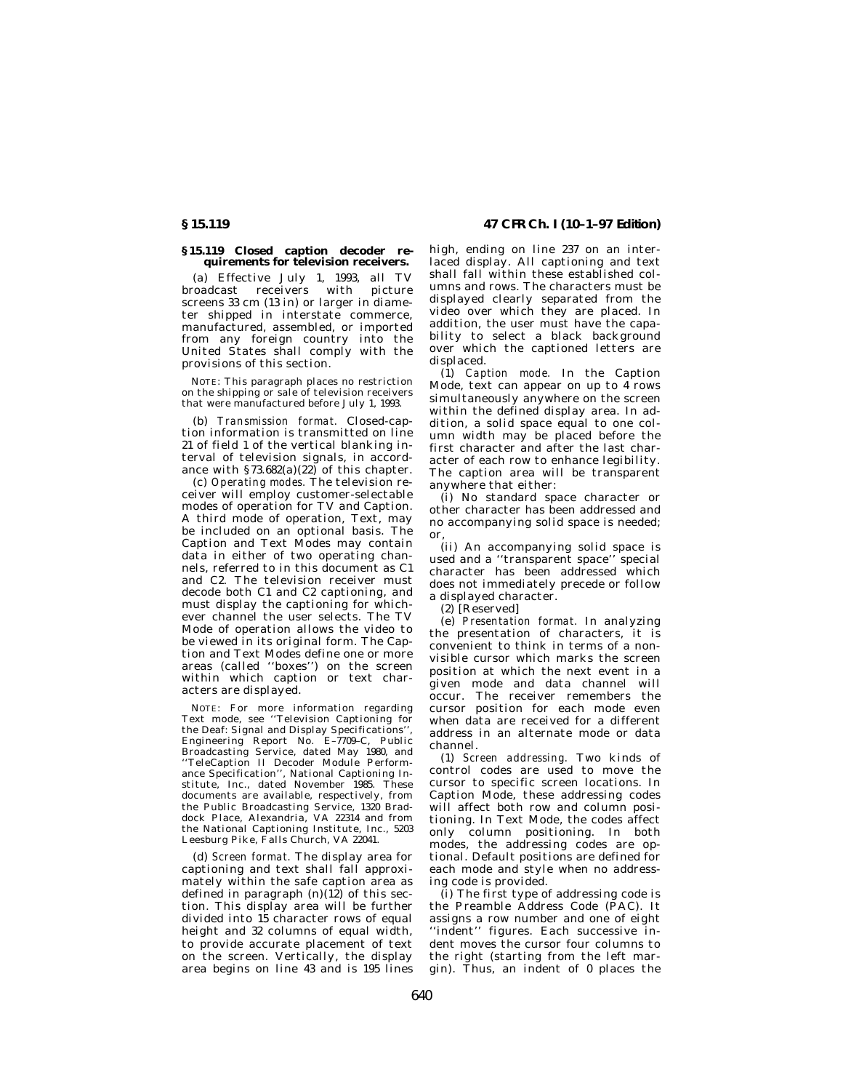## **§ 15.119 47 CFR Ch. I (10–1–97 Edition)**

## **§ 15.119 Closed caption decoder requirements for television receivers.**

(a) Effective July 1, 1993, all TV broadcast receivers with picture screens 33 cm (13 in) or larger in diameter shipped in interstate commerce, manufactured, assembled, or imported from any foreign country into the United States shall comply with the provisions of this section.

NOTE: This paragraph places no restriction on the shipping or sale of television receivers that were manufactured before July 1, 1993.

(b) *Transmission format.* Closed-caption information is transmitted on line 21 of field 1 of the vertical blanking interval of television signals, in accordance with  $\S 73.682(a)(22)$  of this chapter.

(c) *Operating modes.* The television receiver will employ customer-selectable modes of operation for TV and Caption. A third mode of operation, Text, may be included on an optional basis. The Caption and Text Modes may contain data in either of two operating channels, referred to in this document as C1 and C2. The television receiver must decode both C1 and C2 captioning, and must display the captioning for whichever channel the user selects. The TV Mode of operation allows the video to be viewed in its original form. The Caption and Text Modes define one or more areas (called ''boxes'') on the screen within which caption or text characters are displayed.

NOTE: For more information regarding Text mode, see ''Television Captioning for the Deaf: Signal and Display Specifications'', Engineering Report No. E–7709–C, Public Broadcasting Service, dated May 1980, and ''TeleCaption II Decoder Module Performance Specification'', National Captioning Institute, Inc., dated November 1985. These documents are available, respectively, from the Public Broadcasting Service, 1320 Braddock Place, Alexandria, VA 22314 and from the National Captioning Institute, Inc., 5203 Leesburg Pike, Falls Church, VA 22041.

(d) *Screen format.* The display area for captioning and text shall fall approximately within the safe caption area as defined in paragraph  $(n)(12)$  of this section. This display area will be further divided into 15 character rows of equal height and 32 columns of equal width, to provide accurate placement of text on the screen. Vertically, the display area begins on line 43 and is 195 lines

high, ending on line 237 on an interlaced display. All captioning and text shall fall within these established columns and rows. The characters must be displayed clearly separated from the video over which they are placed. In addition, the user must have the capability to select a black background over which the captioned letters are displaced.

(1) *Caption mode.* In the Caption Mode, text can appear on up to 4 rows simultaneously anywhere on the screen within the defined display area. In addition, a solid space equal to one column width may be placed before the first character and after the last character of each row to enhance legibility. The caption area will be transparent anywhere that either:

(i) No standard space character or other character has been addressed and no accompanying solid space is needed; or,

(ii) An accompanying solid space is used and a ''transparent space'' special character has been addressed which does not immediately precede or follow a displayed character.

(2) [Reserved]

(e) *Presentation format.* In analyzing the presentation of characters, it is convenient to think in terms of a nonvisible cursor which marks the screen position at which the next event in a given mode and data channel will occur. The receiver remembers the cursor position for each mode even when data are received for a different address in an alternate mode or data channel.

(1) *Screen addressing.* Two kinds of control codes are used to move the cursor to specific screen locations. In Caption Mode, these addressing codes will affect both row and column positioning. In Text Mode, the codes affect only column positioning. In both modes, the addressing codes are optional. Default positions are defined for each mode and style when no addressing code is provided.

(i) The first type of addressing code is the Preamble Address Code (PAC). It assigns a row number and one of eight ''indent'' figures. Each successive indent moves the cursor four columns to the right (starting from the left margin). Thus, an indent of 0 places the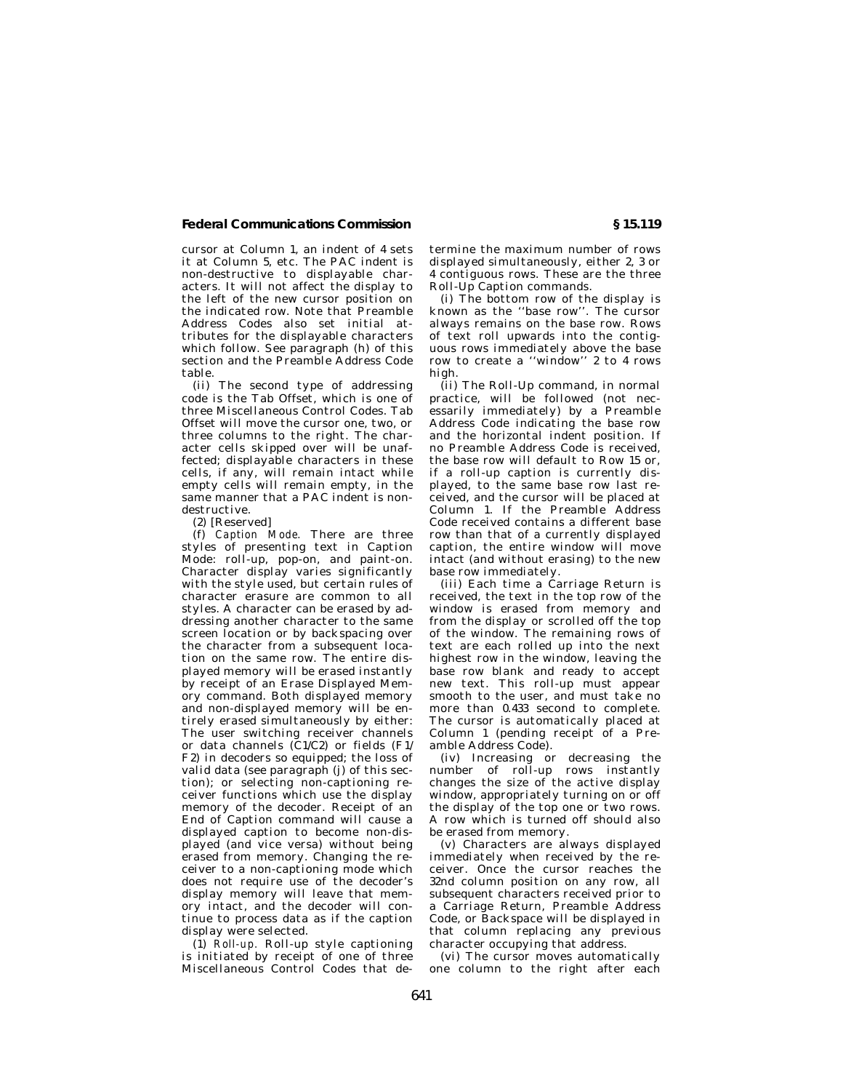cursor at Column 1, an indent of 4 sets it at Column 5, etc. The PAC indent is non-destructive to displayable characters. It will not affect the display to the left of the new cursor position on the indicated row. Note that Preamble Address Codes also set initial attributes for the displayable characters which follow. See paragraph (h) of this section and the Preamble Address Code table.

(ii) The second type of addressing code is the Tab Offset, which is one of three Miscellaneous Control Codes. Tab Offset will move the cursor one, two, or three columns to the right. The character cells skipped over will be unaffected; displayable characters in these cells, if any, will remain intact while empty cells will remain empty, in the same manner that a PAC indent is nondestructive.

(2) [Reserved]

(f) *Caption Mode.* There are three styles of presenting text in Caption Mode: roll-up, pop-on, and paint-on. Character display varies significantly with the style used, but certain rules of character erasure are common to all styles. A character can be erased by addressing another character to the same screen location or by backspacing over the character from a subsequent location on the same row. The entire displayed memory will be erased instantly by receipt of an Erase Displayed Memory command. Both displayed memory and non-displayed memory will be entirely erased simultaneously by either: The user switching receiver channels or data channels  $\langle \text{C1}/\text{C2} \rangle$  or fields  $\langle \text{F1}/\text{C2} \rangle$ F2) in decoders so equipped; the loss of valid data (see paragraph (j) of this section); or selecting non-captioning receiver functions which use the display memory of the decoder. Receipt of an End of Caption command will cause a displayed caption to become non-displayed (and vice versa) without being erased from memory. Changing the receiver to a non-captioning mode which does not require use of the decoder's display memory will leave that memory intact, and the decoder will continue to process data as if the caption display were selected.

(1) *Roll-up.* Roll-up style captioning is initiated by receipt of one of three Miscellaneous Control Codes that determine the maximum number of rows displayed simultaneously, either 2, 3 or 4 contiguous rows. These are the three Roll-Up Caption commands.

(i) The bottom row of the display is known as the ''base row''. The cursor always remains on the base row. Rows of text roll upwards into the contiguous rows immediately above the base row to create a ''window'' 2 to 4 rows high.

(ii) The Roll-Up command, in normal practice, will be followed (not necessarily immediately) by a Preamble Address Code indicating the base row and the horizontal indent position. If no Preamble Address Code is received, the base row will default to Row 15 or, if a roll-up caption is currently displayed, to the same base row last received, and the cursor will be placed at Column 1. If the Preamble Address Code received contains a different base row than that of a currently displayed caption, the entire window will move intact (and without erasing) to the new base row immediately.

(iii) Each time a Carriage Return is received, the text in the top row of the window is erased from memory and from the display or scrolled off the top of the window. The remaining rows of text are each rolled up into the next highest row in the window, leaving the base row blank and ready to accept new text. This roll-up must appear smooth to the user, and must take no more than 0.433 second to complete. The cursor is automatically placed at Column 1 (pending receipt of a Preamble Address Code).

(iv) Increasing or decreasing the number of roll-up rows instantly changes the size of the active display window, appropriately turning on or off the display of the top one or two rows. A row which is turned off should also be erased from memory.

(v) Characters are always displayed immediately when received by the receiver. Once the cursor reaches the 32nd column position on any row, all subsequent characters received prior to a Carriage Return, Preamble Address Code, or Backspace will be displayed in that column replacing any previous character occupying that address.

(vi) The cursor moves automatically one column to the right after each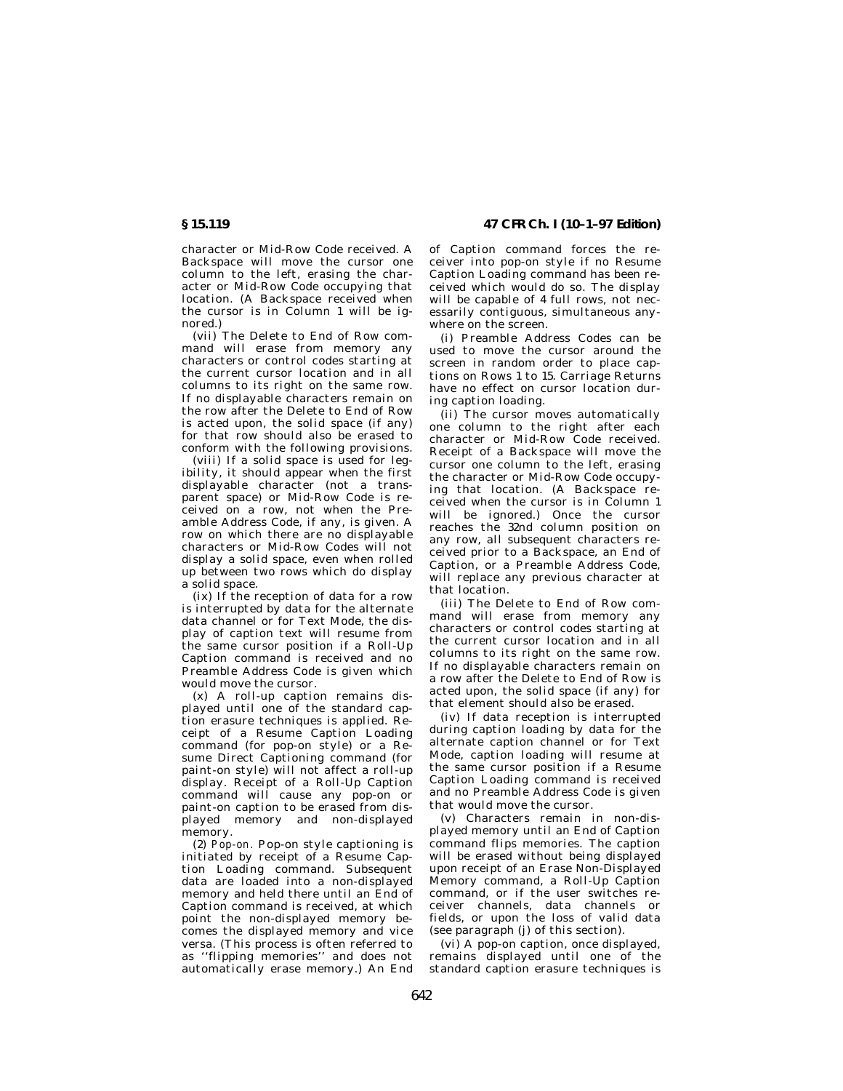character or Mid-Row Code received. A Backspace will move the cursor one column to the left, erasing the character or Mid-Row Code occupying that location. (A Backspace received when the cursor is in Column 1 will be ignored.)

(vii) The Delete to End of Row command will erase from memory any characters or control codes starting at the current cursor location and in all columns to its right on the same row. If no displayable characters remain on the row after the Delete to End of Row is acted upon, the solid space (if any) for that row should also be erased to conform with the following provisions.

(viii) If a solid space is used for legibility, it should appear when the first displayable character (not a transparent space) or Mid-Row Code is received on a row, not when the Preamble Address Code, if any, is given. A row on which there are no displayable characters or Mid-Row Codes will not display a solid space, even when rolled up between two rows which do display a solid space.

(ix) If the reception of data for a row is interrupted by data for the alternate data channel or for Text Mode, the display of caption text will resume from the same cursor position if a Roll-Up Caption command is received and no Preamble Address Code is given which would move the cursor.

(x) A roll-up caption remains displayed until one of the standard caption erasure techniques is applied. Receipt of a Resume Caption Loading command (for pop-on style) or a Resume Direct Captioning command (for paint-on style) will not affect a roll-up display. Receipt of a Roll-Up Caption command will cause any pop-on or paint-on caption to be erased from displayed memory and non-displayed memory.

(2) *Pop-on.* Pop-on style captioning is initiated by receipt of a Resume Caption Loading command. Subsequent data are loaded into a non-displayed memory and held there until an End of Caption command is received, at which point the non-displayed memory becomes the displayed memory and vice versa. (This process is often referred to as ''flipping memories'' and does not automatically erase memory.) An End

**§ 15.119 47 CFR Ch. I (10–1–97 Edition)**

of Caption command forces the receiver into pop-on style if no Resume Caption Loading command has been received which would do so. The display will be capable of 4 full rows, not necessarily contiguous, simultaneous anywhere on the screen.

(i) Preamble Address Codes can be used to move the cursor around the screen in random order to place captions on Rows 1 to 15. Carriage Returns have no effect on cursor location during caption loading.

(ii) The cursor moves automatically one column to the right after each character or Mid-Row Code received. Receipt of a Backspace will move the cursor one column to the left, erasing the character or Mid-Row Code occupying that location. (A Backspace received when the cursor is in Column 1 will be ignored.) Once the cursor reaches the 32nd column position on any row, all subsequent characters received prior to a Backspace, an End of Caption, or a Preamble Address Code, will replace any previous character at that location.

(iii) The Delete to End of Row command will erase from memory any characters or control codes starting at the current cursor location and in all columns to its right on the same row. If no displayable characters remain on a row after the Delete to End of Row is acted upon, the solid space (if any) for that element should also be erased.

(iv) If data reception is interrupted during caption loading by data for the alternate caption channel or for Text Mode, caption loading will resume at the same cursor position if a Resume Caption Loading command is received and no Preamble Address Code is given that would move the cursor.

(v) Characters remain in non-displayed memory until an End of Caption command flips memories. The caption will be erased without being displayed upon receipt of an Erase Non-Displayed Memory command, a Roll-Up Caption command, or if the user switches receiver channels, data channels or fields, or upon the loss of valid data (see paragraph (j) of this section).

(vi) A pop-on caption, once displayed, remains displayed until one of the standard caption erasure techniques is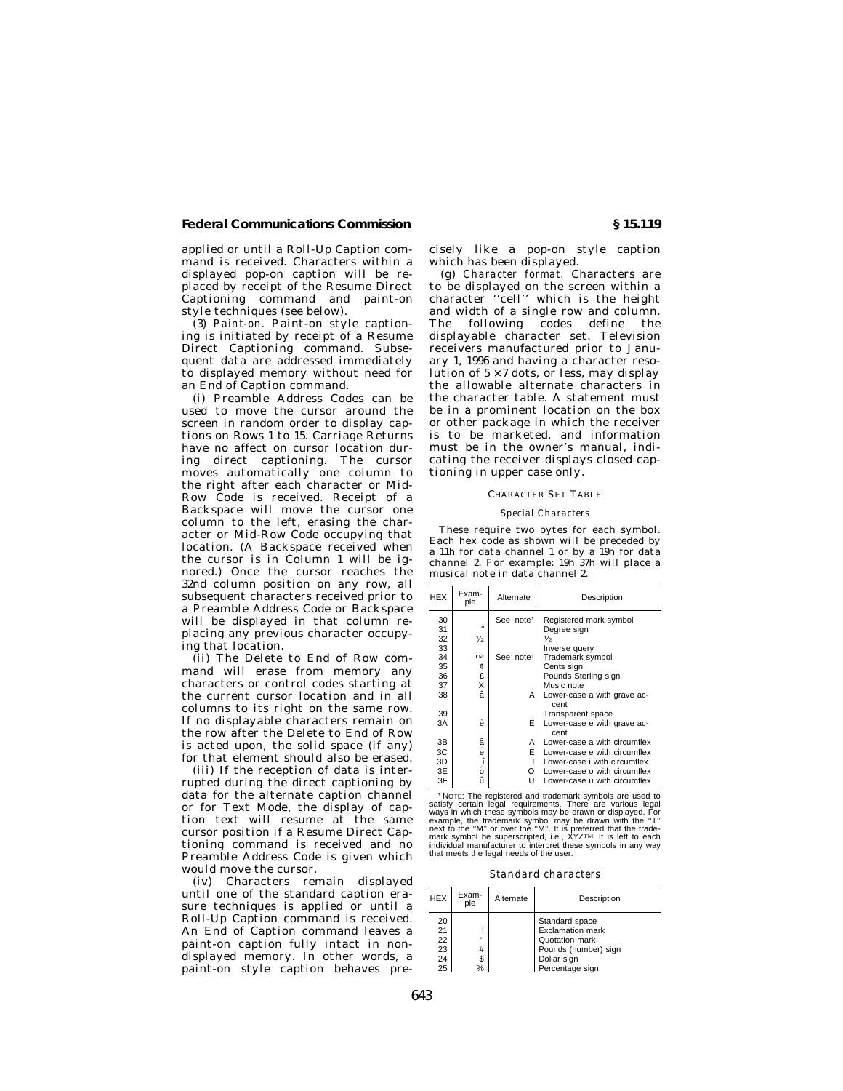applied or until a Roll-Up Caption command is received. Characters within a displayed pop-on caption will be replaced by receipt of the Resume Direct Captioning command and paint-on style techniques (see below).

(3) *Paint-on.* Paint-on style captioning is initiated by receipt of a Resume Direct Captioning command. Subsequent data are addressed immediately to displayed memory without need for an End of Caption command.

(i) Preamble Address Codes can be used to move the cursor around the screen in random order to display captions on Rows 1 to 15. Carriage Returns have no affect on cursor location during direct captioning. The cursor moves automatically one column to the right after each character or Mid-Row Code is received. Receipt of a Backspace will move the cursor one column to the left, erasing the character or Mid-Row Code occupying that location. (A Backspace received when the cursor is in Column 1 will be ignored.) Once the cursor reaches the 32nd column position on any row, all subsequent characters received prior to a Preamble Address Code or Backspace will be displayed in that column replacing any previous character occupying that location.

(ii) The Delete to End of Row command will erase from memory any characters or control codes starting at the current cursor location and in all columns to its right on the same row. If no displayable characters remain on the row after the Delete to End of Row is acted upon, the solid space (if any) for that element should also be erased.

(iii) If the reception of data is interrupted during the direct captioning by data for the alternate caption channel or for Text Mode, the display of caption text will resume at the same cursor position if a Resume Direct Captioning command is received and no Preamble Address Code is given which would move the cursor.

(iv) Characters remain displayed until one of the standard caption erasure techniques is applied or until a Roll-Up Caption command is received. An End of Caption command leaves a paint-on caption fully intact in nondisplayed memory. In other words, a paint-on style caption behaves precisely like a pop-on style caption which has been displayed.

(g) *Character format.* Characters are to be displayed on the screen within a character ''cell'' which is the height and width of a single row and column. The following codes define the displayable character set. Television receivers manufactured prior to January 1, 1996 and having a character resolution of  $5 \times 7$  dots, or less, may display the allowable alternate characters in the character table. A statement must be in a prominent location on the box or other package in which the receiver is to be marketed, and information must be in the owner's manual, indicating the receiver displays closed captioning in upper case only.

#### CHARACTER SET TABLE

#### *Special Characters*

These require two bytes for each symbol. Each hex code as shown will be preceded by a 11h for data channel 1 or by a 19h for data channel 2. For example: 19h 37h will place a musical note in data channel 2.

| <b>HEX</b> | Exam-<br>ple | Alternate             | Description                         |
|------------|--------------|-----------------------|-------------------------------------|
| 30         | ®            | See note <sup>1</sup> | Registered mark symbol              |
| 31         | $\Omega$     |                       | Degree sign                         |
| 32         | 1/2          |                       | 1/2                                 |
| 33         |              |                       | Inverse query                       |
| 34         | <b>TM</b>    | See note <sup>1</sup> | Trademark symbol                    |
| 35         | ¢            |                       | Cents sign                          |
| 36         | £            |                       | Pounds Sterling sign                |
| 37         | X<br>â       |                       | Music note                          |
| 38         |              | А                     | Lower-case a with grave ac-<br>cent |
| 39         |              |                       | Transparent space                   |
| 3A         | è            | E                     | Lower-case e with grave ac-<br>cent |
| 3B         | â            | Α                     | Lower-case a with circumflex        |
| 3C         | ê            | E                     | Lower-case e with circumflex        |
| 3D         |              |                       | Lower-case i with circumflex        |
| 3E         | ô            | O                     | Lower-case o with circumflex        |
| 3F         | û            | U                     | Lower-case u with circumflex        |

1 NOTE: The registered and trademark symbols are used to satisfy certain legal requirements. There are various legal ways in which these symbols may be drawn or displayed. For example, the trademark symbol may be drawn with the "T"<br>next to the "M" or over the "M". It is preferred that the trade-<br>mark symbol be superscripted, i.e., XYZ<sup>TM.</sup> It is left to each<br>individual manufacturer to interpret individual manufacturer to interpret these symbols in any way that meets the legal needs of the user.

*Standard characters*

| <b>HEX</b>                       | Exam-<br>ple | Alternate | Description                                                                                                           |
|----------------------------------|--------------|-----------|-----------------------------------------------------------------------------------------------------------------------|
| 20<br>21<br>22<br>23<br>24<br>25 | #<br>\$      |           | Standard space<br><b>Exclamation mark</b><br>Quotation mark<br>Pounds (number) sign<br>Dollar sign<br>Percentage sign |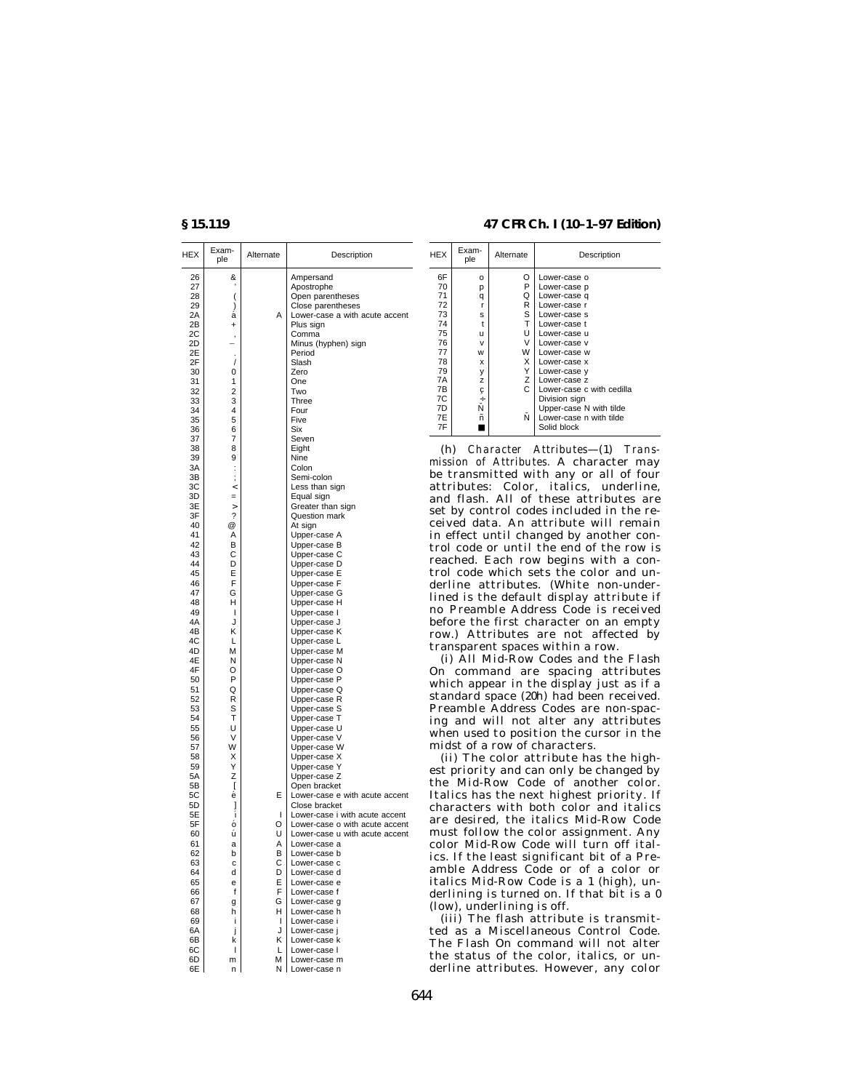| HEX      | Exam-<br>ple | Alternate | Description                                                      |
|----------|--------------|-----------|------------------------------------------------------------------|
| 26       | &            |           | Ampersand                                                        |
| 27       |              |           | Apostrophe                                                       |
| 28<br>29 | (<br>į       |           | Open parentheses<br>Close parentheses                            |
| 2Α       | а            | Α         | Lower-case a with acute accent                                   |
| 2B       | +            |           | Plus sign                                                        |
| 2С<br>2D | ,            |           | Comma<br>Minus (hyphen) sign                                     |
| 2Ε       |              |           | Period                                                           |
| 2F       | 1            |           | Slash                                                            |
| 30<br>31 | 0<br>1       |           | Zero<br>One                                                      |
| 32       | 2            |           | Two                                                              |
| 33       | 3            |           | Three                                                            |
| 34<br>35 | 4<br>5       |           | Four<br>Five                                                     |
| 36       | 6            |           | Six                                                              |
| 37       | 7            |           | Seven                                                            |
| 38<br>39 | 8<br>9       |           | Eight<br>Nine                                                    |
| ЗΑ       | $\vdots$     |           | Colon                                                            |
| 3B       | ;            |           | Semi-colon                                                       |
| ЗC       | <            |           | Less than sign                                                   |
| 3D<br>ЗE | =<br>$\geq$  |           | Equal sign<br>Greater than sign                                  |
| 3F       | ?            |           | Question mark                                                    |
| 40       | @            |           | At sign                                                          |
| 41<br>42 | Α<br>в       |           | Upper-case A<br>Upper-case B                                     |
| 43       | С            |           | Upper-case C                                                     |
| 44       | D            |           | Upper-case D                                                     |
| 45<br>46 | E<br>F       |           | Upper-case E<br>Upper-case F                                     |
| 47       | G            |           | Upper-case G                                                     |
| 48       | н            |           | Upper-case H                                                     |
| 49<br>4A | ı<br>J       |           | Upper-case I                                                     |
| 4B       | Κ            |           | Upper-case J<br>Upper-case K                                     |
| 4C       | L            |           | Upper-case L                                                     |
| 4D       | м            |           | Upper-case M                                                     |
| 4E<br>4F | Ν<br>O       |           | Upper-case N<br>Upper-case O                                     |
| 50       | P            |           | Upper-case P                                                     |
| 51       | Q            |           | Upper-case Q                                                     |
| 52<br>53 | R<br>S       |           | Upper-case R<br>Upper-case S                                     |
| 54       | т            |           | Upper-case T                                                     |
| 55       | U            |           | Upper-case U                                                     |
| 56<br>57 | ٧<br>W       |           | Upper-case V<br>Upper-case W                                     |
| 58       | Х            |           | Upper-case X                                                     |
| 59       | Y            |           | Upper-case Y                                                     |
| 5A<br>5Β | Z<br>ſ       |           | Upper-case Z<br>Open bracket                                     |
| 5С       | е            | E         | Lower-case e with acute accent                                   |
| 5D       | 1            |           | Close bracket                                                    |
| 5Е<br>5F | Í            | I<br>O    | Lower-case i with acute accent<br>Lower-case o with acute accent |
| 60       | ö<br>ù       | U         | Lower-case u with acute accent                                   |
| 61       | a            | Α         | Lower-case a                                                     |
| 62       | b            | B         | Lower-case b                                                     |
| ხვ<br>64 | с<br>d       | U<br>D    | Lower-case c<br>Lower-case d                                     |
| 65       | е            | Е         | Lower-case e                                                     |
| 66       | f            | F         | Lower-case f                                                     |
| 67<br>68 | g<br>h       | G<br>н    | Lower-case q<br>Lower-case h                                     |
| 69       | i            | L         | Lower-case i                                                     |
| 6A       | Ĵ            | J         | Lower-case j                                                     |
| 6B<br>6C | k<br>ı       | Κ<br>Г    | Lower-case k<br>Lower-case I                                     |
| 6D       | m            | М         | Lower-case m                                                     |
| 6E       | n            | Ν         | Lower-case n                                                     |

## **§ 15.119 47 CFR Ch. I (10–1–97 Edition)**

| <b>HEX</b>                                                                                         | Exam-<br>ple                                                                       | Alternate                                                          | Description                                                                                                                                                                                                                                                                                                     |
|----------------------------------------------------------------------------------------------------|------------------------------------------------------------------------------------|--------------------------------------------------------------------|-----------------------------------------------------------------------------------------------------------------------------------------------------------------------------------------------------------------------------------------------------------------------------------------------------------------|
| 6F<br>70<br>71<br>72<br>73<br>74<br>75<br>76<br>77<br>78<br>79<br>7A<br>7B<br>7C<br>7D<br>7E<br>7F | o<br>р<br>q<br>s<br>t<br>u<br>$\mathsf{v}$<br>W<br>x<br>У<br>Z<br>ç<br>÷<br>Ň<br>ñ | O<br>P<br>Q<br>R<br>s<br>т<br>U<br>V<br>W<br>x<br>Y<br>Z<br>C<br>Ń | Lower-case o<br>Lower-case p<br>Lower-case q<br>Lower-case r<br>Lower-case s<br>Lower-case t<br>Lower-case u<br>Lower-case v<br>Lower-case w<br>Lower-case x<br>Lower-case y<br>Lower-case z<br>Lower-case c with cedilla<br>Division sign<br>Upper-case N with tilde<br>Lower-case n with tilde<br>Solid block |
|                                                                                                    |                                                                                    |                                                                    |                                                                                                                                                                                                                                                                                                                 |

(h) *Character Attributes*—(1) *Transmission of Attributes.* A character may be transmitted with any or all of four attributes: Color, italics, underline, and flash. All of these attributes are set by control codes included in the received data. An attribute will remain in effect until changed by another control code or until the end of the row is reached. Each row begins with a control code which sets the color and underline attributes. (White non-underlined is the default display attribute if no Preamble Address Code is received before the first character on an empty row.) Attributes are not affected by transparent spaces within a row.

(i) All Mid-Row Codes and the Flash On command are spacing attributes which appear in the display just as if a standard space (20h) had been received. Preamble Address Codes are non-spacing and will not alter any attributes when used to position the cursor in the midst of a row of characters.

(ii) The color attribute has the highest priority and can only be changed by the Mid-Row Code of another color. Italics has the next highest priority. If characters with both color and italics are desired, the italics Mid-Row Code must follow the color assignment. Any color Mid-Row Code will turn off italics. If the least significant bit of a Preamble Address Code or of a color or italics Mid-Row Code is a 1 (high), underlining is turned on. If that bit is a 0 (low), underlining is off.

(iii) The flash attribute is transmitted as a Miscellaneous Control Code. The Flash On command will not alter the status of the color, italics, or underline attributes. However, any color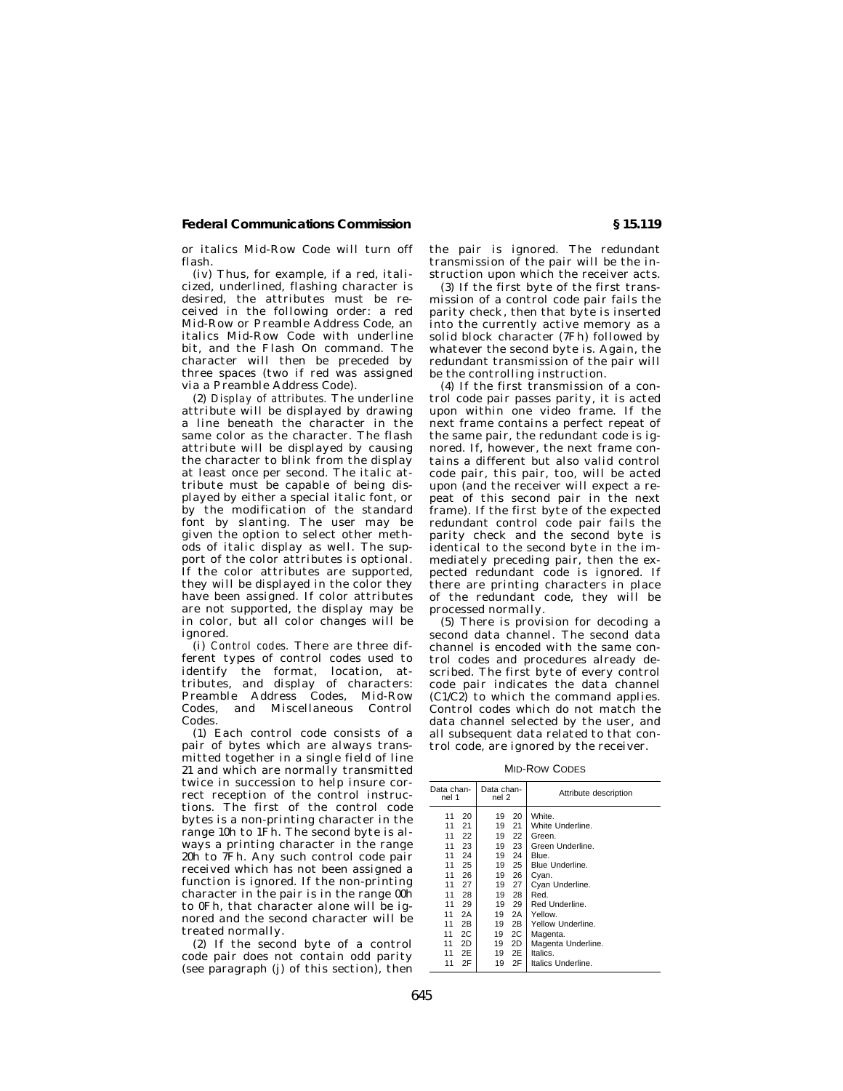or italics Mid-Row Code will turn off flash.

(iv) Thus, for example, if a red, italicized, underlined, flashing character is desired, the attributes must be received in the following order: a red Mid-Row or Preamble Address Code, an italics Mid-Row Code with underline bit, and the Flash On command. The character will then be preceded by three spaces (two if red was assigned via a Preamble Address Code).

(2) *Display of attributes.* The underline attribute will be displayed by drawing a line beneath the character in the same color as the character. The flash attribute will be displayed by causing the character to blink from the display at least once per second. The italic attribute must be capable of being displayed by either a special italic font, or by the modification of the standard font by slanting. The user may be given the option to select other methods of italic display as well. The support of the color attributes is optional. If the color attributes are supported, they will be displayed in the color they have been assigned. If color attributes are not supported, the display may be in color, but all color changes will be ignored.

(i) *Control codes.* There are three different types of control codes used to identify the format, location, attributes, and display of characters: Preamble Address Codes, Mid-Row and Miscellaneous Control Codes.

(1) Each control code consists of a pair of bytes which are always transmitted together in a single field of line 21 and which are normally transmitted twice in succession to help insure correct reception of the control instructions. The first of the control code bytes is a non-printing character in the range 10h to 1Fh. The second byte is always a printing character in the range 20h to 7Fh. Any such control code pair received which has not been assigned a function is ignored. If the non-printing character in the pair is in the range 00h to 0Fh, that character alone will be ignored and the second character will be treated normally.

(2) If the second byte of a control code pair does not contain odd parity (see paragraph (j) of this section), then the pair is ignored. The redundant transmission of the pair will be the instruction upon which the receiver acts.

(3) If the first byte of the first transmission of a control code pair fails the parity check, then that byte is inserted into the currently active memory as a solid block character (7Fh) followed by whatever the second byte is. Again, the redundant transmission of the pair will be the controlling instruction.

(4) If the first transmission of a control code pair passes parity, it is acted upon within one video frame. If the next frame contains a perfect repeat of the same pair, the redundant code is ignored. If, however, the next frame contains a different but also valid control code pair, this pair, too, will be acted upon (and the receiver will expect a repeat of this second pair in the next frame). If the first byte of the expected redundant control code pair fails the parity check and the second byte is identical to the second byte in the immediately preceding pair, then the expected redundant code is ignored. If there are printing characters in place of the redundant code, they will be processed normally.

(5) There is provision for decoding a second data channel. The second data channel is encoded with the same control codes and procedures already described. The first byte of every control code pair indicates the data channel (C1/C2) to which the command applies. Control codes which do not match the data channel selected by the user, and all subsequent data related to that control code, are ignored by the receiver.

MID-ROW CODES

| Data chan-<br>nel 1 |    | Data chan-<br>nel 2 |    | Attribute description |
|---------------------|----|---------------------|----|-----------------------|
| 11                  | 20 | 19                  | 20 | White.                |
| 11                  | 21 | 19                  | 21 | White Underline.      |
| 11                  | 22 | 19                  | 22 | Green.                |
| 11                  | 23 | 19                  | 23 | Green Underline.      |
| 11                  | 24 | 19                  | 24 | Blue.                 |
| 11                  | 25 | 19                  | 25 | Blue Underline.       |
| 11                  | 26 | 19                  | 26 | Cyan.                 |
| 11                  | 27 | 19                  | 27 | Cyan Underline.       |
| 11                  | 28 | 19                  | 28 | Red.                  |
| 11                  | 29 | 19                  | 29 | Red Underline.        |
| 11                  | 2A | 19                  | 2A | Yellow.               |
| 11                  | 2B | 19                  | 2B | Yellow Underline.     |
| 11                  | 2C | 19                  | 2C | Magenta.              |
| 11                  | 2D | 19                  | 2D | Magenta Underline.    |
| 11                  | 2E | 19                  | 2E | Italics.              |
| 11                  | 2F | 19                  | 2F | Italics Underline.    |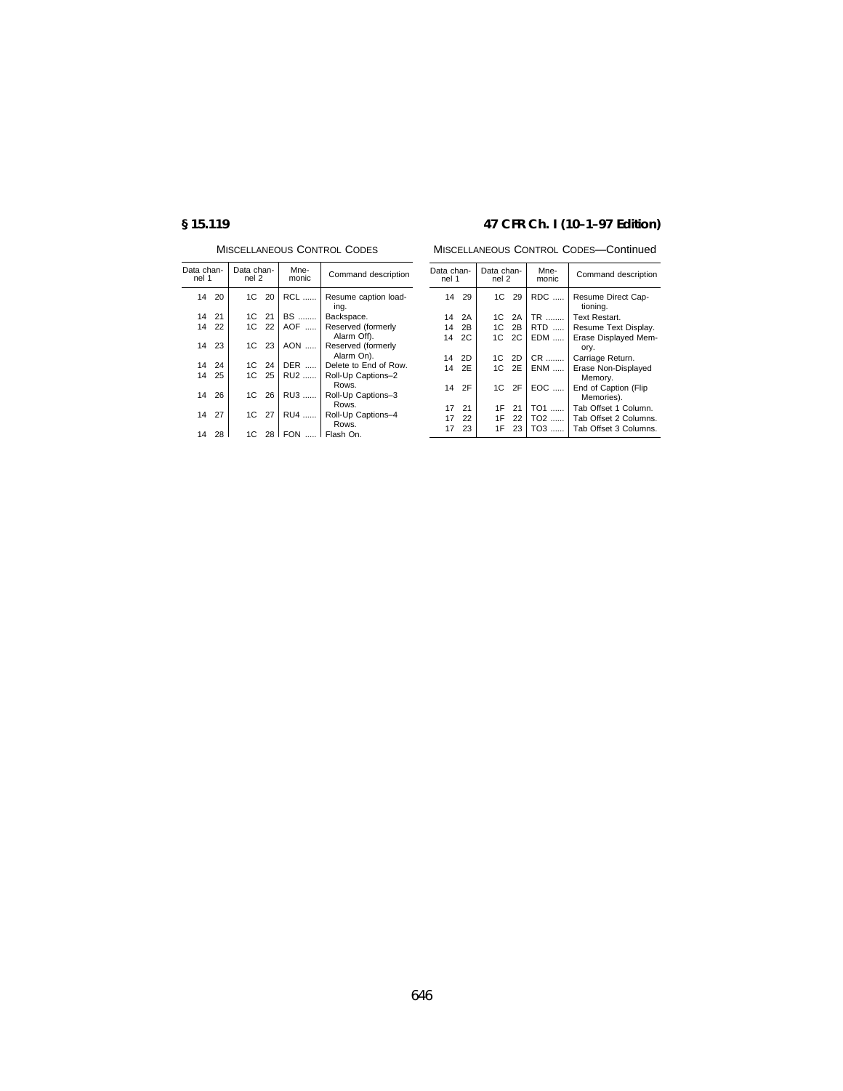# MISCELLANEOUS CONTROL CODES

| Data chan-<br>nel 1 |       | Data chan-<br>nel 2 |       | Mne-<br>monic | Command description               |
|---------------------|-------|---------------------|-------|---------------|-----------------------------------|
| 14                  | 20    |                     | 1C 20 | <b>RCL</b>    | Resume caption load-<br>ing.      |
| 14                  | 21    | 1C 21               |       | <b>BS</b>     | Backspace.                        |
| 14                  | 22    |                     | 1C 22 | AOF           | Reserved (formerly<br>Alarm Off). |
| 14                  | 23    |                     | 1C 23 | <b>AON</b>    | Reserved (formerly<br>Alarm On).  |
| 14                  | 24    |                     | 1C 24 | <b>DER</b>    | Delete to End of Row.             |
| 14                  | 25    | 1C                  | - 25  | RU2           | Roll-Up Captions-2<br>Rows.       |
| 14                  | 26    |                     | 1C 26 | RU3           | Roll-Up Captions-3<br>Rows.       |
|                     | 14 27 | 1C 27               |       | RU4           | Roll-Up Captions-4<br>Rows.       |
| 14                  | 28    |                     | 1C 28 | <b>FON</b>    | Flash On.                         |

# **§ 15.119 47 CFR Ch. I (10–1–97 Edition)**

MISCELLANEOUS CONTROL CODES—Continued

| Data chan-<br>nel 1 |       | Data chan-<br>nel 2 |       | Mne-<br>monic   | Command description                |
|---------------------|-------|---------------------|-------|-----------------|------------------------------------|
| 14                  | 29    | 1C                  | 29    | $RDC$           | Resume Direct Cap-<br>tioning.     |
| 14                  | 2A    |                     | 1C 2A | <b>TR</b>       | Text Restart.                      |
| 14                  | 2B    | 1C 2B               |       | RTD             | Resume Text Display.               |
| 14                  | - 2C  | 1C 2C               |       | EDM             | Erase Displayed Mem-<br>ory.       |
| 14                  | 2D    | 1C 2D               |       | $CR$            | Carriage Return.                   |
| 14                  | - 2E  | 1C 2E               |       | $ENM$           | Erase Non-Displayed<br>Memory.     |
|                     | 14 2F |                     | 1C 2F | $EOC$           | End of Caption (Flip<br>Memories). |
| 17                  | 21    | 1F                  | 21    | TO1             | Tab Offset 1 Column.               |
| 17                  | 22    | 1F                  | 22    | TO <sub>2</sub> | Tab Offset 2 Columns.              |
| 17                  | 23    | 1F                  | 23    | тоз             | Tab Offset 3 Columns.              |
|                     |       |                     |       |                 |                                    |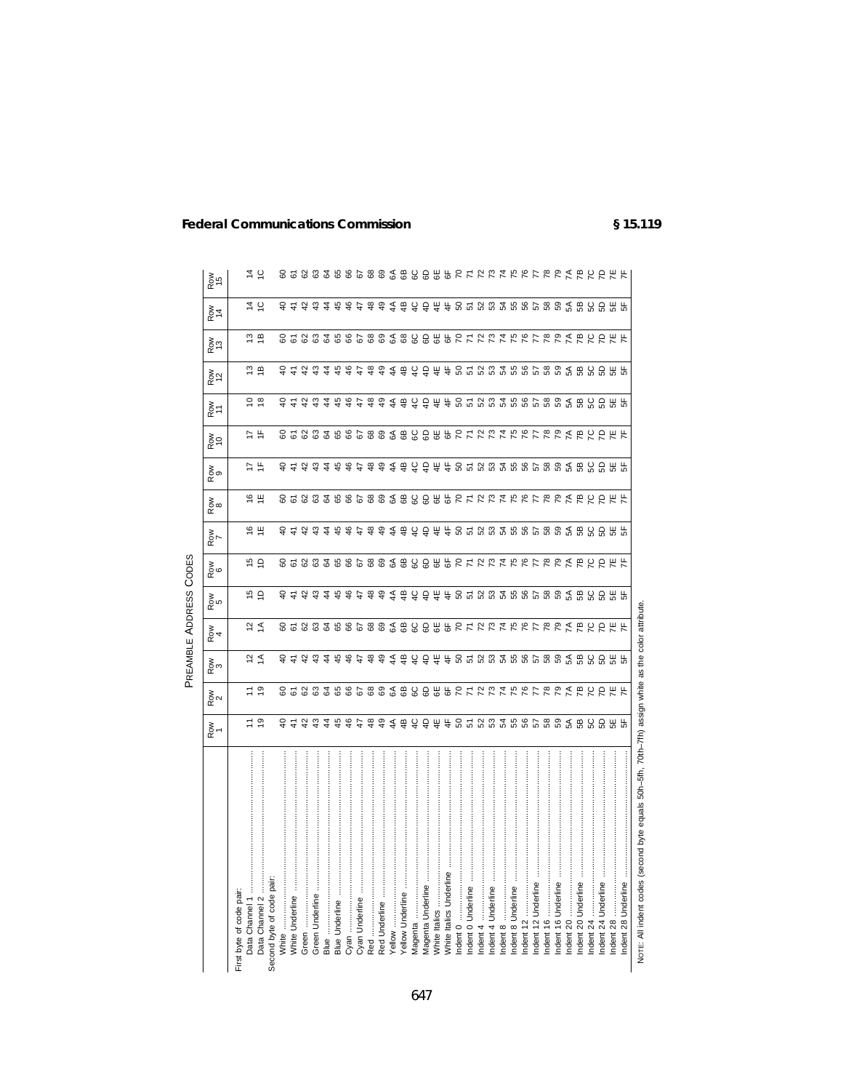|                          | $R_{\text{OW}}$ | $R_{\text{QW}}^{\text{sw}}$   | Row<br>C                              | $R_{\text{OW}}$                        | Row<br>5      | Row<br>6                              | Row<br>7          | Row<br>8                              | Row<br>0                   | Row<br>10                         | $\frac{8}{5}$ | Row<br>12                                                                                                                                                                                                                                                                                                                                                                                                                                                                                                                                                                                                                                                                                                                                                                                                                                                                                                                                                                                                                                                                                                                                                                                                                                                                                                                                                                                                                                                                                                                                                                                                                                                                                                                                                                                                                                                                                                                                                                                                                                                                                                                                                                                                                                                                                                                                                                                                                                        | Row<br>13                               | $R_{\text{0}}^{\text{N}}$ | Row<br>15                        |
|--------------------------|-----------------|-------------------------------|---------------------------------------|----------------------------------------|---------------|---------------------------------------|-------------------|---------------------------------------|----------------------------|-----------------------------------|---------------|--------------------------------------------------------------------------------------------------------------------------------------------------------------------------------------------------------------------------------------------------------------------------------------------------------------------------------------------------------------------------------------------------------------------------------------------------------------------------------------------------------------------------------------------------------------------------------------------------------------------------------------------------------------------------------------------------------------------------------------------------------------------------------------------------------------------------------------------------------------------------------------------------------------------------------------------------------------------------------------------------------------------------------------------------------------------------------------------------------------------------------------------------------------------------------------------------------------------------------------------------------------------------------------------------------------------------------------------------------------------------------------------------------------------------------------------------------------------------------------------------------------------------------------------------------------------------------------------------------------------------------------------------------------------------------------------------------------------------------------------------------------------------------------------------------------------------------------------------------------------------------------------------------------------------------------------------------------------------------------------------------------------------------------------------------------------------------------------------------------------------------------------------------------------------------------------------------------------------------------------------------------------------------------------------------------------------------------------------------------------------------------------------------------------------------------------------|-----------------------------------------|---------------------------|----------------------------------|
| First byte of code pair  |                 |                               |                                       |                                        |               |                                       |                   |                                       |                            |                                   |               |                                                                                                                                                                                                                                                                                                                                                                                                                                                                                                                                                                                                                                                                                                                                                                                                                                                                                                                                                                                                                                                                                                                                                                                                                                                                                                                                                                                                                                                                                                                                                                                                                                                                                                                                                                                                                                                                                                                                                                                                                                                                                                                                                                                                                                                                                                                                                                                                                                                  |                                         |                           |                                  |
| Data Channel 1           | $\frac{6}{7}$   | $= 5$                         | $\approx$ $\leq$                      | $\frac{2}{5}$                          | $\frac{6}{5}$ | e e                                   | $\stackrel{6}{=}$ | ćπ                                    | ミニ                         | 누 누                               | = ಇ           | ی م                                                                                                                                                                                                                                                                                                                                                                                                                                                                                                                                                                                                                                                                                                                                                                                                                                                                                                                                                                                                                                                                                                                                                                                                                                                                                                                                                                                                                                                                                                                                                                                                                                                                                                                                                                                                                                                                                                                                                                                                                                                                                                                                                                                                                                                                                                                                                                                                                                              | ള ഇ                                     | $rac{1}{4}$               | さう                               |
| Data Channel 2           |                 |                               |                                       |                                        |               |                                       |                   |                                       |                            |                                   |               |                                                                                                                                                                                                                                                                                                                                                                                                                                                                                                                                                                                                                                                                                                                                                                                                                                                                                                                                                                                                                                                                                                                                                                                                                                                                                                                                                                                                                                                                                                                                                                                                                                                                                                                                                                                                                                                                                                                                                                                                                                                                                                                                                                                                                                                                                                                                                                                                                                                  |                                         |                           |                                  |
| Second byte of code pair |                 |                               |                                       |                                        |               |                                       |                   |                                       |                            |                                   |               |                                                                                                                                                                                                                                                                                                                                                                                                                                                                                                                                                                                                                                                                                                                                                                                                                                                                                                                                                                                                                                                                                                                                                                                                                                                                                                                                                                                                                                                                                                                                                                                                                                                                                                                                                                                                                                                                                                                                                                                                                                                                                                                                                                                                                                                                                                                                                                                                                                                  |                                         |                           |                                  |
|                          |                 |                               |                                       |                                        |               |                                       |                   |                                       |                            |                                   |               |                                                                                                                                                                                                                                                                                                                                                                                                                                                                                                                                                                                                                                                                                                                                                                                                                                                                                                                                                                                                                                                                                                                                                                                                                                                                                                                                                                                                                                                                                                                                                                                                                                                                                                                                                                                                                                                                                                                                                                                                                                                                                                                                                                                                                                                                                                                                                                                                                                                  |                                         |                           |                                  |
| White Underline          | 순 순             |                               | 유 <i>근</i>                            |                                        | के स          |                                       | 42                |                                       | के स                       |                                   | 승 순           | 승 순                                                                                                                                                                                                                                                                                                                                                                                                                                                                                                                                                                                                                                                                                                                                                                                                                                                                                                                                                                                                                                                                                                                                                                                                                                                                                                                                                                                                                                                                                                                                                                                                                                                                                                                                                                                                                                                                                                                                                                                                                                                                                                                                                                                                                                                                                                                                                                                                                                              |                                         | さき                        |                                  |
| Green                    |                 |                               | $\ddot{a}$                            |                                        |               |                                       |                   |                                       | 42                         |                                   | $\ddot{ }$    | #                                                                                                                                                                                                                                                                                                                                                                                                                                                                                                                                                                                                                                                                                                                                                                                                                                                                                                                                                                                                                                                                                                                                                                                                                                                                                                                                                                                                                                                                                                                                                                                                                                                                                                                                                                                                                                                                                                                                                                                                                                                                                                                                                                                                                                                                                                                                                                                                                                                |                                         |                           |                                  |
| Green Underline          |                 |                               | $\frac{3}{4}$                         |                                        |               |                                       |                   |                                       | $\boldsymbol{\mathcal{L}}$ |                                   | ₽             | ₽                                                                                                                                                                                                                                                                                                                                                                                                                                                                                                                                                                                                                                                                                                                                                                                                                                                                                                                                                                                                                                                                                                                                                                                                                                                                                                                                                                                                                                                                                                                                                                                                                                                                                                                                                                                                                                                                                                                                                                                                                                                                                                                                                                                                                                                                                                                                                                                                                                                |                                         |                           |                                  |
|                          |                 |                               | $\ddot{a}$                            |                                        |               |                                       |                   |                                       | $\ddot{4}$                 |                                   | $\ddot{4}$    | $\ddot{4}$                                                                                                                                                                                                                                                                                                                                                                                                                                                                                                                                                                                                                                                                                                                                                                                                                                                                                                                                                                                                                                                                                                                                                                                                                                                                                                                                                                                                                                                                                                                                                                                                                                                                                                                                                                                                                                                                                                                                                                                                                                                                                                                                                                                                                                                                                                                                                                                                                                       |                                         |                           |                                  |
| <b>Blue Underline</b>    | 3337887         | 65883886588668698567777767787 |                                       | 85888888888888988557777787587874700000 | 3337887       | 9588888868886898858727272727272727272 |                   | 8588888868868888885777777878787482988 |                            | 86888888688868898年522222222222223 | 45            |                                                                                                                                                                                                                                                                                                                                                                                                                                                                                                                                                                                                                                                                                                                                                                                                                                                                                                                                                                                                                                                                                                                                                                                                                                                                                                                                                                                                                                                                                                                                                                                                                                                                                                                                                                                                                                                                                                                                                                                                                                                                                                                                                                                                                                                                                                                                                                                                                                                  | 868888868888889885727272727272782482988 | 777797                    | 86888888688689898567222287287878 |
|                          |                 |                               | 48                                    |                                        |               |                                       |                   |                                       | 45                         |                                   | $\frac{6}{5}$ | 45                                                                                                                                                                                                                                                                                                                                                                                                                                                                                                                                                                                                                                                                                                                                                                                                                                                                                                                                                                                                                                                                                                                                                                                                                                                                                                                                                                                                                                                                                                                                                                                                                                                                                                                                                                                                                                                                                                                                                                                                                                                                                                                                                                                                                                                                                                                                                                                                                                               |                                         |                           |                                  |
| Cyan Underline           |                 |                               | 47                                    |                                        |               |                                       |                   |                                       | 47                         |                                   | $\ddot{t}$    | $\ddot{r}$                                                                                                                                                                                                                                                                                                                                                                                                                                                                                                                                                                                                                                                                                                                                                                                                                                                                                                                                                                                                                                                                                                                                                                                                                                                                                                                                                                                                                                                                                                                                                                                                                                                                                                                                                                                                                                                                                                                                                                                                                                                                                                                                                                                                                                                                                                                                                                                                                                       |                                         |                           |                                  |
|                          |                 |                               | $\frac{3}{4}$                         |                                        |               |                                       |                   |                                       | 48                         |                                   | $\frac{8}{4}$ |                                                                                                                                                                                                                                                                                                                                                                                                                                                                                                                                                                                                                                                                                                                                                                                                                                                                                                                                                                                                                                                                                                                                                                                                                                                                                                                                                                                                                                                                                                                                                                                                                                                                                                                                                                                                                                                                                                                                                                                                                                                                                                                                                                                                                                                                                                                                                                                                                                                  |                                         |                           |                                  |
| Red Underline            |                 |                               | $\overline{a}$                        |                                        |               |                                       |                   |                                       | $^{49}$                    |                                   |               | 유 유                                                                                                                                                                                                                                                                                                                                                                                                                                                                                                                                                                                                                                                                                                                                                                                                                                                                                                                                                                                                                                                                                                                                                                                                                                                                                                                                                                                                                                                                                                                                                                                                                                                                                                                                                                                                                                                                                                                                                                                                                                                                                                                                                                                                                                                                                                                                                                                                                                              |                                         |                           |                                  |
| Yellow                   |                 |                               |                                       |                                        |               |                                       |                   |                                       | $\widetilde{+}$            |                                   |               |                                                                                                                                                                                                                                                                                                                                                                                                                                                                                                                                                                                                                                                                                                                                                                                                                                                                                                                                                                                                                                                                                                                                                                                                                                                                                                                                                                                                                                                                                                                                                                                                                                                                                                                                                                                                                                                                                                                                                                                                                                                                                                                                                                                                                                                                                                                                                                                                                                                  |                                         |                           |                                  |
| Yellow Underline         |                 |                               |                                       |                                        |               |                                       |                   |                                       |                            |                                   |               | 4835                                                                                                                                                                                                                                                                                                                                                                                                                                                                                                                                                                                                                                                                                                                                                                                                                                                                                                                                                                                                                                                                                                                                                                                                                                                                                                                                                                                                                                                                                                                                                                                                                                                                                                                                                                                                                                                                                                                                                                                                                                                                                                                                                                                                                                                                                                                                                                                                                                             |                                         |                           |                                  |
| Magenta                  |                 |                               |                                       |                                        |               |                                       |                   |                                       | 454                        |                                   |               |                                                                                                                                                                                                                                                                                                                                                                                                                                                                                                                                                                                                                                                                                                                                                                                                                                                                                                                                                                                                                                                                                                                                                                                                                                                                                                                                                                                                                                                                                                                                                                                                                                                                                                                                                                                                                                                                                                                                                                                                                                                                                                                                                                                                                                                                                                                                                                                                                                                  |                                         |                           |                                  |
| Magenta Underline        |                 |                               |                                       |                                        |               |                                       |                   |                                       |                            |                                   |               |                                                                                                                                                                                                                                                                                                                                                                                                                                                                                                                                                                                                                                                                                                                                                                                                                                                                                                                                                                                                                                                                                                                                                                                                                                                                                                                                                                                                                                                                                                                                                                                                                                                                                                                                                                                                                                                                                                                                                                                                                                                                                                                                                                                                                                                                                                                                                                                                                                                  |                                         |                           |                                  |
| White Italics            |                 |                               |                                       |                                        |               |                                       |                   |                                       |                            |                                   |               |                                                                                                                                                                                                                                                                                                                                                                                                                                                                                                                                                                                                                                                                                                                                                                                                                                                                                                                                                                                                                                                                                                                                                                                                                                                                                                                                                                                                                                                                                                                                                                                                                                                                                                                                                                                                                                                                                                                                                                                                                                                                                                                                                                                                                                                                                                                                                                                                                                                  |                                         |                           |                                  |
| White Italics Underline  |                 |                               |                                       |                                        |               |                                       |                   |                                       |                            |                                   |               |                                                                                                                                                                                                                                                                                                                                                                                                                                                                                                                                                                                                                                                                                                                                                                                                                                                                                                                                                                                                                                                                                                                                                                                                                                                                                                                                                                                                                                                                                                                                                                                                                                                                                                                                                                                                                                                                                                                                                                                                                                                                                                                                                                                                                                                                                                                                                                                                                                                  |                                         |                           |                                  |
| Indent 0                 |                 |                               |                                       |                                        |               |                                       |                   |                                       |                            |                                   |               |                                                                                                                                                                                                                                                                                                                                                                                                                                                                                                                                                                                                                                                                                                                                                                                                                                                                                                                                                                                                                                                                                                                                                                                                                                                                                                                                                                                                                                                                                                                                                                                                                                                                                                                                                                                                                                                                                                                                                                                                                                                                                                                                                                                                                                                                                                                                                                                                                                                  |                                         |                           |                                  |
| Indent 0 Underline       |                 |                               |                                       |                                        |               |                                       |                   |                                       |                            |                                   |               |                                                                                                                                                                                                                                                                                                                                                                                                                                                                                                                                                                                                                                                                                                                                                                                                                                                                                                                                                                                                                                                                                                                                                                                                                                                                                                                                                                                                                                                                                                                                                                                                                                                                                                                                                                                                                                                                                                                                                                                                                                                                                                                                                                                                                                                                                                                                                                                                                                                  |                                         |                           |                                  |
|                          |                 |                               |                                       |                                        |               |                                       |                   |                                       |                            |                                   |               |                                                                                                                                                                                                                                                                                                                                                                                                                                                                                                                                                                                                                                                                                                                                                                                                                                                                                                                                                                                                                                                                                                                                                                                                                                                                                                                                                                                                                                                                                                                                                                                                                                                                                                                                                                                                                                                                                                                                                                                                                                                                                                                                                                                                                                                                                                                                                                                                                                                  |                                         |                           |                                  |
| Indent 4 Underline       |                 |                               | 4 8 9 9 9 9 3 6 8 8 8 8 8 8 8 8 8 8 8 |                                        |               |                                       |                   |                                       | ##8588388658858988#        |                                   |               | ##8588388588\$\$\$\$&#</td><td></td><td></td><td></td></tr><tr><td>Indent 8 </td><td></td><td></td><td></td><td></td><td></td><td></td><td></td><td></td><td></td><td></td><td></td><td></td><td></td><td></td><td></td></tr><tr><td>Indent 8 Underline</td><td></td><td></td><td></td><td></td><td></td><td></td><td></td><td></td><td></td><td></td><td></td><td></td><td></td><td></td><td></td></tr><tr><td>Indent<sub>12</sub></td><td></td><td></td><td></td><td></td><td></td><td></td><td></td><td></td><td></td><td></td><td></td><td></td><td></td><td></td><td></td></tr><tr><td>Indent 12 Underline</td><td></td><td></td><td></td><td></td><td></td><td></td><td></td><td></td><td></td><td></td><td></td><td></td><td></td><td></td><td></td></tr><tr><td>Indent 16 </td><td></td><td></td><td></td><td></td><td></td><td></td><td></td><td></td><td></td><td></td><td></td><td></td><td></td><td></td><td></td></tr><tr><td>Indent 16 Underline</td><td></td><td></td><td></td><td></td><td></td><td></td><td></td><td></td><td></td><td></td><td></td><td></td><td></td><td></td><td></td></tr><tr><td>Indent 20</td><td></td><td></td><td></td><td></td><td></td><td></td><td></td><td></td><td></td><td></td><td></td><td></td><td></td><td></td><td></td></tr><tr><td>Indent 20 Underline</td><td></td><td></td><td></td><td></td><td></td><td></td><td></td><td></td><td></td><td></td><td></td><td></td><td></td><td></td><td></td></tr><tr><td>Indent 24</td><td></td><td></td><td></td><td></td><td></td><td></td><td></td><td></td><td></td><td></td><td></td><td></td><td></td><td></td><td></td></tr><tr><td>Indent 24 Underline</td><td></td><td></td><td></td><td></td><td></td><td></td><td></td><td></td><td></td><td></td><td></td><td></td><td></td><td></td><td></td></tr><tr><td></td><td></td><td><b>R S B F F</b></td><td>88885</td><td></td><td></td><td></td><td></td><td></td><td></td><td></td><td></td><td></td><td></td><td></td><td></td></tr><tr><td>Indent 28 Underline</td><td></td><td></td><td></td><td></td><td></td><td></td><td></td><td></td><td></td><td></td><td></td><td></td><td></td><td></td><td></td></tr><tr><td>NOTE: All indent codes (second byte equals 50h-5fh, 70th-7fh) assign white as the color attribute.</td><td></td><td></td><td></td><td></td><td></td><td></td><td></td><td></td><td></td><td></td><td></td><td></td><td></td><td></td><td></td></tr></tbody></table> |                                         |                           |                                  |

PREAMBLE

ADDRESS

CODES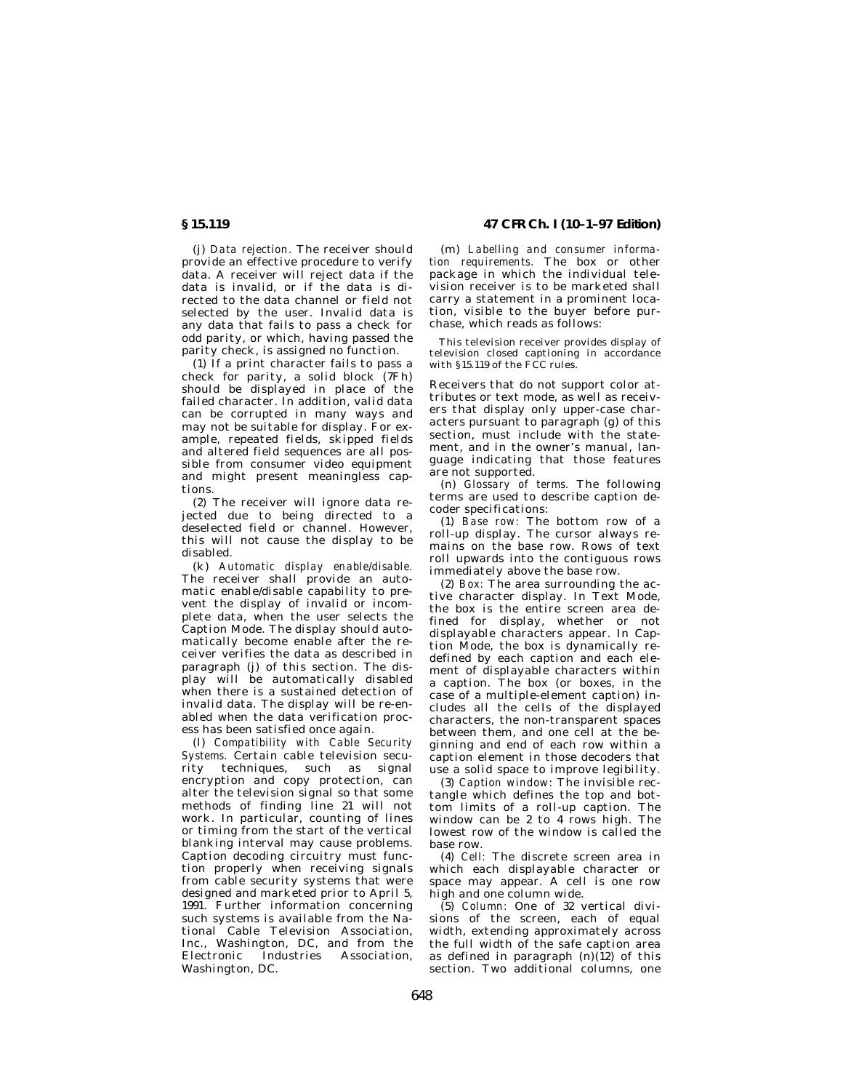(j) *Data rejection.* The receiver should provide an effective procedure to verify data. A receiver will reject data if the data is invalid, or if the data is directed to the data channel or field not selected by the user. Invalid data is any data that fails to pass a check for odd parity, or which, having passed the parity check, is assigned no function.

(1) If a print character fails to pass a check for parity, a solid block (7Fh) should be displayed in place of the failed character. In addition, valid data can be corrupted in many ways and may not be suitable for display. For example, repeated fields, skipped fields and altered field sequences are all possible from consumer video equipment and might present meaningless captions.

(2) The receiver will ignore data rejected due to being directed to a deselected field or channel. However, this will not cause the display to be disabled.

(k) *Automatic display enable/disable.* The receiver shall provide an automatic enable/disable capability to prevent the display of invalid or incomplete data, when the user selects the Caption Mode. The display should automatically become enable after the receiver verifies the data as described in paragraph (j) of this section. The display will be automatically disabled when there is a sustained detection of invalid data. The display will be re-enabled when the data verification process has been satisfied once again.

(l) *Compatibility with Cable Security Systems.* Certain cable television security techniques, such as signal encryption and copy protection, can alter the television signal so that some methods of finding line 21 will not work. In particular, counting of lines or timing from the start of the vertical blanking interval may cause problems. Caption decoding circuitry must function properly when receiving signals from cable security systems that were designed and marketed prior to April 5, 1991. Further information concerning such systems is available from the National Cable Television Association, Inc., Washington, DC, and from the Electronic Industries Association, Washington, DC.

**§ 15.119 47 CFR Ch. I (10–1–97 Edition)**

(m) *Labelling and consumer information requirements.* The box or other package in which the individual tele-.<br>vision receiver is to be marketed shall carry a statement in a prominent location, visible to the buyer before purchase, which reads as follows:

This television receiver provides display of television closed captioning in accordance with §15.119 of the  $\overrightarrow{FCC}$  rules.

Receivers that do not support color attributes or text mode, as well as receivers that display only upper-case characters pursuant to paragraph (g) of this section, must include with the statement, and in the owner's manual, language indicating that those features are not supported.

(n) *Glossary of terms.* The following terms are used to describe caption decoder specifications:

(1) *Base row:* The bottom row of a roll-up display. The cursor always remains on the base row. Rows of text roll upwards into the contiguous rows immediately above the base row.

(2) *Box:* The area surrounding the active character display. In Text Mode, the box is the entire screen area defined for display, whether or not displayable characters appear. In Caption Mode, the box is dynamically redefined by each caption and each element of displayable characters within a caption. The box (or boxes, in the case of a multiple-element caption) includes all the cells of the displayed characters, the non-transparent spaces between them, and one cell at the beginning and end of each row within a caption element in those decoders that use a solid space to improve legibility.

(3) *Caption window:* The invisible rectangle which defines the top and bottom limits of a roll-up caption. The window can be 2 to 4 rows high. The lowest row of the window is called the base row.

(4) *Cell:* The discrete screen area in which each displayable character or space may appear. A cell is one row high and one column wide.

(5) *Column:* One of 32 vertical divisions of the screen, each of equal width, extending approximately across the full width of the safe caption area as defined in paragraph  $(n)(12)$  of this section. Two additional columns, one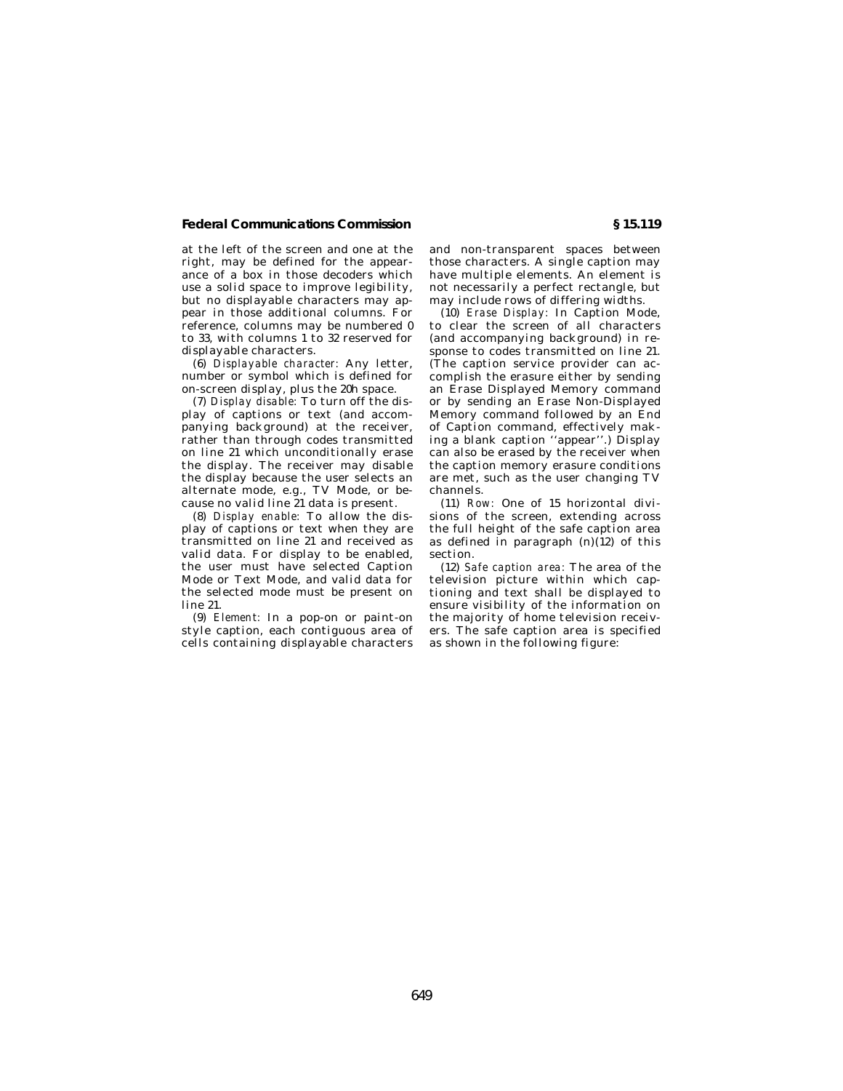at the left of the screen and one at the right, may be defined for the appearance of a box in those decoders which use a solid space to improve legibility, but no displayable characters may appear in those additional columns. For reference, columns may be numbered 0 to 33, with columns 1 to 32 reserved for displayable characters.

(6) *Displayable character:* Any letter, number or symbol which is defined for on-screen display, plus the 20h space.

(7) *Display disable:* To turn off the display of captions or text (and accompanying background) at the receiver, rather than through codes transmitted on line 21 which unconditionally erase the display. The receiver may disable the display because the user selects an alternate mode, e.g., TV Mode, or because no valid line 21 data is present.

(8) *Display enable:* To allow the display of captions or text when they are transmitted on line 21 and received as valid data. For display to be enabled, the user must have selected Caption Mode or Text Mode, and valid data for the selected mode must be present on line 21.

(9) *Element:* In a pop-on or paint-on style caption, each contiguous area of cells containing displayable characters and non-transparent spaces between those characters. A single caption may have multiple elements. An element is not necessarily a perfect rectangle, but may include rows of differing widths.

(10) *Erase Display:* In Caption Mode, to clear the screen of all characters (and accompanying background) in response to codes transmitted on line 21. (The caption service provider can accomplish the erasure either by sending an Erase Displayed Memory command or by sending an Erase Non-Displayed Memory command followed by an End of Caption command, effectively making a blank caption ''appear''.) Display can also be erased by the receiver when the caption memory erasure conditions are met, such as the user changing TV channels.

(11) *Row:* One of 15 horizontal divisions of the screen, extending across the full height of the safe caption area as defined in paragraph  $(n)(12)$  of this section.

(12) *Safe caption area:* The area of the television picture within which captioning and text shall be displayed to ensure visibility of the information on the majority of home television receivers. The safe caption area is specified as shown in the following figure: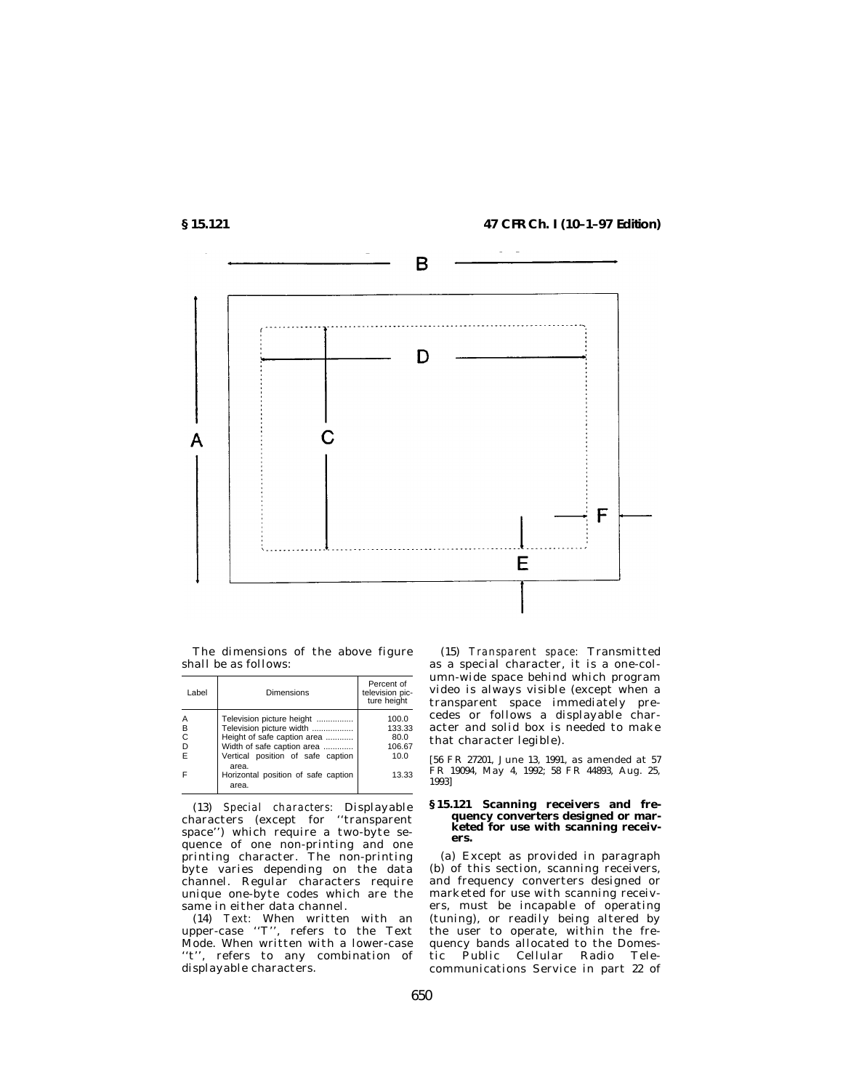

## **§ 15.121 47 CFR Ch. I (10–1–97 Edition)**



The dimensions of the above figure shall be as follows:

| television pic-<br>ture height                                                                                                                                                                 |
|------------------------------------------------------------------------------------------------------------------------------------------------------------------------------------------------|
| 100.0<br>133.33<br>80.0<br>106.67<br>10.0<br>13.33                                                                                                                                             |
| Television picture height<br>Television picture width<br>Height of safe caption area<br>Width of safe caption area<br>Vertical position of safe caption<br>Horizontal position of safe caption |

(13) *Special characters:* Displayable characters (except for ''transparent space'') which require a two-byte sequence of one non-printing and one printing character. The non-printing byte varies depending on the data channel. Regular characters require unique one-byte codes which are the same in either data channel.

(14) *Text:* When written with an upper-case ''T'', refers to the Text Mode. When written with a lower-case ''t'', refers to any combination of displayable characters.

(15) *Transparent space:* Transmitted as a special character, it is a one-column-wide space behind which program video is always visible (except when a transparent space immediately precedes or follows a displayable character and solid box is needed to make that character legible).

[56 FR 27201, June 13, 1991, as amended at 57 FR 19094, May 4, 1992; 58 FR 44893, Aug. 25, 1993]

#### **§ 15.121 Scanning receivers and frequency converters designed or marketed for use with scanning receivers.**

(a) Except as provided in paragraph (b) of this section, scanning receivers, and frequency converters designed or marketed for use with scanning receivers, must be incapable of operating (tuning), or readily being altered by the user to operate, within the frequency bands allocated to the Domestic Public Cellular Radio Telecommunications Service in part 22 of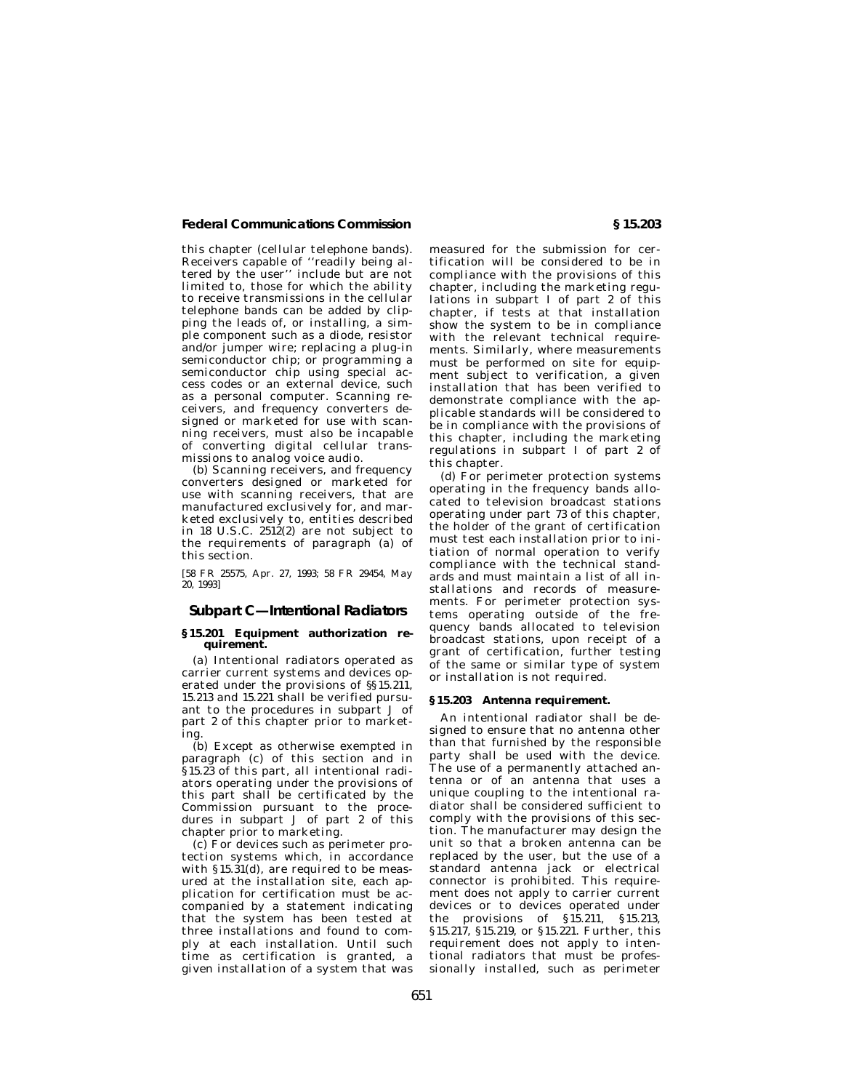this chapter (cellular telephone bands). Receivers capable of ''readily being altered by the user'' include but are not limited to, those for which the ability to receive transmissions in the cellular telephone bands can be added by clipping the leads of, or installing, a simple component such as a diode, resistor and/or jumper wire; replacing a plug-in semiconductor chip; or programming a semiconductor chip using special access codes or an external device, such as a personal computer. Scanning receivers, and frequency converters designed or marketed for use with scanning receivers, must also be incapable of converting digital cellular transmissions to analog voice audio.

(b) Scanning receivers, and frequency converters designed or marketed for use with scanning receivers, that are manufactured exclusively for, and marketed exclusively to, entities described in 18 U.S.C.  $251\overline{2}(2)$  are not subject to the requirements of paragraph (a) of this section.

[58 FR 25575, Apr. 27, 1993; 58 FR 29454, May 20, 1993]

## **Subpart C—Intentional Radiators**

## **§ 15.201 Equipment authorization requirement.**

(a) Intentional radiators operated as carrier current systems and devices operated under the provisions of §§ 15.211, 15.213 and 15.221 shall be verified pursuant to the procedures in subpart J of part 2 of this chapter prior to marketing.

(b) Except as otherwise exempted in paragraph (c) of this section and in § 15.23 of this part, all intentional radiators operating under the provisions of this part shall be certificated by the Commission pursuant to the procedures in subpart J of part 2 of this chapter prior to marketing.

(c) For devices such as perimeter protection systems which, in accordance with  $§ 15.\overline{3}1(d)$ , are required to be measured at the installation site, each application for certification must be accompanied by a statement indicating that the system has been tested at three installations and found to comply at each installation. Until such time as certification is granted, a given installation of a system that was

measured for the submission for certification will be considered to be in compliance with the provisions of this chapter, including the marketing regulations in subpart I of part 2 of this chapter, if tests at that installation show the system to be in compliance with the relevant technical requirements. Similarly, where measurements must be performed on site for equipment subject to verification, a given installation that has been verified to demonstrate compliance with the applicable standards will be considered to be in compliance with the provisions of this chapter, including the marketing regulations in subpart I of part 2 of this chapter.

(d) For perimeter protection systems operating in the frequency bands allocated to television broadcast stations operating under part 73 of this chapter, the holder of the grant of certification must test each installation prior to initiation of normal operation to verify compliance with the technical standards and must maintain a list of all installations and records of measurements. For perimeter protection systems operating outside of the frequency bands allocated to television broadcast stations, upon receipt of a grant of certification, further testing of the same or similar type of system or installation is not required.

### **§ 15.203 Antenna requirement.**

An intentional radiator shall be designed to ensure that no antenna other than that furnished by the responsible party shall be used with the device. The use of a permanently attached antenna or of an antenna that uses a unique coupling to the intentional radiator shall be considered sufficient to comply with the provisions of this section. The manufacturer may design the unit so that a broken antenna can be replaced by the user, but the use of a standard antenna jack or electrical connector is prohibited. This requirement does not apply to carrier current devices or to devices operated under the provisions of § 15.211, § 15.213, § 15.217, § 15.219, or § 15.221. Further, this requirement does not apply to intentional radiators that must be professionally installed, such as perimeter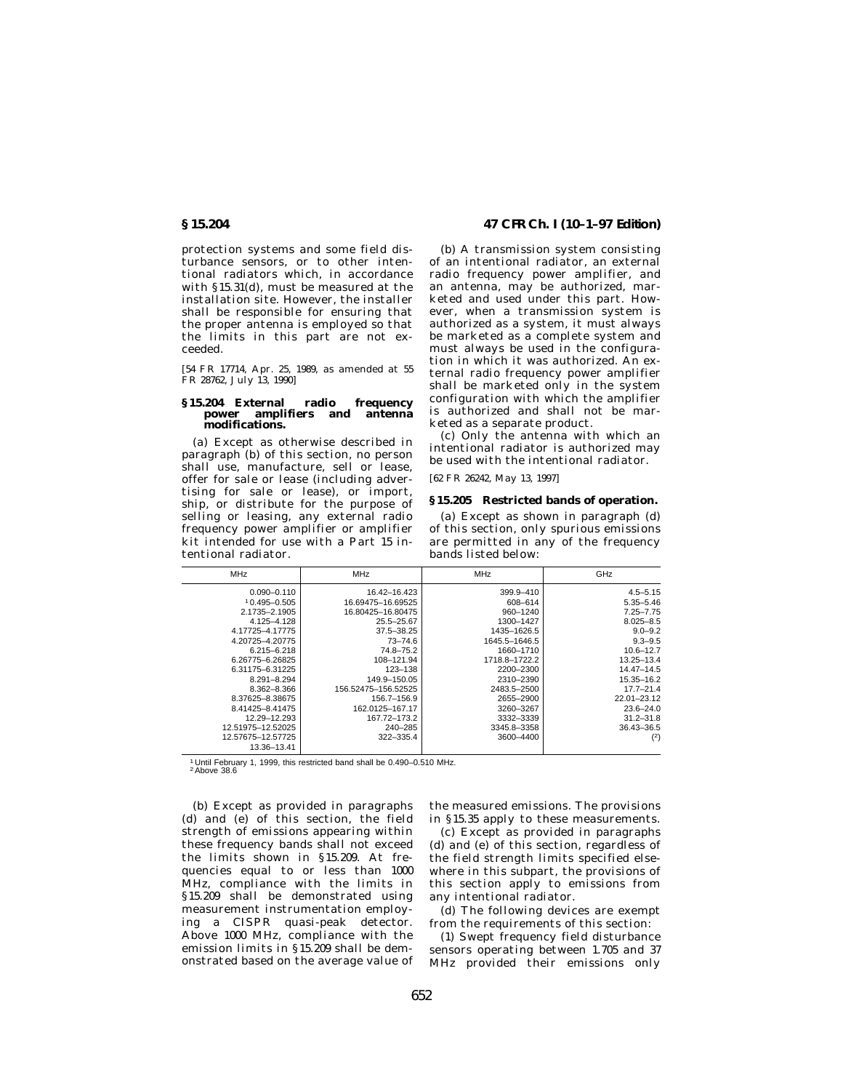protection systems and some field disturbance sensors, or to other intentional radiators which, in accordance with § 15.31(d), must be measured at the installation site. However, the installer shall be responsible for ensuring that the proper antenna is employed so that the limits in this part are not exceeded.

[54 FR 17714, Apr. 25, 1989, as amended at 55 FR 28762, July 13, 1990]

#### **§ 15.204 External radio frequency power** amplifiers **modifications.**

(a) Except as otherwise described in paragraph (b) of this section, no person shall use, manufacture, sell or lease, offer for sale or lease (including advertising for sale or lease), or import, ship, or distribute for the purpose of selling or leasing, any external radio frequency power amplifier or amplifier kit intended for use with a Part 15 intentional radiator.

## **§ 15.204 47 CFR Ch. I (10–1–97 Edition)**

(b) A transmission system consisting of an intentional radiator, an external radio frequency power amplifier, and an antenna, may be authorized, marketed and used under this part. However, when a transmission system is authorized as a system, it must always be marketed as a complete system and must always be used in the configuration in which it was authorized. An external radio frequency power amplifier shall be marketed only in the system configuration with which the amplifier is authorized and shall not be marketed as a separate product.

(c) Only the antenna with which an intentional radiator is authorized may be used with the intentional radiator.

[62 FR 26242, May 13, 1997]

#### **§ 15.205 Restricted bands of operation.**

(a) Except as shown in paragraph (d) of this section, only spurious emissions are permitted in any of the frequency bands listed below:

| <b>MHz</b>        | <b>MHz</b>          | <b>MHz</b>    | GHz           |
|-------------------|---------------------|---------------|---------------|
| $0.090 - 0.110$   | 16.42-16.423        | 399.9-410     | $4.5 - 5.15$  |
| 10.495-0.505      | 16.69475-16.69525   | 608-614       | $5.35 - 5.46$ |
| 2.1735-2.1905     | 16.80425-16.80475   | 960-1240      | $7.25 - 7.75$ |
| 4.125-4.128       | 25.5-25.67          | 1300-1427     | $8.025 - 8.5$ |
| 4.17725-4.17775   | 37.5-38.25          | 1435-1626.5   | $9.0 - 9.2$   |
| 4.20725-4.20775   | $73 - 74.6$         | 1645.5-1646.5 | $9.3 - 9.5$   |
| $6.215 - 6.218$   | 74.8-75.2           | 1660-1710     | $10.6 - 12.7$ |
| 6.26775-6.26825   | 108-121.94          | 1718.8-1722.2 | 13.25-13.4    |
| 6.31175-6.31225   | 123-138             | 2200-2300     | 14.47-14.5    |
| 8.291-8.294       | 149.9-150.05        | 2310-2390     | 15.35-16.2    |
| 8.362-8.366       | 156.52475-156.52525 | 2483.5-2500   | $17.7 - 21.4$ |
| 8.37625-8.38675   | 156.7-156.9         | 2655-2900     | 22.01-23.12   |
| 8.41425-8.41475   | 162.0125-167.17     | 3260-3267     | $23.6 - 24.0$ |
| 12.29-12.293      | 167.72-173.2        | 3332-3339     | $31.2 - 31.8$ |
| 12.51975-12.52025 | 240-285             | 3345.8-3358   | 36.43-36.5    |
| 12.57675-12.57725 | 322-335.4           | 3600-4400     | (2)           |
| 13.36-13.41       |                     |               |               |

1 Until February 1, 1999, this restricted band shall be 0.490–0.510 MHz. 2Above 38.6

(b) Except as provided in paragraphs (d) and (e) of this section, the field strength of emissions appearing within these frequency bands shall not exceed the limits shown in § 15.209. At frequencies equal to or less than 1000 MHz, compliance with the limits in § 15.209 shall be demonstrated using measurement instrumentation employing a CISPR quasi-peak detector. Above 1000 MHz, compliance with the emission limits in § 15.209 shall be demonstrated based on the average value of

the measured emissions. The provisions in § 15.35 apply to these measurements.

(c) Except as provided in paragraphs (d) and (e) of this section, regardless of the field strength limits specified elsewhere in this subpart, the provisions of this section apply to emissions from any intentional radiator.

(d) The following devices are exempt from the requirements of this section:

(1) Swept frequency field disturbance sensors operating between 1.705 and 37 MHz provided their emissions only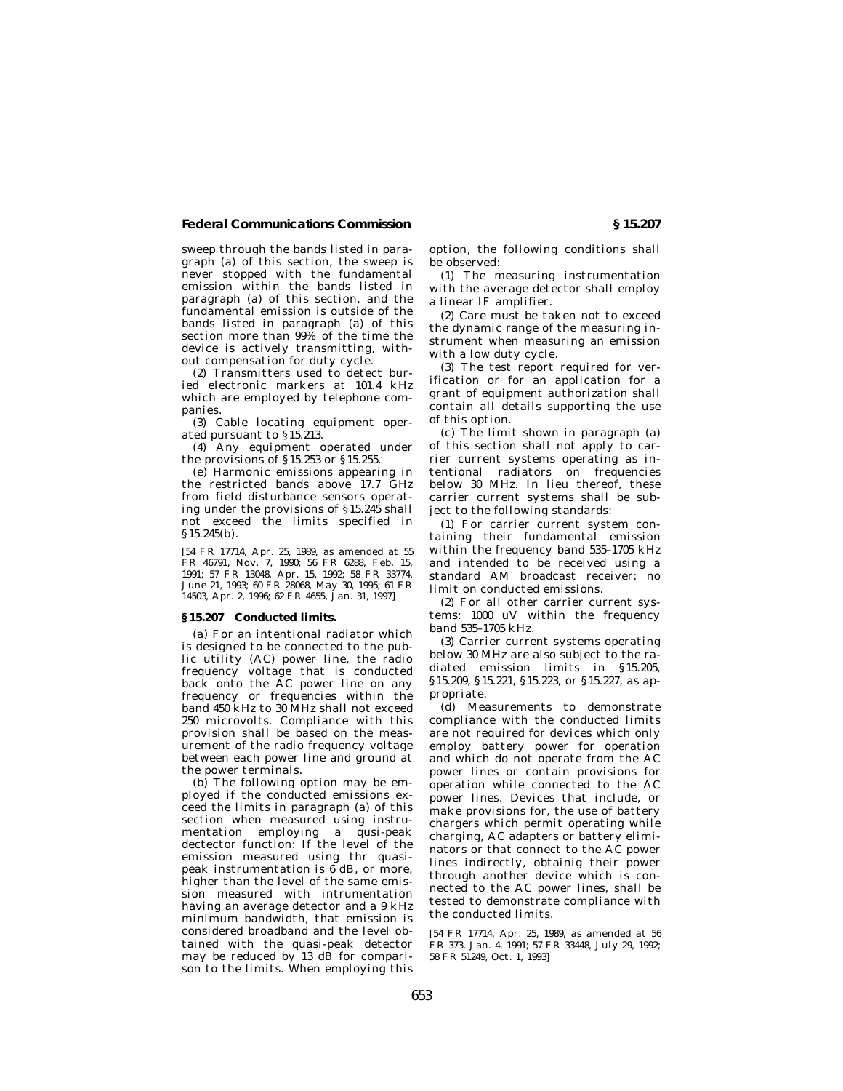sweep through the bands listed in paragraph (a) of this section, the sweep is never stopped with the fundamental emission within the bands listed in paragraph (a) of this section, and the fundamental emission is outside of the bands listed in paragraph (a) of this section more than 99% of the time the device is actively transmitting, without compensation for duty cycle.

(2) Transmitters used to detect buried electronic markers at 101.4 kHz which are employed by telephone companies.

(3) Cable locating equipment operated pursuant to §15.213.

(4) Any equipment operated under the provisions of §15.253 or §15.255.

(e) Harmonic emissions appearing in the restricted bands above 17.7 GHz from field disturbance sensors operating under the provisions of § 15.245 shall not exceed the limits specified in §15.245(b).

[54 FR 17714, Apr. 25, 1989, as amended at 55 FR 46791, Nov. 7, 1990; 56 FR 6288, Feb. 15, 1991; 57 FR 13048, Apr. 15, 1992; 58 FR 33774, June 21, 1993; 60 FR 28068, May 30, 1995; 61 FR 14503, Apr. 2, 1996; 62 FR 4655, Jan. 31, 1997]

#### **§ 15.207 Conducted limits.**

(a) For an intentional radiator which is designed to be connected to the public utility (AC) power line, the radio frequency voltage that is conducted back onto the AC power line on any frequency or frequencies within the band 450 kHz to 30 MHz shall not exceed 250 microvolts. Compliance with this provision shall be based on the measurement of the radio frequency voltage between each power line and ground at the power terminals.

(b) The following option may be employed if the conducted emissions exceed the limits in paragraph (a) of this section when measured using instrumentation employing a qusi-peak dectector function: If the level of the emission measured using thr quasipeak instrumentation is 6 dB, or more, higher than the level of the same emission measured with intrumentation having an average detector and a 9 kHz minimum bandwidth, that emission is considered broadband and the level obtained with the quasi-peak detector may be reduced by 13  $d\hat{B}$  for comparison to the limits. When employing this

option, the following conditions shall be observed:

(1) The measuring instrumentation with the average detector shall employ a linear IF amplifier.

(2) Care must be taken not to exceed the dynamic range of the measuring instrument when measuring an emission with a low duty cycle.

(3) The test report required for verification or for an application for a grant of equipment authorization shall contain all details supporting the use of this option.

(c) The limit shown in paragraph (a) of this section shall not apply to carrier current systems operating as intentional radiators on frequencies below 30 MHz. In lieu thereof, these carrier current systems shall be subject to the following standards:

(1) For carrier current system containing their fundamental emission within the frequency band 535–1705 kHz and intended to be received using a standard AM broadcast receiver: no limit on conducted emissions.

(2) For all other carrier current systems: 1000 uV within the frequency band 535–1705 kHz.

(3) Carrier current systems operating below 30 MHz are also subject to the radiated emission limits in § 15.205, §15.209, §15.221, §15.223, or § 15.227, as appropriate.

(d) Measurements to demonstrate compliance with the conducted limits are not required for devices which only employ battery power for operation and which do not operate from the AC power lines or contain provisions for operation while connected to the AC power lines. Devices that include, or make provisions for, the use of battery chargers which permit operating while charging, AC adapters or battery eliminators or that connect to the AC power lines indirectly, obtainig their power through another device which is connected to the AC power lines, shall be tested to demonstrate compliance with the conducted limits.

[54 FR 17714, Apr. 25, 1989, as amended at 56 FR 373, Jan. 4, 1991; 57 FR 33448, July 29, 1992; 58 FR 51249, Oct. 1, 1993]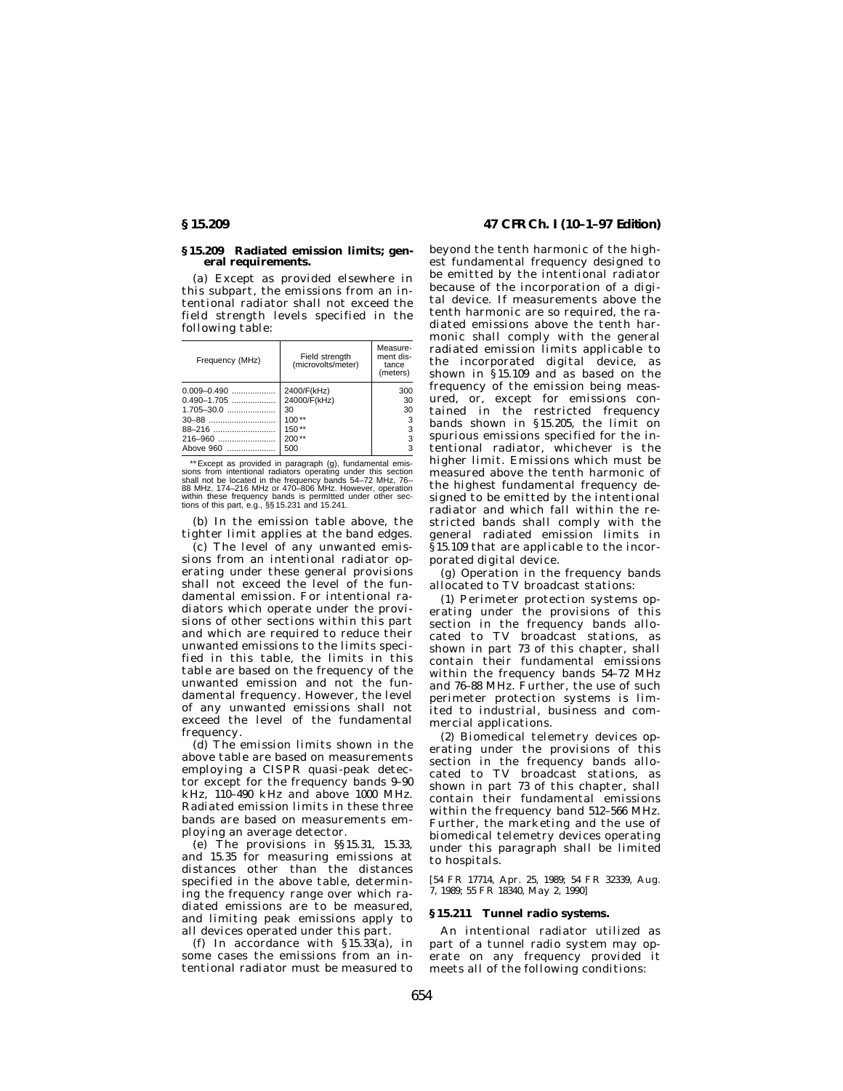#### **§ 15.209 Radiated emission limits; general requirements.**

(a) Except as provided elsewhere in this subpart, the emissions from an intentional radiator shall not exceed the field strength levels specified in the following table:

| Frequency (MHz) | Field strength<br>(microvolts/meter) | Measure-<br>ment dis-<br>tance<br>(meters) |
|-----------------|--------------------------------------|--------------------------------------------|
| $0.009 - 0.490$ | 2400/F(kHz)                          | 300                                        |
| $0.490 - 1.705$ | 24000/F(kHz)                         | 30                                         |
| $1.705 - 30.0$  | 30                                   | 30                                         |
|                 | $100**$                              | 3                                          |
| 88-216          | $150**$                              | 3                                          |
| 216-960         | $200**$                              | 3                                          |
| Above 960       | 500                                  | 3                                          |

\*\* Except as provided in paragraph (g), fundamental emissions from intentional radiators operating under this sectionshall not be located in the frequency bands 54–72 MHz, 76–<br>shall not be located in the frequency bands 54 within these frequency bands is permItted under other sec-tions of this part, e.g., §§ 15.231 and 15.241.

(b) In the emission table above, the tighter limit applies at the band edges.

(c) The level of any unwanted emissions from an intentional radiator operating under these general provisions shall not exceed the level of the fundamental emission. For intentional radiators which operate under the provisions of other sections within this part and which are required to reduce their unwanted emissions to the limits specified in this table, the limits in this table are based on the frequency of the unwanted emission and not the fundamental frequency. However, the level of any unwanted emissions shall not exceed the level of the fundamental frequency.

(d) The emission limits shown in the above table are based on measurements employing a CISPR quasi-peak detector except for the frequency bands 9–90 kHz, 110–490 kHz and above 1000 MHz. Radiated emission limits in these three bands are based on measurements employing an average detector.

(e) The provisions in §§ 15.31, 15.33, and 15.35 for measuring emissions at distances other than the distances specified in the above table, determining the frequency range over which radiated emissions are to be measured, and limiting peak emissions apply to all devices operated under this part.

(f) In accordance with § 15.33(a), in some cases the emissions from an intentional radiator must be measured to

## **§ 15.209 47 CFR Ch. I (10–1–97 Edition)**

beyond the tenth harmonic of the highest fundamental frequency designed to be emitted by the intentional radiator because of the incorporation of a digital device. If measurements above the tenth harmonic are so required, the radiated emissions above the tenth harmonic shall comply with the general radiated emission limits applicable to the incorporated digital device, as shown in § 15.109 and as based on the frequency of the emission being measured, or, except for emissions contained in the restricted frequency bands shown in § 15.205, the limit on spurious emissions specified for the intentional radiator, whichever is the higher limit. Emissions which must be measured above the tenth harmonic of the highest fundamental frequency designed to be emitted by the intentional radiator and which fall within the restricted bands shall comply with the general radiated emission limits in § 15.109 that are applicable to the incorporated digital device.

(g) Operation in the frequency bands allocated to TV broadcast stations:

(1) Perimeter protection systems operating under the provisions of this section in the frequency bands allocated to TV broadcast stations, as shown in part 73 of this chapter, shall contain their fundamental emissions within the frequency bands 54–72 MHz and 76–88 MHz. Further, the use of such perimeter protection systems is limited to industrial, business and commercial applications.

(2) Biomedical telemetry devices operating under the provisions of this section in the frequency bands allocated to TV broadcast stations, as shown in part 73 of this chapter, shall contain their fundamental emissions within the frequency band 512–566 MHz. Further, the marketing and the use of biomedical telemetry devices operating under this paragraph shall be limited to hospitals.

[54 FR 17714, Apr. 25, 1989; 54 FR 32339, Aug. 7, 1989; 55 FR 18340, May 2, 1990]

#### **§ 15.211 Tunnel radio systems.**

An intentional radiator utilized as part of a tunnel radio system may operate on any frequency provided it meets all of the following conditions: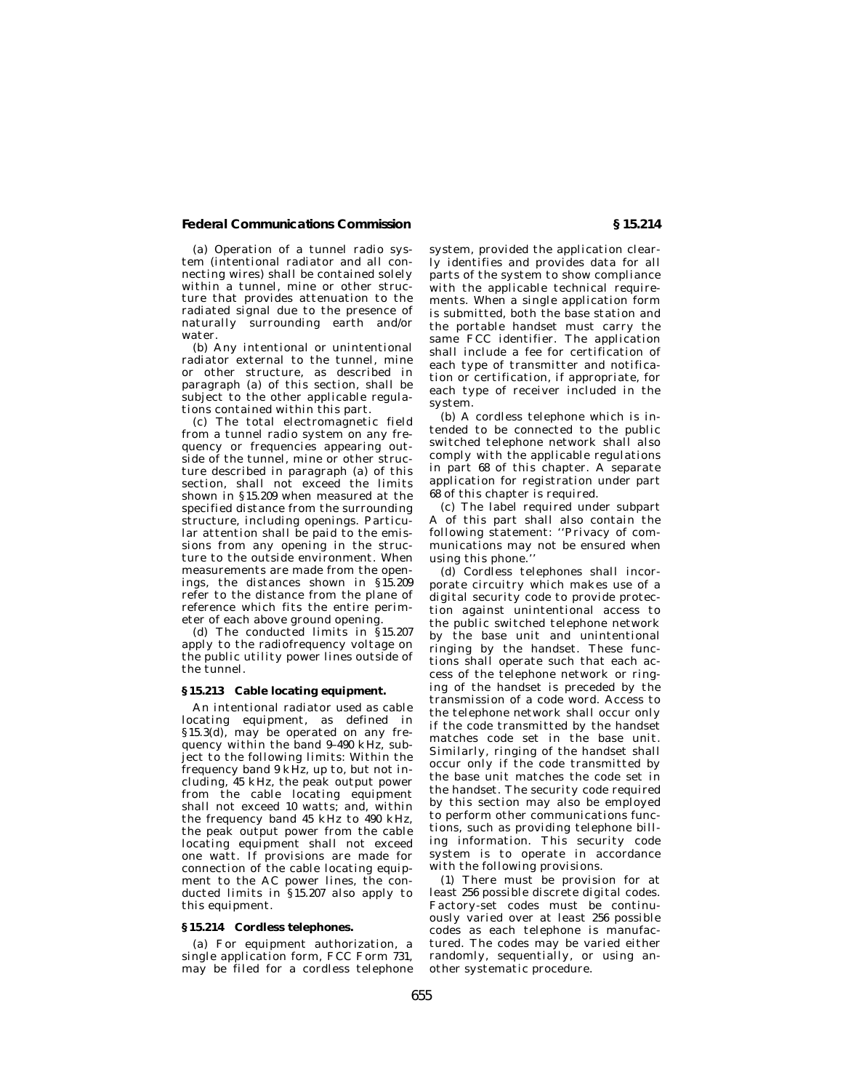(a) Operation of a tunnel radio system (intentional radiator and all connecting wires) shall be contained solely within a tunnel, mine or other structure that provides attenuation to the radiated signal due to the presence of naturally surrounding earth and/or water.

(b) Any intentional or unintentional radiator external to the tunnel, mine or other structure, as described in paragraph (a) of this section, shall be subject to the other applicable regulations contained within this part.

(c) The total electromagnetic field from a tunnel radio system on any frequency or frequencies appearing outside of the tunnel, mine or other structure described in paragraph (a) of this section, shall not exceed the limits shown in § 15.209 when measured at the specified distance from the surrounding structure, including openings. Particular attention shall be paid to the emissions from any opening in the structure to the outside environment. When measurements are made from the openings, the distances shown in § 15.209 refer to the distance from the plane of reference which fits the entire perimeter of each above ground opening.

(d) The conducted limits in § 15.207 apply to the radiofrequency voltage on the public utility power lines outside of the tunnel.

## **§ 15.213 Cable locating equipment.**

An intentional radiator used as cable locating equipment, as defined in § 15.3(d), may be operated on any frequency within the band 9–490 kHz, subject to the following limits: Within the frequency band 9 kHz, up to, but not including, 45 kHz, the peak output power from the cable locating equipment shall not exceed 10 watts; and, within the frequency band 45 kHz to 490 kHz, the peak output power from the cable locating equipment shall not exceed one watt. If provisions are made for connection of the cable locating equipment to the AC power lines, the conducted limits in § 15.207 also apply to this equipment.

## **§ 15.214 Cordless telephones.**

(a) For equipment authorization, a single application form, FCC Form 731, may be filed for a cordless telephone system, provided the application clearly identifies and provides data for all parts of the system to show compliance with the applicable technical requirements. When a single application form is submitted, both the base station and the portable handset must carry the same FCC identifier. The application shall include a fee for certification of each type of transmitter and notification or certification, if appropriate, for each type of receiver included in the system.

(b) A cordless telephone which is intended to be connected to the public switched telephone network shall also comply with the applicable regulations in part 68 of this chapter. A separate application for registration under part 68 of this chapter is required.

(c) The label required under subpart A of this part shall also contain the following statement: ''Privacy of communications may not be ensured when using this phone.

(d) Cordless telephones shall incorporate circuitry which makes use of a digital security code to provide protection against unintentional access to the public switched telephone network by the base unit and unintentional ringing by the handset. These functions shall operate such that each access of the telephone network or ringing of the handset is preceded by the transmission of a code word. Access to the telephone network shall occur only if the code transmitted by the handset matches code set in the base unit. Similarly, ringing of the handset shall occur only if the code transmitted by the base unit matches the code set in the handset. The security code required by this section may also be employed to perform other communications functions, such as providing telephone billing information. This security code system is to operate in accordance with the following provisions.

(1) There must be provision for at least 256 possible discrete digital codes. Factory-set codes must be continuously varied over at least 256 possible codes as each telephone is manufactured. The codes may be varied either randomly, sequentially, or using another systematic procedure.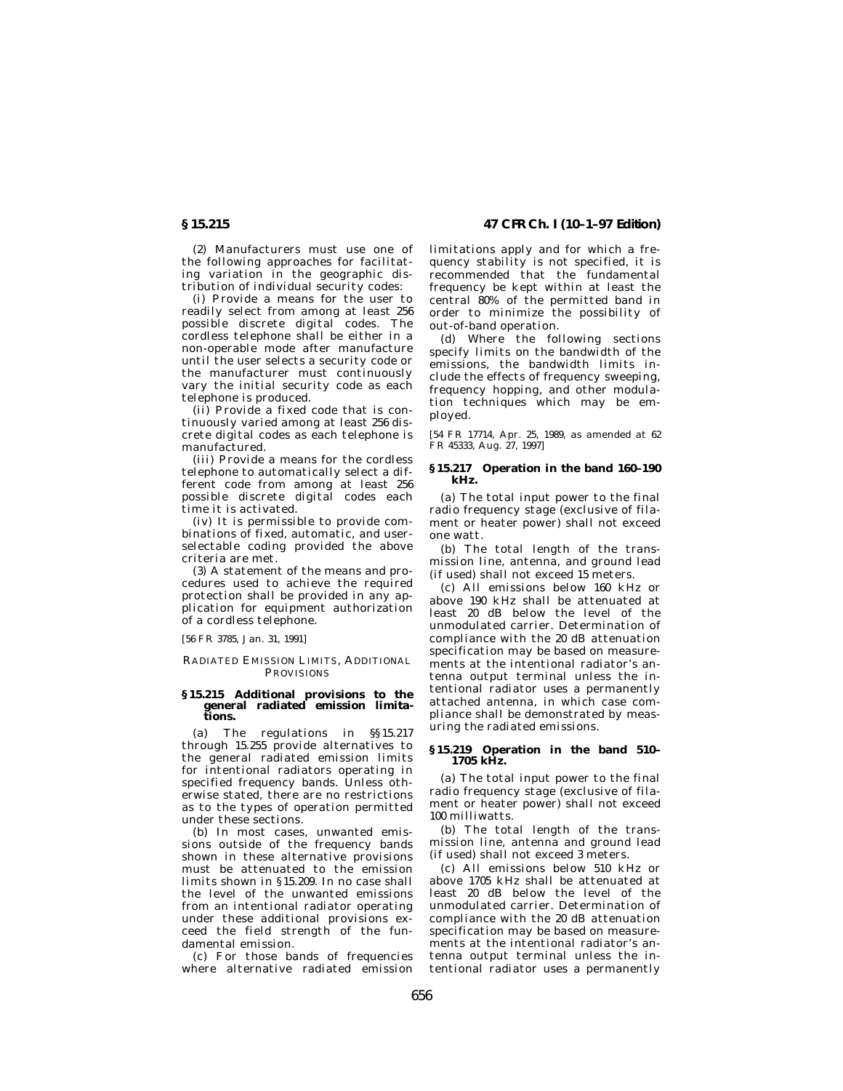**§ 15.215 47 CFR Ch. I (10–1–97 Edition)**

(2) Manufacturers must use one of the following approaches for facilitating variation in the geographic distribution of individual security codes:

(i) Provide a means for the user to readily select from among at least 256 possible discrete digital codes. The cordless telephone shall be either in a non-operable mode after manufacture until the user selects a security code or the manufacturer must continuously vary the initial security code as each telephone is produced.

(ii) Provide a fixed code that is continuously varied among at least 256 discrete digital codes as each telephone is manufactured.

(iii) Provide a means for the cordless telephone to automatically select a different code from among at least 256 possible discrete digital codes each time it is activated.

(iv) It is permissible to provide combinations of fixed, automatic, and userselectable coding provided the above criteria are met.

(3) A statement of the means and procedures used to achieve the required protection shall be provided in any application for equipment authorization of a cordless telephone.

[56 FR 3785, Jan. 31, 1991]

#### RADIATED EMISSION LIMITS, ADDITIONAL **PROVISIONS**

### **§ 15.215 Additional provisions to the general radiated emission limitations.**

(a) The regulations in §§ 15.217 through 15.255 provide alternatives to the general radiated emission limits for intentional radiators operating in specified frequency bands. Unless otherwise stated, there are no restrictions as to the types of operation permitted under these sections.

(b) In most cases, unwanted emissions outside of the frequency bands shown in these alternative provisions must be attenuated to the emission limits shown in § 15.209. In no case shall the level of the unwanted emissions from an intentional radiator operating under these additional provisions exceed the field strength of the fundamental emission.

(c) For those bands of frequencies where alternative radiated emission limitations apply and for which a frequency stability is not specified, it is recommended that the fundamental frequency be kept within at least the central 80% of the permitted band in order to minimize the possibility of out-of-band operation.

(d) Where the following sections specify limits on the bandwidth of the emissions, the bandwidth limits include the effects of frequency sweeping, frequency hopping, and other modulation techniques which may be employed.

[54 FR 17714, Apr. 25, 1989, as amended at 62 FR 45333, Aug. 27, 1997]

## **§ 15.217 Operation in the band 160–190 kHz.**

(a) The total input power to the final radio frequency stage (exclusive of filament or heater power) shall not exceed one watt.

(b) The total length of the transmission line, antenna, and ground lead (if used) shall not exceed 15 meters.

(c) All emissions below 160 kHz or above 190 kHz shall be attenuated at least 20 dB below the level of the unmodulated carrier. Determination of compliance with the 20 dB attenuation specification may be based on measurements at the intentional radiator's antenna output terminal unless the intentional radiator uses a permanently attached antenna, in which case compliance shall be demonstrated by measuring the radiated emissions.

#### **§ 15.219 Operation in the band 510– 1705 kHz.**

(a) The total input power to the final radio frequency stage (exclusive of filament or heater power) shall not exceed 100 milliwatts.

(b) The total length of the transmission line, antenna and ground lead (if used) shall not exceed 3 meters.

(c) All emissions below 510 kHz or above 1705 kHz shall be attenuated at least 20 dB below the level of the unmodulated carrier. Determination of compliance with the 20 dB attenuation specification may be based on measurements at the intentional radiator's antenna output terminal unless the intentional radiator uses a permanently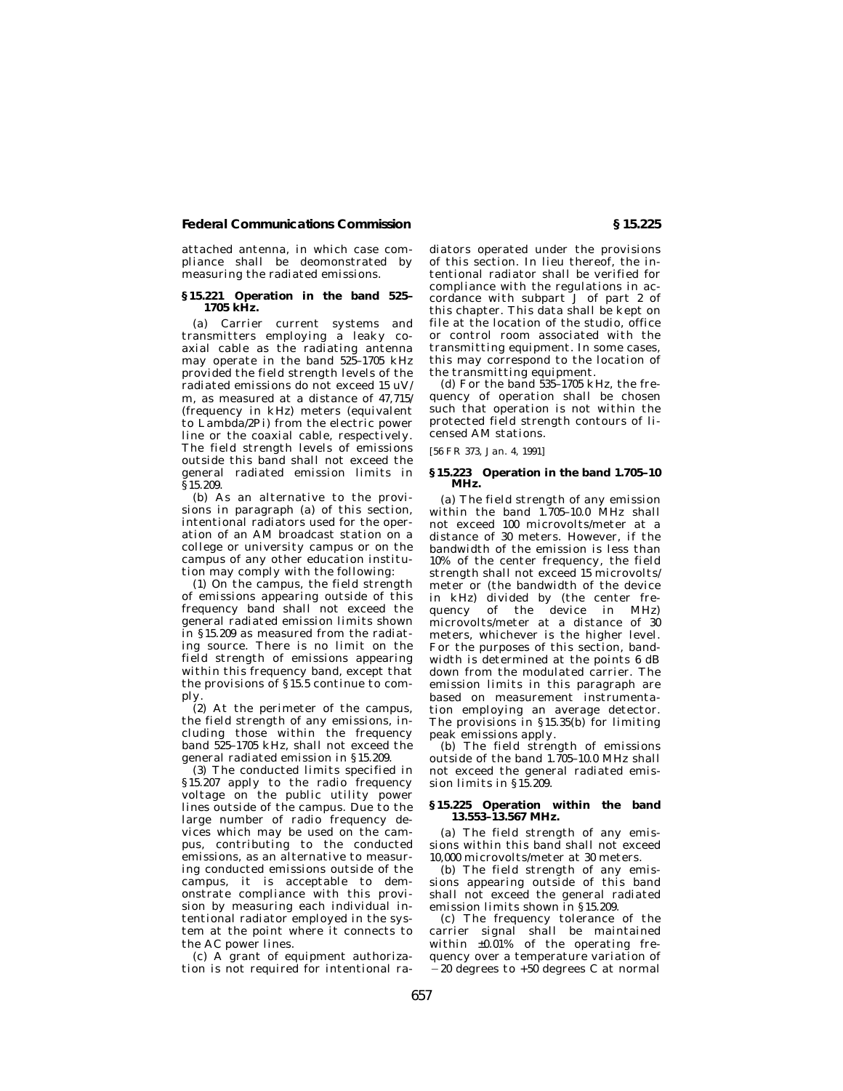attached antenna, in which case compliance shall be deomonstrated by measuring the radiated emissions.

#### **§ 15.221 Operation in the band 525– 1705 kHz.**

(a) Carrier current systems and transmitters employing a leaky coaxial cable as the radiating antenna may operate in the band 525–1705 kHz provided the field strength levels of the radiated emissions do not exceed 15 uV/ m, as measured at a distance of 47,715/ (frequency in kHz) meters (equivalent to Lambda/2Pi) from the electric power line or the coaxial cable, respectively. The field strength levels of emissions outside this band shall not exceed the general radiated emission limits in  $\frac{8}{15}$ .209

(b) As an alternative to the provisions in paragraph (a) of this section, intentional radiators used for the operation of an AM broadcast station on a college or university campus or on the campus of any other education institution may comply with the following:

(1) On the campus, the field strength of emissions appearing outside of this frequency band shall not exceed the general radiated emission limits shown in § 15.209 as measured from the radiating source. There is no limit on the field strength of emissions appearing within this frequency band, except that the provisions of § 15.5 continue to comply.

(2) At the perimeter of the campus, the field strength of any emissions, including those within the frequency band 525–1705 kHz, shall not exceed the general radiated emission in § 15.209.

(3) The conducted limits specified in § 15.207 apply to the radio frequency voltage on the public utility power lines outside of the campus. Due to the large number of radio frequency devices which may be used on the campus, contributing to the conducted emissions, as an alternative to measuring conducted emissions outside of the campus, it is acceptable to demonstrate compliance with this provision by measuring each individual intentional radiator employed in the system at the point where it connects to the AC power lines.

(c)  $\overrightarrow{A}$  grant of equipment authorization is not required for intentional radiators operated under the provisions of this section. In lieu thereof, the intentional radiator shall be verified for compliance with the regulations in accordance with subpart J of part 2 of this chapter. This data shall be kept on file at the location of the studio, office or control room associated with the transmitting equipment. In some cases, this may correspond to the location of the transmitting equipment.

(d) For the band 535–1705 kHz, the frequency of operation shall be chosen such that operation is not within the protected field strength contours of licensed AM stations.

[56 FR 373, Jan. 4, 1991]

#### **§ 15.223 Operation in the band 1.705–10 MHz.**

(a) The field strength of any emission within the band 1.705–10.0 MHz shall not exceed 100 microvolts/meter at a distance of 30 meters. However, if the bandwidth of the emission is less than 10% of the center frequency, the field strength shall not exceed 15 microvolts/ meter or (the bandwidth of the device in kHz) divided by (the center frequency of the device in MHz) microvolts/meter at a distance of 30 meters, whichever is the higher level. For the purposes of this section, bandwidth is determined at the points 6 dB down from the modulated carrier. The emission limits in this paragraph are based on measurement instrumentation employing an average detector. The provisions in § 15.35(b) for limiting peak emissions apply.

(b) The field strength of emissions outside of the band 1.705–10.0 MHz shall not exceed the general radiated emission limits in §15.209.

## **§ 15.225 Operation within the band 13.553–13.567 MHz.**

(a) The field strength of any emissions within this band shall not exceed 10,000 microvolts/meter at 30 meters.

(b) The field strength of any emissions appearing outside of this band shall not exceed the general radiated emission limits shown in § 15.209.

(c) The frequency tolerance of the carrier signal shall be maintained within  $\pm 0.01\%$  of the operating frequency over a temperature variation of  $-20$  degrees to  $+50$  degrees C at normal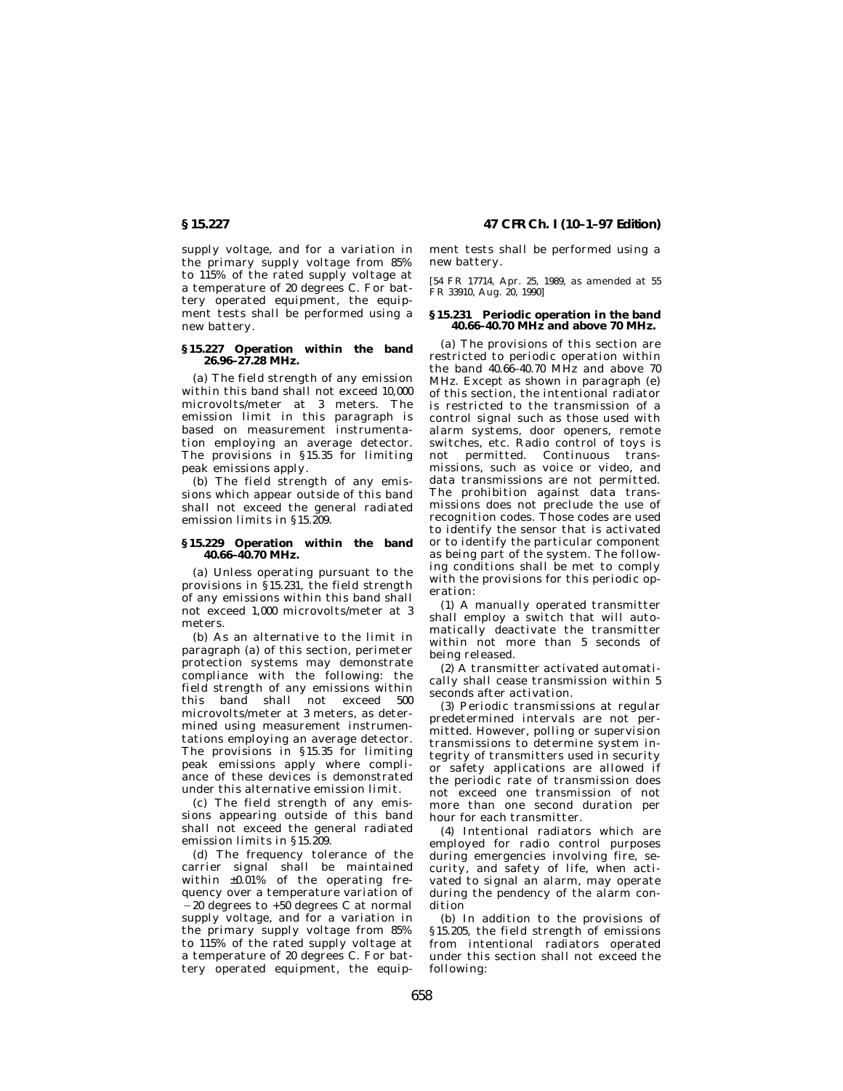supply voltage, and for a variation in the primary supply voltage from 85% to 115% of the rated supply voltage at a temperature of 20 degrees C. For battery operated equipment, the equipment tests shall be performed using a new battery.

### **§ 15.227 Operation within the band 26.96–27.28 MHz.**

(a) The field strength of any emission within this band shall not exceed 10,000 microvolts/meter at 3 meters. The emission limit in this paragraph is based on measurement instrumentation employing an average detector. The provisions in § 15.35 for limiting peak emissions apply.

(b) The field strength of any emissions which appear outside of this band shall not exceed the general radiated emission limits in §15.209.

#### **§ 15.229 Operation within the band 40.66–40.70 MHz.**

(a) Unless operating pursuant to the provisions in § 15.231, the field strength of any emissions within this band shall not exceed 1,000 microvolts/meter at 3 meters.

(b) As an alternative to the limit in paragraph (a) of this section, perimeter protection systems may demonstrate compliance with the following: the field strength of any emissions within this band shall not exceed 500 microvolts/meter at 3 meters, as determined using measurement instrumentations employing an average detector. The provisions in § 15.35 for limiting peak emissions apply where compliance of these devices is demonstrated under this alternative emission limit.

(c) The field strength of any emissions appearing outside of this band shall not exceed the general radiated emission limits in §15.209.

(d) The frequency tolerance of the carrier signal shall be maintained within ±0.01% of the operating frequency over a temperature variation of  $-20$  degrees to  $+50$  degrees C at normal supply voltage, and for a variation in the primary supply voltage from 85% to 115% of the rated supply voltage at a temperature of 20 degrees C. For battery operated equipment, the equip-

**§ 15.227 47 CFR Ch. I (10–1–97 Edition)**

ment tests shall be performed using a new battery.

[54 FR 17714, Apr. 25, 1989, as amended at 55 FR 33910, Aug. 20, 1990]

#### **§ 15.231 Periodic operation in the band 40.66–40.70 MHz and above 70 MHz.**

(a) The provisions of this section are restricted to periodic operation within the band 40.66–40.70 MHz and above 70 MHz. Except as shown in paragraph (e) of this section, the intentional radiator is restricted to the transmission of a control signal such as those used with alarm systems, door openers, remote switches, etc. Radio control of toys is not permitted. Continuous transmissions, such as voice or video, and data transmissions are not permitted. The prohibition against data transmissions does not preclude the use of recognition codes. Those codes are used to identify the sensor that is activated or to identify the particular component as being part of the system. The following conditions shall be met to comply with the provisions for this periodic operation:

(1) A manually operated transmitter shall employ a switch that will automatically deactivate the transmitter within not more than 5 seconds of being released.

(2) A transmitter activated automatically shall cease transmission within 5 seconds after activation.

(3) Periodic transmissions at regular predetermined intervals are not permitted. However, polling or supervision transmissions to determine system integrity of transmitters used in security or safety applications are allowed if the periodic rate of transmission does not exceed one transmission of not more than one second duration per hour for each transmitter.

(4) Intentional radiators which are employed for radio control purposes during emergencies involving fire, security, and safety of life, when activated to signal an alarm, may operate during the pendency of the alarm condition

(b) In addition to the provisions of § 15.205, the field strength of emissions from intentional radiators operated under this section shall not exceed the following: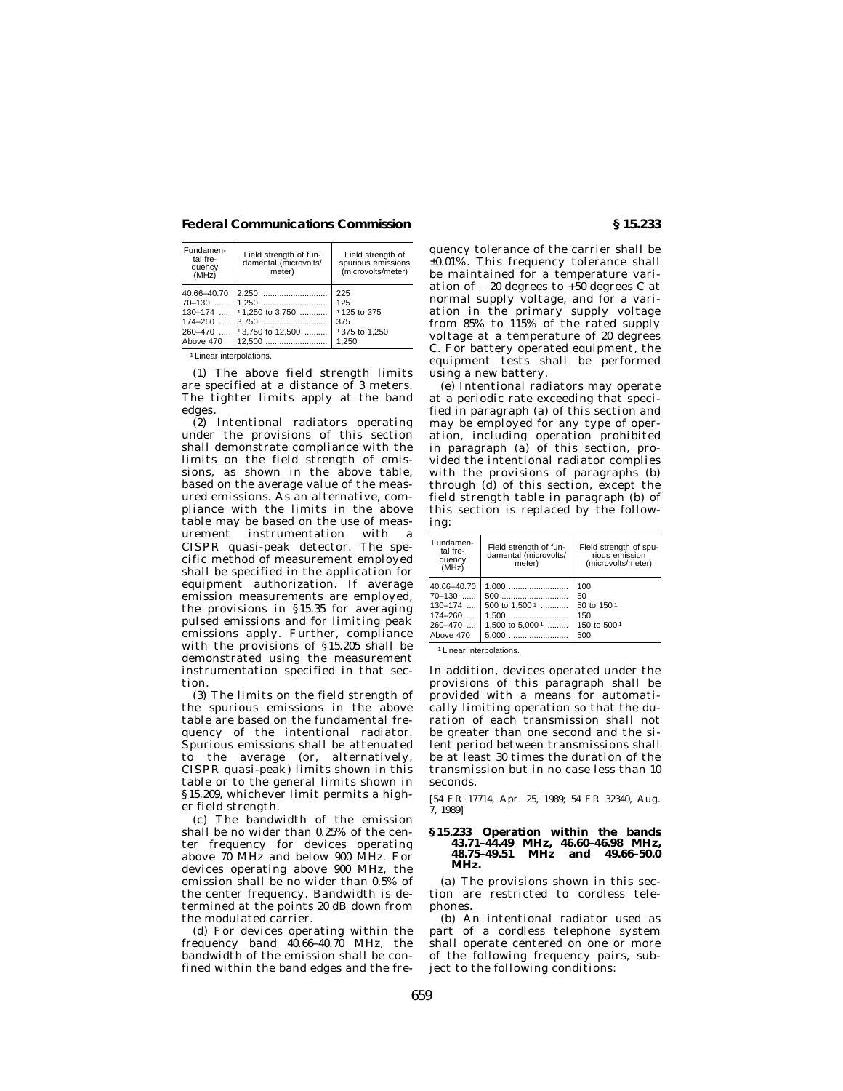| Fundamen-<br>tal fre-<br>quency<br>(MHz) | Field strength of fun-<br>damental (microvolts/<br>meter) | Field strength of<br>spurious emissions<br>(microvolts/meter) |
|------------------------------------------|-----------------------------------------------------------|---------------------------------------------------------------|
| 40.66-40.70                              | 2,250                                                     | 225                                                           |
| $70 - 130$                               |                                                           | 125                                                           |
| $130 - 174$                              | 11,250 to 3,750                                           | 1125 to 375                                                   |
| $174 - 260$                              | 3.750                                                     | 375                                                           |
| $260 - 470$                              | 13.750 to 12.500                                          | 1375 to 1,250                                                 |
| Above 470                                | 12.500                                                    | 1.250                                                         |

<sup>1</sup> Linear interpolations.

(1) The above field strength limits are specified at a distance of 3 meters. The tighter limits apply at the band edges.

(2) Intentional radiators operating under the provisions of this section shall demonstrate compliance with the limits on the field strength of emissions, as shown in the above table, based on the average value of the measured emissions. As an alternative, compliance with the limits in the above table may be based on the use of measurement instrumentation with a CISPR quasi-peak detector. The specific method of measurement employed shall be specified in the application for equipment authorization. If average emission measurements are employed, the provisions in § 15.35 for averaging pulsed emissions and for limiting peak emissions apply. Further, compliance with the provisions of § 15.205 shall be demonstrated using the measurement instrumentation specified in that section.

(3) The limits on the field strength of the spurious emissions in the above table are based on the fundamental frequency of the intentional radiator. Spurious emissions shall be attenuated to the average (or, alternatively, CISPR quasi-peak) limits shown in this table or to the general limits shown in § 15.209, whichever limit permits a higher field strength.

(c) The bandwidth of the emission shall be no wider than 0.25% of the center frequency for devices operating above 70 MHz and below 900 MHz. For devices operating above 900 MHz, the emission shall be no wider than 0.5% of the center frequency. Bandwidth is determined at the points 20 dB down from the modulated carrier.

(d) For devices operating within the frequency band 40.66–40.70 MHz, the bandwidth of the emission shall be confined within the band edges and the fre-

quency tolerance of the carrier shall be ±0.01%. This frequency tolerance shall be maintained for a temperature variation of  $-20$  degrees to  $+50$  degrees C at normal supply voltage, and for a variation in the primary supply voltage from  $85\%$  to 115% of the rated supply voltage at a temperature of 20 degrees C. For battery operated equipment, the equipment tests shall be performed using a new battery.

(e) Intentional radiators may operate at a periodic rate exceeding that specified in paragraph (a) of this section and may be employed for any type of operation, including operation prohibited in paragraph (a) of this section, provided the intentional radiator complies with the provisions of paragraphs (b) through (d) of this section, except the field strength table in paragraph (b) of this section is replaced by the following:

| Fundamen-<br>tal fre-<br>quency<br>(MHz) | Field strength of fun-<br>damental (microvolts/<br>meter) | Field strength of spu-<br>rious emission<br>(microvolts/meter) |
|------------------------------------------|-----------------------------------------------------------|----------------------------------------------------------------|
| 40.66-40.70                              |                                                           | 100                                                            |
| 70-130                                   | 500                                                       | 50                                                             |
| $130 - 174$                              | 500 to 1,500 <sup>1</sup>                                 | 50 to 1501                                                     |
| $174 - 260$                              | 1.500                                                     | 150                                                            |
| $260 - 470$                              | 1,500 to 5,000 <sup>1</sup>                               | 150 to 500 1                                                   |
| Above 470                                | 5.000                                                     | 500                                                            |

1 Linear interpolations.

In addition, devices operated under the provisions of this paragraph shall be provided with a means for automatically limiting operation so that the duration of each transmission shall not be greater than one second and the silent period between transmissions shall be at least 30 times the duration of the transmission but in no case less than 10 seconds.

[54 FR 17714, Apr. 25, 1989; 54 FR 32340, Aug. 7, 1989]

### **§ 15.233 Operation within the bands 43.71–44.49 MHz, 46.60–46.98 MHz, 48.75–49.51 MHz and 49.66–50.0 MHz.**

(a) The provisions shown in this section are restricted to cordless telephones.

(b) An intentional radiator used as part of a cordless telephone system shall operate centered on one or more of the following frequency pairs, subject to the following conditions: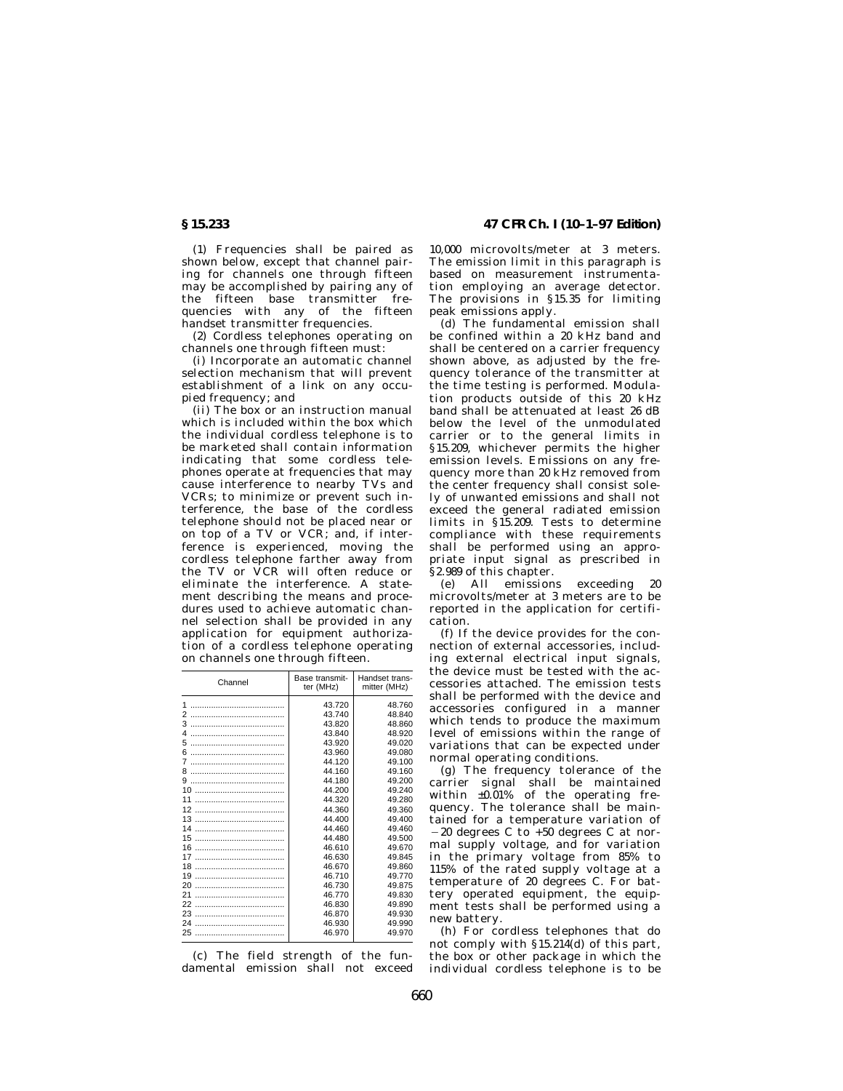**§ 15.233 47 CFR Ch. I (10–1–97 Edition)**

(1) Frequencies shall be paired as shown below, except that channel pairing for channels one through fifteen may be accomplished by pairing any of the fifteen base transmitter frequencies with any of the fifteen handset transmitter frequencies.

(2) Cordless telephones operating on channels one through fifteen must:

(i) Incorporate an automatic channel selection mechanism that will prevent establishment of a link on any occupied frequency; and

(ii) The box or an instruction manual which is included within the box which the individual cordless telephone is to be marketed shall contain information indicating that some cordless telephones operate at frequencies that may cause interference to nearby TVs and VCRs; to minimize or prevent such interference, the base of the cordless telephone should not be placed near or on top of a TV or VCR; and, if interference is experienced, moving the cordless telephone farther away from the TV or VCR will often reduce or eliminate the interference. A statement describing the means and procedures used to achieve automatic channel selection shall be provided in any application for equipment authorization of a cordless telephone operating on channels one through fifteen.

| Channel        | Base transmit-<br>ter (MHz) | Handset trans-<br>mitter (MHz) |
|----------------|-----------------------------|--------------------------------|
| 1              | 43.720                      | 48.760                         |
| $\overline{2}$ | 43.740                      | 48.840                         |
| 3              | 43.820                      | 48.860                         |
| 4              | 43.840                      | 48.920                         |
| 5              | 43.920                      | 49.020                         |
| 6              | 43.960                      | 49.080                         |
| 7              | 44.120                      | 49.100                         |
| 8              | 44.160                      | 49.160                         |
| 9              | 44.180                      | 49.200                         |
| 10             | 44.200                      | 49.240                         |
| 11             | 44.320                      | 49.280                         |
| 12             | 44.360                      | 49.360                         |
| 13             | 44.400                      | 49.400                         |
| 14             | 44.460                      | 49.460                         |
| 15             | 44.480                      | 49.500                         |
| 16             | 46.610                      | 49.670                         |
| 17             | 46.630                      | 49.845                         |
| 18             | 46.670                      | 49.860                         |
| 19             | 46.710                      | 49.770                         |
| 20             | 46.730                      | 49.875                         |
| 21             | 46.770                      | 49.830                         |
| 22             | 46.830                      | 49.890                         |
| 23             | 46.870                      | 49.930                         |
| 24             | 46.930                      | 49.990                         |
| 25             | 46.970                      | 49.970                         |

(c) The field strength of the fundamental emission shall not exceed 10,000 microvolts/meter at 3 meters. The emission limit in this paragraph is based on measurement instrumentation employing an average detector. The provisions in § 15.35 for limiting peak emissions apply.

(d) The fundamental emission shall be confined within a 20 kHz band and shall be centered on a carrier frequency shown above, as adjusted by the frequency tolerance of the transmitter at the time testing is performed. Modulation products outside of this 20 kHz band shall be attenuated at least 26 dB below the level of the unmodulated carrier or to the general limits in § 15.209, whichever permits the higher emission levels. Emissions on any frequency more than 20 kHz removed from the center frequency shall consist solely of unwanted emissions and shall not exceed the general radiated emission limits in § 15.209. Tests to determine compliance with these requirements shall be performed using an appropriate input signal as prescribed in §2.989 of this chapter.

(e) All emissions exceeding 20 microvolts/meter at 3 meters are to be reported in the application for certification.

(f) If the device provides for the connection of external accessories, including external electrical input signals, the device must be tested with the accessories attached. The emission tests shall be performed with the device and accessories configured in a manner which tends to produce the maximum level of emissions within the range of variations that can be expected under normal operating conditions.

(g) The frequency tolerance of the carrier signal shall be maintained within  $\pm 0.01\%$  of the operating frequency. The tolerance shall be maintained for a temperature variation of  $-20$  degrees C to  $+50$  degrees C at normal supply voltage, and for variation in the primary voltage from 85% to 115% of the rated supply voltage at a temperature of 20 degrees C. For battery operated equipment, the equipment tests shall be performed using a new battery.

(h) For cordless telephones that do not comply with § 15.214(d) of this part, the box or other package in which the individual cordless telephone is to be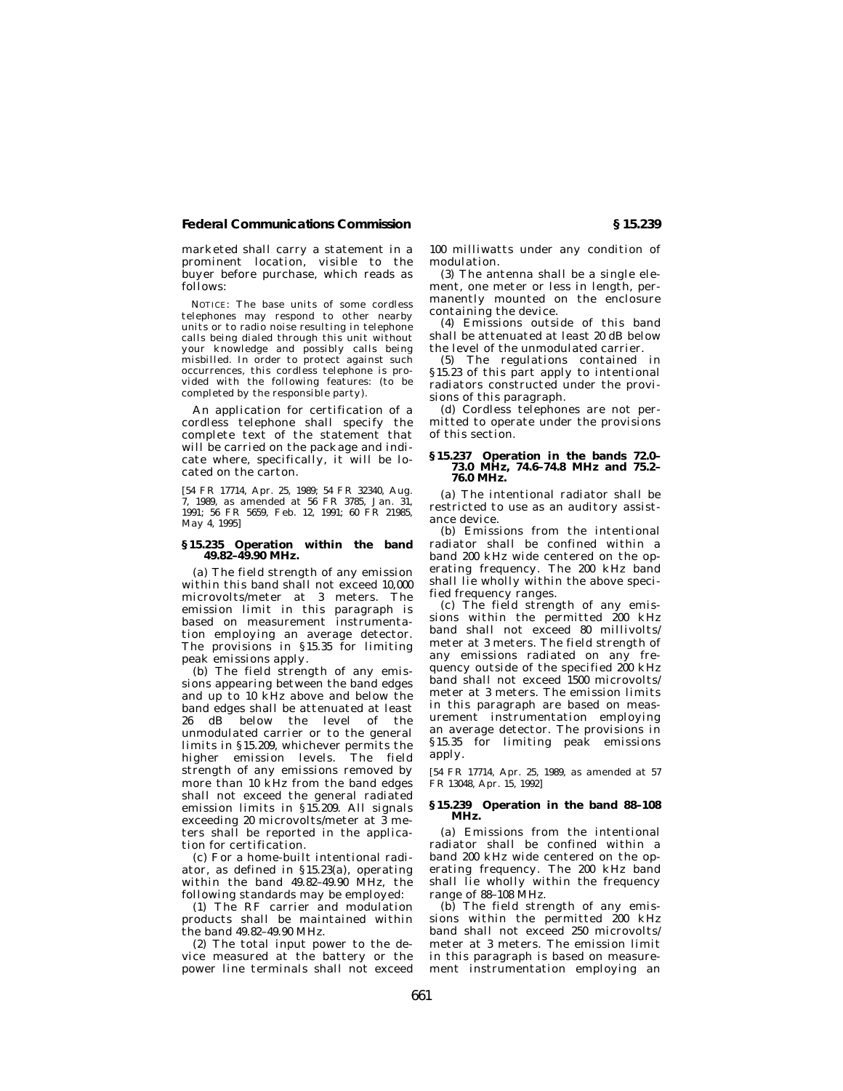marketed shall carry a statement in a prominent location, visible to the buyer before purchase, which reads as follows:

NOTICE: The base units of some cordless telephones may respond to other nearby units or to radio noise resulting in telephone calls being dialed through this unit without your knowledge and possibly calls being misbilled. In order to protect against such occurrences, this cordless telephone is provided with the following features: (to be completed by the responsible party).

An application for certification of a cordless telephone shall specify the complete text of the statement that will be carried on the package and indicate where, specifically, it will be located on the carton.

[54 FR 17714, Apr. 25, 1989; 54 FR 32340, Aug. 7, 1989, as amended at 56 FR 3785, Jan. 31, 1991; 56 FR 5659, Feb. 12, 1991; 60 FR 21985, May 4, 1995]

#### **§ 15.235 Operation within the band 49.82–49.90 MHz.**

(a) The field strength of any emission within this band shall not exceed 10,000 microvolts/meter at 3 meters. The emission limit in this paragraph is based on measurement instrumentation employing an average detector. The provisions in § 15.35 for limiting peak emissions apply.

(b) The field strength of any emissions appearing between the band edges and up to 10 kHz above and below the band edges shall be attenuated at least 26 dB below the level of the unmodulated carrier or to the general limits in § 15.209, whichever permits the higher emission levels. The field strength of any emissions removed by more than 10 kHz from the band edges shall not exceed the general radiated emission limits in § 15.209. All signals exceeding 20 microvolts/meter at 3 meters shall be reported in the application for certification.

(c) For a home-built intentional radiator, as defined in § 15.23(a), operating within the band 49.82–49.90 MHz, the following standards may be employed:

(1) The RF carrier and modulation products shall be maintained within the band 49.82–49.90 MHz.

(2) The total input power to the device measured at the battery or the power line terminals shall not exceed 100 milliwatts under any condition of modulation.

(3) The antenna shall be a single element, one meter or less in length, permanently mounted on the enclosure containing the device.

(4) Emissions outside of this band shall be attenuated at least 20 dB below the level of the unmodulated carrier.

(5) The regulations contained in § 15.23 of this part apply to intentional radiators constructed under the provisions of this paragraph.

(d) Cordless telephones are not permitted to operate under the provisions of this section.

## **§ 15.237 Operation in the bands 72.0– 73.0 MHz, 74.6–74.8 MHz and 75.2– 76.0 MHz.**

(a) The intentional radiator shall be restricted to use as an auditory assistance device.

(b) Emissions from the intentional radiator shall be confined within a band 200 kHz wide centered on the operating frequency. The 200 kHz band shall lie wholly within the above specified frequency ranges.

(c) The field strength of any emissions within the permitted 200 kHz band shall not exceed 80 millivolts/ meter at 3 meters. The field strength of any emissions radiated on any frequency outside of the specified 200 kHz band shall not exceed 1500 microvolts/ meter at 3 meters. The emission limits in this paragraph are based on measurement instrumentation employing an average detector. The provisions in § 15.35 for limiting peak emissions apply.

[54 FR 17714, Apr. 25, 1989, as amended at 57 FR 13048, Apr. 15, 1992]

#### **§ 15.239 Operation in the band 88–108 MHz.**

(a) Emissions from the intentional radiator shall be confined within a band 200 kHz wide centered on the operating frequency. The 200 kHz band shall lie wholly within the frequency range of 88–108 MHz.

(b) The field strength of any emissions within the permitted 200 kHz band shall not exceed 250 microvolts/ meter at 3 meters. The emission limit in this paragraph is based on measurement instrumentation employing an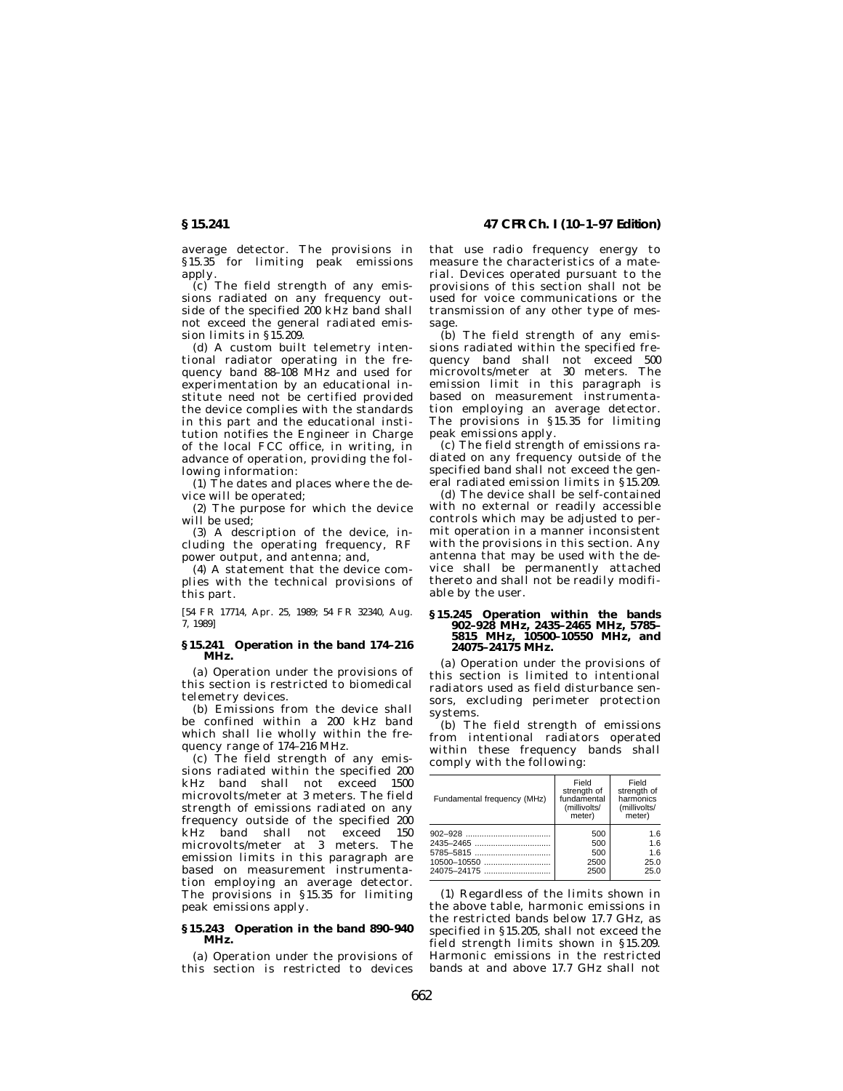average detector. The provisions in §15.35 for limiting peak emissions apply.

(c) The field strength of any emissions radiated on any frequency outside of the specified 200 kHz band shall not exceed the general radiated emission limits in §15.209.

(d) A custom built telemetry intentional radiator operating in the frequency band 88-108 MHz and used for experimentation by an educational institute need not be certified provided the device complies with the standards in this part and the educational institution notifies the Engineer in Charge of the local FCC office, in writing, in advance of operation, providing the following information:

(1) The dates and places where the device will be operated;

(2) The purpose for which the device will be used;

(3) A description of the device, including the operating frequency, RF power output, and antenna; and,

(4) A statement that the device complies with the technical provisions of this part.

[54 FR 17714, Apr. 25, 1989; 54 FR 32340, Aug. 7, 1989]

## **§ 15.241 Operation in the band 174–216 MHz.**

(a) Operation under the provisions of this section is restricted to biomedical telemetry devices.

(b) Emissions from the device shall be confined within a 200 kHz band which shall lie wholly within the frequency range of 174–216 MHz.

(c) The field strength of any emissions radiated within the specified 200 kHz band shall not exceed 1500 microvolts/meter at 3 meters. The field strength of emissions radiated on any frequency outside of the specified 200 kHz band shall not exceed 150 microvolts/meter at 3 meters. The emission limits in this paragraph are based on measurement instrumentation employing an average detector. The provisions in § 15.35 for limiting peak emissions apply.

## **§ 15.243 Operation in the band 890–940 MHz.**

(a) Operation under the provisions of this section is restricted to devices

**§ 15.241 47 CFR Ch. I (10–1–97 Edition)**

that use radio frequency energy to measure the characteristics of a material. Devices operated pursuant to the provisions of this section shall not be used for voice communications or the transmission of any other type of message.

(b) The field strength of any emissions radiated within the specified frequency band shall not exceed 500 microvolts/meter at 30 meters. The emission limit in this paragraph is based on measurement instrumentation employing an average detector. The provisions in § 15.35 for limiting peak emissions apply.

(c) The field strength of emissions radiated on any frequency outside of the specified band shall not exceed the general radiated emission limits in § 15.209.

(d) The device shall be self-contained with no external or readily accessible controls which may be adjusted to permit operation in a manner inconsistent with the provisions in this section. Any antenna that may be used with the device shall be permanently attached thereto and shall not be readily modifiable by the user.

#### **§ 15.245 Operation within the bands 902–928 MHz, 2435–2465 MHz, 5785– 5815 MHz, 10500–10550 MHz, and 24075–24175 MHz.**

(a) Operation under the provisions of this section is limited to intentional radiators used as field disturbance sensors, excluding perimeter protection systems.

(b) The field strength of emissions from intentional radiators operated within these frequency bands shall comply with the following:

| Fundamental frequency (MHz) | Field<br>strength of<br>fundamental<br>(millivolts/<br>meter) | Field<br>strength of<br>harmonics<br>(millivolts/<br>meter) |
|-----------------------------|---------------------------------------------------------------|-------------------------------------------------------------|
|                             | 500                                                           | 1.6                                                         |
|                             | 500                                                           | 1.6                                                         |
|                             | 500                                                           | 1.6                                                         |
|                             | 2500                                                          | 25.0                                                        |
| 24075-24175                 | 2500                                                          | 25.0                                                        |

(1) Regardless of the limits shown in the above table, harmonic emissions in the restricted bands below 17.7 GHz, as specified in § 15.205, shall not exceed the field strength limits shown in § 15.209. Harmonic emissions in the restricted bands at and above 17.7 GHz shall not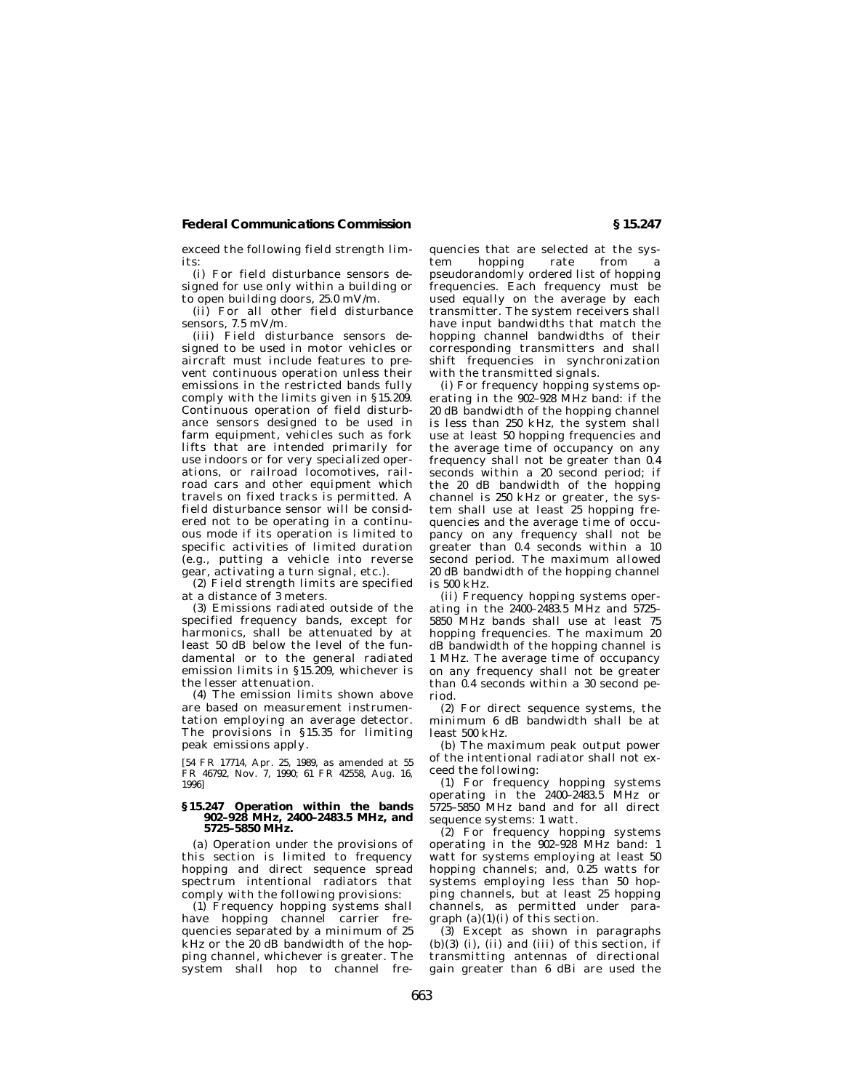exceed the following field strength limits:

(i) For field disturbance sensors designed for use only within a building or to open building doors, 25.0 mV/m.

(ii) For all other field disturbance sensors, 7.5 mV/m.

(iii) Field disturbance sensors designed to be used in motor vehicles or aircraft must include features to prevent continuous operation unless their emissions in the restricted bands fully comply with the limits given in § 15.209. Continuous operation of field disturbance sensors designed to be used in farm equipment, vehicles such as fork lifts that are intended primarily for use indoors or for very specialized operations, or railroad locomotives, railroad cars and other equipment which travels on fixed tracks is permitted. A field disturbance sensor will be considered not to be operating in a continuous mode if its operation is limited to specific activities of limited duration (e.g., putting a vehicle into reverse gear, activating a turn signal, etc.).

(2) Field strength limits are specified at a distance of  $\overline{3}$  meters.

(3) Emissions radiated outside of the specified frequency bands, except for harmonics, shall be attenuated by at least 50 dB below the level of the fundamental or to the general radiated emission limits in § 15.209, whichever is the lesser attenuation.

(4) The emission limits shown above are based on measurement instrumentation employing an average detector. The provisions in § 15.35 for limiting peak emissions apply.

[54 FR 17714, Apr. 25, 1989, as amended at 55 FR 46792, Nov. 7, 1990; 61 FR 42558, Aug. 16, 1996]

#### **§ 15.247 Operation within the bands 902–928 MHz, 2400–2483.5 MHz, and 5725–5850 MHz.**

(a) Operation under the provisions of this section is limited to frequency hopping and direct sequence spread spectrum intentional radiators that comply with the following provisions:

(1) Frequency hopping systems shall have hopping channel carrier frequencies separated by a minimum of 25 kHz or the 20 dB bandwidth of the hopping channel, whichever is greater. The system shall hop to channel fre-

quencies that are selected at the system hopping rate from pseudorandomly ordered list of hopping frequencies. Each frequency must be used equally on the average by each transmitter. The system receivers shall have input bandwidths that match the hopping channel bandwidths of their corresponding transmitters and shall shift frequencies in synchronization with the transmitted signals.

(i) For frequency hopping systems operating in the 902–928 MHz band: if the 20 dB bandwidth of the hopping channel is less than 250 kHz, the system shall use at least 50 hopping frequencies and the average time of occupancy on any frequency shall not be greater than 0.4 seconds within a 20 second period; if the 20 dB bandwidth of the hopping channel is 250 kHz or greater, the system shall use at least 25 hopping frequencies and the average time of occupancy on any frequency shall not be greater than 0.4 seconds within a 10 second period. The maximum allowed 20 dB bandwidth of the hopping channel is 500 kHz.

(ii) Frequency hopping systems operating in the 2400–2483.5 MHz and 5725– 5850 MHz bands shall use at least 75 hopping frequencies. The maximum 20 dB bandwidth of the hopping channel is 1 MHz. The average time of occupancy on any frequency shall not be greater than 0.4 seconds within a 30 second period.

(2) For direct sequence systems, the minimum 6 dB bandwidth shall be at least 500 kHz.

(b) The maximum peak output power of the intentional radiator shall not exceed the following:

(1) For frequency hopping systems operating in the 2400–2483.5 MHz or 5725–5850 MHz band and for all direct sequence systems: 1 watt.

(2) For frequency hopping systems operating in the 902–928 MHz band: 1 watt for systems employing at least 50 hopping channels; and, 0.25 watts for systems employing less than 50 hopping channels, but at least 25 hopping channels, as permitted under paragraph  $(a)(1)(i)$  of this section.

(3) Except as shown in paragraphs  $(b)(3)$  (i), (ii) and (iii) of this section, if transmitting antennas of directional gain greater than 6 dBi are used the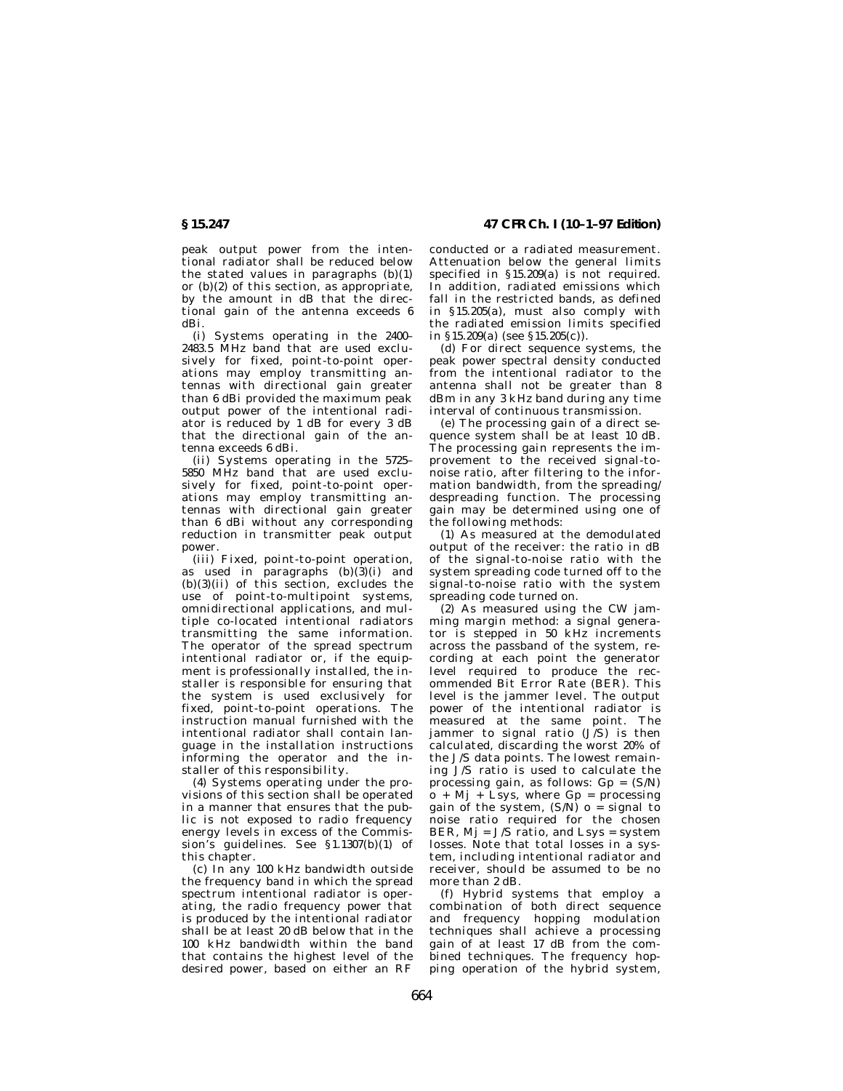peak output power from the intentional radiator shall be reduced below the stated values in paragraphs  $(b)(1)$ or (b)(2) of this section, as appropriate, by the amount in dB that the directional gain of the antenna exceeds 6 dBi.

(i) Systems operating in the 2400– 2483.5 MHz band that are used exclusively for fixed, point-to-point operations may employ transmitting antennas with directional gain greater than 6 dBi provided the maximum peak output power of the intentional radiator is reduced by 1 dB for every 3 dB that the directional gain of the antenna exceeds 6 dBi.

(ii) Systems operating in the 5725– 5850 MHz band that are used exclusively for fixed, point-to-point operations may employ transmitting antennas with directional gain greater than 6 dBi without any corresponding reduction in transmitter peak output power.

(iii) Fixed, point-to-point operation, as used in paragraphs  $(b)(3)(i)$  and  $(b)(3)(ii)$  of this section, excludes the use of point-to-multipoint systems, omnidirectional applications, and multiple co-located intentional radiators transmitting the same information. The operator of the spread spectrum intentional radiator or, if the equipment is professionally installed, the installer is responsible for ensuring that the system is used exclusively for fixed, point-to-point operations. The instruction manual furnished with the intentional radiator shall contain language in the installation instructions informing the operator and the installer of this responsibility.

(4) Systems operating under the provisions of this section shall be operated in a manner that ensures that the public is not exposed to radio frequency energy levels in excess of the Commission's guidelines. See § 1.1307(b)(1) of this chapter.

(c) In any 100 kHz bandwidth outside the frequency band in which the spread spectrum intentional radiator is operating, the radio frequency power that is produced by the intentional radiator shall be at least 20 dB below that in the 100 kHz bandwidth within the band that contains the highest level of the desired power, based on either an RF

**§ 15.247 47 CFR Ch. I (10–1–97 Edition)**

conducted or a radiated measurement. Attenuation below the general limits specified in  $$15.209(a)$  is not required. In addition, radiated emissions which fall in the restricted bands, as defined in § 15.205(a), must also comply with the radiated emission limits specified in §15.209(a) (see §15.205(c)).

(d) For direct sequence systems, the peak power spectral density conducted from the intentional radiator to the antenna shall not be greater than 8 dBm in any 3 kHz band during any time interval of continuous transmission.

(e) The processing gain of a direct sequence system shall be at least 10 dB. The processing gain represents the improvement to the received signal-tonoise ratio, after filtering to the information bandwidth, from the spreading/ despreading function. The processing gain may be determined using one of the following methods:

(1) As measured at the demodulated output of the receiver: the ratio in dB of the signal-to-noise ratio with the system spreading code turned off to the signal-to-noise ratio with the system spreading code turned on.

(2) As measured using the CW jamming margin method: a signal generator is stepped in 50 kHz increments across the passband of the system, recording at each point the generator level required to produce the recommended Bit Error Rate (BER). This level is the jammer level. The output power of the intentional radiator is measured at the same point. The jammer to signal ratio (J/S) is then calculated, discarding the worst 20% of the J/S data points. The lowest remaining J/S ratio is used to calculate the processing gain, as follows:  $Gp = (S/N)$  $\overrightarrow{0}$  + Mj + Lsys, where Gp = processing gain of the system,  $(S/N)$  o = signal to noise ratio required for the chosen BER,  $Mj = J/S$  ratio, and Lsys = system losses. Note that total losses in a system, including intentional radiator and receiver, should be assumed to be no more than 2 dB.

(f) Hybrid systems that employ a combination of both direct sequence and frequency hopping modulation techniques shall achieve a processing gain of at least 17 dB from the combined techniques. The frequency hopping operation of the hybrid system,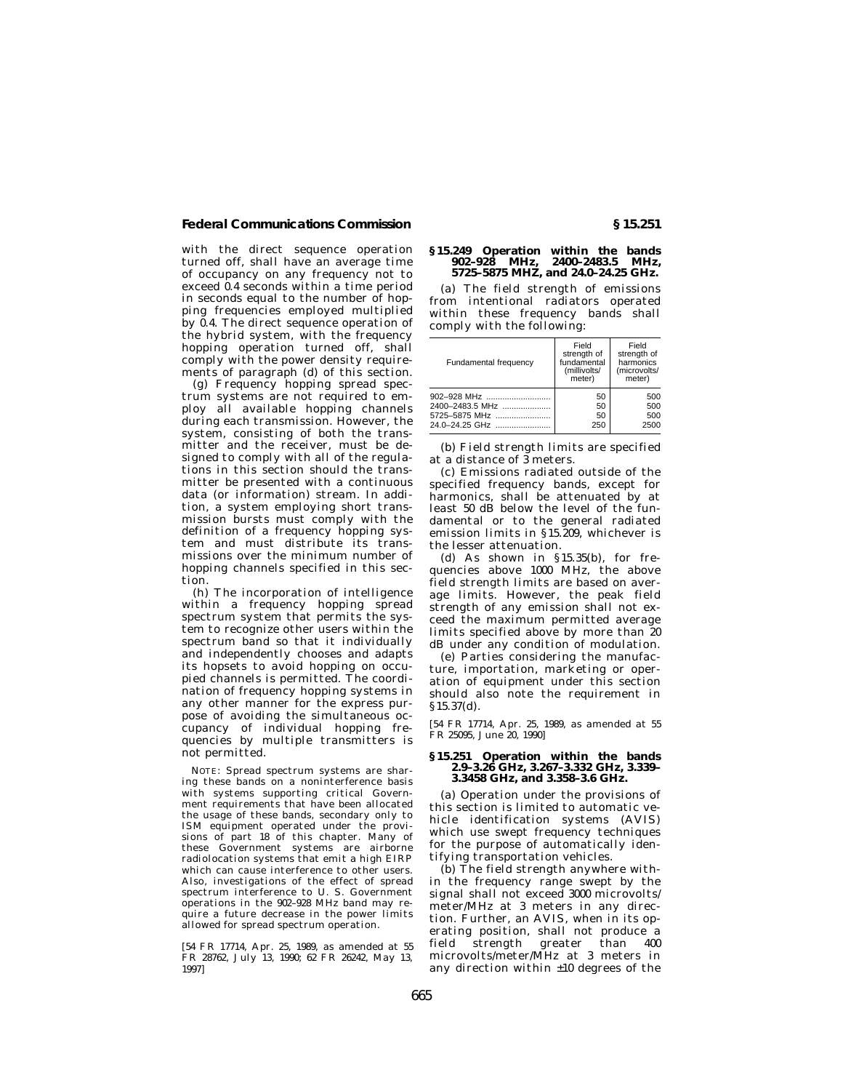with the direct sequence operation turned off, shall have an average time of occupancy on any frequency not to exceed 0.4 seconds within a time period in seconds equal to the number of hopping frequencies employed multiplied by 0.4. The direct sequence operation of the hybrid system, with the frequency hopping operation turned off, shall comply with the power density requirements of paragraph (d) of this section.

(g) Frequency hopping spread spectrum systems are not required to employ all available hopping channels during each transmission. However, the system, consisting of both the transmitter and the receiver, must be designed to comply with all of the regulations in this section should the transmitter be presented with a continuous data (or information) stream. In addition, a system employing short transmission bursts must comply with the definition of a frequency hopping system and must distribute its transmissions over the minimum number of hopping channels specified in this section.

(h) The incorporation of intelligence within a frequency hopping spread spectrum system that permits the system to recognize other users within the spectrum band so that it individually and independently chooses and adapts its hopsets to avoid hopping on occupied channels is permitted. The coordination of frequency hopping systems in any other manner for the express purpose of avoiding the simultaneous occupancy of individual hopping frequencies by multiple transmitters is not permitted.

NOTE: Spread spectrum systems are sharing these bands on a noninterference basis with systems supporting critical Government requirements that have been allocated the usage of these bands, secondary only to ISM equipment operated under the provisions of part 18 of this chapter. Many of these Government systems are airborne radiolocation systems that emit a high EIRP which can cause interference to other users. Also, investigations of the effect of spread spectrum interference to U. S. Government operations in the 902–928 MHz band may require a future decrease in the power limits allowed for spread spectrum operation.

[54 FR 17714, Apr. 25, 1989, as amended at 55 FR 28762, July 13, 1990; 62 FR 26242, May 13, 1997]

# **§ 15.249 Operation within the bands 902–928 MHz, 2400–2483.5 MHz, 5725–5875 MHZ, and 24.0–24.25 GHz.**

(a) The field strength of emissions from intentional radiators operated within these frequency bands shall comply with the following:

| Fundamental frequency | Field<br>strength of<br>fundamental<br>(millivolts/<br>meter) | Field<br>strength of<br>harmonics<br>(microvolts/<br>meter) |
|-----------------------|---------------------------------------------------------------|-------------------------------------------------------------|
| 902-928 MHz           | 50                                                            | 500                                                         |
| 2400-2483.5 MHz       | 50                                                            | 500                                                         |
| 5725-5875 MHz         | 50                                                            | 500                                                         |
| 24.0-24.25 GHz        | 250                                                           | 2500                                                        |

(b) Field strength limits are specified at a distance of  $\overline{3}$  meters.

(c) Emissions radiated outside of the specified frequency bands, except for harmonics, shall be attenuated by at least 50 dB below the level of the fundamental or to the general radiated emission limits in § 15.209, whichever is the lesser attenuation.

(d) As shown in § 15.35(b), for frequencies above 1000 MHz, the above field strength limits are based on average limits. However, the peak field strength of any emission shall not exceed the maximum permitted average limits specified above by more than 20 dB under any condition of modulation.

(e) Parties considering the manufacture, importation, marketing or operation of equipment under this section should also note the requirement in  $§15.37(d).$ 

[54 FR 17714, Apr. 25, 1989, as amended at 55 FR 25095, June 20, 1990]

#### **§ 15.251 Operation within the bands 2.9–3.26 GHz, 3.267–3.332 GHz, 3.339– 3.3458 GHz, and 3.358–3.6 GHz.**

(a) Operation under the provisions of this section is limited to automatic vehicle identification systems (AVIS) which use swept frequency techniques for the purpose of automatically identifying transportation vehicles.

(b) The field strength anywhere within the frequency range swept by the signal shall not exceed 3000 microvolts/ meter/MHz at 3 meters in any direction. Further, an AVIS, when in its operating position, shall not produce a field strength greater than 400 microvolts/meter/MHz at 3 meters in any direction within ±10 degrees of the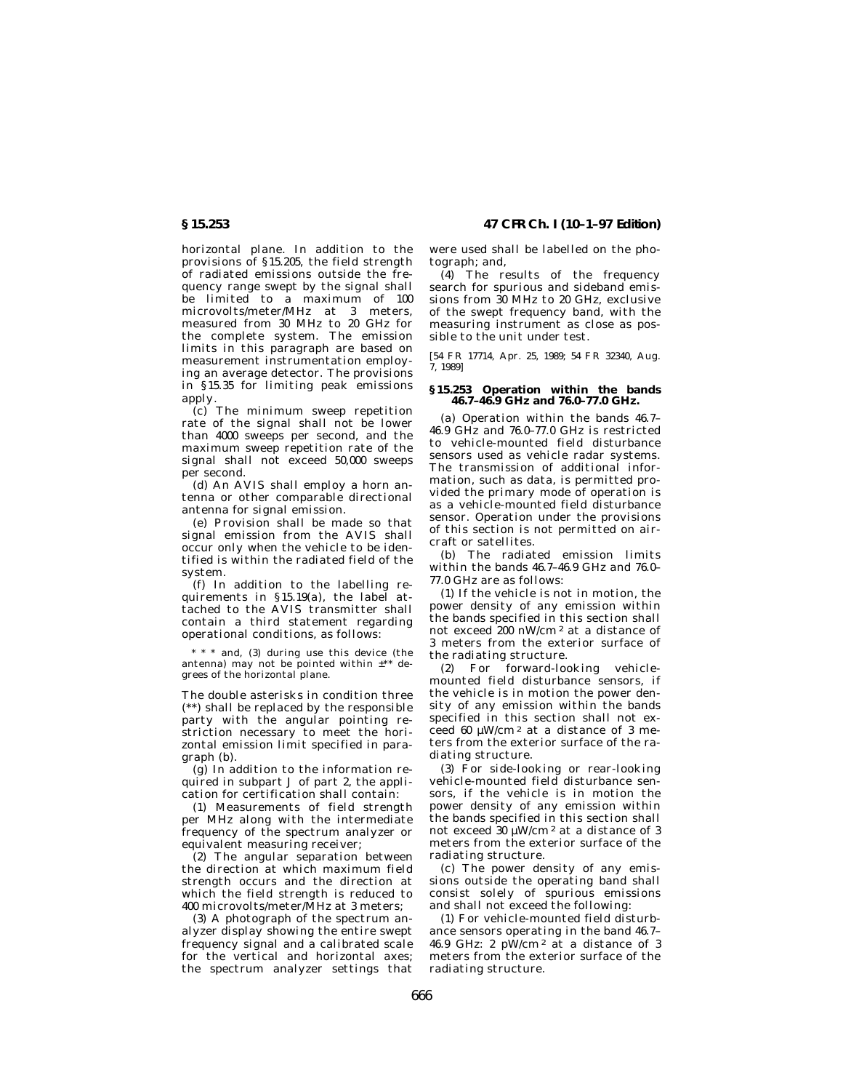# **§ 15.253 47 CFR Ch. I (10–1–97 Edition)**

horizontal plane. In addition to the provisions of § 15.205, the field strength of radiated emissions outside the frequency range swept by the signal shall be limited to a maximum of 100 microvolts/meter/MHz at 3 meters, measured from 30 MHz to 20 GHz for the complete system. The emission limits in this paragraph are based on measurement instrumentation employing an average detector. The provisions in § 15.35 for limiting peak emissions apply.

(c) The minimum sweep repetition rate of the signal shall not be lower than 4000 sweeps per second, and the maximum sweep repetition rate of the signal shall not exceed 50,000 sweeps per second.

(d) An AVIS shall employ a horn antenna or other comparable directional antenna for signal emission.

(e) Provision shall be made so that signal emission from the AVIS shall occur only when the vehicle to be identified is within the radiated field of the system.

(f) In addition to the labelling requirements in § 15.19(a), the label attached to the AVIS transmitter shall contain a third statement regarding operational conditions, as follows:

\* \* \* and, (3) during use this device (the antenna) may not be pointed within ±\*\* degrees of the horizontal plane.

The double asterisks in condition three (\*\*) shall be replaced by the responsible party with the angular pointing restriction necessary to meet the horizontal emission limit specified in paragraph (b).

(g) In addition to the information required in subpart J of part 2, the application for certification shall contain:

(1) Measurements of field strength per MHz along with the intermediate frequency of the spectrum analyzer or equivalent measuring receiver;

(2) The angular separation between the direction at which maximum field strength occurs and the direction at which the field strength is reduced to 400 microvolts/meter/MHz at 3 meters;

(3) A photograph of the spectrum analyzer display showing the entire swept frequency signal and a calibrated scale for the vertical and horizontal axes; the spectrum analyzer settings that

were used shall be labelled on the photograph; and,

(4) The results of the frequency search for spurious and sideband emissions from 30 MHz to 20 GHz, exclusive of the swept frequency band, with the measuring instrument as close as possible to the unit under test.

[54 FR 17714, Apr. 25, 1989; 54 FR 32340, Aug. 7, 1989]

### **§ 15.253 Operation within the bands 46.7–46.9 GHz and 76.0–77.0 GHz.**

(a) Operation within the bands 46.7– 46.9 GHz and 76.0–77.0 GHz is restricted to vehicle-mounted field disturbance sensors used as vehicle radar systems. The transmission of additional information, such as data, is permitted provided the primary mode of operation is as a vehicle-mounted field disturbance sensor. Operation under the provisions of this section is not permitted on aircraft or satellites.

(b) The radiated emission limits within the bands 46.7–46.9 GHz and 76.0– 77.0 GHz are as follows:

(1) If the vehicle is not in motion, the power density of any emission within the bands specified in this section shall not exceed 200 nW/cm2 at a distance of 3 meters from the exterior surface of the radiating structure.

(2) For forward-looking vehiclemounted field disturbance sensors, if the vehicle is in motion the power density of any emission within the bands specified in this section shall not exceed 60 µW/cm2 at a distance of 3 meters from the exterior surface of the radiating structure.

(3) For side-looking or rear-looking vehicle-mounted field disturbance sensors, if the vehicle is in motion the power density of any emission within the bands specified in this section shall not exceed 30  $\upmu \mathrm{W/cm^{\,2}}$  at a distance of 3 meters from the exterior surface of the radiating structure.

(c) The power density of any emissions outside the operating band shall consist solely of spurious emissions and shall not exceed the following:

(1) For vehicle-mounted field disturbance sensors operating in the band 46.7– 46.9 GHz: 2 pW/cm2 at a distance of 3 meters from the exterior surface of the radiating structure.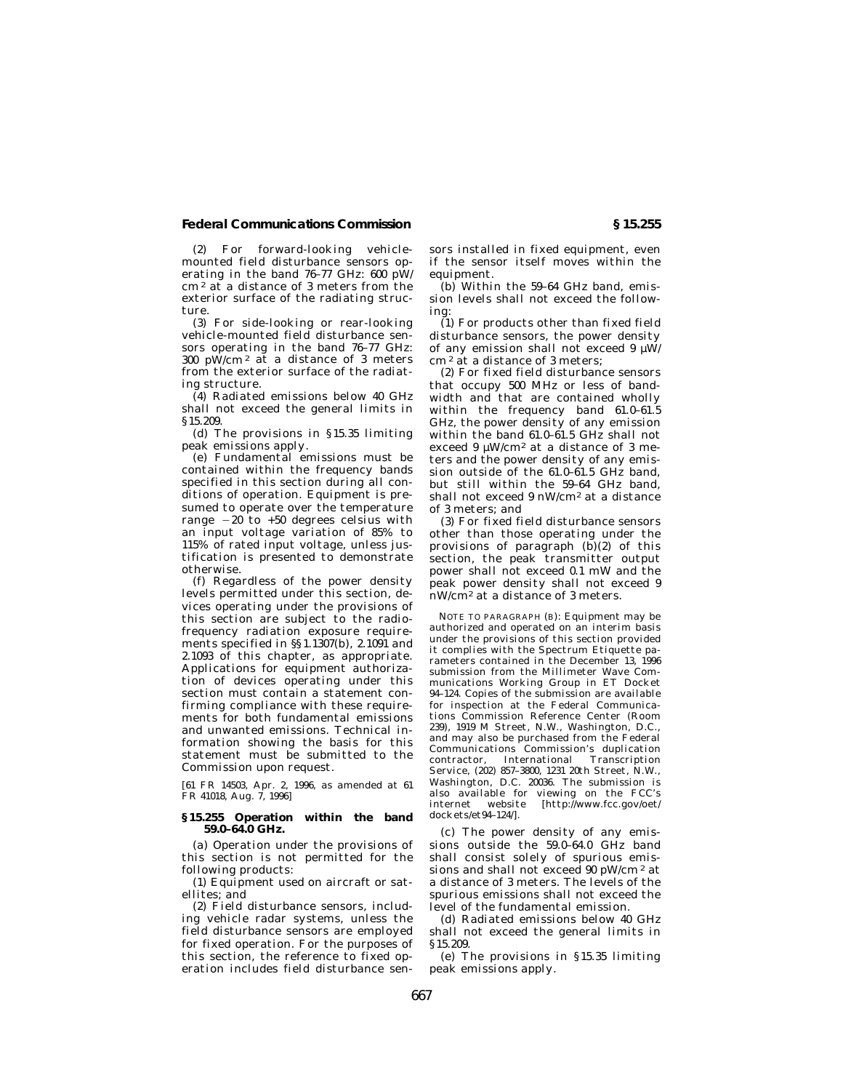(2) For forward-looking vehiclemounted field disturbance sensors operating in the band 76-77 GHz:  $600 \text{ pW}$ cm2 at a distance of 3 meters from the exterior surface of the radiating structure.

(3) For side-looking or rear-looking vehicle-mounted field disturbance sensors operating in the band 76–77 GHz: 300 pW/cm2 at a distance of 3 meters from the exterior surface of the radiating structure.

(4) Radiated emissions below 40 GHz shall not exceed the general limits in §15.209.

(d) The provisions in § 15.35 limiting peak emissions apply.

(e) Fundamental emissions must be contained within the frequency bands specified in this section during all conditions of operation. Equipment is presumed to operate over the temperature range  $-20$  to  $+50$  degrees celsius with an input voltage variation of 85% to 115% of rated input voltage, unless justification is presented to demonstrate otherwise.

(f) Regardless of the power density levels permitted under this section, devices operating under the provisions of this section are subject to the radiofrequency radiation exposure requirements specified in §§ 1.1307(b), 2.1091 and 2.1093 of this chapter, as appropriate. Applications for equipment authorization of devices operating under this section must contain a statement confirming compliance with these requirements for both fundamental emissions and unwanted emissions. Technical information showing the basis for this statement must be submitted to the Commission upon request.

[61 FR 14503, Apr. 2, 1996, as amended at 61 FR 41018, Aug. 7, 1996]

### **§ 15.255 Operation within the band 59.0–64.0 GHz.**

(a) Operation under the provisions of this section is not permitted for the following products:

(1) Equipment used on aircraft or satellites; and

(2) Field disturbance sensors, including vehicle radar systems, unless the field disturbance sensors are employed for fixed operation. For the purposes of this section, the reference to fixed operation includes field disturbance sensors installed in fixed equipment, even if the sensor itself moves within the equipment.

(b) Within the 59–64 GHz band, emission levels shall not exceed the following:

(1) For products other than fixed field disturbance sensors, the power density of any emission shall not exceed  $9 \mu \text{W}$ / cm2 at a distance of 3 meters;

(2) For fixed field disturbance sensors that occupy 500 MHz or less of bandwidth and that are contained wholly within the frequency band 61.0–61.5 GHz, the power density of any emission within the band 61.0–61.5 GHz shall not exceed 9 µW/cm2 at a distance of 3 meters and the power density of any emission outside of the 61.0–61.5 GHz band, but still within the 59–64 GHz band, shall not exceed 9 nW/cm2 at a distance of 3 meters; and

(3) For fixed field disturbance sensors other than those operating under the provisions of paragraph  $(b)(2)$  of this section, the peak transmitter output power shall not exceed 0.1 mW and the peak power density shall not exceed 9 nW/cm2 at a distance of 3 meters.

NOTE TO PARAGRAPH (B): Equipment may be authorized and operated on an interim basis under the provisions of this section provided it complies with the Spectrum Etiquette parameters contained in the December 13, 1996 submission from the Millimeter Wave Communications Working Group in ET Docket 94–124. Copies of the submission are available for inspection at the Federal Communications Commission Reference Center (Room 239), 1919 M Street, N.W., Washington, D.C., and may also be purchased from the Federal Communications Commission's duplication contractor, International Transcription Service, (202) 857–3800, 1231 20th Street, N.W., Washington, D.C. 20036. The submission is also available for viewing on the FCC's internet website [http://www.fcc.gov/oet/ dockets/et94–124/].

(c) The power density of any emissions outside the 59.0–64.0 GHz band shall consist solely of spurious emissions and shall not exceed 90 pW/cm2 at a distance of 3 meters. The levels of the spurious emissions shall not exceed the level of the fundamental emission.

(d) Radiated emissions below 40 GHz shall not exceed the general limits in §15.209.

(e) The provisions in § 15.35 limiting peak emissions apply.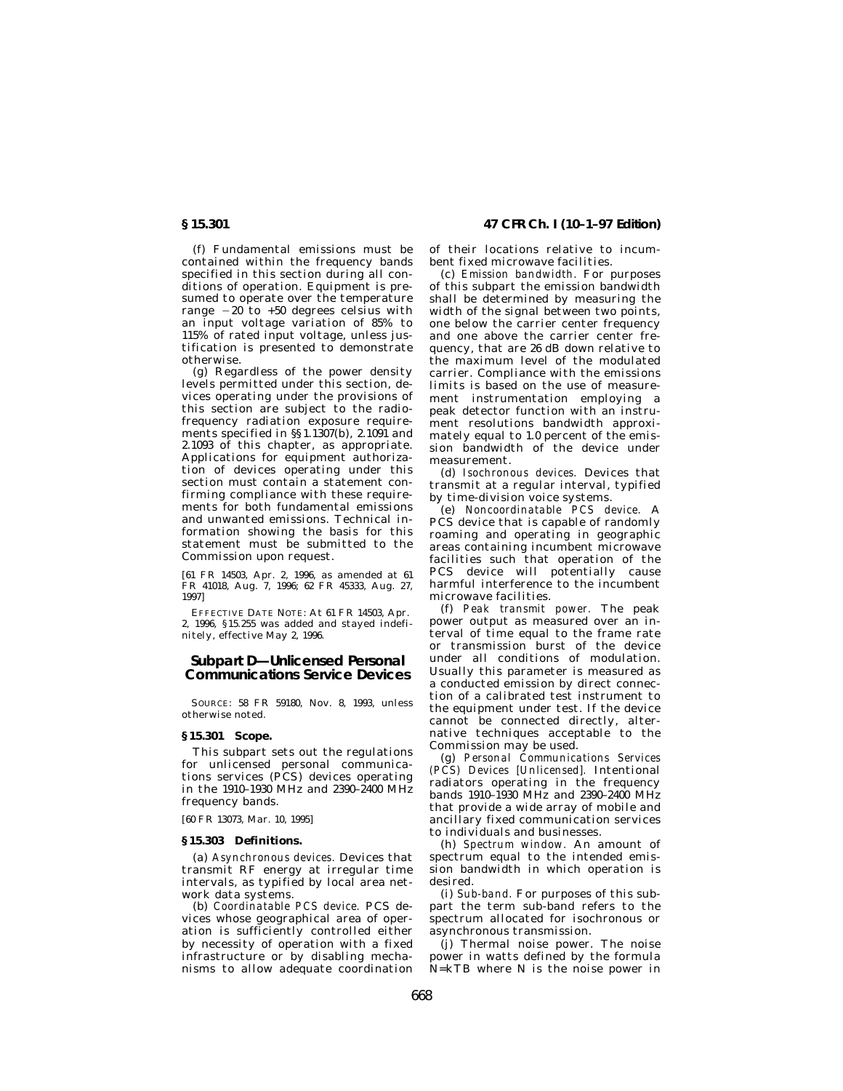(f) Fundamental emissions must be contained within the frequency bands specified in this section during all conditions of operation. Equipment is presumed to operate over the temperature range  $-20$  to  $+50$  degrees celsius with an input voltage variation of 85% to 115% of rated input voltage, unless justification is presented to demonstrate otherwise.

(g) Regardless of the power density levels permitted under this section, devices operating under the provisions of this section are subject to the radiofrequency radiation exposure requirements specified in §§ 1.1307(b), 2.1091 and 2.1093 of this chapter, as appropriate. Applications for equipment authorization of devices operating under this section must contain a statement confirming compliance with these requirements for both fundamental emissions and unwanted emissions. Technical information showing the basis for this statement must be submitted to the Commission upon request.

[61 FR 14503, Apr. 2, 1996, as amended at 61 FR 41018, Aug. 7, 1996; 62 FR 45333, Aug. 27, 1997]

EFFECTIVE DATE NOTE: At 61 FR 14503, Apr. 2, 1996, § 15.255 was added and stayed indefinitely, effective May 2, 1996.

## **Subpart D—Unlicensed Personal Communications Service Devices**

SOURCE: 58 FR 59180, Nov. 8, 1993, unless otherwise noted.

## **§ 15.301 Scope.**

This subpart sets out the regulations for unlicensed personal communications services (PCS) devices operating in the 1910–1930 MHz and 2390–2400 MHz frequency bands.

[60 FR 13073, Mar. 10, 1995]

## **§ 15.303 Definitions.**

(a) *Asynchronous devices.* Devices that transmit RF energy at irregular time intervals, as typified by local area network data systems.

(b) *Coordinatable PCS device.* PCS devices whose geographical area of operation is sufficiently controlled either by necessity of operation with a fixed infrastructure or by disabling mechanisms to allow adequate coordination

**§ 15.301 47 CFR Ch. I (10–1–97 Edition)**

of their locations relative to incumbent fixed microwave facilities.

(c) *Emission bandwidth.* For purposes of this subpart the emission bandwidth shall be determined by measuring the width of the signal between two points, one below the carrier center frequency and one above the carrier center frequency, that are 26 dB down relative to the maximum level of the modulated carrier. Compliance with the emissions limits is based on the use of measurement instrumentation employing a peak detector function with an instrument resolutions bandwidth approximately equal to 1.0 percent of the emission bandwidth of the device under measurement.

(d) *Isochronous devices.* Devices that transmit at a regular interval, typified by time-division voice systems.

(e) *Noncoordinatable PCS device.* A PCS device that is capable of randomly roaming and operating in geographic areas containing incumbent microwave facilities such that operation of the PCS device will potentially cause harmful interference to the incumbent microwave facilities.

(f) *Peak transmit power.* The peak power output as measured over an interval of time equal to the frame rate or transmission burst of the device under all conditions of modulation. Usually this parameter is measured as a conducted emission by direct connection of a calibrated test instrument to the equipment under test. If the device cannot be connected directly, alternative techniques acceptable to the Commission may be used.

(g) *Personal Communications Services (PCS) Devices [Unlicensed].* Intentional radiators operating in the frequency bands 1910-1930 MHz and 2390-2400 MHz that provide a wide array of mobile and ancillary fixed communication services to individuals and businesses.

(h) *Spectrum window.* An amount of spectrum equal to the intended emission bandwidth in which operation is desired.

(i) *Sub-band.* For purposes of this subpart the term sub-band refers to the spectrum allocated for isochronous or asynchronous transmission.

(j) Thermal noise power. The noise power in watts defined by the formula N=kTB where N is the noise power in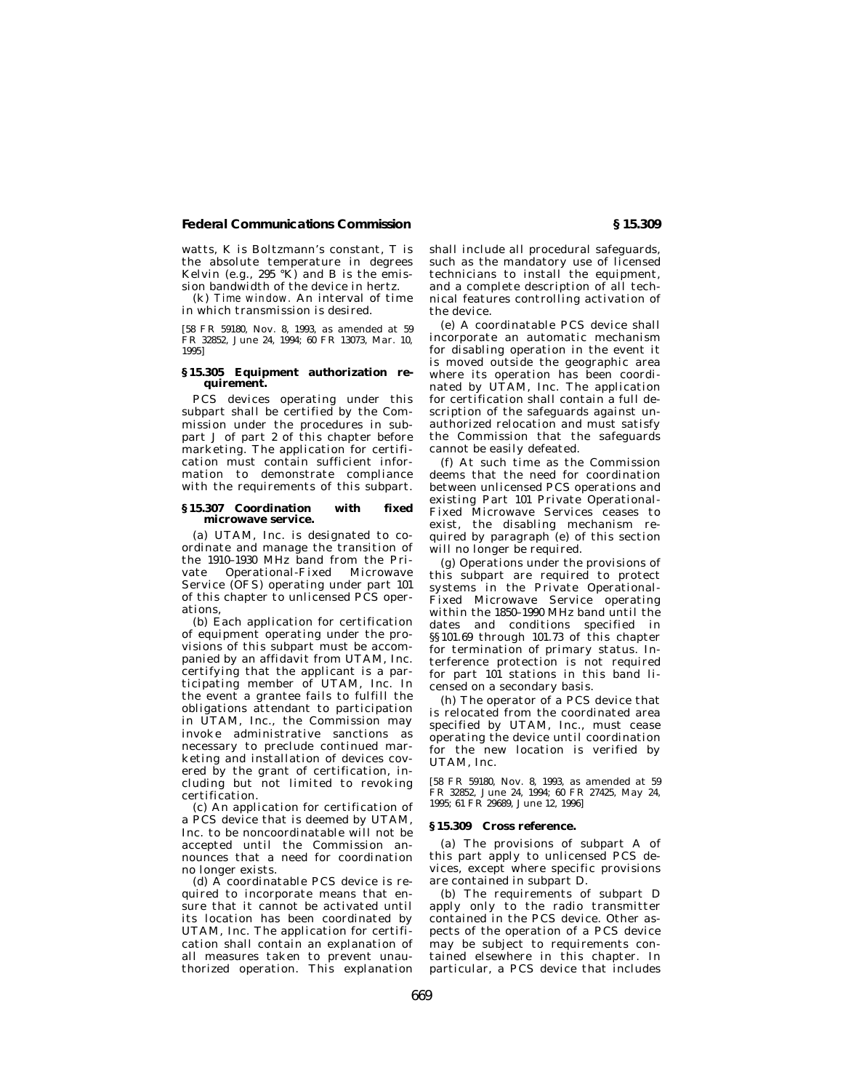watts, K is Boltzmann's constant, T is the absolute temperature in degrees Kelvin (e.g.,  $295 \text{°K}$ ) and B is the emission bandwidth of the device in hertz.

(k) *Time window.* An interval of time in which transmission is desired.

[58 FR 59180, Nov. 8, 1993, as amended at 59 FR 32852, June 24, 1994; 60 FR 13073, Mar. 10, 1995]

### **§ 15.305 Equipment authorization requirement.**

PCS devices operating under this subpart shall be certified by the Commission under the procedures in subpart J of part 2 of this chapter before marketing. The application for certification must contain sufficient information to demonstrate compliance with the requirements of this subpart.

#### **§ 15.307 Coordination with fixed microwave service.**

(a) UTAM, Inc. is designated to coordinate and manage the transition of the 1910–1930 MHz band from the Private Operational-Fixed Microwave Service (OFS) operating under part 101 of this chapter to unlicensed PCS operations,

(b) Each application for certification of equipment operating under the provisions of this subpart must be accompanied by an affidavit from UTAM, Inc. certifying that the applicant is a participating member of UTAM, Inc. In the event a grantee fails to fulfill the obligations attendant to participation in UTAM, Inc., the Commission may invoke administrative sanctions as necessary to preclude continued marketing and installation of devices covered by the grant of certification, including but not limited to revoking certification.

(c) An application for certification of a PCS device that is deemed by UTAM, Inc. to be noncoordinatable will not be accepted until the Commission announces that a need for coordination no longer exists.

(d)  $\overrightarrow{A}$  coordinatable PCS device is required to incorporate means that ensure that it cannot be activated until its location has been coordinated by UTAM, Inc. The application for certification shall contain an explanation of all measures taken to prevent unauthorized operation. This explanation

shall include all procedural safeguards, such as the mandatory use of licensed technicians to install the equipment, and a complete description of all technical features controlling activation of the device.

(e) A coordinatable PCS device shall incorporate an automatic mechanism for disabling operation in the event it is moved outside the geographic area where its operation has been coordinated by UTAM, Inc. The application for certification shall contain a full description of the safeguards against unauthorized relocation and must satisfy the Commission that the safeguards cannot be easily defeated.

(f) At such time as the Commission deems that the need for coordination between unlicensed PCS operations and existing Part 101 Private Operational-Fixed Microwave Services ceases to exist, the disabling mechanism required by paragraph (e) of this section will no longer be required.

(g) Operations under the provisions of this subpart are required to protect systems in the Private Operational-Fixed Microwave Service operating within the 1850–1990 MHz band until the dates and conditions specified in §§101.69 through 101.73 of this chapter for termination of primary status. Interference protection is not required for part 101 stations in this band licensed on a secondary basis.

(h) The operator of a PCS device that is relocated from the coordinated area specified by UTAM, Inc., must cease operating the device until coordination for the new location is verified by UTAM, Inc.

[58 FR 59180, Nov. 8, 1993, as amended at 59 FR 32852, June 24, 1994; 60 FR 27425, May 24, 1995; 61 FR 29689, June 12, 1996]

#### **§ 15.309 Cross reference.**

(a) The provisions of subpart A of this part apply to unlicensed PCS devices, except where specific provisions are contained in subpart D.

(b) The requirements of subpart D apply only to the radio transmitter contained in the PCS device. Other aspects of the operation of a PCS device may be subject to requirements contained elsewhere in this chapter. In particular, a PCS device that includes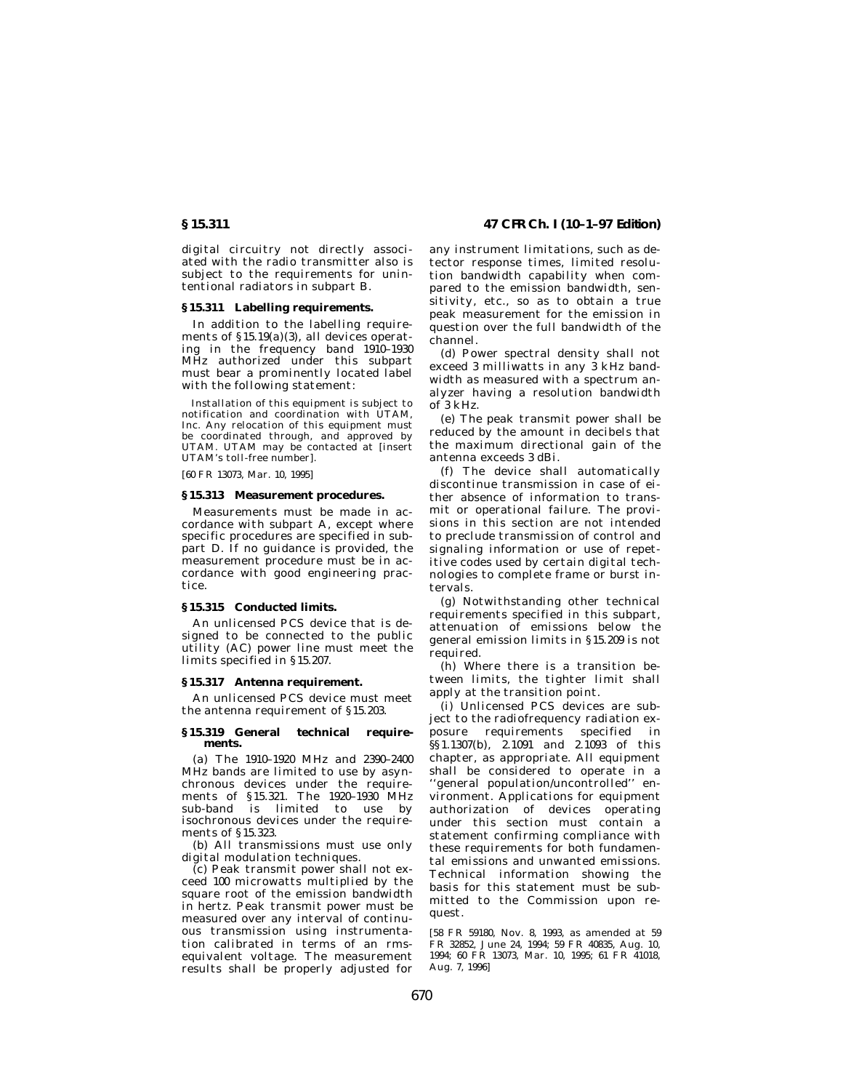digital circuitry not directly associated with the radio transmitter also is subject to the requirements for unintentional radiators in subpart B.

## **§ 15.311 Labelling requirements.**

In addition to the labelling requirements of §15.19(a)(3), all devices operating in the frequency band 1910–1930 MHz authorized under this subpart must bear a prominently located label with the following statement:

Installation of this equipment is subject to notification and coordination with UTAM, Inc. Any relocation of this equipment must be coordinated through, and approved by UTAM. UTAM may be contacted at [insert UTAM's toll-free number].

[60 FR 13073, Mar. 10, 1995]

#### **§ 15.313 Measurement procedures.**

Measurements must be made in accordance with subpart A, except where specific procedures are specified in subpart D. If no guidance is provided, the measurement procedure must be in accordance with good engineering practice.

#### **§ 15.315 Conducted limits.**

An unlicensed PCS device that is designed to be connected to the public utility (AC) power line must meet the limits specified in §15.207.

#### **§ 15.317 Antenna requirement.**

An unlicensed PCS device must meet the antenna requirement of § 15.203.

#### **§ 15.319 General technical requirements.**

(a) The 1910–1920 MHz and 2390–2400 MHz bands are limited to use by asynchronous devices under the requirements of § 15.321. The 1920–1930 MHz sub-band is limited to use by isochronous devices under the requirements of §15.323.

(b) All transmissions must use only digital modulation techniques.

(c) Peak transmit power shall not exceed 100 microwatts multiplied by the square root of the emission bandwidth in hertz. Peak transmit power must be measured over any interval of continuous transmission using instrumentation calibrated in terms of an rmsequivalent voltage. The measurement results shall be properly adjusted for any instrument limitations, such as detector response times, limited resolution bandwidth capability when compared to the emission bandwidth, sensitivity, etc., so as to obtain a true peak measurement for the emission in question over the full bandwidth of the channel.

(d) Power spectral density shall not exceed 3 milliwatts in any 3 kHz bandwidth as measured with a spectrum analyzer having a resolution bandwidth  $of 3 kHz$ 

(e) The peak transmit power shall be reduced by the amount in decibels that the maximum directional gain of the antenna exceeds 3 dBi.

(f) The device shall automatically discontinue transmission in case of either absence of information to transmit or operational failure. The provisions in this section are not intended to preclude transmission of control and signaling information or use of repetitive codes used by certain digital technologies to complete frame or burst intervals.

(g) Notwithstanding other technical requirements specified in this subpart, attenuation of emissions below the general emission limits in § 15.209 is not required.

(h) Where there is a transition between limits, the tighter limit shall apply at the transition point.

(i) Unlicensed PCS devices are subject to the radiofrequency radiation exposure requirements specified in §§ 1.1307(b), 2.1091 and 2.1093 of this chapter, as appropriate. All equipment shall be considered to operate in a ''general population/uncontrolled'' environment. Applications for equipment authorization of devices operating under this section must contain a statement confirming compliance with these requirements for both fundamental emissions and unwanted emissions. Technical information showing the basis for this statement must be submitted to the Commission upon request.

[58 FR 59180, Nov. 8, 1993, as amended at 59 FR 32852, June 24, 1994; 59 FR 40835, Aug. 10, 1994; 60 FR 13073, Mar. 10, 1995; 61 FR 41018, Aug. 7, 1996]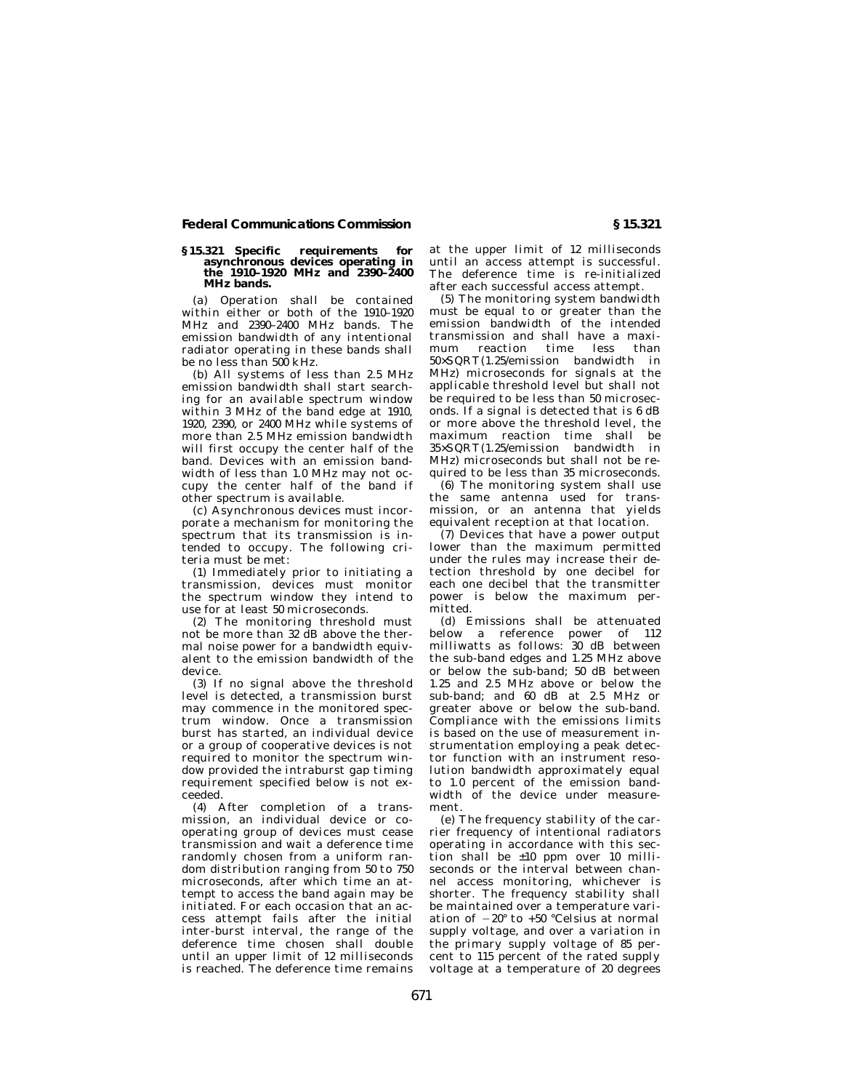#### **§ 15.321 Specific requirements for asynchronous devices operating in the 1910–1920 MHz and 2390–2400 MHz bands.**

(a) Operation shall be contained within either or both of the 1910–1920 MHz and 2390–2400 MHz bands. The emission bandwidth of any intentional radiator operating in these bands shall be no less than 500 kHz.

(b) All systems of less than 2.5 MHz emission bandwidth shall start searching for an available spectrum window within 3 MHz of the band edge at 1910, 1920, 2390, or 2400 MHz while systems of more than 2.5 MHz emission bandwidth will first occupy the center half of the band. Devices with an emission bandwidth of less than 1.0 MHz may not occupy the center half of the band if other spectrum is available.

(c) Asynchronous devices must incorporate a mechanism for monitoring the spectrum that its transmission is intended to occupy. The following criteria must be met:

(1) Immediately prior to initiating a transmission, devices must monitor the spectrum window they intend to use for at least 50 microseconds.

(2) The monitoring threshold must not be more than 32 dB above the thermal noise power for a bandwidth equivalent to the emission bandwidth of the device.

(3) If no signal above the threshold level is detected, a transmission burst may commence in the monitored spectrum window. Once a transmission burst has started, an individual device or a group of cooperative devices is not required to monitor the spectrum window provided the intraburst gap timing requirement specified below is not exceeded.

(4) After completion of a transmission, an individual device or cooperating group of devices must cease transmission and wait a deference time randomly chosen from a uniform random distribution ranging from 50 to 750 microseconds, after which time an attempt to access the band again may be initiated. For each occasion that an access attempt fails after the initial inter-burst interval, the range of the deference time chosen shall double until an upper limit of 12 milliseconds is reached. The deference time remains at the upper limit of 12 milliseconds until an access attempt is successful. The deference time is re-initialized after each successful access attempt.

(5) The monitoring system bandwidth must be equal to or greater than the emission bandwidth of the intended transmission and shall have a maximum reaction time less than 50×SQRT(1.25/emission bandwidth in MHz) microseconds for signals at the applicable threshold level but shall not be required to be less than 50 microseconds. If a signal is detected that is 6 dB or more above the threshold level, the maximum reaction time shall be 35×SQRT(1.25/emission bandwidth in MHz) microseconds but shall not be required to be less than 35 microseconds.

(6) The monitoring system shall use the same antenna used for transmission, or an antenna that yields equivalent reception at that location.

(7) Devices that have a power output lower than the maximum permitted under the rules may increase their detection threshold by one decibel for each one decibel that the transmitter power is below the maximum permitted.

(d) Emissions shall be attenuated below a reference power of 112 milliwatts as follows: 30 dB between the sub-band edges and 1.25 MHz above or below the sub-band; 50 dB between 1.25 and 2.5 MHz above or below the sub-band; and 60 dB at 2.5 MHz or greater above or below the sub-band. Compliance with the emissions limits is based on the use of measurement instrumentation employing a peak detector function with an instrument resolution bandwidth approximately equal to 1.0 percent of the emission bandwidth of the device under measurement.

(e) The frequency stability of the carrier frequency of intentional radiators operating in accordance with this section shall be ±10 ppm over 10 milliseconds or the interval between channel access monitoring, whichever is shorter. The frequency stability shall be maintained over a temperature variation of  $-20^\circ$  to  $+50$  °Celsius at normal supply voltage, and over a variation in the primary supply voltage of 85 percent to 115 percent of the rated supply voltage at a temperature of 20 degrees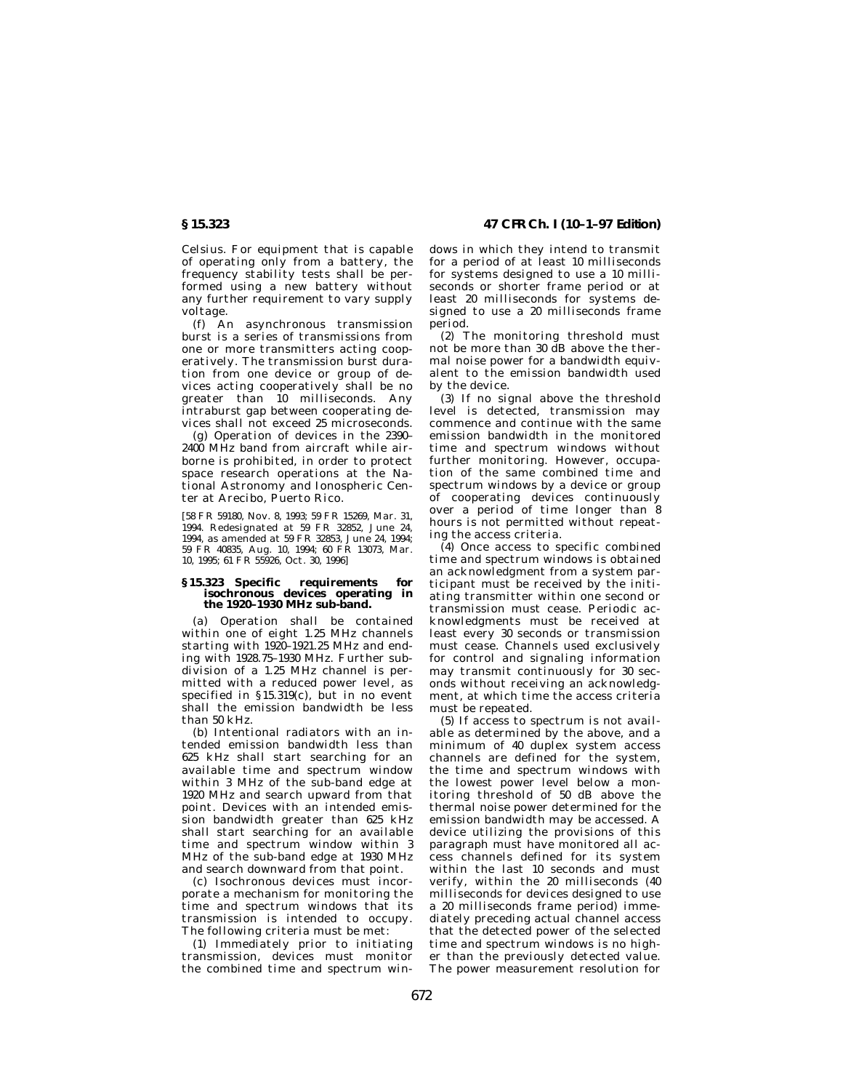Celsius. For equipment that is capable of operating only from a battery, the frequency stability tests shall be performed using a new battery without any further requirement to vary supply voltage.

(f) An asynchronous transmission burst is a series of transmissions from one or more transmitters acting cooperatively. The transmission burst duration from one device or group of devices acting cooperatively shall be no greater than 10 milliseconds. Any intraburst gap between cooperating devices shall not exceed 25 microseconds.

(g) Operation of devices in the 2390– 2400 MHz band from aircraft while airborne is prohibited, in order to protect space research operations at the National Astronomy and Ionospheric Center at Arecibo, Puerto Rico.

[58 FR 59180, Nov. 8, 1993; 59 FR 15269, Mar. 31, 1994. Redesignated at 59 FR 32852, June 24, 1994, as amended at 59 FR 32853, June 24, 1994; 59 FR 40835, Aug. 10, 1994; 60 FR 13073, Mar. 10, 1995; 61 FR 55926, Oct. 30, 1996]

#### **§ 15.323 Specific requirements for isochronous devices operating in the 1920–1930 MHz sub-band.**

(a) Operation shall be contained within one of eight 1.25 MHz channels starting with 1920–1921.25 MHz and ending with 1928.75–1930 MHz. Further subdivision of a 1.25 MHz channel is permitted with a reduced power level, as specified in § 15.319(c), but in no event shall the emission bandwidth be less than 50 kHz.

(b) Intentional radiators with an intended emission bandwidth less than 625 kHz shall start searching for an available time and spectrum window within 3 MHz of the sub-band edge at 1920 MHz and search upward from that point. Devices with an intended emission bandwidth greater than 625 kHz shall start searching for an available time and spectrum window within 3 MHz of the sub-band edge at 1930 MHz and search downward from that point.

(c) Isochronous devices must incorporate a mechanism for monitoring the time and spectrum windows that its transmission is intended to occupy. The following criteria must be met:

(1) Immediately prior to initiating transmission, devices must monitor the combined time and spectrum win-

**§ 15.323 47 CFR Ch. I (10–1–97 Edition)**

dows in which they intend to transmit for a period of at least 10 milliseconds for systems designed to use a 10 milliseconds or shorter frame period or at least 20 milliseconds for systems designed to use a 20 milliseconds frame period.

(2) The monitoring threshold must not be more than 30 dB above the thermal noise power for a bandwidth equivalent to the emission bandwidth used by the device.

(3) If no signal above the threshold level is detected, transmission may commence and continue with the same emission bandwidth in the monitored time and spectrum windows without further monitoring. However, occupation of the same combined time and spectrum windows by a device or group of cooperating devices continuously over a period of time longer than 8 hours is not permitted without repeating the access criteria.

(4) Once access to specific combined time and spectrum windows is obtained an acknowledgment from a system participant must be received by the initiating transmitter within one second or transmission must cease. Periodic acknowledgments must be received at least every 30 seconds or transmission must cease. Channels used exclusively for control and signaling information may transmit continuously for 30 seconds without receiving an acknowledgment, at which time the access criteria must be repeated.

(5) If access to spectrum is not available as determined by the above, and a minimum of 40 duplex system access channels are defined for the system, the time and spectrum windows with the lowest power level below a monitoring threshold of 50 dB above the thermal noise power determined for the emission bandwidth may be accessed. A device utilizing the provisions of this paragraph must have monitored all access channels defined for its system within the last 10 seconds and must verify, within the 20 milliseconds (40 milliseconds for devices designed to use a 20 milliseconds frame period) immediately preceding actual channel access that the detected power of the selected time and spectrum windows is no higher than the previously detected value. The power measurement resolution for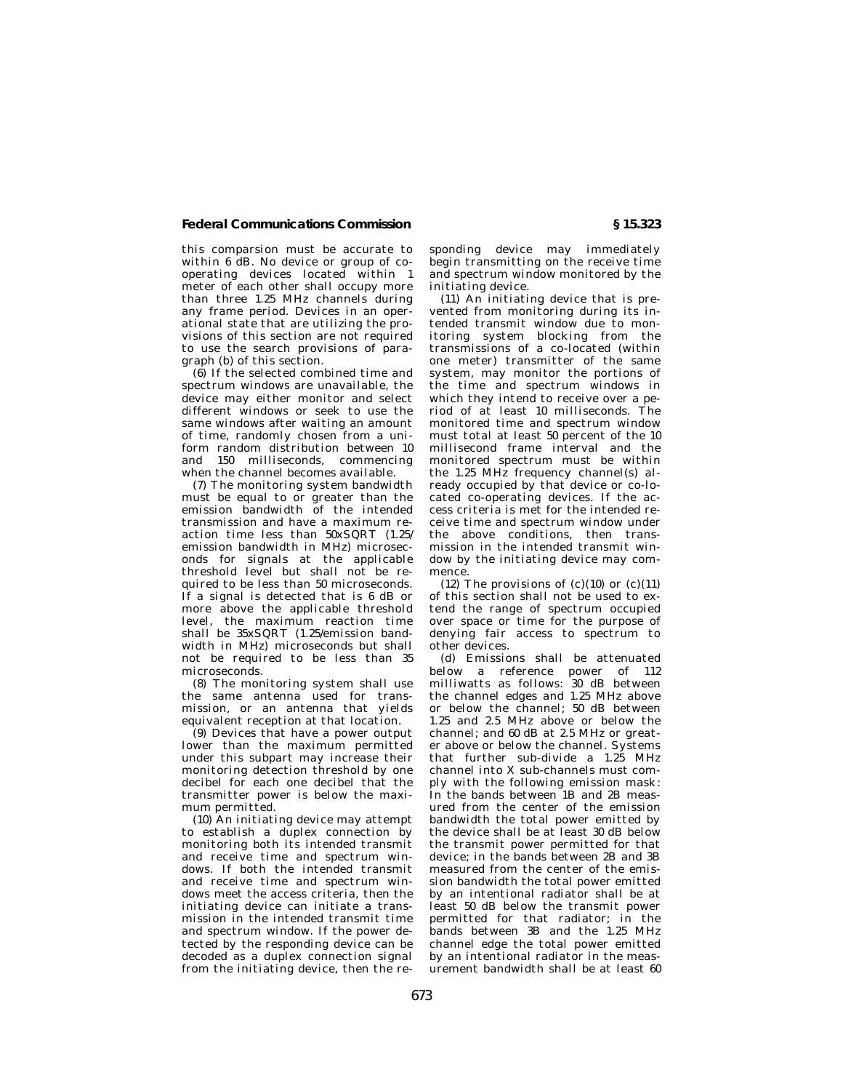this comparsion must be accurate to within 6 dB. No device or group of cooperating devices located within 1 meter of each other shall occupy more than three 1.25 MHz channels during any frame period. Devices in an operational state that are utilizing the provisions of this section are not required to use the search provisions of paragraph (b) of this section.

(6) If the selected combined time and spectrum windows are unavailable, the device may either monitor and select different windows or seek to use the same windows after waiting an amount of time, randomly chosen from a uniform random distribution between 10 and 150 milliseconds, commencing when the channel becomes available.

(7) The monitoring system bandwidth must be equal to or greater than the emission bandwidth of the intended transmission and have a maximum reaction time less than 50xSQRT (1.25/ emission bandwidth in MHz) microseconds for signals at the applicable threshold level but shall not be required to be less than 50 microseconds. If a signal is detected that is 6 dB or more above the applicable threshold level, the maximum reaction time shall be 35xSQRT (1.25/emission bandwidth in MHz) microseconds but shall not be required to be less than 35 microseconds.

(8) The monitoring system shall use the same antenna used for transmission, or an antenna that yields equivalent reception at that location.

(9) Devices that have a power output lower than the maximum permitted under this subpart may increase their monitoring detection threshold by one decibel for each one decibel that the transmitter power is below the maximum permitted.

(10) An initiating device may attempt to establish a duplex connection by monitoring both its intended transmit and receive time and spectrum windows. If both the intended transmit and receive time and spectrum windows meet the access criteria, then the initiating device can initiate a transmission in the intended transmit time and spectrum window. If the power detected by the responding device can be decoded as a duplex connection signal from the initiating device, then the responding device may immediately begin transmitting on the receive time and spectrum window monitored by the initiating device.

(11) An initiating device that is prevented from monitoring during its intended transmit window due to monitoring system blocking from the transmissions of a co-located (within one meter) transmitter of the same system, may monitor the portions of the time and spectrum windows in which they intend to receive over a period of at least 10 milliseconds. The monitored time and spectrum window must total at least 50 percent of the 10 millisecond frame interval and the monitored spectrum must be within the 1.25 MHz frequency channel(s) already occupied by that device or co-located co-operating devices. If the access criteria is met for the intended receive time and spectrum window under the above conditions, then transmission in the intended transmit window by the initiating device may commence.

(12) The provisions of  $(c)(10)$  or  $(c)(11)$ of this section shall not be used to extend the range of spectrum occupied over space or time for the purpose of denying fair access to spectrum to other devices.

(d) Emissions shall be attenuated below a reference power of 112 milliwatts as follows: 30 dB between the channel edges and 1.25 MHz above or below the channel; 50 dB between 1.25 and 2.5 MHz above or below the channel; and 60 dB at 2.5 MHz or greater above or below the channel. Systems that further sub-divide a 1.25 MHz channel into X sub-channels must comply with the following emission mask: In the bands between 1B and 2B measured from the center of the emission bandwidth the total power emitted by the device shall be at least 30 dB below the transmit power permitted for that device; in the bands between 2B and 3B measured from the center of the emission bandwidth the total power emitted by an intentional radiator shall be at least 50 dB below the transmit power permitted for that radiator; in the bands between 3B and the 1.25 MHz channel edge the total power emitted by an intentional radiator in the measurement bandwidth shall be at least 60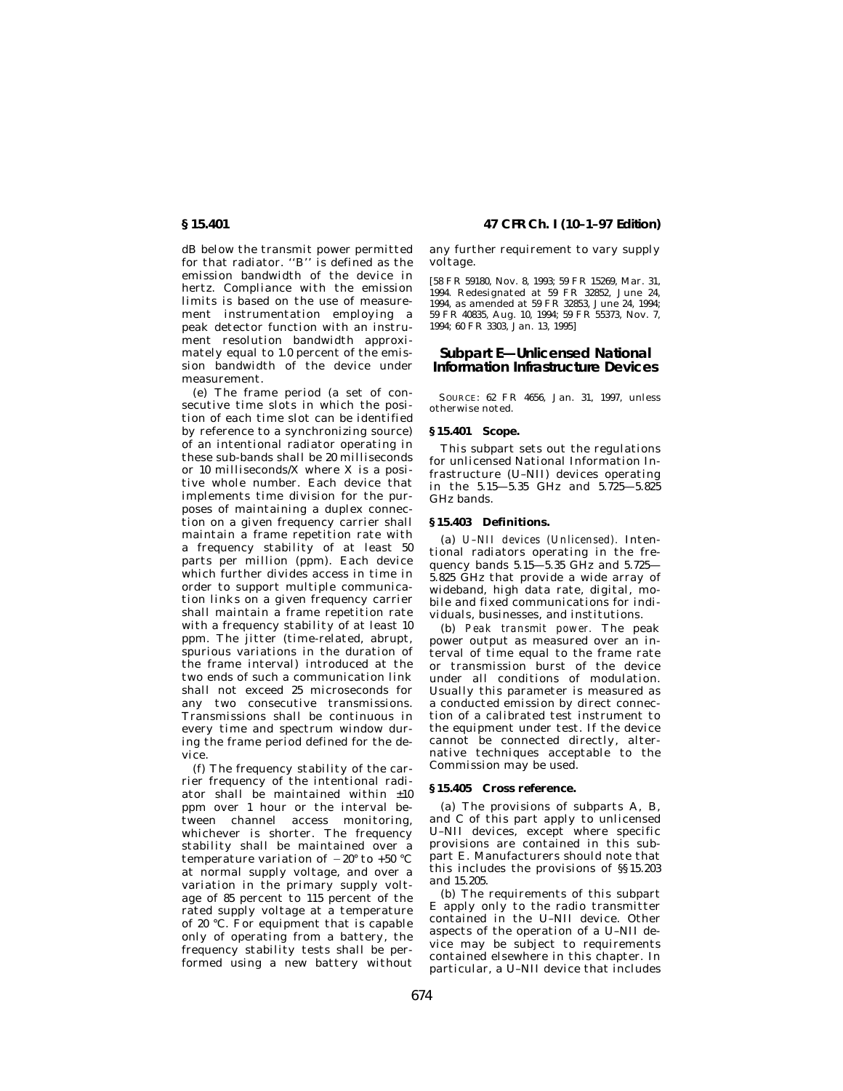dB below the transmit power permitted for that radiator. ''B'' is defined as the emission bandwidth of the device in hertz. Compliance with the emission limits is based on the use of measurement instrumentation employing a peak detector function with an instrument resolution bandwidth approximately equal to 1.0 percent of the emission bandwidth of the device under measurement.

(e) The frame period (a set of consecutive time slots in which the position of each time slot can be identified by reference to a synchronizing source) of an intentional radiator operating in these sub-bands shall be 20 milliseconds or 10 milliseconds/X where X is a positive whole number. Each device that implements time division for the purposes of maintaining a duplex connection on a given frequency carrier shall maintain a frame repetition rate with a frequency stability of at least 50 parts per million (ppm). Each device which further divides access in time in order to support multiple communication links on a given frequency carrier shall maintain a frame repetition rate with a frequency stability of at least 10 ppm. The jitter (time-related, abrupt, spurious variations in the duration of the frame interval) introduced at the two ends of such a communication link shall not exceed 25 microseconds for any two consecutive transmissions. Transmissions shall be continuous in every time and spectrum window during the frame period defined for the device.

(f) The frequency stability of the carrier frequency of the intentional radiator shall be maintained within ±10 ppm over 1 hour or the interval between channel access monitoring, whichever is shorter. The frequency stability shall be maintained over a temperature variation of  $-20^{\circ}$  to  $+50^{\circ}$ C at normal supply voltage, and over a variation in the primary supply voltage of 85 percent to 115 percent of the rated supply voltage at a temperature of 20 °C. For equipment that is capable only of operating from a battery, the frequency stability tests shall be performed using a new battery without

**§ 15.401 47 CFR Ch. I (10–1–97 Edition)**

any further requirement to vary supply voltage.

[58 FR 59180, Nov. 8, 1993; 59 FR 15269, Mar. 31, 1994. Redesignated at 59 FR 32852, June 24, 1994, as amended at 59 FR 32853, June 24, 1994; 59 FR 40835, Aug. 10, 1994; 59 FR 55373, Nov. 7, 1994; 60 FR 3303, Jan. 13, 1995]

## **Subpart E—Unlicensed National Information Infrastructure Devices**

SOURCE: 62 FR 4656, Jan. 31, 1997, unless otherwise noted.

## **§ 15.401 Scope.**

This subpart sets out the regulations for unlicensed National Information Infrastructure (U–NII) devices operating in the 5.15—5.35 GHz and 5.725—5.825 GHz bands.

## **§ 15.403 Definitions.**

(a) *U–NII devices (Unlicensed).* Intentional radiators operating in the frequency bands 5.15—5.35 GHz and 5.725— 5.825 GHz that provide a wide array of wideband, high data rate, digital, mobile and fixed communications for individuals, businesses, and institutions.

(b) *Peak transmit power.* The peak power output as measured over an interval of time equal to the frame rate or transmission burst of the device under all conditions of modulation. Usually this parameter is measured as a conducted emission by direct connection of a calibrated test instrument to the equipment under test. If the device cannot be connected directly, alternative techniques acceptable to the Commission may be used.

## **§ 15.405 Cross reference.**

(a) The provisions of subparts A, B, and C of this part apply to unlicensed U–NII devices, except where specific provisions are contained in this subpart E. Manufacturers should note that this includes the provisions of §§ 15.203 and 15.205.

(b) The requirements of this subpart E apply only to the radio transmitter contained in the U–NII device. Other aspects of the operation of a U–NII device may be subject to requirements contained elsewhere in this chapter. In particular, a U–NII device that includes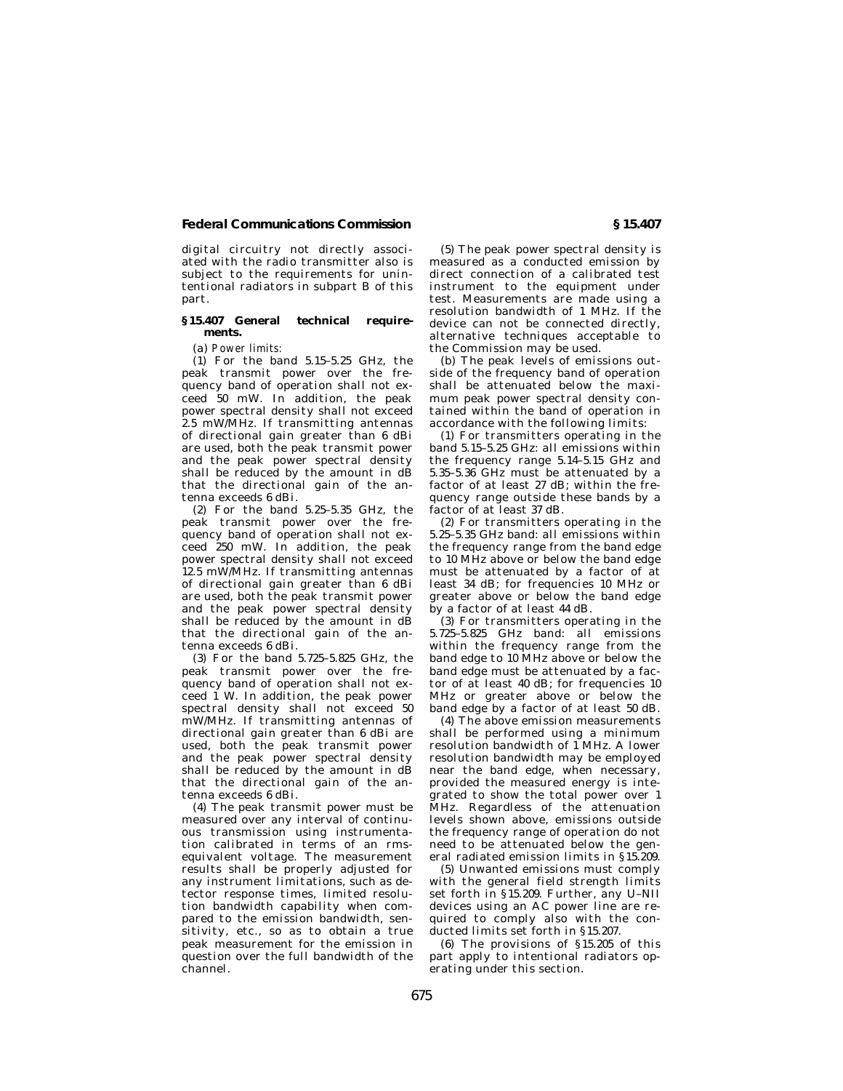digital circuitry not directly associated with the radio transmitter also is subject to the requirements for unintentional radiators in subpart B of this part.

## **§ 15.407 General technical requirements.**

(a) *Power limits:*

(1) For the band 5.15–5.25 GHz, the peak transmit power over the frequency band of operation shall not exceed 50 mW. In addition, the peak power spectral density shall not exceed 2.5 mW/MHz. If transmitting antennas of directional gain greater than 6 dBi are used, both the peak transmit power and the peak power spectral density shall be reduced by the amount in dB that the directional gain of the antenna exceeds 6 dBi.

(2) For the band 5.25–5.35 GHz, the peak transmit power over the frequency band of operation shall not exceed 250 mW. In addition, the peak power spectral density shall not exceed 12.5 mW/MHz. If transmitting antennas of directional gain greater than 6 dBi are used, both the peak transmit power and the peak power spectral density shall be reduced by the amount in dB that the directional gain of the antenna exceeds 6 dBi.

(3) For the band 5.725–5.825 GHz, the peak transmit power over the frequency band of operation shall not exceed 1 W. In addition, the peak power spectral density shall not exceed 50 mW/MHz. If transmitting antennas of directional gain greater than 6 dBi are used, both the peak transmit power and the peak power spectral density shall be reduced by the amount in dB that the directional gain of the antenna exceeds 6 dBi.

(4) The peak transmit power must be measured over any interval of continuous transmission using instrumentation calibrated in terms of an rmsequivalent voltage. The measurement results shall be properly adjusted for any instrument limitations, such as detector response times, limited resolution bandwidth capability when compared to the emission bandwidth, sensitivity, etc., so as to obtain a true peak measurement for the emission in question over the full bandwidth of the channel.

(5) The peak power spectral density is measured as a conducted emission by direct connection of a calibrated test instrument to the equipment under test. Measurements are made using a resolution bandwidth of 1 MHz. If the device can not be connected directly, alternative techniques acceptable to the Commission may be used.

(b) The peak levels of emissions outside of the frequency band of operation shall be attenuated below the maximum peak power spectral density contained within the band of operation in accordance with the following limits:

(1) For transmitters operating in the band 5.15–5.25 GHz: all emissions within the frequency range 5.14–5.15 GHz and 5.35–5.36 GHz must be attenuated by a factor of at least 27 dB; within the frequency range outside these bands by a factor of at least 37 dB.

(2) For transmitters operating in the 5.25–5.35 GHz band: all emissions within the frequency range from the band edge to 10 MHz above or below the band edge must be attenuated by a factor of at least 34 dB; for frequencies 10 MHz or greater above or below the band edge by a factor of at least 44 dB.

(3) For transmitters operating in the 5.725–5.825 GHz band: all emissions within the frequency range from the band edge to 10 MHz above or below the band edge must be attenuated by a factor of at least 40 dB; for frequencies 10 MHz or greater above or below the band edge by a factor of at least 50 dB.

(4) The above emission measurements shall be performed using a minimum resolution bandwidth of 1 MHz. A lower resolution bandwidth may be employed near the band edge, when necessary, provided the measured energy is integrated to show the total power over 1 MHz. Regardless of the attenuation levels shown above, emissions outside the frequency range of operation do not need to be attenuated below the general radiated emission limits in § 15.209.

(5) Unwanted emissions must comply with the general field strength limits set forth in § 15.209. Further, any U–NII devices using an AC power line are required to comply also with the conducted limits set forth in § 15.207.

(6) The provisions of § 15.205 of this part apply to intentional radiators operating under this section.